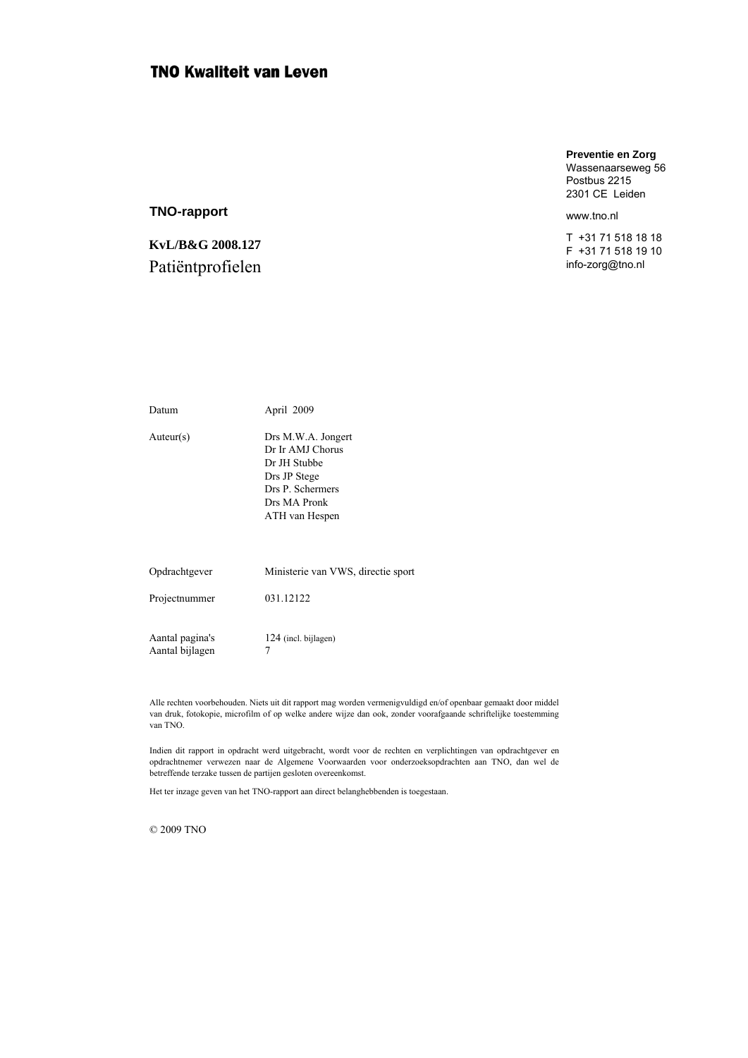# **TNO Kwaliteit van Leven**

**Preventie en Zorg** Wassenaarseweg 56 Postbus 2215 2301 CE Leiden

www.tno.nl

T +31 71 518 18 18 F +31 71 518 19 10 info-zorg@tno.nl

## **TNO-rapport**

**KvL/B&G 2008.127**  Patiëntprofielen

| Datum                              | April 2009                                                                                                                   |
|------------------------------------|------------------------------------------------------------------------------------------------------------------------------|
| Auteur(s)                          | Drs M.W.A. Jongert<br>Dr Ir AMJ Chorus<br>Dr JH Stubbe<br>Drs JP Stege<br>Drs P. Schermers<br>Drs MA Pronk<br>ATH van Hespen |
| Opdrachtgever                      | Ministerie van VWS, directie sport                                                                                           |
| Projectnummer                      | 031.12122                                                                                                                    |
| Aantal pagina's<br>Aantal bijlagen | 124 (incl. bijlagen)<br>7                                                                                                    |

Alle rechten voorbehouden. Niets uit dit rapport mag worden vermenigvuldigd en/of openbaar gemaakt door middel van druk, fotokopie, microfilm of op welke andere wijze dan ook, zonder voorafgaande schriftelijke toestemming van TNO.

Indien dit rapport in opdracht werd uitgebracht, wordt voor de rechten en verplichtingen van opdrachtgever en opdrachtnemer verwezen naar de Algemene Voorwaarden voor onderzoeksopdrachten aan TNO, dan wel de betreffende terzake tussen de partijen gesloten overeenkomst.

Het ter inzage geven van het TNO-rapport aan direct belanghebbenden is toegestaan.

© 2009 TNO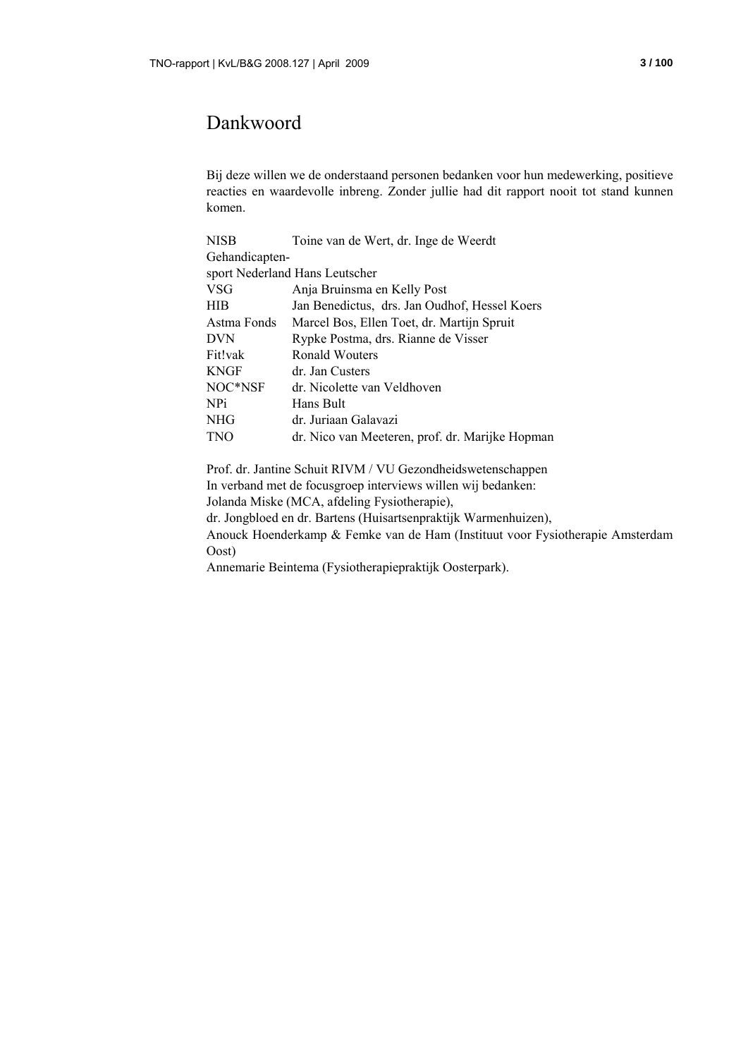<span id="page-2-0"></span>Bij deze willen we de onderstaand personen bedanken voor hun medewerking, positieve reacties en waardevolle inbreng. Zonder jullie had dit rapport nooit tot stand kunnen komen.

| <b>NISB</b> | Toine van de Wert, dr. Inge de Weerdt           |  |  |  |
|-------------|-------------------------------------------------|--|--|--|
|             | Gehandicapten-                                  |  |  |  |
|             | sport Nederland Hans Leutscher                  |  |  |  |
| <b>VSG</b>  | Anja Bruinsma en Kelly Post                     |  |  |  |
| <b>HIB</b>  | Jan Benedictus, drs. Jan Oudhof, Hessel Koers   |  |  |  |
| Astma Fonds | Marcel Bos, Ellen Toet, dr. Martijn Spruit      |  |  |  |
| <b>DVN</b>  | Rypke Postma, drs. Rianne de Visser             |  |  |  |
| Fit!vak     | Ronald Wouters                                  |  |  |  |
| <b>KNGF</b> | dr. Jan Custers                                 |  |  |  |
| NOC*NSF     | dr. Nicolette van Veldhoven                     |  |  |  |
| <b>NPi</b>  | Hans Bult                                       |  |  |  |
| <b>NHG</b>  | dr. Juriaan Galavazi                            |  |  |  |
| <b>TNO</b>  | dr. Nico van Meeteren, prof. dr. Marijke Hopman |  |  |  |

Prof. dr. Jantine Schuit RIVM / VU Gezondheidswetenschappen In verband met de focusgroep interviews willen wij bedanken: Jolanda Miske (MCA, afdeling Fysiotherapie), dr. Jongbloed en dr. Bartens (Huisartsenpraktijk Warmenhuizen), Anouck Hoenderkamp & Femke van de Ham (Instituut voor Fysiotherapie Amsterdam Oost)

Annemarie Beintema (Fysiotherapiepraktijk Oosterpark).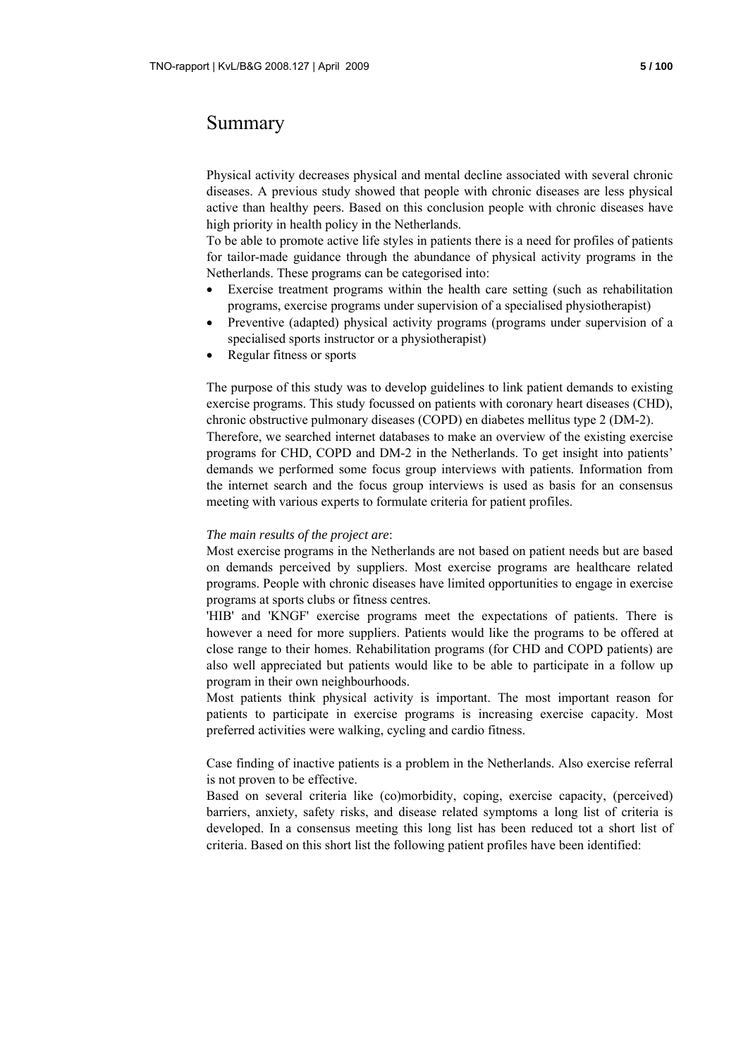# <span id="page-4-0"></span>Summary

Physical activity decreases physical and mental decline associated with several chronic diseases. A previous study showed that people with chronic diseases are less physical active than healthy peers. Based on this conclusion people with chronic diseases have high priority in health policy in the Netherlands.

To be able to promote active life styles in patients there is a need for profiles of patients for tailor-made guidance through the abundance of physical activity programs in the Netherlands. These programs can be categorised into:

- Exercise treatment programs within the health care setting (such as rehabilitation programs, exercise programs under supervision of a specialised physiotherapist)
- Preventive (adapted) physical activity programs (programs under supervision of a specialised sports instructor or a physiotherapist)
- Regular fitness or sports

The purpose of this study was to develop guidelines to link patient demands to existing exercise programs. This study focussed on patients with coronary heart diseases (CHD), chronic obstructive pulmonary diseases (COPD) en diabetes mellitus type 2 (DM-2). Therefore, we searched internet databases to make an overview of the existing exercise programs for CHD, COPD and DM-2 in the Netherlands. To get insight into patients' demands we performed some focus group interviews with patients. Information from the internet search and the focus group interviews is used as basis for an consensus meeting with various experts to formulate criteria for patient profiles.

#### *The main results of the project are*:

Most exercise programs in the Netherlands are not based on patient needs but are based on demands perceived by suppliers. Most exercise programs are healthcare related programs. People with chronic diseases have limited opportunities to engage in exercise programs at sports clubs or fitness centres.

'HIB' and 'KNGF' exercise programs meet the expectations of patients. There is however a need for more suppliers. Patients would like the programs to be offered at close range to their homes. Rehabilitation programs (for CHD and COPD patients) are also well appreciated but patients would like to be able to participate in a follow up program in their own neighbourhoods.

Most patients think physical activity is important. The most important reason for patients to participate in exercise programs is increasing exercise capacity. Most preferred activities were walking, cycling and cardio fitness.

Case finding of inactive patients is a problem in the Netherlands. Also exercise referral is not proven to be effective.

Based on several criteria like (co)morbidity, coping, exercise capacity, (perceived) barriers, anxiety, safety risks, and disease related symptoms a long list of criteria is developed. In a consensus meeting this long list has been reduced tot a short list of criteria. Based on this short list the following patient profiles have been identified: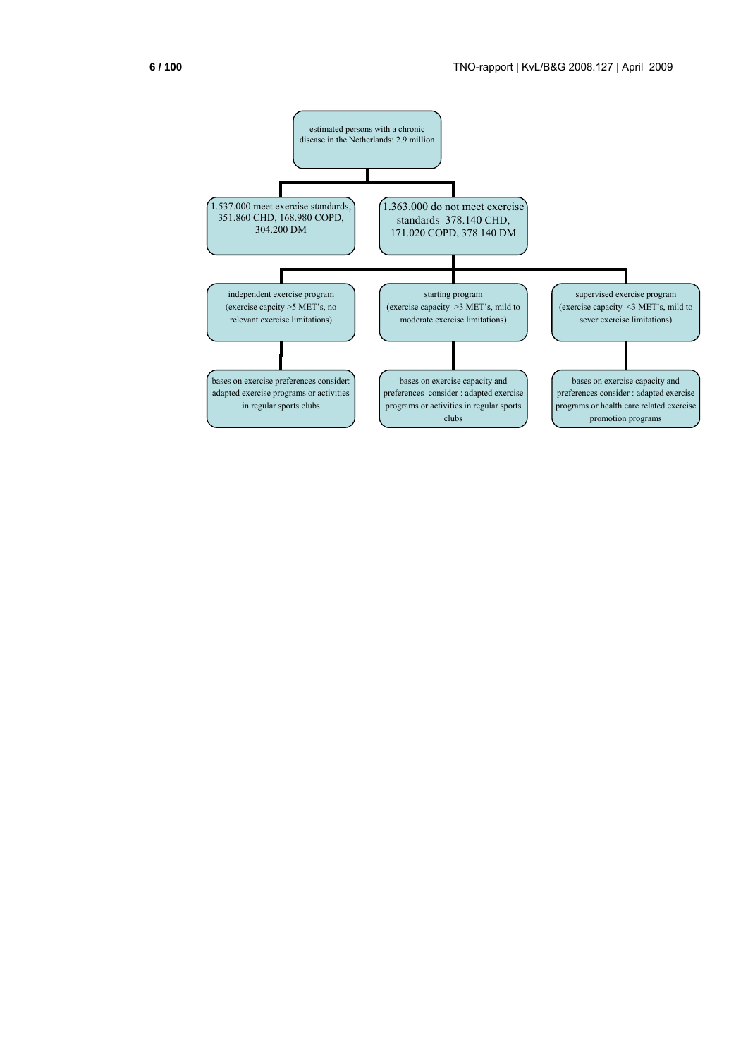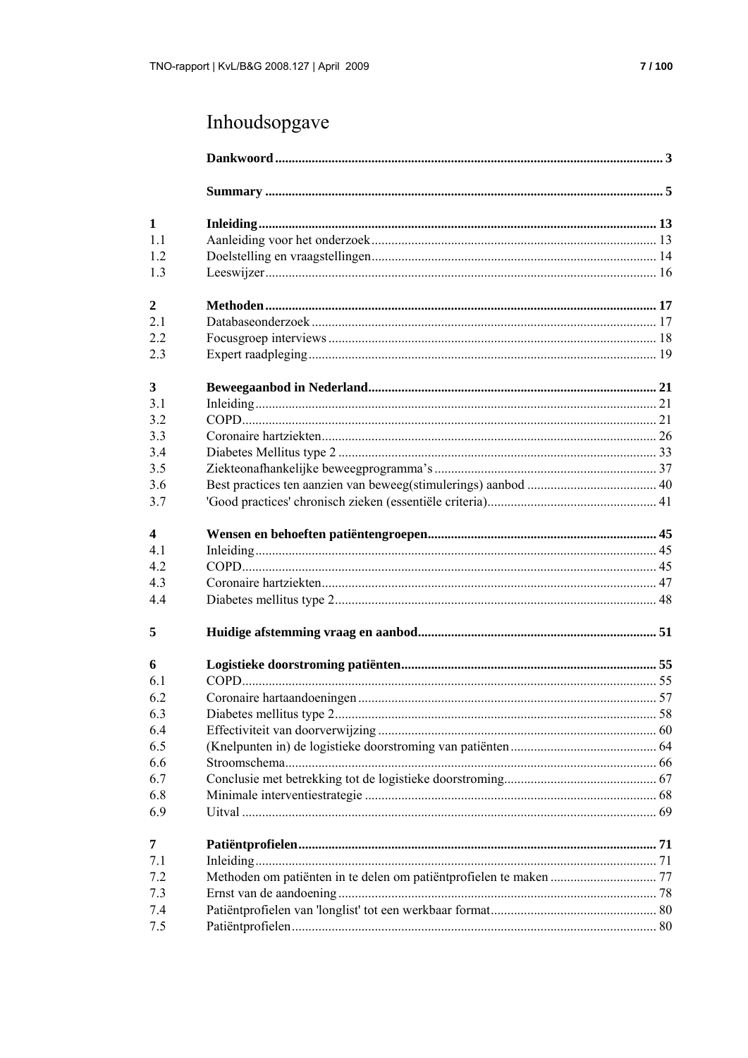| $\mathbf{1}$     |  |
|------------------|--|
| 1 <sub>1</sub>   |  |
| 1.2              |  |
| 1.3              |  |
| $\overline{2}$   |  |
| 2.1              |  |
| 2.2              |  |
| 2.3              |  |
| $\mathbf{3}$     |  |
| 3.1              |  |
| 3.2              |  |
| 3.3              |  |
| 3.4              |  |
| 3.5              |  |
| 3.6              |  |
| 3.7              |  |
| $\boldsymbol{4}$ |  |
| 4.1              |  |
| 4.2              |  |
| 4.3              |  |
| 4.4              |  |
| 5                |  |
| 6                |  |
| 6.1              |  |
| 6.2              |  |
| 6.3              |  |
| 6.4              |  |
| 6.5              |  |
| 6.6              |  |
| 6.7              |  |
| 6.8              |  |
| 6.9              |  |
| 7                |  |
| 7.1              |  |
| 7.2              |  |
| 7.3              |  |
| 7.4              |  |
| 7.5              |  |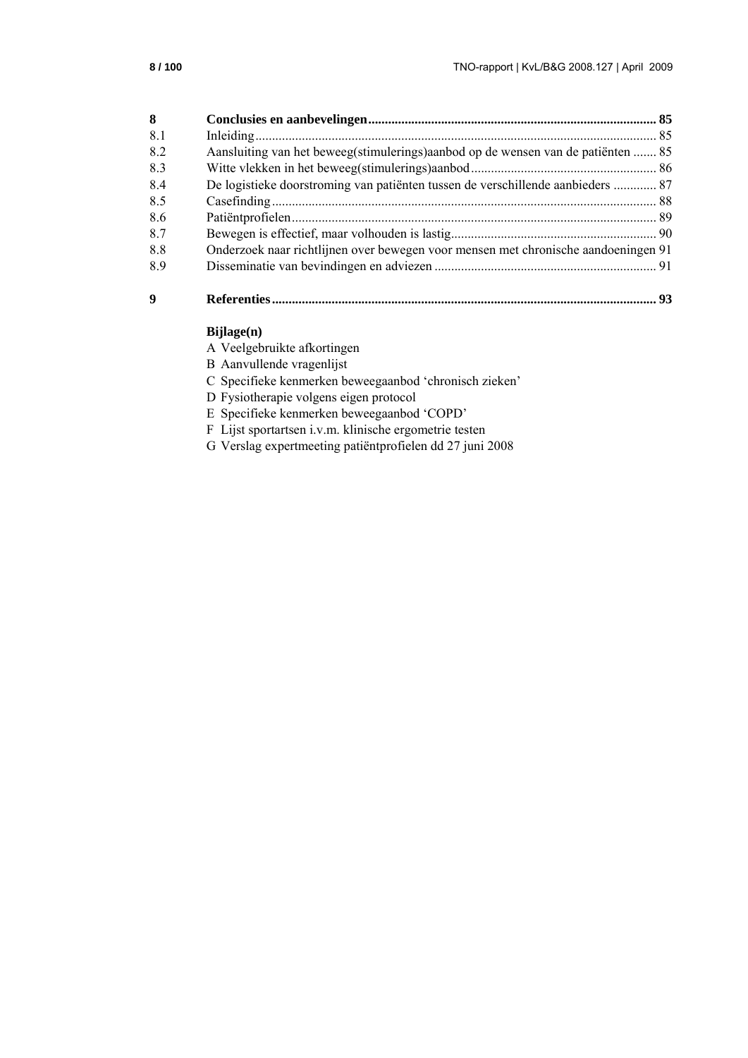| ۰, |  |  | ×<br>×<br>۰,<br>I |
|----|--|--|-------------------|
|----|--|--|-------------------|

| 8   |                                                                                    |  |
|-----|------------------------------------------------------------------------------------|--|
| 8.1 |                                                                                    |  |
| 8.2 | Aansluiting van het beweeg(stimulerings)aanbod op de wensen van de patiënten  85   |  |
| 8.3 |                                                                                    |  |
| 8.4 | De logistieke doorstroming van patiënten tussen de verschillende aanbieders  87    |  |
| 8.5 |                                                                                    |  |
| 8.6 |                                                                                    |  |
| 8.7 |                                                                                    |  |
| 8.8 | Onderzoek naar richtlijnen over bewegen voor mensen met chronische aandoeningen 91 |  |
| 8.9 |                                                                                    |  |
| 9   |                                                                                    |  |

# **Bijlage(n)**

A Veelgebruikte afkortingen

B Aanvullende vragenlijst

C Specifieke kenmerken beweegaanbod 'chronisch zieken'

D Fysiotherapie volgens eigen protocol

E Specifieke kenmerken beweegaanbod 'COPD'

F Lijst sportartsen i.v.m. klinische ergometrie testen

G Verslag expertmeeting patiëntprofielen dd 27 juni 2008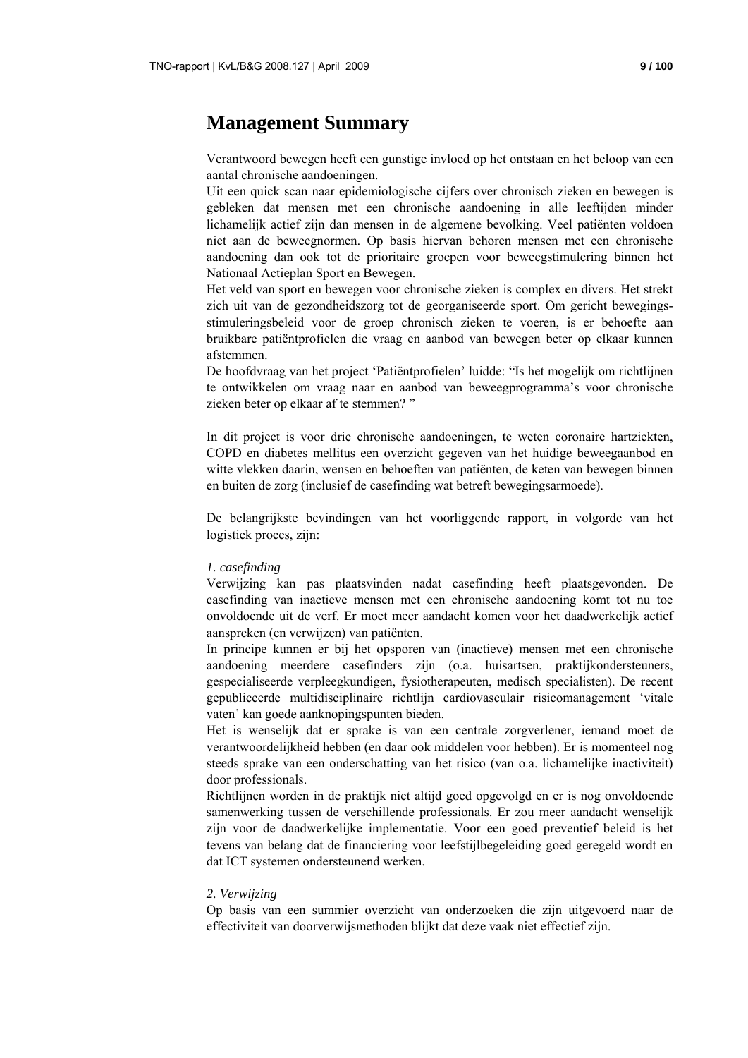# **Management Summary**

Verantwoord bewegen heeft een gunstige invloed op het ontstaan en het beloop van een aantal chronische aandoeningen.

Uit een quick scan naar epidemiologische cijfers over chronisch zieken en bewegen is gebleken dat mensen met een chronische aandoening in alle leeftijden minder lichamelijk actief zijn dan mensen in de algemene bevolking. Veel patiënten voldoen niet aan de beweegnormen. Op basis hiervan behoren mensen met een chronische aandoening dan ook tot de prioritaire groepen voor beweegstimulering binnen het Nationaal Actieplan Sport en Bewegen.

Het veld van sport en bewegen voor chronische zieken is complex en divers. Het strekt zich uit van de gezondheidszorg tot de georganiseerde sport. Om gericht bewegingsstimuleringsbeleid voor de groep chronisch zieken te voeren, is er behoefte aan bruikbare patiëntprofielen die vraag en aanbod van bewegen beter op elkaar kunnen afstemmen.

De hoofdvraag van het project 'Patiëntprofielen' luidde: "Is het mogelijk om richtlijnen te ontwikkelen om vraag naar en aanbod van beweegprogramma's voor chronische zieken beter op elkaar af te stemmen? "

In dit project is voor drie chronische aandoeningen, te weten coronaire hartziekten, COPD en diabetes mellitus een overzicht gegeven van het huidige beweegaanbod en witte vlekken daarin, wensen en behoeften van patiënten, de keten van bewegen binnen en buiten de zorg (inclusief de casefinding wat betreft bewegingsarmoede).

De belangrijkste bevindingen van het voorliggende rapport, in volgorde van het logistiek proces, zijn:

#### *1. casefinding*

Verwijzing kan pas plaatsvinden nadat casefinding heeft plaatsgevonden. De casefinding van inactieve mensen met een chronische aandoening komt tot nu toe onvoldoende uit de verf. Er moet meer aandacht komen voor het daadwerkelijk actief aanspreken (en verwijzen) van patiënten.

In principe kunnen er bij het opsporen van (inactieve) mensen met een chronische aandoening meerdere casefinders zijn (o.a. huisartsen, praktijkondersteuners, gespecialiseerde verpleegkundigen, fysiotherapeuten, medisch specialisten). De recent gepubliceerde multidisciplinaire richtlijn cardiovasculair risicomanagement 'vitale vaten' kan goede aanknopingspunten bieden.

Het is wenselijk dat er sprake is van een centrale zorgverlener, iemand moet de verantwoordelijkheid hebben (en daar ook middelen voor hebben). Er is momenteel nog steeds sprake van een onderschatting van het risico (van o.a. lichamelijke inactiviteit) door professionals.

Richtlijnen worden in de praktijk niet altijd goed opgevolgd en er is nog onvoldoende samenwerking tussen de verschillende professionals. Er zou meer aandacht wenselijk zijn voor de daadwerkelijke implementatie. Voor een goed preventief beleid is het tevens van belang dat de financiering voor leefstijlbegeleiding goed geregeld wordt en dat ICT systemen ondersteunend werken.

#### *2. Verwijzing*

Op basis van een summier overzicht van onderzoeken die zijn uitgevoerd naar de effectiviteit van doorverwijsmethoden blijkt dat deze vaak niet effectief zijn.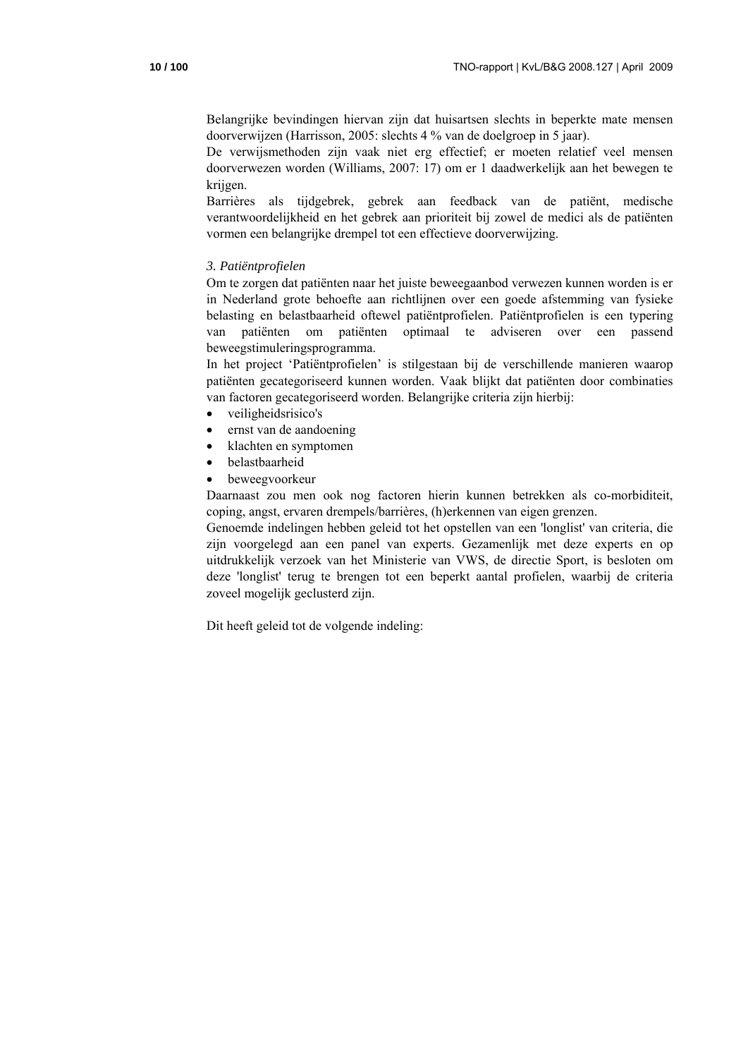Belangrijke bevindingen hiervan zijn dat huisartsen slechts in beperkte mate mensen doorverwijzen (Harrisson, 2005: slechts 4 % van de doelgroep in 5 jaar).

De verwijsmethoden zijn vaak niet erg effectief; er moeten relatief veel mensen doorverwezen worden (Williams, 2007: 17) om er 1 daadwerkelijk aan het bewegen te krijgen.

Barrières als tijdgebrek, gebrek aan feedback van de patiënt, medische verantwoordelijkheid en het gebrek aan prioriteit bij zowel de medici als de patiënten vormen een belangrijke drempel tot een effectieve doorverwijzing.

# *3. Patiëntprofielen*

Om te zorgen dat patiënten naar het juiste beweegaanbod verwezen kunnen worden is er in Nederland grote behoefte aan richtlijnen over een goede afstemming van fysieke belasting en belastbaarheid oftewel patiëntprofielen. Patiëntprofielen is een typering van patiënten om patiënten optimaal te adviseren over een passend beweegstimuleringsprogramma.

In het project 'Patiëntprofielen' is stilgestaan bij de verschillende manieren waarop patiënten gecategoriseerd kunnen worden. Vaak blijkt dat patiënten door combinaties van factoren gecategoriseerd worden. Belangrijke criteria zijn hierbij:

- veiligheidsrisico's
- ernst van de aandoening
- klachten en symptomen
- belastbaarheid
- beweegvoorkeur

Daarnaast zou men ook nog factoren hierin kunnen betrekken als co-morbiditeit, coping, angst, ervaren drempels/barrières, (h)erkennen van eigen grenzen.

Genoemde indelingen hebben geleid tot het opstellen van een 'longlist' van criteria, die zijn voorgelegd aan een panel van experts. Gezamenlijk met deze experts en op uitdrukkelijk verzoek van het Ministerie van VWS, de directie Sport, is besloten om deze 'longlist' terug te brengen tot een beperkt aantal profielen, waarbij de criteria zoveel mogelijk geclusterd zijn.

Dit heeft geleid tot de volgende indeling: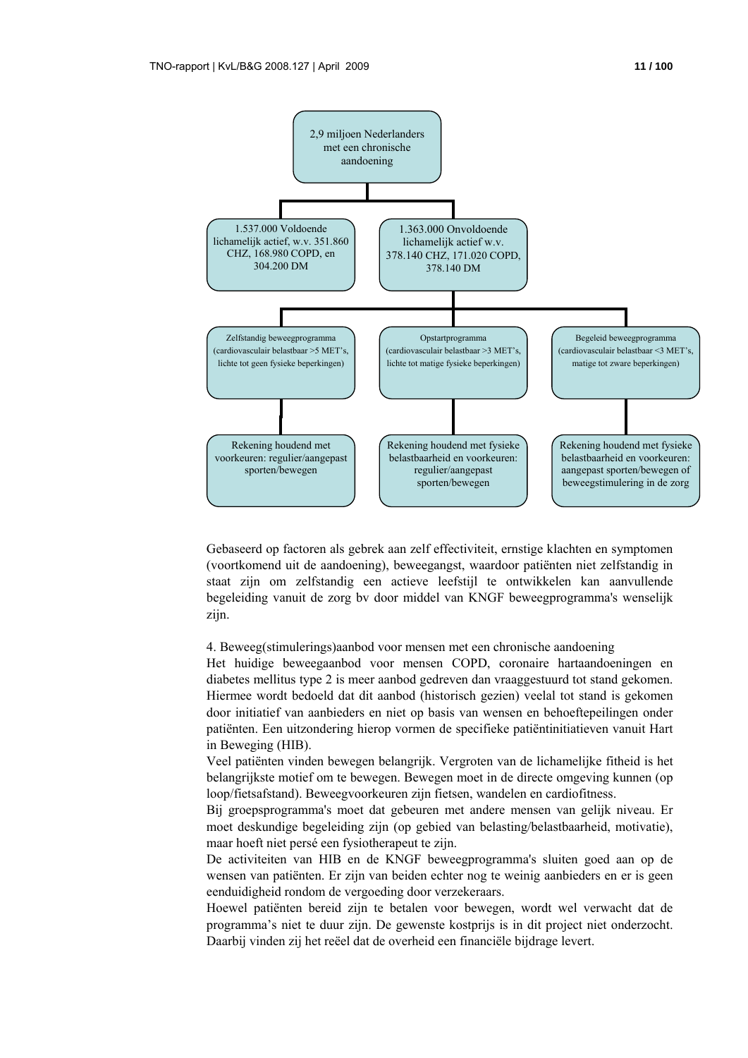

Gebaseerd op factoren als gebrek aan zelf effectiviteit, ernstige klachten en symptomen (voortkomend uit de aandoening), beweegangst, waardoor patiënten niet zelfstandig in staat zijn om zelfstandig een actieve leefstijl te ontwikkelen kan aanvullende begeleiding vanuit de zorg bv door middel van KNGF beweegprogramma's wenselijk zijn.

4. Beweeg(stimulerings)aanbod voor mensen met een chronische aandoening

Het huidige beweegaanbod voor mensen COPD, coronaire hartaandoeningen en diabetes mellitus type 2 is meer aanbod gedreven dan vraaggestuurd tot stand gekomen. Hiermee wordt bedoeld dat dit aanbod (historisch gezien) veelal tot stand is gekomen door initiatief van aanbieders en niet op basis van wensen en behoeftepeilingen onder patiënten. Een uitzondering hierop vormen de specifieke patiëntinitiatieven vanuit Hart in Beweging (HIB).

Veel patiënten vinden bewegen belangrijk. Vergroten van de lichamelijke fitheid is het belangrijkste motief om te bewegen. Bewegen moet in de directe omgeving kunnen (op loop/fietsafstand). Beweegvoorkeuren zijn fietsen, wandelen en cardiofitness.

Bij groepsprogramma's moet dat gebeuren met andere mensen van gelijk niveau. Er moet deskundige begeleiding zijn (op gebied van belasting/belastbaarheid, motivatie), maar hoeft niet persé een fysiotherapeut te zijn.

De activiteiten van HIB en de KNGF beweegprogramma's sluiten goed aan op de wensen van patiënten. Er zijn van beiden echter nog te weinig aanbieders en er is geen eenduidigheid rondom de vergoeding door verzekeraars.

Hoewel patiënten bereid zijn te betalen voor bewegen, wordt wel verwacht dat de programma's niet te duur zijn. De gewenste kostprijs is in dit project niet onderzocht. Daarbij vinden zij het reëel dat de overheid een financiële bijdrage levert.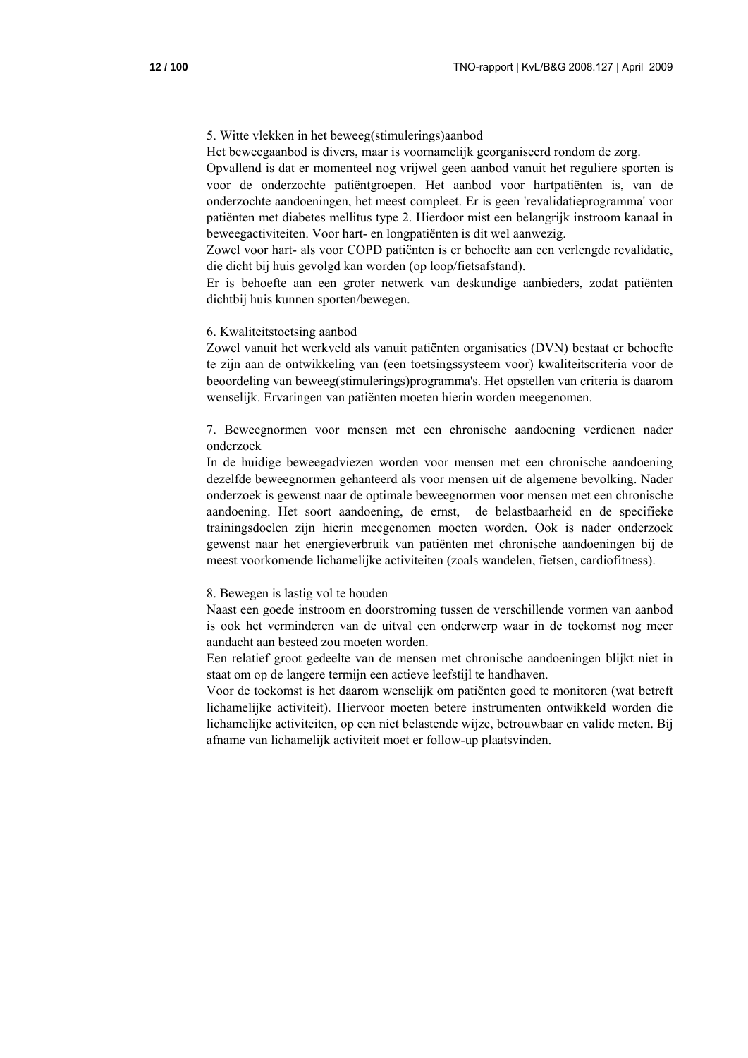## 5. Witte vlekken in het beweeg(stimulerings)aanbod

Het beweegaanbod is divers, maar is voornamelijk georganiseerd rondom de zorg.

Opvallend is dat er momenteel nog vrijwel geen aanbod vanuit het reguliere sporten is voor de onderzochte patiëntgroepen. Het aanbod voor hartpatiënten is, van de onderzochte aandoeningen, het meest compleet. Er is geen 'revalidatieprogramma' voor patiënten met diabetes mellitus type 2. Hierdoor mist een belangrijk instroom kanaal in beweegactiviteiten. Voor hart- en longpatiënten is dit wel aanwezig.

Zowel voor hart- als voor COPD patiënten is er behoefte aan een verlengde revalidatie, die dicht bij huis gevolgd kan worden (op loop/fietsafstand).

Er is behoefte aan een groter netwerk van deskundige aanbieders, zodat patiënten dichtbij huis kunnen sporten/bewegen.

#### 6. Kwaliteitstoetsing aanbod

Zowel vanuit het werkveld als vanuit patiënten organisaties (DVN) bestaat er behoefte te zijn aan de ontwikkeling van (een toetsingssysteem voor) kwaliteitscriteria voor de beoordeling van beweeg(stimulerings)programma's. Het opstellen van criteria is daarom wenselijk. Ervaringen van patiënten moeten hierin worden meegenomen.

7. Beweegnormen voor mensen met een chronische aandoening verdienen nader onderzoek

In de huidige beweegadviezen worden voor mensen met een chronische aandoening dezelfde beweegnormen gehanteerd als voor mensen uit de algemene bevolking. Nader onderzoek is gewenst naar de optimale beweegnormen voor mensen met een chronische aandoening. Het soort aandoening, de ernst, de belastbaarheid en de specifieke trainingsdoelen zijn hierin meegenomen moeten worden. Ook is nader onderzoek gewenst naar het energieverbruik van patiënten met chronische aandoeningen bij de meest voorkomende lichamelijke activiteiten (zoals wandelen, fietsen, cardiofitness).

#### 8. Bewegen is lastig vol te houden

Naast een goede instroom en doorstroming tussen de verschillende vormen van aanbod is ook het verminderen van de uitval een onderwerp waar in de toekomst nog meer aandacht aan besteed zou moeten worden.

Een relatief groot gedeelte van de mensen met chronische aandoeningen blijkt niet in staat om op de langere termijn een actieve leefstijl te handhaven.

Voor de toekomst is het daarom wenselijk om patiënten goed te monitoren (wat betreft lichamelijke activiteit). Hiervoor moeten betere instrumenten ontwikkeld worden die lichamelijke activiteiten, op een niet belastende wijze, betrouwbaar en valide meten. Bij afname van lichamelijk activiteit moet er follow-up plaatsvinden.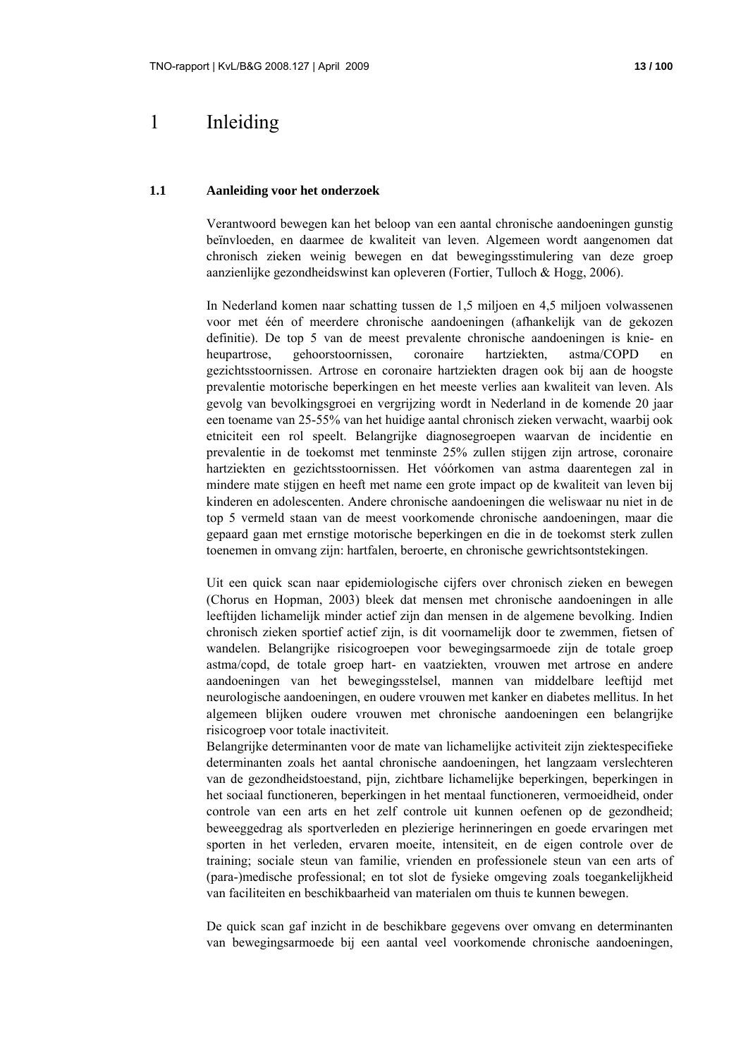# <span id="page-12-0"></span>1 Inleiding

#### <span id="page-12-1"></span>**1.1 Aanleiding voor het onderzoek**

Verantwoord bewegen kan het beloop van een aantal chronische aandoeningen gunstig beïnvloeden, en daarmee de kwaliteit van leven. Algemeen wordt aangenomen dat chronisch zieken weinig bewegen en dat bewegingsstimulering van deze groep aanzienlijke gezondheidswinst kan opleveren (Fortier, Tulloch & Hogg, 2006).

In Nederland komen naar schatting tussen de 1,5 miljoen en 4,5 miljoen volwassenen voor met één of meerdere chronische aandoeningen (afhankelijk van de gekozen definitie). De top 5 van de meest prevalente chronische aandoeningen is knie- en heupartrose, gehoorstoornissen, coronaire hartziekten, astma/COPD en gezichtsstoornissen. Artrose en coronaire hartziekten dragen ook bij aan de hoogste prevalentie motorische beperkingen en het meeste verlies aan kwaliteit van leven. Als gevolg van bevolkingsgroei en vergrijzing wordt in Nederland in de komende 20 jaar een toename van 25-55% van het huidige aantal chronisch zieken verwacht, waarbij ook etniciteit een rol speelt. Belangrijke diagnosegroepen waarvan de incidentie en prevalentie in de toekomst met tenminste 25% zullen stijgen zijn artrose, coronaire hartziekten en gezichtsstoornissen. Het vóórkomen van astma daarentegen zal in mindere mate stijgen en heeft met name een grote impact op de kwaliteit van leven bij kinderen en adolescenten. Andere chronische aandoeningen die weliswaar nu niet in de top 5 vermeld staan van de meest voorkomende chronische aandoeningen, maar die gepaard gaan met ernstige motorische beperkingen en die in de toekomst sterk zullen toenemen in omvang zijn: hartfalen, beroerte, en chronische gewrichtsontstekingen.

Uit een quick scan naar epidemiologische cijfers over chronisch zieken en bewegen (Chorus en Hopman, 2003) bleek dat mensen met chronische aandoeningen in alle leeftijden lichamelijk minder actief zijn dan mensen in de algemene bevolking. Indien chronisch zieken sportief actief zijn, is dit voornamelijk door te zwemmen, fietsen of wandelen. Belangrijke risicogroepen voor bewegingsarmoede zijn de totale groep astma/copd, de totale groep hart- en vaatziekten, vrouwen met artrose en andere aandoeningen van het bewegingsstelsel, mannen van middelbare leeftijd met neurologische aandoeningen, en oudere vrouwen met kanker en diabetes mellitus. In het algemeen blijken oudere vrouwen met chronische aandoeningen een belangrijke risicogroep voor totale inactiviteit.

Belangrijke determinanten voor de mate van lichamelijke activiteit zijn ziektespecifieke determinanten zoals het aantal chronische aandoeningen, het langzaam verslechteren van de gezondheidstoestand, pijn, zichtbare lichamelijke beperkingen, beperkingen in het sociaal functioneren, beperkingen in het mentaal functioneren, vermoeidheid, onder controle van een arts en het zelf controle uit kunnen oefenen op de gezondheid; beweeggedrag als sportverleden en plezierige herinneringen en goede ervaringen met sporten in het verleden, ervaren moeite, intensiteit, en de eigen controle over de training; sociale steun van familie, vrienden en professionele steun van een arts of (para-)medische professional; en tot slot de fysieke omgeving zoals toegankelijkheid van faciliteiten en beschikbaarheid van materialen om thuis te kunnen bewegen.

De quick scan gaf inzicht in de beschikbare gegevens over omvang en determinanten van bewegingsarmoede bij een aantal veel voorkomende chronische aandoeningen,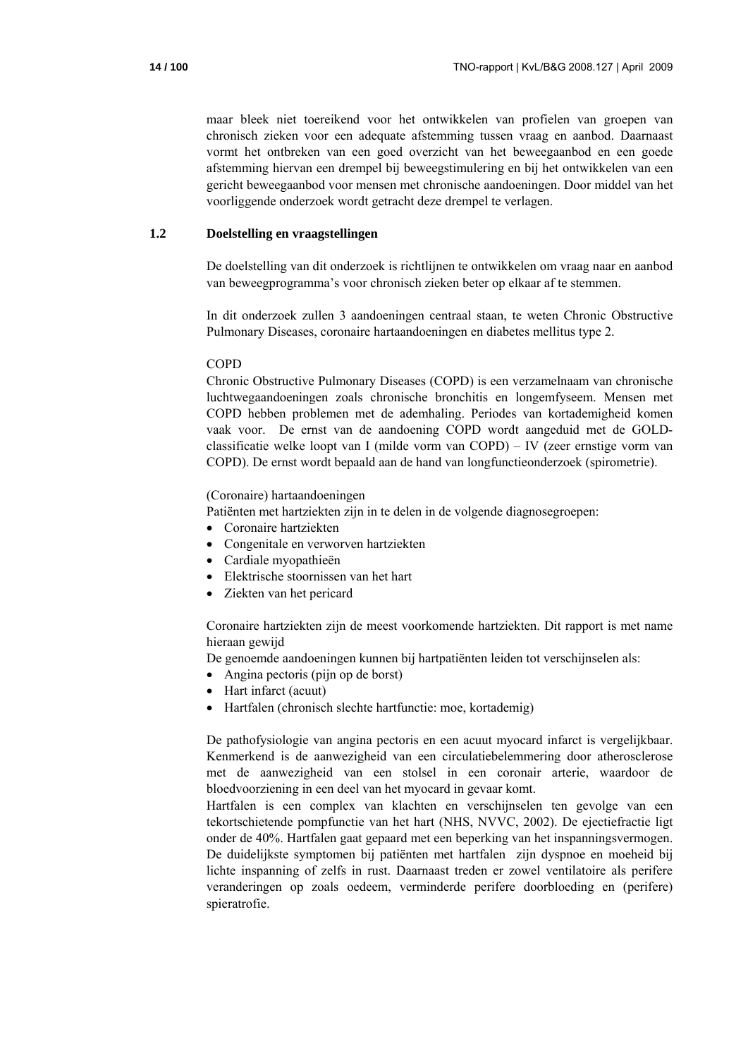maar bleek niet toereikend voor het ontwikkelen van profielen van groepen van chronisch zieken voor een adequate afstemming tussen vraag en aanbod. Daarnaast vormt het ontbreken van een goed overzicht van het beweegaanbod en een goede afstemming hiervan een drempel bij beweegstimulering en bij het ontwikkelen van een gericht beweegaanbod voor mensen met chronische aandoeningen. Door middel van het voorliggende onderzoek wordt getracht deze drempel te verlagen.

### <span id="page-13-0"></span>**1.2 Doelstelling en vraagstellingen**

De doelstelling van dit onderzoek is richtlijnen te ontwikkelen om vraag naar en aanbod van beweegprogramma's voor chronisch zieken beter op elkaar af te stemmen.

In dit onderzoek zullen 3 aandoeningen centraal staan, te weten Chronic Obstructive Pulmonary Diseases, coronaire hartaandoeningen en diabetes mellitus type 2.

#### **COPD**

Chronic Obstructive Pulmonary Diseases (COPD) is een verzamelnaam van chronische luchtwegaandoeningen zoals chronische bronchitis en longemfyseem. Mensen met COPD hebben problemen met de ademhaling. Periodes van kortademigheid komen vaak voor. De ernst van de aandoening COPD wordt aangeduid met de GOLDclassificatie welke loopt van I (milde vorm van COPD) – IV (zeer ernstige vorm van COPD). De ernst wordt bepaald aan de hand van longfunctieonderzoek (spirometrie).

### (Coronaire) hartaandoeningen

Patiënten met hartziekten zijn in te delen in de volgende diagnosegroepen:

- Coronaire hartziekten
- Congenitale en verworven hartziekten
- Cardiale myopathieën
- Elektrische stoornissen van het hart
- Ziekten van het pericard

Coronaire hartziekten zijn de meest voorkomende hartziekten. Dit rapport is met name hieraan gewijd

De genoemde aandoeningen kunnen bij hartpatiënten leiden tot verschijnselen als:

- Angina pectoris (pijn op de borst)
- Hart infarct (acuut)
- Hartfalen (chronisch slechte hartfunctie: moe, kortademig)

De pathofysiologie van angina pectoris en een acuut myocard infarct is vergelijkbaar. Kenmerkend is de aanwezigheid van een circulatiebelemmering door atherosclerose met de aanwezigheid van een stolsel in een coronair arterie, waardoor de bloedvoorziening in een deel van het myocard in gevaar komt.

Hartfalen is een complex van klachten en verschijnselen ten gevolge van een tekortschietende pompfunctie van het hart (NHS, NVVC, 2002). De ejectiefractie ligt onder de 40%. Hartfalen gaat gepaard met een beperking van het inspanningsvermogen. De duidelijkste symptomen bij patiënten met hartfalen zijn dyspnoe en moeheid bij lichte inspanning of zelfs in rust. Daarnaast treden er zowel ventilatoire als perifere veranderingen op zoals oedeem, verminderde perifere doorbloeding en (perifere) spieratrofie.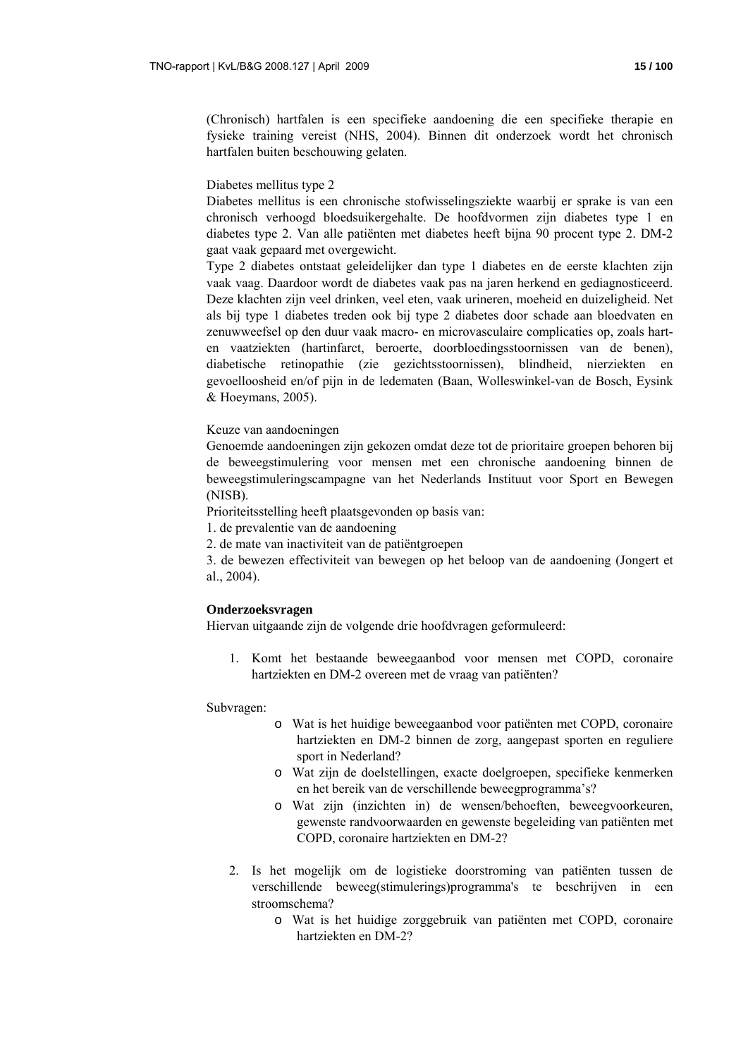(Chronisch) hartfalen is een specifieke aandoening die een specifieke therapie en fysieke training vereist (NHS, 2004). Binnen dit onderzoek wordt het chronisch hartfalen buiten beschouwing gelaten.

## Diabetes mellitus type 2

Diabetes mellitus is een chronische stofwisselingsziekte waarbij er sprake is van een chronisch verhoogd bloedsuikergehalte. De hoofdvormen zijn diabetes type 1 en diabetes type 2. Van alle patiënten met diabetes heeft bijna 90 procent type 2. DM-2 gaat vaak gepaard met overgewicht.

Type 2 diabetes ontstaat geleidelijker dan type 1 diabetes en de eerste klachten zijn vaak vaag. Daardoor wordt de diabetes vaak pas na jaren herkend en gediagnosticeerd. Deze klachten zijn veel drinken, veel eten, vaak urineren, moeheid en duizeligheid. Net als bij type 1 diabetes treden ook bij type 2 diabetes door schade aan bloedvaten en zenuwweefsel op den duur vaak macro- en microvasculaire complicaties op, zoals harten vaatziekten (hartinfarct, beroerte, doorbloedingsstoornissen van de benen), diabetische retinopathie (zie gezichtsstoornissen), blindheid, nierziekten en gevoelloosheid en/of pijn in de ledematen (Baan, Wolleswinkel-van de Bosch, Eysink & Hoeymans, 2005).

#### Keuze van aandoeningen

Genoemde aandoeningen zijn gekozen omdat deze tot de prioritaire groepen behoren bij de beweegstimulering voor mensen met een chronische aandoening binnen de beweegstimuleringscampagne van het Nederlands Instituut voor Sport en Bewegen (NISB).

Prioriteitsstelling heeft plaatsgevonden op basis van:

1. de prevalentie van de aandoening

2. de mate van inactiviteit van de patiëntgroepen

3. de bewezen effectiviteit van bewegen op het beloop van de aandoening (Jongert et al., 2004).

#### **Onderzoeksvragen**

Hiervan uitgaande zijn de volgende drie hoofdvragen geformuleerd:

1. Komt het bestaande beweegaanbod voor mensen met COPD, coronaire hartziekten en DM-2 overeen met de vraag van patiënten?

Subvragen:

- o Wat is het huidige beweegaanbod voor patiënten met COPD, coronaire hartziekten en DM-2 binnen de zorg, aangepast sporten en reguliere sport in Nederland?
- o Wat zijn de doelstellingen, exacte doelgroepen, specifieke kenmerken en het bereik van de verschillende beweegprogramma's?
- o Wat zijn (inzichten in) de wensen/behoeften, beweegvoorkeuren, gewenste randvoorwaarden en gewenste begeleiding van patiënten met COPD, coronaire hartziekten en DM-2?
- 2. Is het mogelijk om de logistieke doorstroming van patiënten tussen de verschillende beweeg(stimulerings)programma's te beschrijven in een stroomschema?
	- o Wat is het huidige zorggebruik van patiënten met COPD, coronaire hartziekten en DM-2?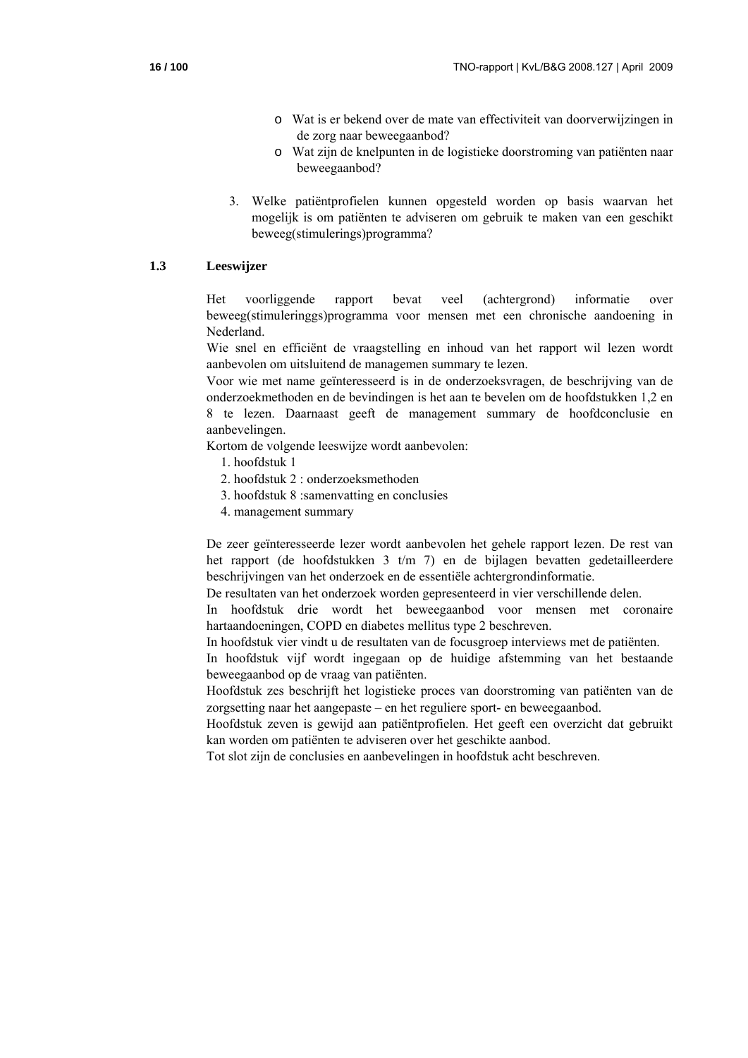- o Wat is er bekend over de mate van effectiviteit van doorverwijzingen in de zorg naar beweegaanbod?
- o Wat zijn de knelpunten in de logistieke doorstroming van patiënten naar beweegaanbod?
- 3. Welke patiëntprofielen kunnen opgesteld worden op basis waarvan het mogelijk is om patiënten te adviseren om gebruik te maken van een geschikt beweeg(stimulerings)programma?

# <span id="page-15-0"></span>**1.3 Leeswijzer**

Het voorliggende rapport bevat veel (achtergrond) informatie over beweeg(stimuleringgs)programma voor mensen met een chronische aandoening in Nederland.

Wie snel en efficiënt de vraagstelling en inhoud van het rapport wil lezen wordt aanbevolen om uitsluitend de managemen summary te lezen.

Voor wie met name geïnteresseerd is in de onderzoeksvragen, de beschrijving van de onderzoekmethoden en de bevindingen is het aan te bevelen om de hoofdstukken 1,2 en 8 te lezen. Daarnaast geeft de management summary de hoofdconclusie en aanbevelingen.

Kortom de volgende leeswijze wordt aanbevolen:

- 1. hoofdstuk 1
- 2. hoofdstuk 2 : onderzoeksmethoden
- 3. hoofdstuk 8 :samenvatting en conclusies
- 4. management summary

De zeer geïnteresseerde lezer wordt aanbevolen het gehele rapport lezen. De rest van het rapport (de hoofdstukken 3 t/m 7) en de bijlagen bevatten gedetailleerdere beschrijvingen van het onderzoek en de essentiële achtergrondinformatie.

De resultaten van het onderzoek worden gepresenteerd in vier verschillende delen.

In hoofdstuk drie wordt het beweegaanbod voor mensen met coronaire hartaandoeningen, COPD en diabetes mellitus type 2 beschreven.

In hoofdstuk vier vindt u de resultaten van de focusgroep interviews met de patiënten.

In hoofdstuk vijf wordt ingegaan op de huidige afstemming van het bestaande beweegaanbod op de vraag van patiënten.

Hoofdstuk zes beschrijft het logistieke proces van doorstroming van patiënten van de zorgsetting naar het aangepaste – en het reguliere sport- en beweegaanbod.

Hoofdstuk zeven is gewijd aan patiëntprofielen. Het geeft een overzicht dat gebruikt kan worden om patiënten te adviseren over het geschikte aanbod.

Tot slot zijn de conclusies en aanbevelingen in hoofdstuk acht beschreven.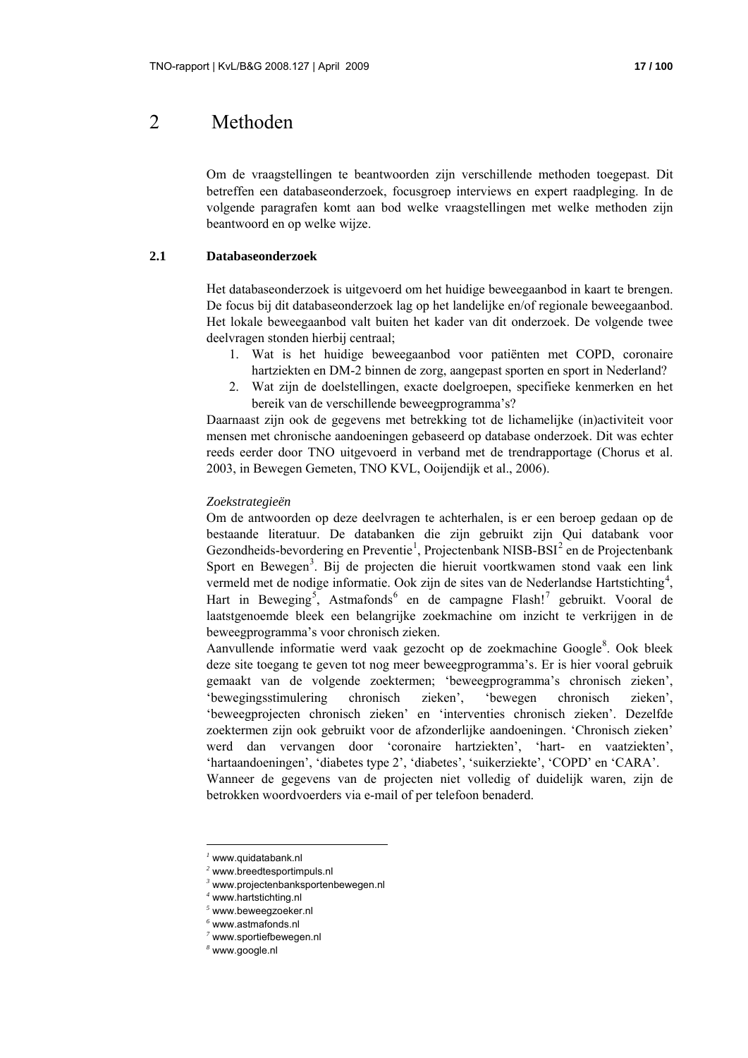# <span id="page-16-0"></span>2 Methoden

Om de vraagstellingen te beantwoorden zijn verschillende methoden toegepast. Dit betreffen een databaseonderzoek, focusgroep interviews en expert raadpleging. In de volgende paragrafen komt aan bod welke vraagstellingen met welke methoden zijn beantwoord en op welke wijze.

# <span id="page-16-1"></span>**2.1 Databaseonderzoek**

Het databaseonderzoek is uitgevoerd om het huidige beweegaanbod in kaart te brengen. De focus bij dit databaseonderzoek lag op het landelijke en/of regionale beweegaanbod. Het lokale beweegaanbod valt buiten het kader van dit onderzoek. De volgende twee deelvragen stonden hierbij centraal;

- 1. Wat is het huidige beweegaanbod voor patiënten met COPD, coronaire hartziekten en DM-2 binnen de zorg, aangepast sporten en sport in Nederland?
- 2. Wat zijn de doelstellingen, exacte doelgroepen, specifieke kenmerken en het bereik van de verschillende beweegprogramma's?

Daarnaast zijn ook de gegevens met betrekking tot de lichamelijke (in)activiteit voor mensen met chronische aandoeningen gebaseerd op database onderzoek. Dit was echter reeds eerder door TNO uitgevoerd in verband met de trendrapportage (Chorus et al. 2003, in Bewegen Gemeten, TNO KVL, Ooijendijk et al., 2006).

#### *Zoekstrategieën*

Om de antwoorden op deze deelvragen te achterhalen, is er een beroep gedaan op de bestaande literatuur. De databanken die zijn gebruikt zijn Qui databank voor Gezondheids-bevordering en Preventie<sup>[1](#page-16-2)</sup>, Projectenbank NISB-BSI<sup>[2](#page-16-3)</sup> en de Projectenbank Sport en Bewegen<sup>[3](#page-16-4)</sup>. Bij de projecten die hieruit voortkwamen stond vaak een link vermeld met de nodige informatie. Ook zijn de sites van de Nederlandse Hartstichting<sup>[4](#page-16-5)</sup>, Hart in Beweging<sup>[5](#page-16-6)</sup>, Astmafonds<sup>[6](#page-16-7)</sup> en de campagne Flash!<sup>[7](#page-16-8)</sup> gebruikt. Vooral de laatstgenoemde bleek een belangrijke zoekmachine om inzicht te verkrijgen in de beweegprogramma's voor chronisch zieken.

Aanvullende informatie werd vaak gezocht op de zoekmachine Google<sup>[8](#page-16-9)</sup>. Ook bleek deze site toegang te geven tot nog meer beweegprogramma's. Er is hier vooral gebruik gemaakt van de volgende zoektermen; 'beweegprogramma's chronisch zieken', 'bewegingsstimulering chronisch zieken', 'bewegen chronisch zieken', 'beweegprojecten chronisch zieken' en 'interventies chronisch zieken'. Dezelfde zoektermen zijn ook gebruikt voor de afzonderlijke aandoeningen. 'Chronisch zieken' werd dan vervangen door 'coronaire hartziekten', 'hart- en vaatziekten', 'hartaandoeningen', 'diabetes type 2', 'diabetes', 'suikerziekte', 'COPD' en 'CARA'. Wanneer de gegevens van de projecten niet volledig of duidelijk waren, zijn de

betrokken woordvoerders via e-mail of per telefoon benaderd.

 $\overline{a}$ 

*<sup>1</sup>* www.quidatabank.nl

<span id="page-16-2"></span>*<sup>2</sup>* www.breedtesportimpuls.nl

<span id="page-16-5"></span><span id="page-16-4"></span><span id="page-16-3"></span>*<sup>3</sup>* www.projectenbanksportenbewegen.nl

*<sup>4</sup>* www.hartstichting.nl

<span id="page-16-6"></span>*<sup>5</sup>* www.beweegzoeker.nl

<span id="page-16-8"></span><span id="page-16-7"></span>*<sup>6</sup>* www.astmafonds.nl

<span id="page-16-9"></span>*<sup>7</sup>* www.sportiefbewegen.nl

*<sup>8</sup>* www.google.nl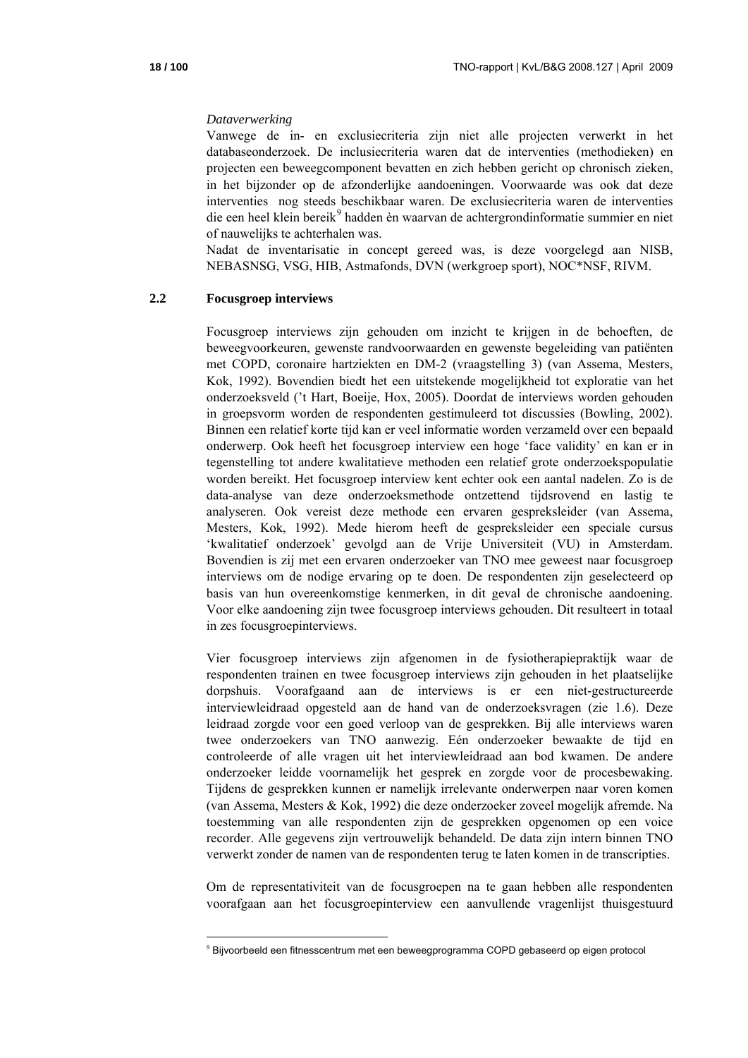# *Dataverwerking*

Vanwege de in- en exclusiecriteria zijn niet alle projecten verwerkt in het databaseonderzoek. De inclusiecriteria waren dat de interventies (methodieken) en projecten een beweegcomponent bevatten en zich hebben gericht op chronisch zieken, in het bijzonder op de afzonderlijke aandoeningen. Voorwaarde was ook dat deze interventies nog steeds beschikbaar waren. De exclusiecriteria waren de interventies die een heel klein bereik<sup>[9](#page-17-1)</sup> hadden èn waarvan de achtergrondinformatie summier en niet of nauwelijks te achterhalen was.

Nadat de inventarisatie in concept gereed was, is deze voorgelegd aan NISB, NEBASNSG, VSG, HIB, Astmafonds, DVN (werkgroep sport), NOC\*NSF, RIVM.

# <span id="page-17-0"></span>**2.2 Focusgroep interviews**

 $\overline{a}$ 

Focusgroep interviews zijn gehouden om inzicht te krijgen in de behoeften, de beweegvoorkeuren, gewenste randvoorwaarden en gewenste begeleiding van patiënten met COPD, coronaire hartziekten en DM-2 (vraagstelling 3) (van Assema, Mesters, Kok, 1992). Bovendien biedt het een uitstekende mogelijkheid tot exploratie van het onderzoeksveld ('t Hart, Boeije, Hox, 2005). Doordat de interviews worden gehouden in groepsvorm worden de respondenten gestimuleerd tot discussies (Bowling, 2002). Binnen een relatief korte tijd kan er veel informatie worden verzameld over een bepaald onderwerp. Ook heeft het focusgroep interview een hoge 'face validity' en kan er in tegenstelling tot andere kwalitatieve methoden een relatief grote onderzoekspopulatie worden bereikt. Het focusgroep interview kent echter ook een aantal nadelen. Zo is de data-analyse van deze onderzoeksmethode ontzettend tijdsrovend en lastig te analyseren. Ook vereist deze methode een ervaren gespreksleider (van Assema, Mesters, Kok, 1992). Mede hierom heeft de gespreksleider een speciale cursus 'kwalitatief onderzoek' gevolgd aan de Vrije Universiteit (VU) in Amsterdam. Bovendien is zij met een ervaren onderzoeker van TNO mee geweest naar focusgroep interviews om de nodige ervaring op te doen. De respondenten zijn geselecteerd op basis van hun overeenkomstige kenmerken, in dit geval de chronische aandoening. Voor elke aandoening zijn twee focusgroep interviews gehouden. Dit resulteert in totaal in zes focusgroepinterviews.

Vier focusgroep interviews zijn afgenomen in de fysiotherapiepraktijk waar de respondenten trainen en twee focusgroep interviews zijn gehouden in het plaatselijke dorpshuis. Voorafgaand aan de interviews is er een niet-gestructureerde interviewleidraad opgesteld aan de hand van de onderzoeksvragen (zie 1.6). Deze leidraad zorgde voor een goed verloop van de gesprekken. Bij alle interviews waren twee onderzoekers van TNO aanwezig. Eén onderzoeker bewaakte de tijd en controleerde of alle vragen uit het interviewleidraad aan bod kwamen. De andere onderzoeker leidde voornamelijk het gesprek en zorgde voor de procesbewaking. Tijdens de gesprekken kunnen er namelijk irrelevante onderwerpen naar voren komen (van Assema, Mesters & Kok, 1992) die deze onderzoeker zoveel mogelijk afremde. Na toestemming van alle respondenten zijn de gesprekken opgenomen op een voice recorder. Alle gegevens zijn vertrouwelijk behandeld. De data zijn intern binnen TNO verwerkt zonder de namen van de respondenten terug te laten komen in de transcripties.

Om de representativiteit van de focusgroepen na te gaan hebben alle respondenten voorafgaan aan het focusgroepinterview een aanvullende vragenlijst thuisgestuurd

<span id="page-17-1"></span>*<sup>9</sup>* Bijvoorbeeld een fitnesscentrum met een beweegprogramma COPD gebaseerd op eigen protocol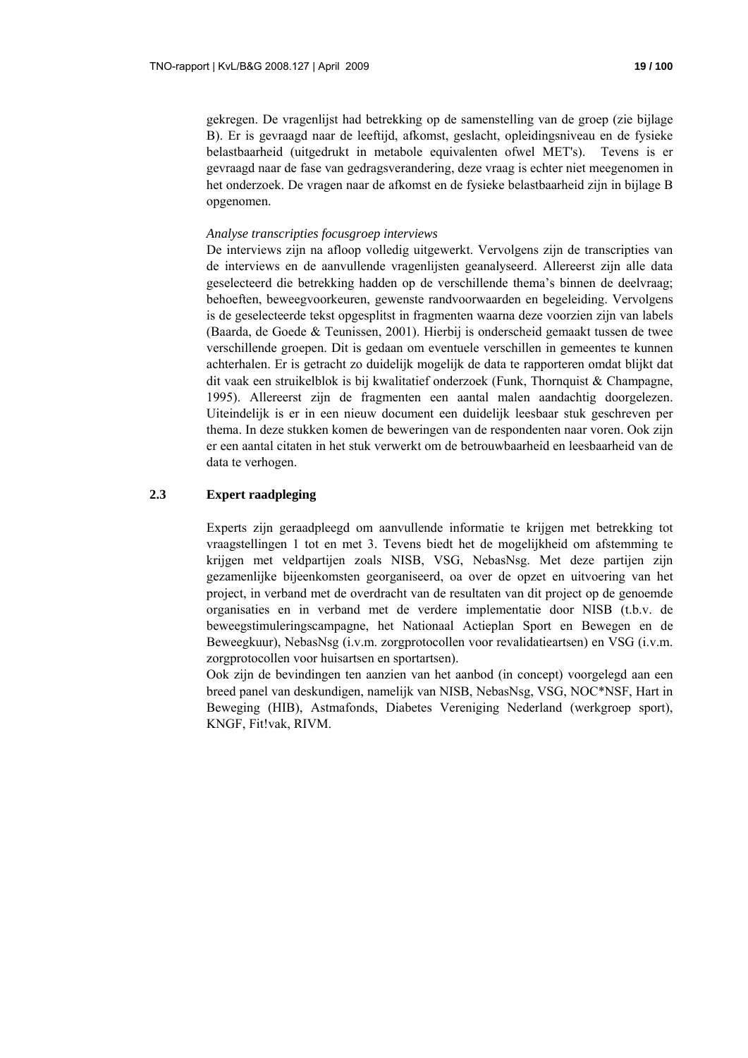gekregen. De vragenlijst had betrekking op de samenstelling van de groep (zie bijlage B). Er is gevraagd naar de leeftijd, afkomst, geslacht, opleidingsniveau en de fysieke belastbaarheid (uitgedrukt in metabole equivalenten ofwel MET's). Tevens is er gevraagd naar de fase van gedragsverandering, deze vraag is echter niet meegenomen in het onderzoek. De vragen naar de afkomst en de fysieke belastbaarheid zijn in bijlage B opgenomen.

## *Analyse transcripties focusgroep interviews*

De interviews zijn na afloop volledig uitgewerkt. Vervolgens zijn de transcripties van de interviews en de aanvullende vragenlijsten geanalyseerd. Allereerst zijn alle data geselecteerd die betrekking hadden op de verschillende thema's binnen de deelvraag; behoeften, beweegvoorkeuren, gewenste randvoorwaarden en begeleiding. Vervolgens is de geselecteerde tekst opgesplitst in fragmenten waarna deze voorzien zijn van labels (Baarda, de Goede & Teunissen, 2001). Hierbij is onderscheid gemaakt tussen de twee verschillende groepen. Dit is gedaan om eventuele verschillen in gemeentes te kunnen achterhalen. Er is getracht zo duidelijk mogelijk de data te rapporteren omdat blijkt dat dit vaak een struikelblok is bij kwalitatief onderzoek (Funk, Thornquist  $\&$  Champagne, 1995). Allereerst zijn de fragmenten een aantal malen aandachtig doorgelezen. Uiteindelijk is er in een nieuw document een duidelijk leesbaar stuk geschreven per thema. In deze stukken komen de beweringen van de respondenten naar voren. Ook zijn er een aantal citaten in het stuk verwerkt om de betrouwbaarheid en leesbaarheid van de data te verhogen.

## <span id="page-18-0"></span>**2.3 Expert raadpleging**

Experts zijn geraadpleegd om aanvullende informatie te krijgen met betrekking tot vraagstellingen 1 tot en met 3. Tevens biedt het de mogelijkheid om afstemming te krijgen met veldpartijen zoals NISB, VSG, NebasNsg. Met deze partijen zijn gezamenlijke bijeenkomsten georganiseerd, oa over de opzet en uitvoering van het project, in verband met de overdracht van de resultaten van dit project op de genoemde organisaties en in verband met de verdere implementatie door NISB (t.b.v. de beweegstimuleringscampagne, het Nationaal Actieplan Sport en Bewegen en de Beweegkuur), NebasNsg (i.v.m. zorgprotocollen voor revalidatieartsen) en VSG (i.v.m. zorgprotocollen voor huisartsen en sportartsen).

Ook zijn de bevindingen ten aanzien van het aanbod (in concept) voorgelegd aan een breed panel van deskundigen, namelijk van NISB, NebasNsg, VSG, NOC\*NSF, Hart in Beweging (HIB), Astmafonds, Diabetes Vereniging Nederland (werkgroep sport), KNGF, Fit!vak, RIVM.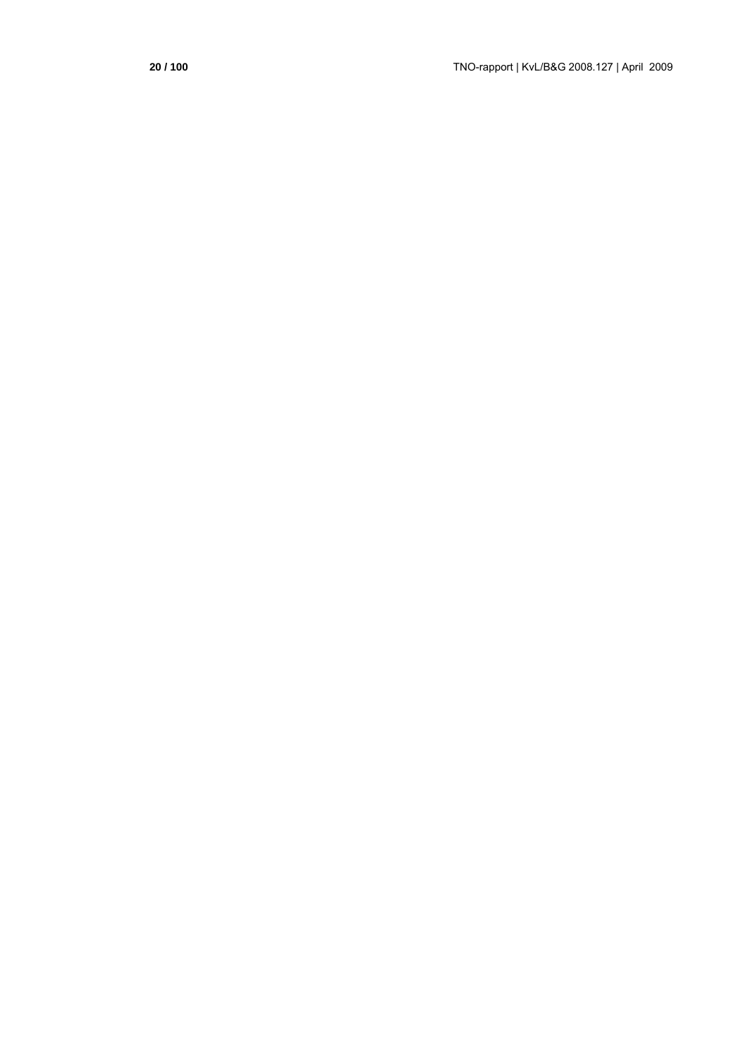**20 / 100** TNO-rapport | KvL/B&G 2008.127 | April 2009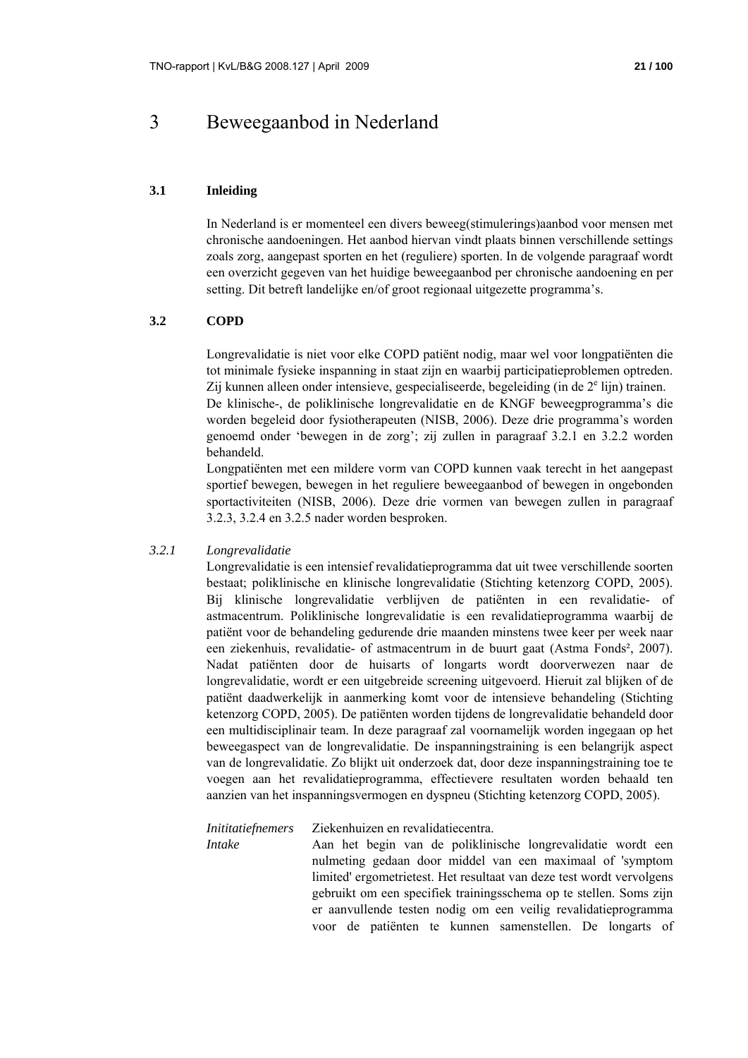# <span id="page-20-0"></span>3 Beweegaanbod in Nederland

# <span id="page-20-1"></span>**3.1 Inleiding**

In Nederland is er momenteel een divers beweeg(stimulerings)aanbod voor mensen met chronische aandoeningen. Het aanbod hiervan vindt plaats binnen verschillende settings zoals zorg, aangepast sporten en het (reguliere) sporten. In de volgende paragraaf wordt een overzicht gegeven van het huidige beweegaanbod per chronische aandoening en per setting. Dit betreft landelijke en/of groot regionaal uitgezette programma's.

# <span id="page-20-2"></span>**3.2 COPD**

Longrevalidatie is niet voor elke COPD patiënt nodig, maar wel voor longpatiënten die tot minimale fysieke inspanning in staat zijn en waarbij participatieproblemen optreden. Zij kunnen alleen onder intensieve, gespecialiseerde, begeleiding (in de  $2^e$  lijn) trainen. De klinische-, de poliklinische longrevalidatie en de KNGF beweegprogramma's die worden begeleid door fysiotherapeuten (NISB, 2006). Deze drie programma's worden genoemd onder 'bewegen in de zorg'; zij zullen in paragraaf 3.2.1 en 3.2.2 worden behandeld.

Longpatiënten met een mildere vorm van COPD kunnen vaak terecht in het aangepast sportief bewegen, bewegen in het reguliere beweegaanbod of bewegen in ongebonden sportactiviteiten (NISB, 2006). Deze drie vormen van bewegen zullen in paragraaf 3.2.3, 3.2.4 en 3.2.5 nader worden besproken.

## *3.2.1 Longrevalidatie*

Longrevalidatie is een intensief revalidatieprogramma dat uit twee verschillende soorten bestaat; poliklinische en klinische longrevalidatie (Stichting ketenzorg COPD, 2005). Bij klinische longrevalidatie verblijven de patiënten in een revalidatie- of astmacentrum. Poliklinische longrevalidatie is een revalidatieprogramma waarbij de patiënt voor de behandeling gedurende drie maanden minstens twee keer per week naar een ziekenhuis, revalidatie- of astmacentrum in de buurt gaat (Astma Fonds², 2007). Nadat patiënten door de huisarts of longarts wordt doorverwezen naar de longrevalidatie, wordt er een uitgebreide screening uitgevoerd. Hieruit zal blijken of de patiënt daadwerkelijk in aanmerking komt voor de intensieve behandeling (Stichting ketenzorg COPD, 2005). De patiënten worden tijdens de longrevalidatie behandeld door een multidisciplinair team. In deze paragraaf zal voornamelijk worden ingegaan op het beweegaspect van de longrevalidatie. De inspanningstraining is een belangrijk aspect van de longrevalidatie. Zo blijkt uit onderzoek dat, door deze inspanningstraining toe te voegen aan het revalidatieprogramma, effectievere resultaten worden behaald ten aanzien van het inspanningsvermogen en dyspneu (Stichting ketenzorg COPD, 2005).

*Inititatiefnemers* Ziekenhuizen en revalidatiecentra.

*Intake* Aan het begin van de poliklinische longrevalidatie wordt een nulmeting gedaan door middel van een maximaal of 'symptom limited' ergometrietest. Het resultaat van deze test wordt vervolgens gebruikt om een specifiek trainingsschema op te stellen. Soms zijn er aanvullende testen nodig om een veilig revalidatieprogramma voor de patiënten te kunnen samenstellen. De longarts of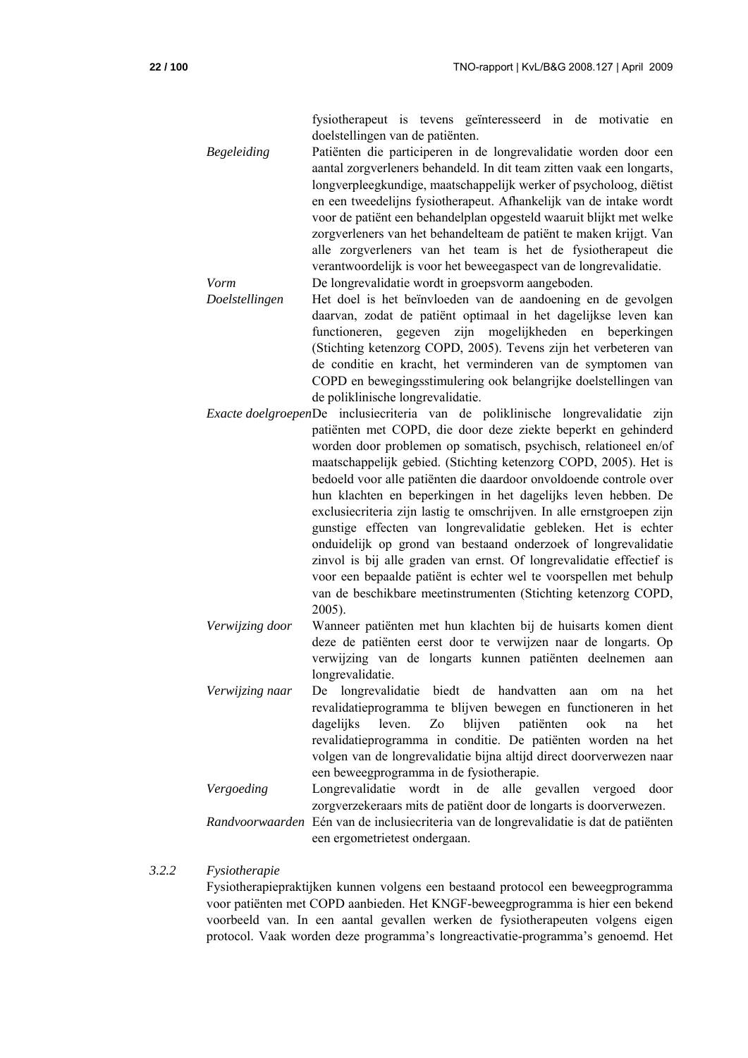fysiotherapeut is tevens geïnteresseerd in de motivatie en doelstellingen van de patiënten.

*Begeleiding* Patiënten die participeren in de longrevalidatie worden door een aantal zorgverleners behandeld. In dit team zitten vaak een longarts, longverpleegkundige, maatschappelijk werker of psycholoog, diëtist en een tweedelijns fysiotherapeut. Afhankelijk van de intake wordt voor de patiënt een behandelplan opgesteld waaruit blijkt met welke zorgverleners van het behandelteam de patiënt te maken krijgt. Van alle zorgverleners van het team is het de fysiotherapeut die verantwoordelijk is voor het beweegaspect van de longrevalidatie. *Vorm* De longrevalidatie wordt in groepsvorm aangeboden.

*Doelstellingen* Het doel is het beïnvloeden van de aandoening en de gevolgen daarvan, zodat de patiënt optimaal in het dagelijkse leven kan functioneren, gegeven zijn mogelijkheden en beperkingen (Stichting ketenzorg COPD, 2005). Tevens zijn het verbeteren van de conditie en kracht, het verminderen van de symptomen van COPD en bewegingsstimulering ook belangrijke doelstellingen van de poliklinische longrevalidatie.

- *Exacte doelgroepen* De inclusiecriteria van de poliklinische longrevalidatie zijn patiënten met COPD, die door deze ziekte beperkt en gehinderd worden door problemen op somatisch, psychisch, relationeel en/of maatschappelijk gebied. (Stichting ketenzorg COPD, 2005). Het is bedoeld voor alle patiënten die daardoor onvoldoende controle over hun klachten en beperkingen in het dagelijks leven hebben. De exclusiecriteria zijn lastig te omschrijven. In alle ernstgroepen zijn gunstige effecten van longrevalidatie gebleken. Het is echter onduidelijk op grond van bestaand onderzoek of longrevalidatie zinvol is bij alle graden van ernst. Of longrevalidatie effectief is voor een bepaalde patiënt is echter wel te voorspellen met behulp van de beschikbare meetinstrumenten (Stichting ketenzorg COPD, 2005).
- *Verwijzing door* Wanneer patiënten met hun klachten bij de huisarts komen dient deze de patiënten eerst door te verwijzen naar de longarts. Op verwijzing van de longarts kunnen patiënten deelnemen aan longrevalidatie.
- *Verwijzing naar* De longrevalidatie biedt de handvatten aan om na het revalidatieprogramma te blijven bewegen en functioneren in het dagelijks leven. Zo blijven patiënten ook na het revalidatieprogramma in conditie. De patiënten worden na het volgen van de longrevalidatie bijna altijd direct doorverwezen naar een beweegprogramma in de fysiotherapie.

*Vergoeding* Longrevalidatie wordt in de alle gevallen vergoed door zorgverzekeraars mits de patiënt door de longarts is doorverwezen.

*Randvoorwaarden* Eén van de inclusiecriteria van de longrevalidatie is dat de patiënten een ergometrietest ondergaan.

#### *3.2.2 Fysiotherapie*

Fysiotherapiepraktijken kunnen volgens een bestaand protocol een beweegprogramma voor patiënten met COPD aanbieden. Het KNGF-beweegprogramma is hier een bekend voorbeeld van. In een aantal gevallen werken de fysiotherapeuten volgens eigen protocol. Vaak worden deze programma's longreactivatie-programma's genoemd. Het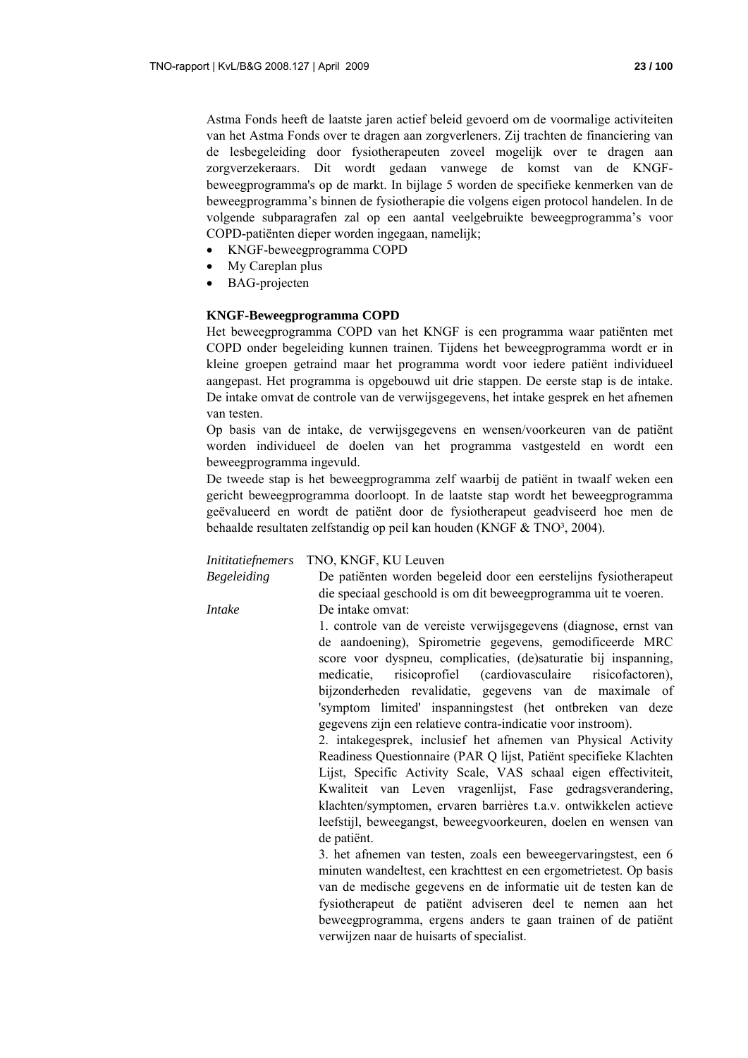Astma Fonds heeft de laatste jaren actief beleid gevoerd om de voormalige activiteiten van het Astma Fonds over te dragen aan zorgverleners. Zij trachten de financiering van de lesbegeleiding door fysiotherapeuten zoveel mogelijk over te dragen aan zorgverzekeraars. Dit wordt gedaan vanwege de komst van de KNGFbeweegprogramma's op de markt. In bijlage 5 worden de specifieke kenmerken van de beweegprogramma's binnen de fysiotherapie die volgens eigen protocol handelen. In de volgende subparagrafen zal op een aantal veelgebruikte beweegprogramma's voor COPD-patiënten dieper worden ingegaan, namelijk;

- KNGF-beweegprogramma COPD
- My Careplan plus
- BAG-projecten

#### **KNGF-Beweegprogramma COPD**

Het beweegprogramma COPD van het KNGF is een programma waar patiënten met COPD onder begeleiding kunnen trainen. Tijdens het beweegprogramma wordt er in kleine groepen getraind maar het programma wordt voor iedere patiënt individueel aangepast. Het programma is opgebouwd uit drie stappen. De eerste stap is de intake. De intake omvat de controle van de verwijsgegevens, het intake gesprek en het afnemen van testen.

Op basis van de intake, de verwijsgegevens en wensen/voorkeuren van de patiënt worden individueel de doelen van het programma vastgesteld en wordt een beweegprogramma ingevuld.

De tweede stap is het beweegprogramma zelf waarbij de patiënt in twaalf weken een gericht beweegprogramma doorloopt. In de laatste stap wordt het beweegprogramma geëvalueerd en wordt de patiënt door de fysiotherapeut geadviseerd hoe men de behaalde resultaten zelfstandig op peil kan houden (KNGF & TNO<sup>3</sup>, 2004).

| Inititatiefnemers  | TNO, KNGF, KU Leuven                                             |
|--------------------|------------------------------------------------------------------|
| <i>Begeleiding</i> | De patiënten worden begeleid door een eerstelijns fysiotherapeut |
|                    | die speciaal geschoold is om dit beweegprogramma uit te voeren.  |
| Intake             | De intake omvat:                                                 |
|                    | 1. controle van de vereiste verwijsgegevens (diagnose, ernst van |
|                    | de aandoening), Spirometrie gegevens, gemodificeerde MRC         |
|                    | score voor dyspneu, complicaties, (de)saturatie bij inspanning,  |

medicatie, risicoprofiel (cardiovasculaire risicofactoren), bijzonderheden revalidatie, gegevens van de maximale of 'symptom limited' inspanningstest (het ontbreken van deze gegevens zijn een relatieve contra-indicatie voor instroom).

2. intakegesprek, inclusief het afnemen van Physical Activity Readiness Questionnaire (PAR Q lijst, Patiënt specifieke Klachten Lijst, Specific Activity Scale, VAS schaal eigen effectiviteit, Kwaliteit van Leven vragenlijst, Fase gedragsverandering, klachten/symptomen, ervaren barrières t.a.v. ontwikkelen actieve leefstijl, beweegangst, beweegvoorkeuren, doelen en wensen van de patiënt.

3. het afnemen van testen, zoals een beweegervaringstest, een 6 minuten wandeltest, een krachttest en een ergometrietest. Op basis van de medische gegevens en de informatie uit de testen kan de fysiotherapeut de patiënt adviseren deel te nemen aan het beweegprogramma, ergens anders te gaan trainen of de patiënt verwijzen naar de huisarts of specialist.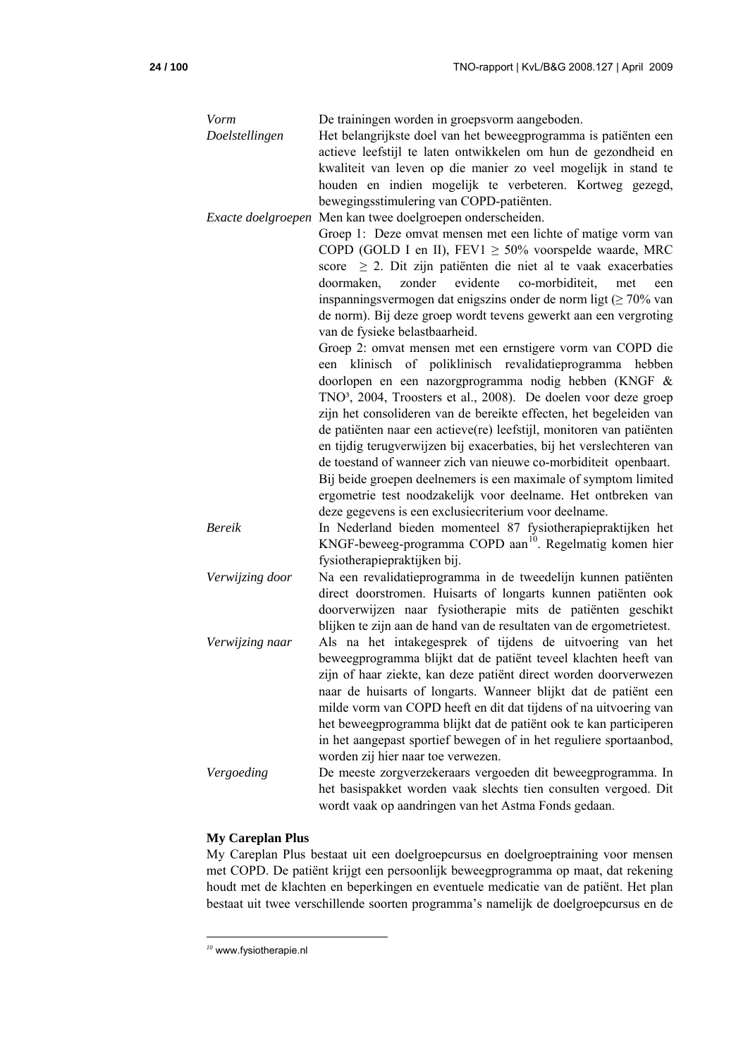| Vorm<br>Doelstellingen | De trainingen worden in groepsvorm aangeboden.<br>Het belangrijkste doel van het beweegprogramma is patiënten een<br>actieve leefstijl te laten ontwikkelen om hun de gezondheid en<br>kwaliteit van leven op die manier zo veel mogelijk in stand te<br>houden en indien mogelijk te verbeteren. Kortweg gezegd,<br>bewegingsstimulering van COPD-patiënten.                                                                                                                                                             |
|------------------------|---------------------------------------------------------------------------------------------------------------------------------------------------------------------------------------------------------------------------------------------------------------------------------------------------------------------------------------------------------------------------------------------------------------------------------------------------------------------------------------------------------------------------|
|                        | Exacte doelgroepen Men kan twee doelgroepen onderscheiden.<br>Groep 1: Deze omvat mensen met een lichte of matige vorm van<br>COPD (GOLD I en II), $FEV1 \ge 50\%$ voorspelde waarde, MRC<br>score $\geq$ 2. Dit zijn patienten die niet al te vaak exacerbaties<br>zonder<br>evidente<br>co-morbiditeit,<br>doormaken.<br>met<br>een<br>inspanningsvermogen dat enigszins onder de norm ligt $(\geq 70\%$ van<br>de norm). Bij deze groep wordt tevens gewerkt aan een vergroting<br>van de fysieke belastbaarheid.      |
|                        | Groep 2: omvat mensen met een ernstigere vorm van COPD die<br>of<br>poliklinisch revalidatieprogramma<br>klinisch<br>hebben<br>een<br>doorlopen en een nazorgprogramma nodig hebben (KNGF &<br>TNO <sup>3</sup> , 2004, Troosters et al., 2008). De doelen voor deze groep<br>zijn het consolideren van de bereikte effecten, het begeleiden van                                                                                                                                                                          |
|                        | de patiënten naar een actieve(re) leefstijl, monitoren van patiënten<br>en tijdig terugverwijzen bij exacerbaties, bij het verslechteren van<br>de toestand of wanneer zich van nieuwe co-morbiditeit openbaart.<br>Bij beide groepen deelnemers is een maximale of symptom limited<br>ergometrie test noodzakelijk voor deelname. Het ontbreken van                                                                                                                                                                      |
| <b>Bereik</b>          | deze gegevens is een exclusiecriterium voor deelname.<br>In Nederland bieden momenteel 87 fysiotherapiepraktijken het<br>KNGF-beweeg-programma COPD aan <sup>10</sup> . Regelmatig komen hier<br>fysiotherapiepraktijken bij.                                                                                                                                                                                                                                                                                             |
| Verwijzing door        | Na een revalidatieprogramma in de tweedelijn kunnen patiënten<br>direct doorstromen. Huisarts of longarts kunnen patiënten ook<br>doorverwijzen naar fysiotherapie mits de patiënten geschikt<br>blijken te zijn aan de hand van de resultaten van de ergometrietest.                                                                                                                                                                                                                                                     |
| Verwijzing naar        | Als na het intakegesprek of tijdens de uitvoering van het<br>beweegprogramma blijkt dat de patiënt teveel klachten heeft van<br>zijn of haar ziekte, kan deze patiënt direct worden doorverwezen<br>naar de huisarts of longarts. Wanneer blijkt dat de patiënt een<br>milde vorm van COPD heeft en dit dat tijdens of na uitvoering van<br>het beweegprogramma blijkt dat de patiënt ook te kan participeren<br>in het aangepast sportief bewegen of in het reguliere sportaanbod,<br>worden zij hier naar toe verwezen. |
| Vergoeding             | De meeste zorgverzekeraars vergoeden dit beweegprogramma. In<br>het basispakket worden vaak slechts tien consulten vergoed. Dit<br>wordt vaak op aandringen van het Astma Fonds gedaan.                                                                                                                                                                                                                                                                                                                                   |

# **My Careplan Plus**

My Careplan Plus bestaat uit een doelgroepcursus en doelgroeptraining voor mensen met COPD. De patiënt krijgt een persoonlijk beweegprogramma op maat, dat rekening houdt met de klachten en beperkingen en eventuele medicatie van de patiënt. Het plan bestaat uit twee verschillende soorten programma's namelijk de doelgroepcursus en de

 $\overline{a}$ 

<span id="page-23-0"></span>*<sup>10</sup>* www.fysiotherapie.nl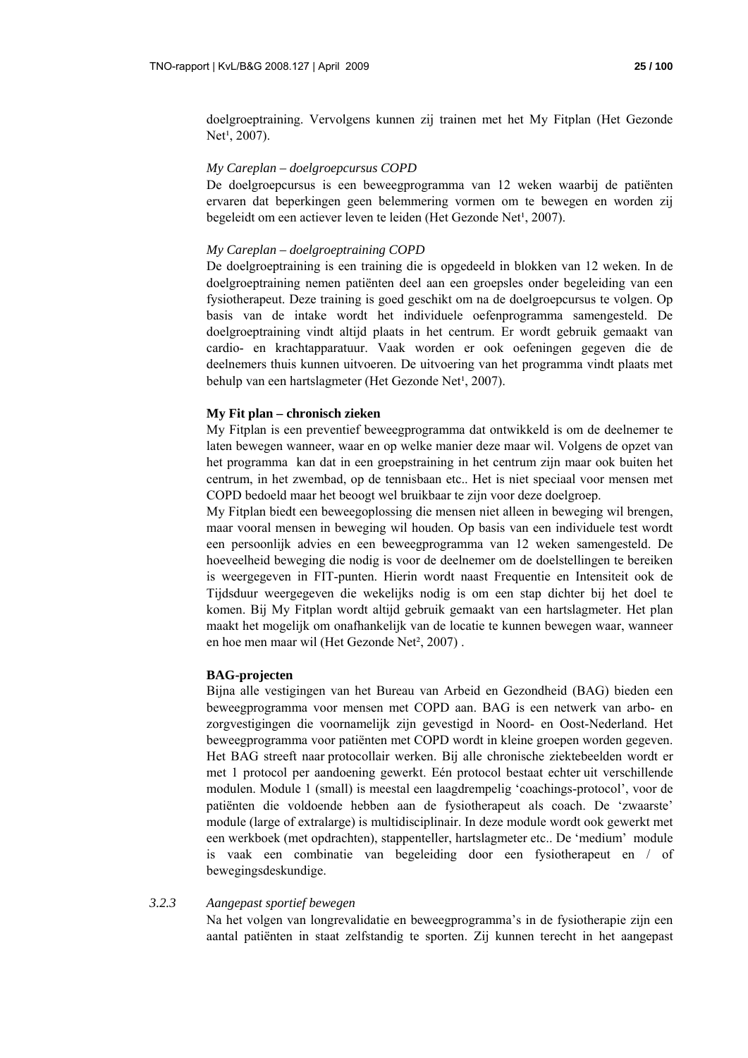doelgroeptraining. Vervolgens kunnen zij trainen met het My Fitplan (Het Gezonde  $Net<sup>1</sup>, 2007$ ).

#### *My Careplan – doelgroepcursus COPD*

De doelgroepcursus is een beweegprogramma van 12 weken waarbij de patiënten ervaren dat beperkingen geen belemmering vormen om te bewegen en worden zij begeleidt om een actiever leven te leiden (Het Gezonde Net<sup>1</sup>, 2007).

#### *My Careplan – doelgroeptraining COPD*

De doelgroeptraining is een training die is opgedeeld in blokken van 12 weken. In de doelgroeptraining nemen patiënten deel aan een groepsles onder begeleiding van een fysiotherapeut. Deze training is goed geschikt om na de doelgroepcursus te volgen. Op basis van de intake wordt het individuele oefenprogramma samengesteld. De doelgroeptraining vindt altijd plaats in het centrum. Er wordt gebruik gemaakt van cardio- en krachtapparatuur. Vaak worden er ook oefeningen gegeven die de deelnemers thuis kunnen uitvoeren. De uitvoering van het programma vindt plaats met behulp van een hartslagmeter (Het Gezonde Net<sup>1</sup>, 2007).

## **My Fit plan – chronisch zieken**

My Fitplan is een preventief beweegprogramma dat ontwikkeld is om de deelnemer te laten bewegen wanneer, waar en op welke manier deze maar wil. Volgens de opzet van het programma kan dat in een groepstraining in het centrum zijn maar ook buiten het centrum, in het zwembad, op de tennisbaan etc.. Het is niet speciaal voor mensen met COPD bedoeld maar het beoogt wel bruikbaar te zijn voor deze doelgroep.

My Fitplan biedt een beweegoplossing die mensen niet alleen in beweging wil brengen, maar vooral mensen in beweging wil houden. Op basis van een individuele test wordt een persoonlijk advies en een beweegprogramma van 12 weken samengesteld. De hoeveelheid beweging die nodig is voor de deelnemer om de doelstellingen te bereiken is weergegeven in FIT-punten. Hierin wordt naast Frequentie en Intensiteit ook de Tijdsduur weergegeven die wekelijks nodig is om een stap dichter bij het doel te komen. Bij My Fitplan wordt altijd gebruik gemaakt van een hartslagmeter. Het plan maakt het mogelijk om onafhankelijk van de locatie te kunnen bewegen waar, wanneer en hoe men maar wil (Het Gezonde Net², 2007) .

#### **BAG-projecten**

Bijna alle vestigingen van het Bureau van Arbeid en Gezondheid (BAG) bieden een beweegprogramma voor mensen met COPD aan. BAG is een netwerk van arbo- en zorgvestigingen die voornamelijk zijn gevestigd in Noord- en Oost-Nederland. Het beweegprogramma voor patiënten met COPD wordt in kleine groepen worden gegeven. Het BAG streeft naar protocollair werken. Bij alle chronische ziektebeelden wordt er met 1 protocol per aandoening gewerkt. Eén protocol bestaat echter uit verschillende modulen. Module 1 (small) is meestal een laagdrempelig 'coachings-protocol', voor de patiënten die voldoende hebben aan de fysiotherapeut als coach. De 'zwaarste' module (large of extralarge) is multidisciplinair. In deze module wordt ook gewerkt met een werkboek (met opdrachten), stappenteller, hartslagmeter etc.. De 'medium' module is vaak een combinatie van begeleiding door een fysiotherapeut en / of bewegingsdeskundige.

## *3.2.3 Aangepast sportief bewegen*

Na het volgen van longrevalidatie en beweegprogramma's in de fysiotherapie zijn een aantal patiënten in staat zelfstandig te sporten. Zij kunnen terecht in het aangepast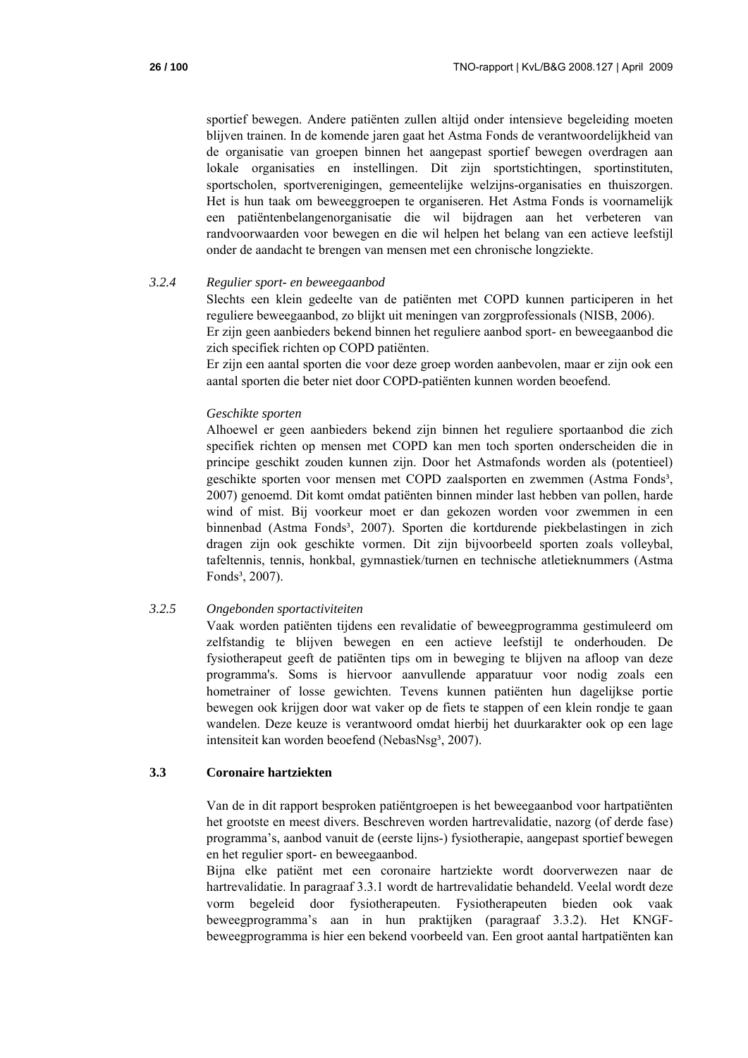sportief bewegen. Andere patiënten zullen altijd onder intensieve begeleiding moeten blijven trainen. In de komende jaren gaat het Astma Fonds de verantwoordelijkheid van de organisatie van groepen binnen het aangepast sportief bewegen overdragen aan lokale organisaties en instellingen. Dit zijn sportstichtingen, sportinstituten, sportscholen, sportverenigingen, gemeentelijke welzijns-organisaties en thuiszorgen. Het is hun taak om beweeggroepen te organiseren. Het Astma Fonds is voornamelijk een patiëntenbelangenorganisatie die wil bijdragen aan het verbeteren van randvoorwaarden voor bewegen en die wil helpen het belang van een actieve leefstijl onder de aandacht te brengen van mensen met een chronische longziekte.

# *3.2.4 Regulier sport- en beweegaanbod*

Slechts een klein gedeelte van de patiënten met COPD kunnen participeren in het reguliere beweegaanbod, zo blijkt uit meningen van zorgprofessionals (NISB, 2006). Er zijn geen aanbieders bekend binnen het reguliere aanbod sport- en beweegaanbod die zich specifiek richten op COPD patiënten.

Er zijn een aantal sporten die voor deze groep worden aanbevolen, maar er zijn ook een aantal sporten die beter niet door COPD-patiënten kunnen worden beoefend.

# *Geschikte sporten*

Alhoewel er geen aanbieders bekend zijn binnen het reguliere sportaanbod die zich specifiek richten op mensen met COPD kan men toch sporten onderscheiden die in principe geschikt zouden kunnen zijn. Door het Astmafonds worden als (potentieel) geschikte sporten voor mensen met COPD zaalsporten en zwemmen (Astma Fonds³, 2007) genoemd. Dit komt omdat patiënten binnen minder last hebben van pollen, harde wind of mist. Bij voorkeur moet er dan gekozen worden voor zwemmen in een binnenbad (Astma Fonds<sup>3</sup>, 2007). Sporten die kortdurende piekbelastingen in zich dragen zijn ook geschikte vormen. Dit zijn bijvoorbeeld sporten zoals volleybal, tafeltennis, tennis, honkbal, gymnastiek/turnen en technische atletieknummers (Astma Fonds<sup>3</sup>, 2007).

## *3.2.5 Ongebonden sportactiviteiten*

Vaak worden patiënten tijdens een revalidatie of beweegprogramma gestimuleerd om zelfstandig te blijven bewegen en een actieve leefstijl te onderhouden. De fysiotherapeut geeft de patiënten tips om in beweging te blijven na afloop van deze programma's. Soms is hiervoor aanvullende apparatuur voor nodig zoals een hometrainer of losse gewichten. Tevens kunnen patiënten hun dagelijkse portie bewegen ook krijgen door wat vaker op de fiets te stappen of een klein rondje te gaan wandelen. Deze keuze is verantwoord omdat hierbij het duurkarakter ook op een lage intensiteit kan worden beoefend (NebasNsg<sup>3</sup>, 2007).

## <span id="page-25-0"></span>**3.3 Coronaire hartziekten**

Van de in dit rapport besproken patiëntgroepen is het beweegaanbod voor hartpatiënten het grootste en meest divers. Beschreven worden hartrevalidatie, nazorg (of derde fase) programma's, aanbod vanuit de (eerste lijns-) fysiotherapie, aangepast sportief bewegen en het regulier sport- en beweegaanbod.

Bijna elke patiënt met een coronaire hartziekte wordt doorverwezen naar de hartrevalidatie. In paragraaf 3.3.1 wordt de hartrevalidatie behandeld. Veelal wordt deze vorm begeleid door fysiotherapeuten. Fysiotherapeuten bieden ook vaak beweegprogramma's aan in hun praktijken (paragraaf 3.3.2). Het KNGFbeweegprogramma is hier een bekend voorbeeld van. Een groot aantal hartpatiënten kan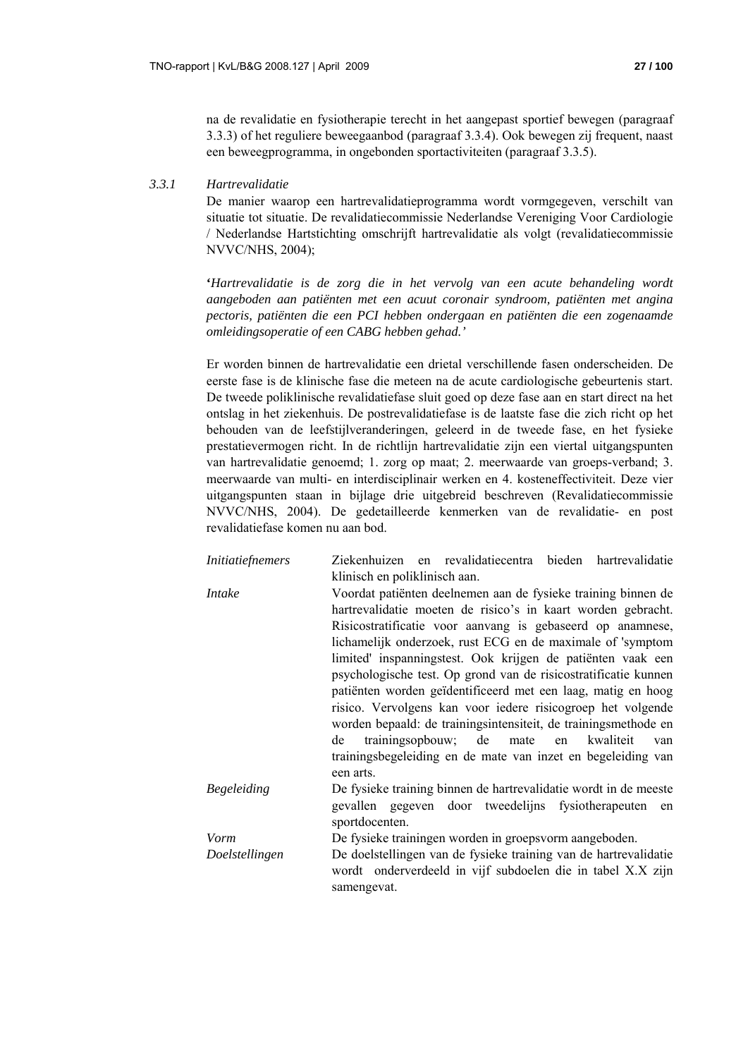na de revalidatie en fysiotherapie terecht in het aangepast sportief bewegen (paragraaf 3.3.3) of het reguliere beweegaanbod (paragraaf 3.3.4). Ook bewegen zij frequent, naast een beweegprogramma, in ongebonden sportactiviteiten (paragraaf 3.3.5).

## *3.3.1 Hartrevalidatie*

De manier waarop een hartrevalidatieprogramma wordt vormgegeven, verschilt van situatie tot situatie. De revalidatiecommissie Nederlandse Vereniging Voor Cardiologie / Nederlandse Hartstichting omschrijft hartrevalidatie als volgt (revalidatiecommissie NVVC/NHS, 2004);

**'***Hartrevalidatie is de zorg die in het vervolg van een acute behandeling wordt aangeboden aan patiënten met een acuut coronair syndroom, patiënten met angina pectoris, patiënten die een PCI hebben ondergaan en patiënten die een zogenaamde omleidingsoperatie of een CABG hebben gehad.'* 

Er worden binnen de hartrevalidatie een drietal verschillende fasen onderscheiden. De eerste fase is de klinische fase die meteen na de acute cardiologische gebeurtenis start. De tweede poliklinische revalidatiefase sluit goed op deze fase aan en start direct na het ontslag in het ziekenhuis. De postrevalidatiefase is de laatste fase die zich richt op het behouden van de leefstijlveranderingen, geleerd in de tweede fase, en het fysieke prestatievermogen richt. In de richtlijn hartrevalidatie zijn een viertal uitgangspunten van hartrevalidatie genoemd; 1. zorg op maat; 2. meerwaarde van groeps-verband; 3. meerwaarde van multi- en interdisciplinair werken en 4. kosteneffectiviteit. Deze vier uitgangspunten staan in bijlage drie uitgebreid beschreven (Revalidatiecommissie NVVC/NHS, 2004). De gedetailleerde kenmerken van de revalidatie- en post revalidatiefase komen nu aan bod.

| <i>Initiatiefnemers</i> | Ziekenhuizen en revalidatiecentra bieden hartrevalidatie         |
|-------------------------|------------------------------------------------------------------|
|                         | klinisch en poliklinisch aan.                                    |
| Intake                  | Voordat patiënten deelnemen aan de fysieke training binnen de    |
|                         | hartrevalidatie moeten de risico's in kaart worden gebracht.     |
|                         | Risicostratificatie voor aanvang is gebaseerd op anamnese,       |
|                         | lichamelijk onderzoek, rust ECG en de maximale of 'symptom       |
|                         | limited' inspanningstest. Ook krijgen de patiënten vaak een      |
|                         | psychologische test. Op grond van de risicostratificatie kunnen  |
|                         | patiënten worden geïdentificeerd met een laag, matig en hoog     |
|                         | risico. Vervolgens kan voor iedere risicogroep het volgende      |
|                         | worden bepaald: de trainingsintensiteit, de trainingsmethode en  |
|                         | trainingsopbouw; de<br>kwaliteit<br>mate<br>de<br>en<br>van      |
|                         | trainingsbegeleiding en de mate van inzet en begeleiding van     |
|                         | een arts.                                                        |
| <b>Begeleiding</b>      | De fysieke training binnen de hartrevalidatie wordt in de meeste |
|                         | gevallen gegeven door tweedelijns fysiotherapeuten en            |
|                         | sportdocenten.                                                   |
| Vorm                    | De fysieke trainingen worden in groepsvorm aangeboden.           |
| Doelstellingen          | De doelstellingen van de fysieke training van de hartrevalidatie |
|                         | wordt onderverdeeld in vijf subdoelen die in tabel X.X zijn      |
|                         | samengevat.                                                      |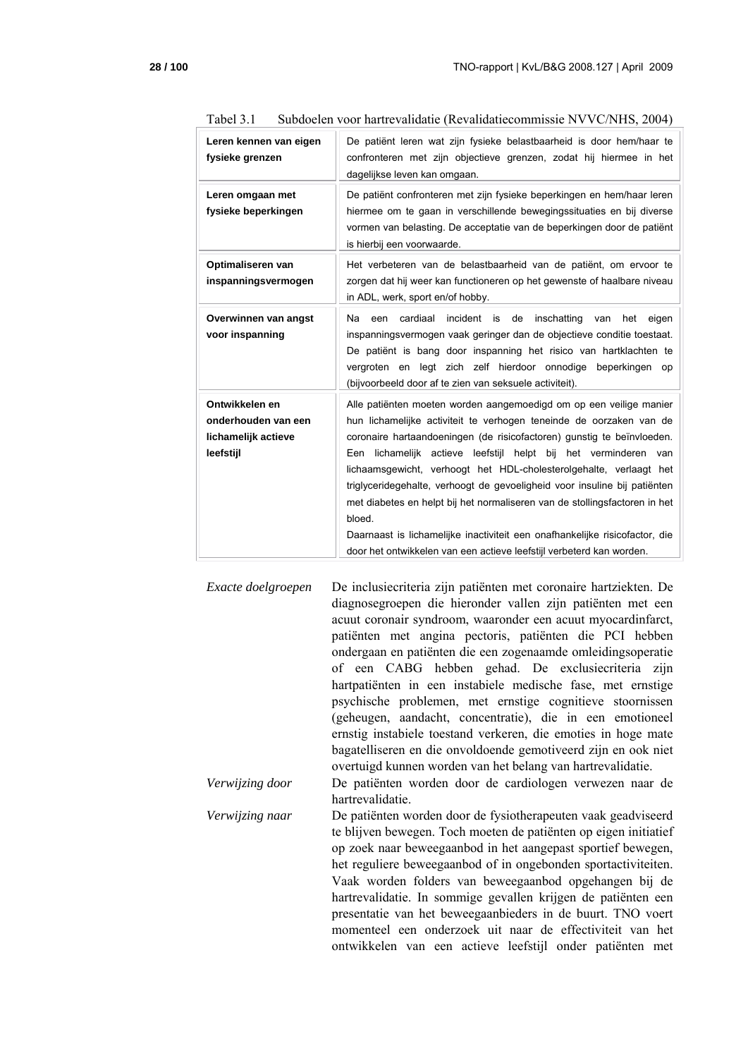| Leren kennen van eigen<br>fysieke grenzen                                 | De patiënt leren wat zijn fysieke belastbaarheid is door hem/haar te<br>confronteren met zijn objectieve grenzen, zodat hij hiermee in het<br>dagelijkse leven kan omgaan.                                                                                                                                                                                                                                                                                                                                                                                                                                                                                                               |
|---------------------------------------------------------------------------|------------------------------------------------------------------------------------------------------------------------------------------------------------------------------------------------------------------------------------------------------------------------------------------------------------------------------------------------------------------------------------------------------------------------------------------------------------------------------------------------------------------------------------------------------------------------------------------------------------------------------------------------------------------------------------------|
| Leren omgaan met<br>fysieke beperkingen                                   | De patiënt confronteren met zijn fysieke beperkingen en hem/haar leren<br>hiermee om te gaan in verschillende bewegingssituaties en bij diverse<br>vormen van belasting. De acceptatie van de beperkingen door de patiënt<br>is hierbij een voorwaarde.                                                                                                                                                                                                                                                                                                                                                                                                                                  |
| Optimaliseren van<br>inspanningsvermogen                                  | Het verbeteren van de belastbaarheid van de patiënt, om ervoor te<br>zorgen dat hij weer kan functioneren op het gewenste of haalbare niveau<br>in ADL, werk, sport en/of hobby.                                                                                                                                                                                                                                                                                                                                                                                                                                                                                                         |
| Overwinnen van angst<br>voor inspanning                                   | cardiaal<br>incident is<br>de<br>inschatting<br>eigen<br>Na<br>een<br>van<br>het<br>inspanningsvermogen vaak geringer dan de objectieve conditie toestaat.<br>De patiënt is bang door inspanning het risico van hartklachten te<br>vergroten en legt zich zelf hierdoor onnodige beperkingen<br>op<br>(bijvoorbeeld door af te zien van seksuele activiteit).                                                                                                                                                                                                                                                                                                                            |
| Ontwikkelen en<br>onderhouden van een<br>lichamelijk actieve<br>leefstijl | Alle patiënten moeten worden aangemoedigd om op een veilige manier<br>hun lichamelijke activiteit te verhogen teneinde de oorzaken van de<br>coronaire hartaandoeningen (de risicofactoren) gunstig te beïnvloeden.<br>Een lichamelijk actieve leefstijl helpt bij het verminderen van<br>lichaamsgewicht, verhoogt het HDL-cholesterolgehalte, verlaagt het<br>triglyceridegehalte, verhoogt de gevoeligheid voor insuline bij patiënten<br>met diabetes en helpt bij het normaliseren van de stollingsfactoren in het<br>bloed.<br>Daarnaast is lichamelijke inactiviteit een onafhankelijke risicofactor, die<br>door het ontwikkelen van een actieve leefstijl verbeterd kan worden. |

Tabel 3.1 Subdoelen voor hartrevalidatie (Revalidatiecommissie NVVC/NHS, 2004)

*Exacte doelgroepen* De inclusiecriteria zijn patiënten met coronaire hartziekten. De diagnosegroepen die hieronder vallen zijn patiënten met een acuut coronair syndroom, waaronder een acuut myocardinfarct, patiënten met angina pectoris, patiënten die PCI hebben ondergaan en patiënten die een zogenaamde omleidingsoperatie of een CABG hebben gehad. De exclusiecriteria zijn hartpatiënten in een instabiele medische fase, met ernstige psychische problemen, met ernstige cognitieve stoornissen (geheugen, aandacht, concentratie), die in een emotioneel ernstig instabiele toestand verkeren, die emoties in hoge mate bagatelliseren en die onvoldoende gemotiveerd zijn en ook niet overtuigd kunnen worden van het belang van hartrevalidatie. *Verwijzing door* De patiënten worden door de cardiologen verwezen naar de hartrevalidatie.

*Verwijzing naar* De patiënten worden door de fysiotherapeuten vaak geadviseerd te blijven bewegen. Toch moeten de patiënten op eigen initiatief op zoek naar beweegaanbod in het aangepast sportief bewegen, het reguliere beweegaanbod of in ongebonden sportactiviteiten. Vaak worden folders van beweegaanbod opgehangen bij de hartrevalidatie. In sommige gevallen krijgen de patiënten een presentatie van het beweegaanbieders in de buurt. TNO voert momenteel een onderzoek uit naar de effectiviteit van het ontwikkelen van een actieve leefstijl onder patiënten met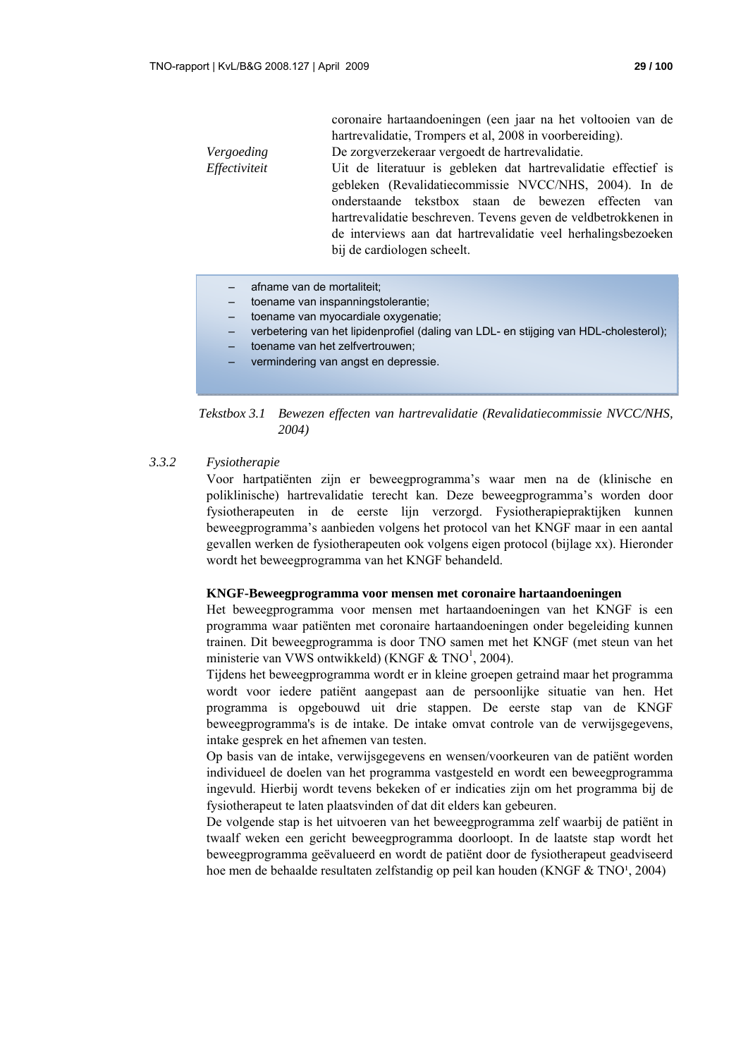|               | coronanc nariaandochingch (cen jaar ha het voltooich van de    |
|---------------|----------------------------------------------------------------|
|               | hartrevalidatie, Trompers et al, 2008 in voorbereiding).       |
| Vergoeding    | De zorgverzekeraar vergoedt de hartrevalidatie.                |
| Effectiviteit | Uit de literatuur is gebleken dat hartrevalidatie effectief is |
|               | gebleken (Revalidatiecommissie NVCC/NHS, 2004). In de          |
|               | onderstaande tekstbox staan de bewezen effecten van            |
|               | hartrevalidatie beschreven. Tevens geven de veldbetrokkenen in |
|               | de interviews aan dat hartrevalidatie veel herhalingsbezoeken  |
|               | bij de cardiologen scheelt.                                    |
|               |                                                                |

coronaire hartaandoeningen (een jaar na het voltooien van de

- afname van de mortaliteit;
- toename van inspanningstolerantie;
- toename van myocardiale oxygenatie;
- verbetering van het lipidenprofiel (daling van LDL- en stijging van HDL-cholesterol);
- toename van het zelfvertrouwen;
- vermindering van angst en depressie.

*Tekstbox 3.1 Bewezen effecten van hartrevalidatie (Revalidatiecommissie NVCC/NHS, 2004)* 

### *3.3.2 Fysiotherapie*

Voor hartpatiënten zijn er beweegprogramma's waar men na de (klinische en poliklinische) hartrevalidatie terecht kan. Deze beweegprogramma's worden door fysiotherapeuten in de eerste lijn verzorgd. Fysiotherapiepraktijken kunnen beweegprogramma's aanbieden volgens het protocol van het KNGF maar in een aantal gevallen werken de fysiotherapeuten ook volgens eigen protocol (bijlage xx). Hieronder wordt het beweegprogramma van het KNGF behandeld.

#### **KNGF-Beweegprogramma voor mensen met coronaire hartaandoeningen**

Het beweegprogramma voor mensen met hartaandoeningen van het KNGF is een programma waar patiënten met coronaire hartaandoeningen onder begeleiding kunnen trainen. Dit beweegprogramma is door TNO samen met het KNGF (met steun van het ministerie van VWS ontwikkeld) (KNGF & TNO<sup>1</sup>, 2004).

Tijdens het beweegprogramma wordt er in kleine groepen getraind maar het programma wordt voor iedere patiënt aangepast aan de persoonlijke situatie van hen. Het programma is opgebouwd uit drie stappen. De eerste stap van de KNGF beweegprogramma's is de intake. De intake omvat controle van de verwijsgegevens, intake gesprek en het afnemen van testen.

Op basis van de intake, verwijsgegevens en wensen/voorkeuren van de patiënt worden individueel de doelen van het programma vastgesteld en wordt een beweegprogramma ingevuld. Hierbij wordt tevens bekeken of er indicaties zijn om het programma bij de fysiotherapeut te laten plaatsvinden of dat dit elders kan gebeuren.

De volgende stap is het uitvoeren van het beweegprogramma zelf waarbij de patiënt in twaalf weken een gericht beweegprogramma doorloopt. In de laatste stap wordt het beweegprogramma geëvalueerd en wordt de patiënt door de fysiotherapeut geadviseerd hoe men de behaalde resultaten zelfstandig op peil kan houden (KNGF & TNO<sup>1</sup>, 2004)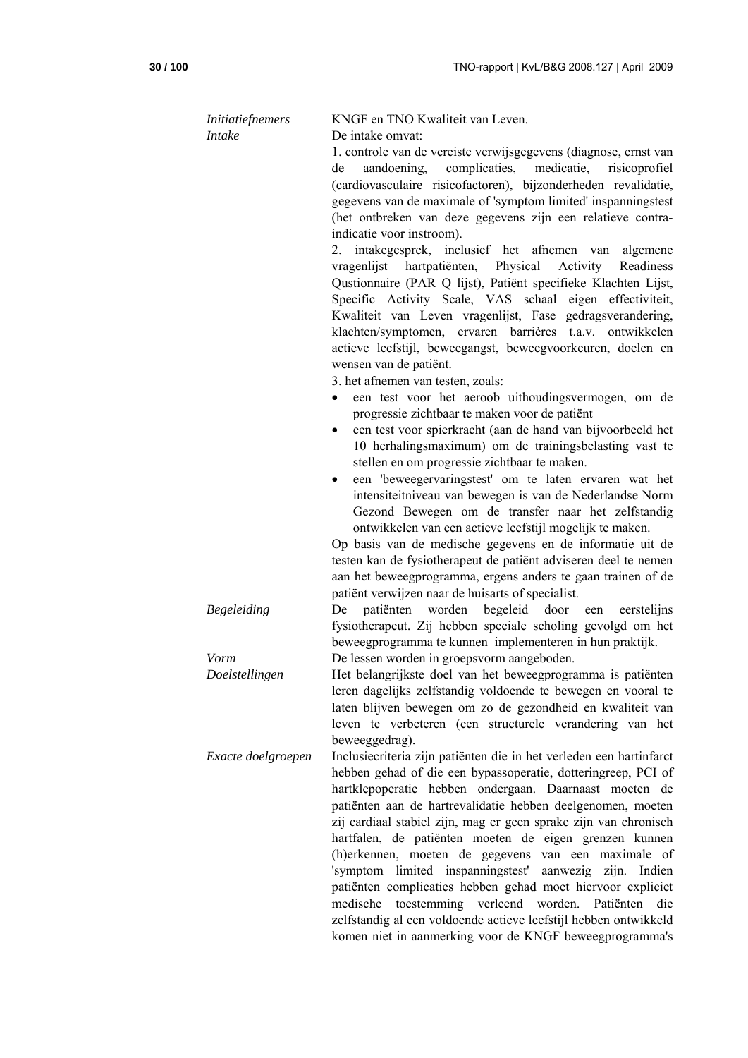| <i>Initiatiefnemers</i> | KNGF en TNO Kwaliteit van Leven.                                    |
|-------------------------|---------------------------------------------------------------------|
| <b>Intake</b>           | De intake omvat:                                                    |
|                         | 1. controle van de vereiste verwijsgegevens (diagnose, ernst van    |
|                         | complicaties,<br>medicatie,<br>aandoening,<br>risicoprofiel<br>de   |
|                         | (cardiovasculaire risicofactoren), bijzonderheden revalidatie,      |
|                         | gegevens van de maximale of 'symptom limited' inspanningstest       |
|                         |                                                                     |
|                         | (het ontbreken van deze gegevens zijn een relatieve contra-         |
|                         | indicatie voor instroom).                                           |
|                         | 2. intakegesprek, inclusief het afnemen van algemene                |
|                         | hartpatiënten, Physical<br>Activity<br>vragenlijst<br>Readiness     |
|                         | Qustionnaire (PAR Q lijst), Patiënt specifieke Klachten Lijst,      |
|                         | Specific Activity Scale, VAS schaal eigen effectiviteit,            |
|                         | Kwaliteit van Leven vragenlijst, Fase gedragsverandering,           |
|                         | klachten/symptomen, ervaren barrières t.a.v. ontwikkelen            |
|                         | actieve leefstijl, beweegangst, beweegvoorkeuren, doelen en         |
|                         | wensen van de patiënt.                                              |
|                         | 3. het afnemen van testen, zoals:                                   |
|                         | een test voor het aeroob uithoudingsvermogen, om de<br>$\bullet$    |
|                         | progressie zichtbaar te maken voor de patiënt                       |
|                         | een test voor spierkracht (aan de hand van bijvoorbeeld het         |
|                         | 10 herhalingsmaximum) om de trainingsbelasting vast te              |
|                         |                                                                     |
|                         | stellen en om progressie zichtbaar te maken.                        |
|                         | een 'beweegervaringstest' om te laten ervaren wat het<br>$\bullet$  |
|                         | intensiteitniveau van bewegen is van de Nederlandse Norm            |
|                         | Gezond Bewegen om de transfer naar het zelfstandig                  |
|                         | ontwikkelen van een actieve leefstijl mogelijk te maken.            |
|                         | Op basis van de medische gegevens en de informatie uit de           |
|                         | testen kan de fysiotherapeut de patiënt adviseren deel te nemen     |
|                         | aan het beweegprogramma, ergens anders te gaan trainen of de        |
|                         | patiënt verwijzen naar de huisarts of specialist.                   |
| <b>Begeleiding</b>      | patiënten worden begeleid door<br>De<br>eerstelijns<br>een          |
|                         | fysiotherapeut. Zij hebben speciale scholing gevolgd om het         |
|                         | beweegprogramma te kunnen implementeren in hun praktijk.            |
| Vorm                    | De lessen worden in groepsvorm aangeboden.                          |
| Doelstellingen          | Het belangrijkste doel van het beweegprogramma is patiënten         |
|                         | leren dagelijks zelfstandig voldoende te bewegen en vooral te       |
|                         | laten blijven bewegen om zo de gezondheid en kwaliteit van          |
|                         | leven te verbeteren (een structurele verandering van het            |
|                         | beweeggedrag).                                                      |
| Exacte doelgroepen      | Inclusiecriteria zijn patiënten die in het verleden een hartinfarct |
|                         | hebben gehad of die een bypassoperatie, dotteringreep, PCI of       |
|                         |                                                                     |
|                         | hartklepoperatie hebben ondergaan. Daarnaast moeten de              |
|                         | patiënten aan de hartrevalidatie hebben deelgenomen, moeten         |
|                         | zij cardiaal stabiel zijn, mag er geen sprake zijn van chronisch    |
|                         | hartfalen, de patiënten moeten de eigen grenzen kunnen              |
|                         | (h)erkennen, moeten de gegevens van een maximale of                 |
|                         | 'symptom limited inspanningstest' aanwezig zijn. Indien             |
|                         | patiënten complicaties hebben gehad moet hiervoor expliciet         |
|                         | medische toestemming verleend worden. Patiënten die                 |
|                         | zelfstandig al een voldoende actieve leefstijl hebben ontwikkeld    |
|                         | komen niet in aanmerking voor de KNGF beweegprogramma's             |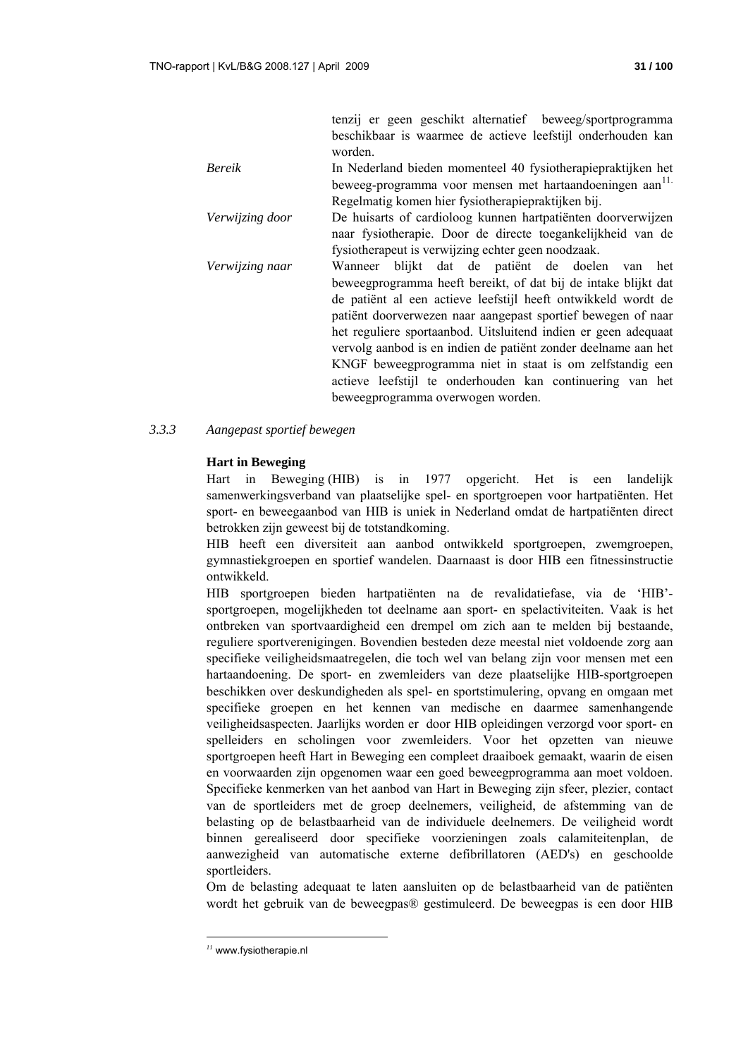tenzij er geen geschikt alternatief beweeg/sportprogramma beschikbaar is waarmee de actieve leefstijl onderhouden kan worden.

- *Bereik* In Nederland bieden momenteel 40 fysiotherapiepraktijken het beweeg-programma voor mensen met hartaandoeningen aan<sup>[11.](#page-30-0)</sup> Regelmatig komen hier fysiotherapiepraktijken bij.
- *Verwijzing door* De huisarts of cardioloog kunnen hartpatiënten doorverwijzen naar fysiotherapie. Door de directe toegankelijkheid van de fysiotherapeut is verwijzing echter geen noodzaak.
- *Verwijzing naar* Wanneer blijkt dat de patiënt de doelen van het beweegprogramma heeft bereikt, of dat bij de intake blijkt dat de patiënt al een actieve leefstijl heeft ontwikkeld wordt de patiënt doorverwezen naar aangepast sportief bewegen of naar het reguliere sportaanbod. Uitsluitend indien er geen adequaat vervolg aanbod is en indien de patiënt zonder deelname aan het KNGF beweegprogramma niet in staat is om zelfstandig een actieve leefstijl te onderhouden kan continuering van het beweegprogramma overwogen worden.

## *3.3.3 Aangepast sportief bewegen*

## **Hart in Beweging**

Hart in Beweging (HIB) is in 1977 opgericht. Het is een landelijk samenwerkingsverband van plaatselijke spel- en sportgroepen voor hartpatiënten. Het sport- en beweegaanbod van HIB is uniek in Nederland omdat de hartpatiënten direct betrokken zijn geweest bij de totstandkoming.

HIB heeft een diversiteit aan aanbod ontwikkeld sportgroepen, zwemgroepen, gymnastiekgroepen en sportief wandelen. Daarnaast is door HIB een fitnessinstructie ontwikkeld.

HIB sportgroepen bieden hartpatiënten na de revalidatiefase, via de 'HIB' sportgroepen, mogelijkheden tot deelname aan sport- en spelactiviteiten. Vaak is het ontbreken van sportvaardigheid een drempel om zich aan te melden bij bestaande, reguliere sportverenigingen. Bovendien besteden deze meestal niet voldoende zorg aan specifieke veiligheidsmaatregelen, die toch wel van belang zijn voor mensen met een hartaandoening. De sport- en zwemleiders van deze plaatselijke HIB-sportgroepen beschikken over deskundigheden als spel- en sportstimulering, opvang en omgaan met specifieke groepen en het kennen van medische en daarmee samenhangende veiligheidsaspecten. Jaarlijks worden er door HIB opleidingen verzorgd voor sport- en spelleiders en scholingen voor zwemleiders. Voor het opzetten van nieuwe sportgroepen heeft Hart in Beweging een compleet draaiboek gemaakt, waarin de eisen en voorwaarden zijn opgenomen waar een goed beweegprogramma aan moet voldoen. Specifieke kenmerken van het aanbod van Hart in Beweging zijn sfeer, plezier, contact van de sportleiders met de groep deelnemers, veiligheid, de afstemming van de belasting op de belastbaarheid van de individuele deelnemers. De veiligheid wordt binnen gerealiseerd door specifieke voorzieningen zoals calamiteitenplan, de aanwezigheid van automatische externe defibrillatoren (AED's) en geschoolde sportleiders.

Om de belasting adequaat te laten aansluiten op de belastbaarheid van de patiënten wordt het gebruik van de beweegpas® gestimuleerd. De beweegpas is een door HIB

 $\overline{a}$ 

<span id="page-30-0"></span>*<sup>11</sup>* www.fysiotherapie.nl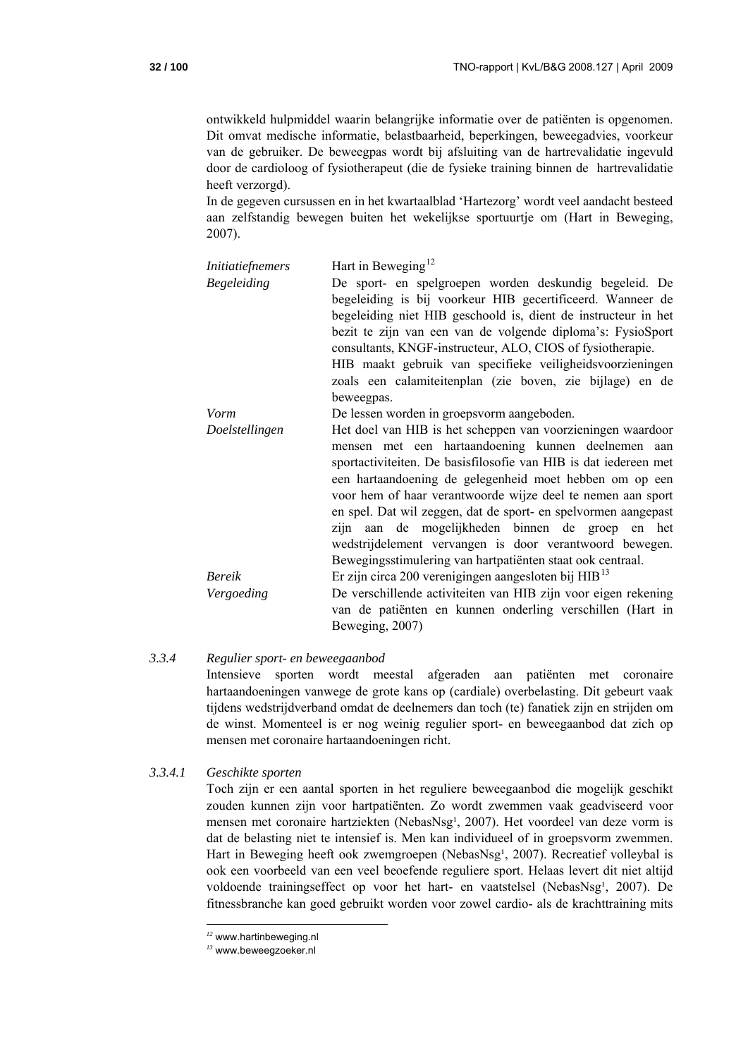ontwikkeld hulpmiddel waarin belangrijke informatie over de patiënten is opgenomen. Dit omvat medische informatie, belastbaarheid, beperkingen, beweegadvies, voorkeur van de gebruiker. De beweegpas wordt bij afsluiting van de hartrevalidatie ingevuld door de cardioloog of fysiotherapeut (die de fysieke training binnen de hartrevalidatie heeft verzorgd).

In de gegeven cursussen en in het kwartaalblad 'Hartezorg' wordt veel aandacht besteed aan zelfstandig bewegen buiten het wekelijkse sportuurtje om (Hart in Beweging, 2007).

| <i>Initiatiefnemers</i>     | Hart in Beweging <sup>12</sup>                                                                                                                                                                                                                                                                                                                                                                                                                                                                                                                                 |
|-----------------------------|----------------------------------------------------------------------------------------------------------------------------------------------------------------------------------------------------------------------------------------------------------------------------------------------------------------------------------------------------------------------------------------------------------------------------------------------------------------------------------------------------------------------------------------------------------------|
| <b>Begeleiding</b>          | De sport- en spelgroepen worden deskundig begeleid. De<br>begeleiding is bij voorkeur HIB gecertificeerd. Wanneer de<br>begeleiding niet HIB geschoold is, dient de instructeur in het<br>bezit te zijn van een van de volgende diploma's: FysioSport<br>consultants, KNGF-instructeur, ALO, CIOS of fysiotherapie.<br>HIB maakt gebruik van specifieke veiligheidsvoorzieningen<br>zoals een calamiteitenplan (zie boven, zie bijlage) en de<br>beweegpas.                                                                                                    |
| Vorm                        | De lessen worden in groepsvorm aangeboden.                                                                                                                                                                                                                                                                                                                                                                                                                                                                                                                     |
| Doelstellingen              | Het doel van HIB is het scheppen van voorzieningen waardoor<br>mensen met een hartaandoening kunnen deelnemen aan<br>sportactiviteiten. De basisfilosofie van HIB is dat iedereen met<br>een hartaandoening de gelegenheid moet hebben om op een<br>voor hem of haar verantwoorde wijze deel te nemen aan sport<br>en spel. Dat wil zeggen, dat de sport- en spelvormen aangepast<br>zijn aan de mogelijkheden binnen de groep en het<br>wedstrijdelement vervangen is door verantwoord bewegen.<br>Bewegingsstimulering van hartpatiënten staat ook centraal. |
| <b>Bereik</b><br>Vergoeding | Er zijn circa 200 verenigingen aangesloten bij $HIB13$<br>De verschillende activiteiten van HIB zijn voor eigen rekening<br>van de patiënten en kunnen onderling verschillen (Hart in<br>Beweging, 2007)                                                                                                                                                                                                                                                                                                                                                       |

# *3.3.4 Regulier sport- en beweegaanbod*

Intensieve sporten wordt meestal afgeraden aan patiënten met coronaire hartaandoeningen vanwege de grote kans op (cardiale) overbelasting. Dit gebeurt vaak tijdens wedstrijdverband omdat de deelnemers dan toch (te) fanatiek zijn en strijden om de winst. Momenteel is er nog weinig regulier sport- en beweegaanbod dat zich op mensen met coronaire hartaandoeningen richt.

#### *3.3.4.1 Geschikte sporten*

 $\overline{a}$ 

Toch zijn er een aantal sporten in het reguliere beweegaanbod die mogelijk geschikt zouden kunnen zijn voor hartpatiënten. Zo wordt zwemmen vaak geadviseerd voor mensen met coronaire hartziekten (NebasNsg<sup>1</sup>, 2007). Het voordeel van deze vorm is dat de belasting niet te intensief is. Men kan individueel of in groepsvorm zwemmen. Hart in Beweging heeft ook zwemgroepen (NebasNsg<sup>1</sup>, 2007). Recreatief volleybal is ook een voorbeeld van een veel beoefende reguliere sport. Helaas levert dit niet altijd voldoende trainingseffect op voor het hart- en vaatstelsel (NebasNsg<sup>1</sup>, 2007). De fitnessbranche kan goed gebruikt worden voor zowel cardio- als de krachttraining mits

*<sup>12</sup>* www.hartinbeweging.nl

<span id="page-31-1"></span><span id="page-31-0"></span>*<sup>13</sup>* www.beweegzoeker.nl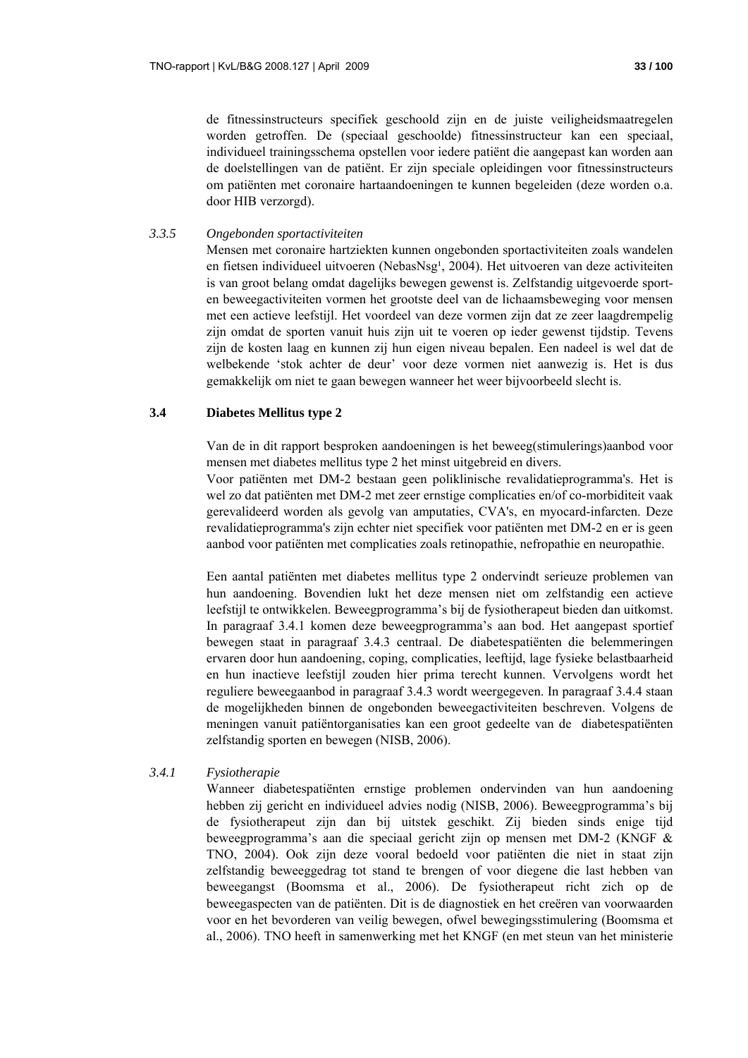de fitnessinstructeurs specifiek geschoold zijn en de juiste veiligheidsmaatregelen worden getroffen. De (speciaal geschoolde) fitnessinstructeur kan een speciaal, individueel trainingsschema opstellen voor iedere patiënt die aangepast kan worden aan de doelstellingen van de patiënt. Er zijn speciale opleidingen voor fitnessinstructeurs om patiënten met coronaire hartaandoeningen te kunnen begeleiden (deze worden o.a. door HIB verzorgd).

# *3.3.5 Ongebonden sportactiviteiten*

Mensen met coronaire hartziekten kunnen ongebonden sportactiviteiten zoals wandelen en fietsen individueel uitvoeren (NebasNsg<sup>1</sup>, 2004). Het uitvoeren van deze activiteiten is van groot belang omdat dagelijks bewegen gewenst is. Zelfstandig uitgevoerde sporten beweegactiviteiten vormen het grootste deel van de lichaamsbeweging voor mensen met een actieve leefstijl. Het voordeel van deze vormen zijn dat ze zeer laagdrempelig zijn omdat de sporten vanuit huis zijn uit te voeren op ieder gewenst tijdstip. Tevens zijn de kosten laag en kunnen zij hun eigen niveau bepalen. Een nadeel is wel dat de welbekende 'stok achter de deur' voor deze vormen niet aanwezig is. Het is dus gemakkelijk om niet te gaan bewegen wanneer het weer bijvoorbeeld slecht is.

## <span id="page-32-0"></span>**3.4 Diabetes Mellitus type 2**

Van de in dit rapport besproken aandoeningen is het beweeg(stimulerings)aanbod voor mensen met diabetes mellitus type 2 het minst uitgebreid en divers.

Voor patiënten met DM-2 bestaan geen poliklinische revalidatieprogramma's. Het is wel zo dat patiënten met DM-2 met zeer ernstige complicaties en/of co-morbiditeit vaak gerevalideerd worden als gevolg van amputaties, CVA's, en myocard-infarcten. Deze revalidatieprogramma's zijn echter niet specifiek voor patiënten met DM-2 en er is geen aanbod voor patiënten met complicaties zoals retinopathie, nefropathie en neuropathie.

Een aantal patiënten met diabetes mellitus type 2 ondervindt serieuze problemen van hun aandoening. Bovendien lukt het deze mensen niet om zelfstandig een actieve leefstijl te ontwikkelen. Beweegprogramma's bij de fysiotherapeut bieden dan uitkomst. In paragraaf 3.4.1 komen deze beweegprogramma's aan bod. Het aangepast sportief bewegen staat in paragraaf 3.4.3 centraal. De diabetespatiënten die belemmeringen ervaren door hun aandoening, coping, complicaties, leeftijd, lage fysieke belastbaarheid en hun inactieve leefstijl zouden hier prima terecht kunnen. Vervolgens wordt het reguliere beweegaanbod in paragraaf 3.4.3 wordt weergegeven. In paragraaf 3.4.4 staan de mogelijkheden binnen de ongebonden beweegactiviteiten beschreven. Volgens de meningen vanuit patiëntorganisaties kan een groot gedeelte van de diabetespatiënten zelfstandig sporten en bewegen (NISB, 2006).

#### *3.4.1 Fysiotherapie*

Wanneer diabetespatiënten ernstige problemen ondervinden van hun aandoening hebben zij gericht en individueel advies nodig (NISB, 2006). Beweegprogramma's bij de fysiotherapeut zijn dan bij uitstek geschikt. Zij bieden sinds enige tijd beweegprogramma's aan die speciaal gericht zijn op mensen met DM-2 (KNGF & TNO, 2004). Ook zijn deze vooral bedoeld voor patiënten die niet in staat zijn zelfstandig beweeggedrag tot stand te brengen of voor diegene die last hebben van beweegangst (Boomsma et al., 2006). De fysiotherapeut richt zich op de beweegaspecten van de patiënten. Dit is de diagnostiek en het creëren van voorwaarden voor en het bevorderen van veilig bewegen, ofwel bewegingsstimulering (Boomsma et al., 2006). TNO heeft in samenwerking met het KNGF (en met steun van het ministerie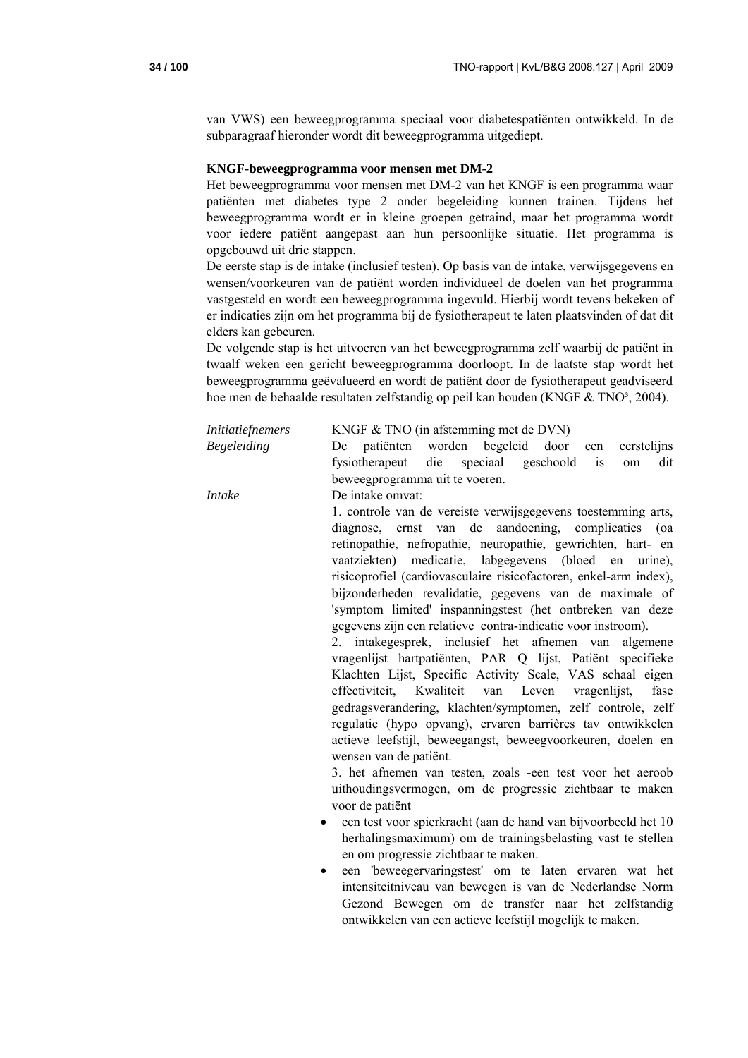van VWS) een beweegprogramma speciaal voor diabetespatiënten ontwikkeld. In de subparagraaf hieronder wordt dit beweegprogramma uitgediept.

#### **KNGF-beweegprogramma voor mensen met DM-2**

Het beweegprogramma voor mensen met DM-2 van het KNGF is een programma waar patiënten met diabetes type 2 onder begeleiding kunnen trainen. Tijdens het beweegprogramma wordt er in kleine groepen getraind, maar het programma wordt voor iedere patiënt aangepast aan hun persoonlijke situatie. Het programma is opgebouwd uit drie stappen.

De eerste stap is de intake (inclusief testen). Op basis van de intake, verwijsgegevens en wensen/voorkeuren van de patiënt worden individueel de doelen van het programma vastgesteld en wordt een beweegprogramma ingevuld. Hierbij wordt tevens bekeken of er indicaties zijn om het programma bij de fysiotherapeut te laten plaatsvinden of dat dit elders kan gebeuren.

De volgende stap is het uitvoeren van het beweegprogramma zelf waarbij de patiënt in twaalf weken een gericht beweegprogramma doorloopt. In de laatste stap wordt het beweegprogramma geëvalueerd en wordt de patiënt door de fysiotherapeut geadviseerd hoe men de behaalde resultaten zelfstandig op peil kan houden (KNGF & TNO<sup>3</sup>, 2004).

| <b>Initiatiefnemers</b> | KNGF & TNO (in afstemming met de DVN)                             |
|-------------------------|-------------------------------------------------------------------|
| <b>Begeleiding</b>      | De patiënten worden begeleid door<br>eerstelijns<br>een           |
|                         | fysiotherapeut die speciaal geschoold is<br>dit<br>om             |
|                         | beweegprogramma uit te voeren.                                    |
| Intake                  | De intake omvat:                                                  |
|                         | 1. controle van de vereiste verwijsgegevens toestemming arts,     |
|                         | diagnose, ernst van de aandoening, complicaties (oa               |
|                         | retinopathie, nefropathie, neuropathie, gewrichten, hart- en      |
|                         | vaatziekten) medicatie, labgegevens (bloed en urine),             |
|                         | risicoprofiel (cardiovasculaire risicofactoren, enkel-arm index), |
|                         | bijzonderheden revalidatie, gegevens van de maximale of           |
|                         | 'symptom limited' inspanningstest (het ontbreken van deze         |
|                         | gegevens zijn een relatieve contra-indicatie voor instroom).      |
|                         | 2. intakegesprek, inclusief het afnemen van algemene              |
|                         | vragenlijst hartpatiënten, PAR Q lijst, Patiënt specifieke        |
|                         | Klachten Lijst, Specific Activity Scale, VAS schaal eigen         |
|                         | effectiviteit, Kwaliteit van Leven<br>fase<br>vragenlijst,        |
|                         | gedragsverandering, klachten/symptomen, zelf controle, zelf       |
|                         | regulatie (hypo opvang), ervaren barrières tav ontwikkelen        |
|                         | actieve leefstijl, beweegangst, beweegvoorkeuren, doelen en       |
|                         | wensen van de patiënt.                                            |
|                         | 3. het afnemen van testen, zoals -een test voor het aeroob        |
|                         | uithoudingsvermogen, om de progressie zichtbaar te maken          |
|                         | voor de patiënt                                                   |
|                         | een test voor spierkracht (aan de hand van bijvoorbeeld het 10    |
|                         | herhalingsmaximum) om de trainingsbelasting vast te stellen       |
|                         | en om progressie zichtbaar te maken.                              |
|                         |                                                                   |

• een 'beweegervaringstest' om te laten ervaren wat het intensiteitniveau van bewegen is van de Nederlandse Norm Gezond Bewegen om de transfer naar het zelfstandig ontwikkelen van een actieve leefstijl mogelijk te maken.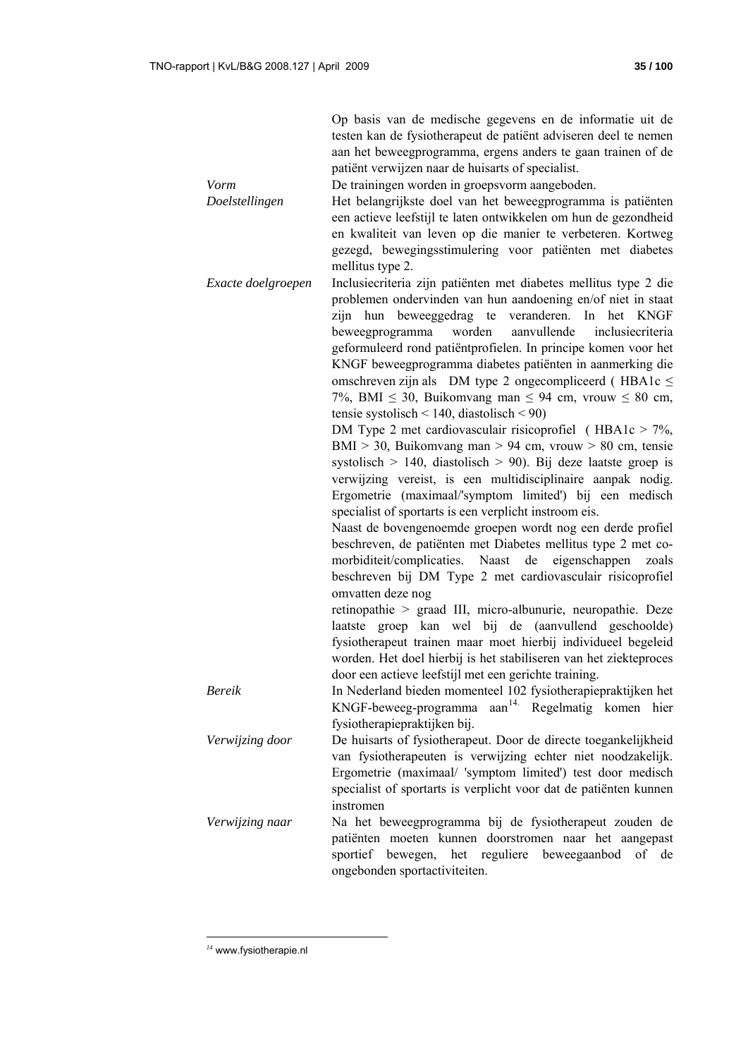|                    | Op basis van de medische gegevens en de informatie uit de                    |
|--------------------|------------------------------------------------------------------------------|
|                    | testen kan de fysiotherapeut de patiënt adviseren deel te nemen              |
|                    | aan het beweegprogramma, ergens anders te gaan trainen of de                 |
|                    | patiënt verwijzen naar de huisarts of specialist.                            |
| Vorm               | De trainingen worden in groepsvorm aangeboden.                               |
| Doelstellingen     | Het belangrijkste doel van het beweegprogramma is patiënten                  |
|                    | een actieve leefstijl te laten ontwikkelen om hun de gezondheid              |
|                    | en kwaliteit van leven op die manier te verbeteren. Kortweg                  |
|                    |                                                                              |
|                    | gezegd, bewegingsstimulering voor patiënten met diabetes<br>mellitus type 2. |
| Exacte doelgroepen | Inclusiecriteria zijn patiënten met diabetes mellitus type 2 die             |
|                    | problemen ondervinden van hun aandoening en/of niet in staat                 |
|                    | zijn hun beweeggedrag te veranderen. In het KNGF                             |
|                    | worden<br>aanvullende<br>beweegprogramma<br>inclusiecriteria                 |
|                    | geformuleerd rond patiëntprofielen. In principe komen voor het               |
|                    | KNGF beweegprogramma diabetes patiënten in aanmerking die                    |
|                    | omschreven zijn als DM type 2 ongecompliceerd (HBA1c $\leq$                  |
|                    | 7%, BMI $\leq$ 30, Buikomvang man $\leq$ 94 cm, vrouw $\leq$ 80 cm,          |
|                    | tensie systolisch < 140, diastolisch < 90)                                   |
|                    | DM Type 2 met cardiovasculair risicoprofiel ( $HBA1c > 7\%,$                 |
|                    | $BMI > 30$ , Buikomvang man > 94 cm, vrouw > 80 cm, tensie                   |
|                    | systolisch > 140, diastolisch > 90). Bij deze laatste groep is               |
|                    | verwijzing vereist, is een multidisciplinaire aanpak nodig.                  |
|                    | Ergometrie (maximaal/'symptom limited') bij een medisch                      |
|                    | specialist of sportarts is een verplicht instroom eis.                       |
|                    |                                                                              |
|                    | Naast de bovengenoemde groepen wordt nog een derde profiel                   |
|                    | beschreven, de patiënten met Diabetes mellitus type 2 met co-                |
|                    | morbiditeit/complicaties. Naast de eigenschappen<br>zoals                    |
|                    | beschreven bij DM Type 2 met cardiovasculair risicoprofiel                   |
|                    | omvatten deze nog                                                            |
|                    | retinopathie > graad III, micro-albunurie, neuropathie. Deze                 |
|                    | laatste groep kan wel bij de (aanvullend geschoolde)                         |
|                    | fysiotherapeut trainen maar moet hierbij individueel begeleid                |
|                    | worden. Het doel hierbij is het stabiliseren van het ziekteproces            |
|                    | door een actieve leefstijl met een gerichte training                         |
| <b>Bereik</b>      | In Nederland bieden momenteel 102 fysiotherapiepraktijken het                |
|                    | KNGF-beweeg-programma aan <sup>14.</sup> Regelmatig komen hier               |
|                    | fysiotherapiepraktijken bij.                                                 |
| Verwijzing door    | De huisarts of fysiotherapeut. Door de directe toegankelijkheid              |
|                    | van fysiotherapeuten is verwijzing echter niet noodzakelijk.                 |
|                    | Ergometrie (maximaal/ 'symptom limited') test door medisch                   |
|                    | specialist of sportarts is verplicht voor dat de patiënten kunnen            |
|                    | instromen                                                                    |
| Verwijzing naar    | Na het beweegprogramma bij de fysiotherapeut zouden de                       |
|                    | patiënten moeten kunnen doorstromen naar het aangepast                       |
|                    | sportief bewegen, het reguliere beweegaanbod<br>of de                        |
|                    |                                                                              |
|                    | ongebonden sportactiviteiten.                                                |

 $\overline{a}$ 

<span id="page-34-0"></span>*<sup>14</sup>* www.fysiotherapie.nl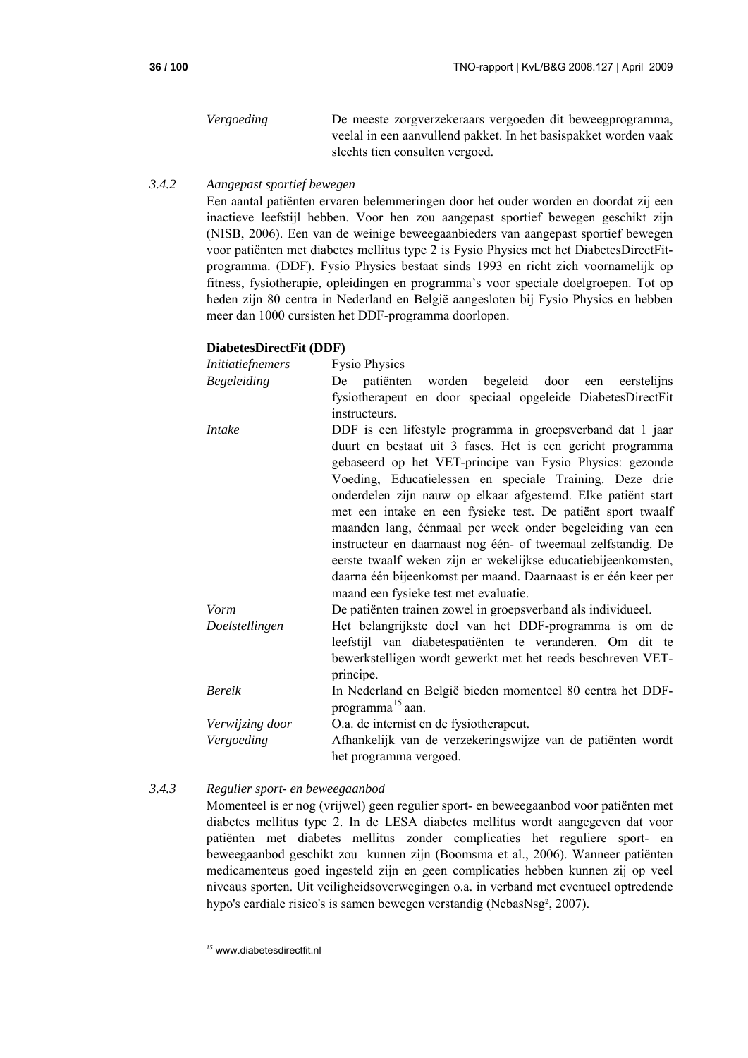| Vergoeding | De meeste zorgverzekeraars vergoeden dit beweegprogramma,       |
|------------|-----------------------------------------------------------------|
|            | veelal in een aanvullend pakket. In het basispakket worden vaak |
|            | slechts tien consulten vergoed.                                 |

## *3.4.2 Aangepast sportief bewegen*

Een aantal patiënten ervaren belemmeringen door het ouder worden en doordat zij een inactieve leefstijl hebben. Voor hen zou aangepast sportief bewegen geschikt zijn (NISB, 2006). Een van de weinige beweegaanbieders van aangepast sportief bewegen voor patiënten met diabetes mellitus type 2 is Fysio Physics met het DiabetesDirectFitprogramma. (DDF). Fysio Physics bestaat sinds 1993 en richt zich voornamelijk op fitness, fysiotherapie, opleidingen en programma's voor speciale doelgroepen. Tot op heden zijn 80 centra in Nederland en België aangesloten bij Fysio Physics en hebben meer dan 1000 cursisten het DDF-programma doorlopen.

## **DiabetesDirectFit (DDF)**

| <i>Initiatiefnemers</i>       | <b>Fysio Physics</b>                                                                                                                                                                                                                                                                                                                                                                                                                                                                                                                                                                                                                                                                    |
|-------------------------------|-----------------------------------------------------------------------------------------------------------------------------------------------------------------------------------------------------------------------------------------------------------------------------------------------------------------------------------------------------------------------------------------------------------------------------------------------------------------------------------------------------------------------------------------------------------------------------------------------------------------------------------------------------------------------------------------|
| <b>Begeleiding</b>            | De patiënten worden begeleid door een eerstelijns<br>fysiotherapeut en door speciaal opgeleide DiabetesDirectFit<br>instructeurs.                                                                                                                                                                                                                                                                                                                                                                                                                                                                                                                                                       |
| <i>Intake</i>                 | DDF is een lifestyle programma in groepsverband dat 1 jaar<br>duurt en bestaat uit 3 fases. Het is een gericht programma<br>gebaseerd op het VET-principe van Fysio Physics: gezonde<br>Voeding, Educatielessen en speciale Training. Deze drie<br>onderdelen zijn nauw op elkaar afgestemd. Elke patiënt start<br>met een intake en een fysieke test. De patiënt sport twaalf<br>maanden lang, éénmaal per week onder begeleiding van een<br>instructeur en daarnaast nog één- of tweemaal zelfstandig. De<br>eerste twaalf weken zijn er wekelijkse educatiebijeenkomsten,<br>daarna één bijeenkomst per maand. Daarnaast is er één keer per<br>maand een fysieke test met evaluatie. |
| Vorm                          | De patiënten trainen zowel in groepsverband als individueel.                                                                                                                                                                                                                                                                                                                                                                                                                                                                                                                                                                                                                            |
| Doelstellingen                | Het belangrijkste doel van het DDF-programma is om de<br>leefstijl van diabetespatiënten te veranderen. Om dit te<br>bewerkstelligen wordt gewerkt met het reeds beschreven VET-<br>principe.                                                                                                                                                                                                                                                                                                                                                                                                                                                                                           |
| <b>Bereik</b>                 | In Nederland en België bieden momenteel 80 centra het DDF-<br>programma <sup>15</sup> aan.                                                                                                                                                                                                                                                                                                                                                                                                                                                                                                                                                                                              |
| Verwijzing door<br>Vergoeding | O.a. de internist en de fysiotherapeut.<br>Afhankelijk van de verzekeringswijze van de patiënten wordt<br>het programma vergoed.                                                                                                                                                                                                                                                                                                                                                                                                                                                                                                                                                        |

## *3.4.3 Regulier sport- en beweegaanbod*

Momenteel is er nog (vrijwel) geen regulier sport- en beweegaanbod voor patiënten met diabetes mellitus type 2. In de LESA diabetes mellitus wordt aangegeven dat voor patiënten met diabetes mellitus zonder complicaties het reguliere sport- en beweegaanbod geschikt zou kunnen zijn (Boomsma et al., 2006). Wanneer patiënten medicamenteus goed ingesteld zijn en geen complicaties hebben kunnen zij op veel niveaus sporten. Uit veiligheidsoverwegingen o.a. in verband met eventueel optredende hypo's cardiale risico's is samen bewegen verstandig (NebasNsg<sup>2</sup>, 2007).

 $\overline{a}$ 

<span id="page-35-0"></span>*<sup>15</sup>* www.diabetesdirectfit.nl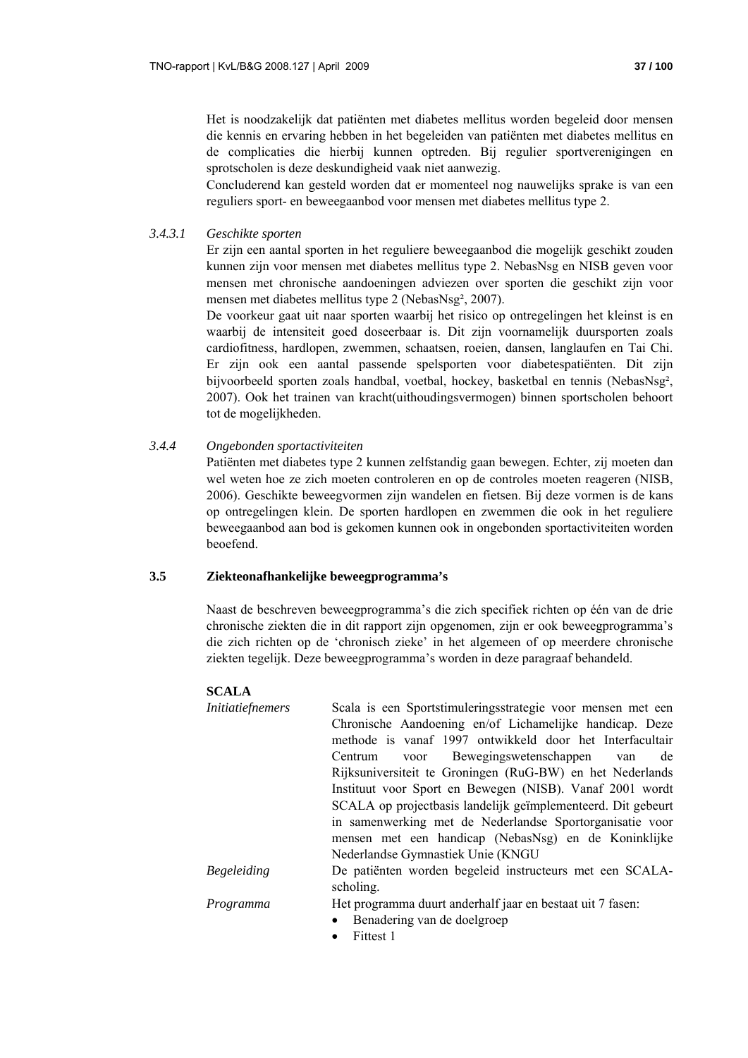Het is noodzakelijk dat patiënten met diabetes mellitus worden begeleid door mensen die kennis en ervaring hebben in het begeleiden van patiënten met diabetes mellitus en de complicaties die hierbij kunnen optreden. Bij regulier sportverenigingen en sprotscholen is deze deskundigheid vaak niet aanwezig.

Concluderend kan gesteld worden dat er momenteel nog nauwelijks sprake is van een reguliers sport- en beweegaanbod voor mensen met diabetes mellitus type 2.

# *3.4.3.1 Geschikte sporten*

Er zijn een aantal sporten in het reguliere beweegaanbod die mogelijk geschikt zouden kunnen zijn voor mensen met diabetes mellitus type 2. NebasNsg en NISB geven voor mensen met chronische aandoeningen adviezen over sporten die geschikt zijn voor mensen met diabetes mellitus type 2 (NebasNsg², 2007).

De voorkeur gaat uit naar sporten waarbij het risico op ontregelingen het kleinst is en waarbij de intensiteit goed doseerbaar is. Dit zijn voornamelijk duursporten zoals cardiofitness, hardlopen, zwemmen, schaatsen, roeien, dansen, langlaufen en Tai Chi. Er zijn ook een aantal passende spelsporten voor diabetespatiënten. Dit zijn bijvoorbeeld sporten zoals handbal, voetbal, hockey, basketbal en tennis (NebasNsg², 2007). Ook het trainen van kracht(uithoudingsvermogen) binnen sportscholen behoort tot de mogelijkheden.

# *3.4.4 Ongebonden sportactiviteiten*

Patiënten met diabetes type 2 kunnen zelfstandig gaan bewegen. Echter, zij moeten dan wel weten hoe ze zich moeten controleren en op de controles moeten reageren (NISB, 2006). Geschikte beweegvormen zijn wandelen en fietsen. Bij deze vormen is de kans op ontregelingen klein. De sporten hardlopen en zwemmen die ook in het reguliere beweegaanbod aan bod is gekomen kunnen ook in ongebonden sportactiviteiten worden beoefend.

# **3.5 Ziekteonafhankelijke beweegprogramma's**

Naast de beschreven beweegprogramma's die zich specifiek richten op één van de drie chronische ziekten die in dit rapport zijn opgenomen, zijn er ook beweegprogramma's die zich richten op de 'chronisch zieke' in het algemeen of op meerdere chronische ziekten tegelijk. Deze beweegprogramma's worden in deze paragraaf behandeld.

#### **SCALA**

| <i>Initiatiefnemers</i> | Scala is een Sportstimuleringsstrategie voor mensen met een                                                      |  |  |  |
|-------------------------|------------------------------------------------------------------------------------------------------------------|--|--|--|
|                         | Chronische Aandoening en/of Lichamelijke handicap. Deze                                                          |  |  |  |
|                         | methode is vanaf 1997 ontwikkeld door het Interfacultair                                                         |  |  |  |
|                         | voor Bewegingswetenschappen<br>de<br>Centrum<br>van                                                              |  |  |  |
|                         | Rijksuniversiteit te Groningen (RuG-BW) en het Nederlands                                                        |  |  |  |
|                         | Instituut voor Sport en Bewegen (NISB). Vanaf 2001 wordt                                                         |  |  |  |
|                         | SCALA op projectbasis landelijk geïmplementeerd. Dit gebeurt                                                     |  |  |  |
|                         | in samenwerking met de Nederlandse Sportorganisatie voor<br>mensen met een handicap (NebasNsg) en de Koninklijke |  |  |  |
|                         |                                                                                                                  |  |  |  |
|                         | Nederlandse Gymnastiek Unie (KNGU                                                                                |  |  |  |
| <b>Begeleiding</b>      | De patiënten worden begeleid instructeurs met een SCALA-<br>scholing.                                            |  |  |  |
|                         | Het programma duurt anderhalf jaar en bestaat uit 7 fasen:                                                       |  |  |  |
| Programma               |                                                                                                                  |  |  |  |
|                         | Benadering van de doelgroep                                                                                      |  |  |  |

• Fittest 1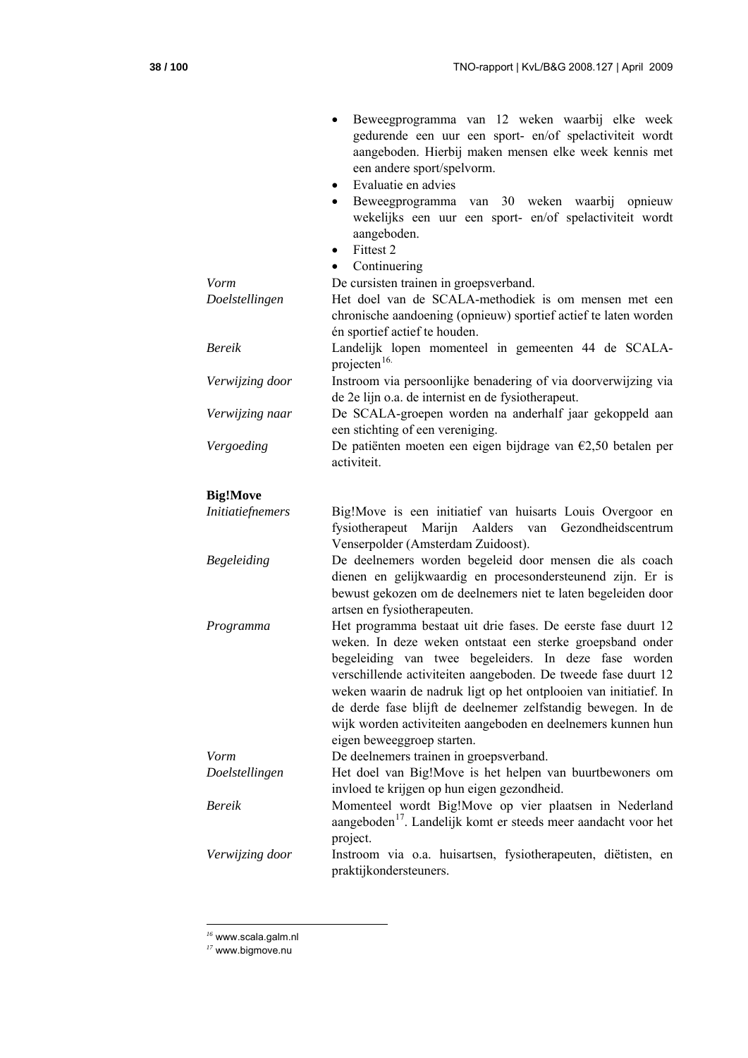|                         | Beweegprogramma van 12 weken waarbij elke week                                          |  |  |
|-------------------------|-----------------------------------------------------------------------------------------|--|--|
|                         | gedurende een uur een sport- en/of spelactiviteit wordt                                 |  |  |
|                         | aangeboden. Hierbij maken mensen elke week kennis met                                   |  |  |
|                         | een andere sport/spelvorm.                                                              |  |  |
|                         | Evaluatie en advies<br>$\bullet$                                                        |  |  |
|                         | Beweegprogramma van 30 weken waarbij<br>opnieuw<br>٠                                    |  |  |
|                         | wekelijks een uur een sport- en/of spelactiviteit wordt                                 |  |  |
|                         | aangeboden.                                                                             |  |  |
|                         | Fittest 2<br>٠                                                                          |  |  |
|                         | Continuering                                                                            |  |  |
| Vorm                    | De cursisten trainen in groepsverband.                                                  |  |  |
| Doelstellingen          | Het doel van de SCALA-methodiek is om mensen met een                                    |  |  |
|                         | chronische aandoening (opnieuw) sportief actief te laten worden                         |  |  |
|                         | én sportief actief te houden.                                                           |  |  |
| <b>Bereik</b>           | Landelijk lopen momenteel in gemeenten 44 de SCALA-                                     |  |  |
|                         | projecten <sup>16.</sup>                                                                |  |  |
| Verwijzing door         | Instroom via persoonlijke benadering of via doorverwijzing via                          |  |  |
|                         | de 2e lijn o.a. de internist en de fysiotherapeut.                                      |  |  |
| Verwijzing naar         | De SCALA-groepen worden na anderhalf jaar gekoppeld aan                                 |  |  |
|                         | een stichting of een vereniging.                                                        |  |  |
| Vergoeding              | De patiënten moeten een eigen bijdrage van $E2,50$ betalen per                          |  |  |
|                         | activiteit.                                                                             |  |  |
|                         |                                                                                         |  |  |
| <b>Big!Move</b>         |                                                                                         |  |  |
|                         |                                                                                         |  |  |
|                         |                                                                                         |  |  |
| <i>Initiatiefnemers</i> | Big!Move is een initiatief van huisarts Louis Overgoor en                               |  |  |
|                         | fysiotherapeut Marijn Aalders van<br>Gezondheidscentrum                                 |  |  |
|                         | Venserpolder (Amsterdam Zuidoost).                                                      |  |  |
| <b>Begeleiding</b>      | De deelnemers worden begeleid door mensen die als coach                                 |  |  |
|                         | dienen en gelijkwaardig en procesondersteunend zijn. Er is                              |  |  |
|                         | bewust gekozen om de deelnemers niet te laten begeleiden door                           |  |  |
|                         | artsen en fysiotherapeuten.                                                             |  |  |
| Programma               | Het programma bestaat uit drie fases. De eerste fase duurt 12                           |  |  |
|                         | weken. In deze weken ontstaat een sterke groepsband onder                               |  |  |
|                         | begeleiding van twee begeleiders. In deze fase worden                                   |  |  |
|                         | verschillende activiteiten aangeboden. De tweede fase duurt 12                          |  |  |
|                         | weken waarin de nadruk ligt op het ontplooien van initiatief. In                        |  |  |
|                         | de derde fase blijft de deelnemer zelfstandig bewegen. In de                            |  |  |
|                         | wijk worden activiteiten aangeboden en deelnemers kunnen hun                            |  |  |
|                         | eigen beweeggroep starten.                                                              |  |  |
| Vorm                    | De deelnemers trainen in groepsverband.                                                 |  |  |
| Doelstellingen          | Het doel van Big!Move is het helpen van buurtbewoners om                                |  |  |
|                         | invloed te krijgen op hun eigen gezondheid.                                             |  |  |
| <b>Bereik</b>           | Momenteel wordt Big!Move op vier plaatsen in Nederland                                  |  |  |
|                         | aangeboden <sup>17</sup> . Landelijk komt er steeds meer aandacht voor het              |  |  |
|                         | project.                                                                                |  |  |
| Verwijzing door         | Instroom via o.a. huisartsen, fysiotherapeuten, diëtisten, en<br>praktijkondersteuners. |  |  |

*<sup>16</sup>* www.scala.galm.nl

 $\overline{a}$ 

<span id="page-37-1"></span><span id="page-37-0"></span>*<sup>17</sup>* www.bigmove.nu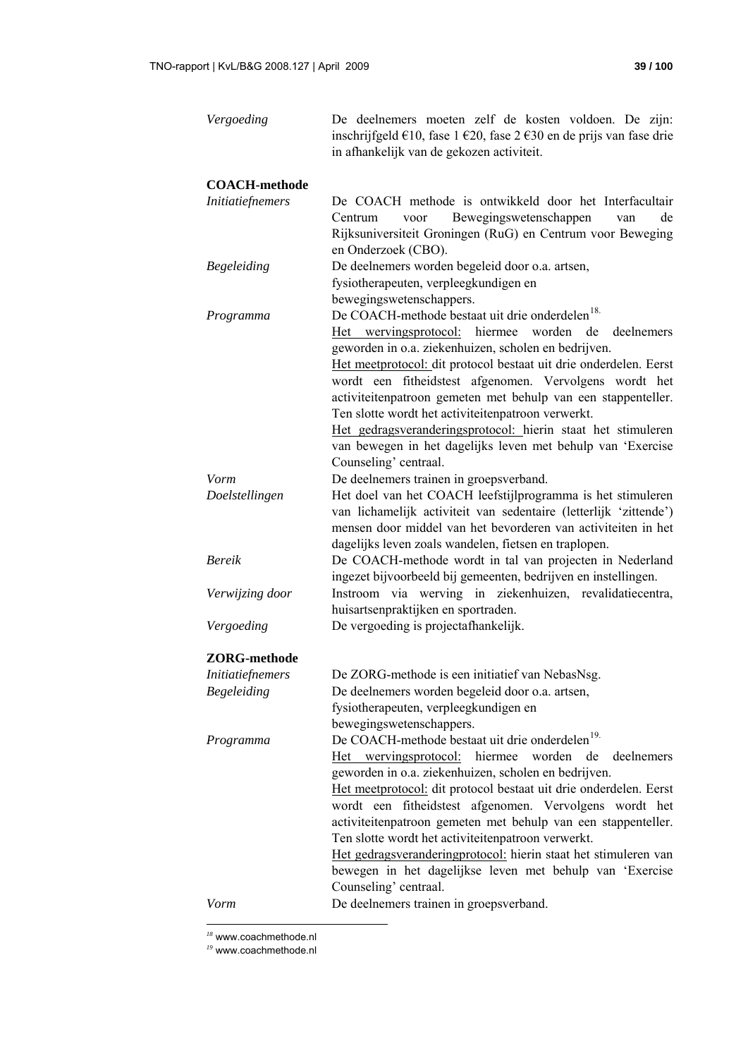| Vergoeding              | De deelnemers moeten zelf de kosten voldoen. De zijn:<br>inschrijfgeld €10, fase 1 €20, fase 2 €30 en de prijs van fase drie<br>in afhankelijk van de gekozen activiteit.                                                                                                                                                                                                                                                                                                                                                                                                                           |
|-------------------------|-----------------------------------------------------------------------------------------------------------------------------------------------------------------------------------------------------------------------------------------------------------------------------------------------------------------------------------------------------------------------------------------------------------------------------------------------------------------------------------------------------------------------------------------------------------------------------------------------------|
| <b>COACH-methode</b>    |                                                                                                                                                                                                                                                                                                                                                                                                                                                                                                                                                                                                     |
| Initiatiefnemers        | De COACH methode is ontwikkeld door het Interfacultair<br>Bewegingswetenschappen<br>de<br>Centrum<br>voor<br>van<br>Rijksuniversiteit Groningen (RuG) en Centrum voor Beweging<br>en Onderzoek (CBO).                                                                                                                                                                                                                                                                                                                                                                                               |
| <b>Begeleiding</b>      | De deelnemers worden begeleid door o.a. artsen,<br>fysiotherapeuten, verpleegkundigen en<br>bewegingswetenschappers.                                                                                                                                                                                                                                                                                                                                                                                                                                                                                |
| Programma               | De COACH-methode bestaat uit drie onderdelen <sup>18.</sup><br>Het wervingsprotocol: hiermee<br>worden<br>de<br>deelnemers<br>geworden in o.a. ziekenhuizen, scholen en bedrijven.<br>Het meetprotocol: dit protocol bestaat uit drie onderdelen. Eerst<br>wordt een fitheidstest afgenomen. Vervolgens wordt het<br>activiteitenpatroon gemeten met behulp van een stappenteller.<br>Ten slotte wordt het activiteitenpatroon verwerkt.<br>Het gedragsveranderingsprotocol: hierin staat het stimuleren<br>van bewegen in het dagelijks leven met behulp van 'Exercise<br>Counseling' centraal.    |
| Vorm                    | De deelnemers trainen in groepsverband.                                                                                                                                                                                                                                                                                                                                                                                                                                                                                                                                                             |
| Doelstellingen          | Het doel van het COACH leefstijlprogramma is het stimuleren<br>van lichamelijk activiteit van sedentaire (letterlijk 'zittende')<br>mensen door middel van het bevorderen van activiteiten in het<br>dagelijks leven zoals wandelen, fietsen en traplopen.                                                                                                                                                                                                                                                                                                                                          |
| <b>Bereik</b>           | De COACH-methode wordt in tal van projecten in Nederland<br>ingezet bijvoorbeeld bij gemeenten, bedrijven en instellingen.                                                                                                                                                                                                                                                                                                                                                                                                                                                                          |
| Verwijzing door         | Instroom via werving in ziekenhuizen, revalidatiecentra,<br>huisartsenpraktijken en sportraden.                                                                                                                                                                                                                                                                                                                                                                                                                                                                                                     |
| Vergoeding              | De vergoeding is projectafhankelijk.                                                                                                                                                                                                                                                                                                                                                                                                                                                                                                                                                                |
| <b>ZORG-methode</b>     |                                                                                                                                                                                                                                                                                                                                                                                                                                                                                                                                                                                                     |
| <b>Initiatiefnemers</b> | De ZORG-methode is een initiatief van NebasNsg.                                                                                                                                                                                                                                                                                                                                                                                                                                                                                                                                                     |
| <b>Begeleiding</b>      | De deelnemers worden begeleid door o.a. artsen,<br>fysiotherapeuten, verpleegkundigen en<br>bewegingswetenschappers.                                                                                                                                                                                                                                                                                                                                                                                                                                                                                |
| Programma               | De COACH-methode bestaat uit drie onderdelen <sup>19.</sup><br>hiermee<br>Het wervingsprotocol:<br>worden<br>de<br>deelnemers<br>geworden in o.a. ziekenhuizen, scholen en bedrijven.<br>Het meetprotocol: dit protocol bestaat uit drie onderdelen. Eerst<br>wordt een fitheidstest afgenomen. Vervolgens wordt het<br>activiteitenpatroon gemeten met behulp van een stappenteller.<br>Ten slotte wordt het activiteitenpatroon verwerkt.<br>Het gedragsveranderingprotocol: hierin staat het stimuleren van<br>bewegen in het dagelijkse leven met behulp van 'Exercise<br>Counseling' centraal. |
| Vorm                    | De deelnemers trainen in groepsverband.                                                                                                                                                                                                                                                                                                                                                                                                                                                                                                                                                             |
|                         |                                                                                                                                                                                                                                                                                                                                                                                                                                                                                                                                                                                                     |

*<sup>18</sup>* www.coachmethode.nl

<span id="page-38-1"></span><span id="page-38-0"></span>*<sup>19</sup>* www.coachmethode.nl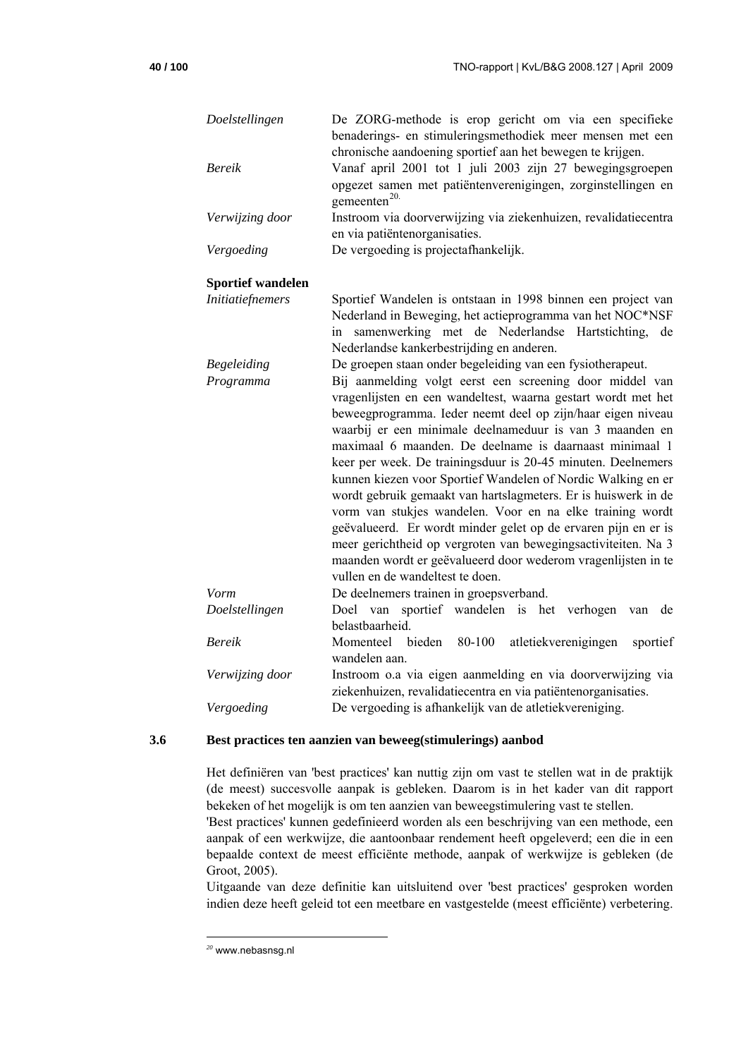| Doelstellingen           | De ZORG-methode is erop gericht om via een specifieke<br>benaderings- en stimuleringsmethodiek meer mensen met een<br>chronische aandoening sportief aan het bewegen te krijgen.                                                                                                                                                                                                                                                                                                                                                                                                                                                                                                                                                                                                                                       |  |  |
|--------------------------|------------------------------------------------------------------------------------------------------------------------------------------------------------------------------------------------------------------------------------------------------------------------------------------------------------------------------------------------------------------------------------------------------------------------------------------------------------------------------------------------------------------------------------------------------------------------------------------------------------------------------------------------------------------------------------------------------------------------------------------------------------------------------------------------------------------------|--|--|
| <b>Bereik</b>            | Vanaf april 2001 tot 1 juli 2003 zijn 27 bewegingsgroepen<br>opgezet samen met patiëntenverenigingen, zorginstellingen en<br>gemeenten <sup>20.</sup>                                                                                                                                                                                                                                                                                                                                                                                                                                                                                                                                                                                                                                                                  |  |  |
| Verwijzing door          | Instroom via doorverwijzing via ziekenhuizen, revalidatiecentra<br>en via patiëntenorganisaties.                                                                                                                                                                                                                                                                                                                                                                                                                                                                                                                                                                                                                                                                                                                       |  |  |
| Vergoeding               | De vergoeding is projectafhankelijk.                                                                                                                                                                                                                                                                                                                                                                                                                                                                                                                                                                                                                                                                                                                                                                                   |  |  |
| <b>Sportief wandelen</b> |                                                                                                                                                                                                                                                                                                                                                                                                                                                                                                                                                                                                                                                                                                                                                                                                                        |  |  |
| <i>Initiatiefnemers</i>  | Sportief Wandelen is ontstaan in 1998 binnen een project van<br>Nederland in Beweging, het actieprogramma van het NOC*NSF<br>samenwerking met de Nederlandse Hartstichting, de<br>in<br>Nederlandse kankerbestrijding en anderen.                                                                                                                                                                                                                                                                                                                                                                                                                                                                                                                                                                                      |  |  |
| <b>Begeleiding</b>       | De groepen staan onder begeleiding van een fysiotherapeut.                                                                                                                                                                                                                                                                                                                                                                                                                                                                                                                                                                                                                                                                                                                                                             |  |  |
| Programma                | Bij aanmelding volgt eerst een screening door middel van<br>vragenlijsten en een wandeltest, waarna gestart wordt met het<br>beweegprogramma. Ieder neemt deel op zijn/haar eigen niveau<br>waarbij er een minimale deelnameduur is van 3 maanden en<br>maximaal 6 maanden. De deelname is daarnaast minimaal 1<br>keer per week. De trainingsduur is 20-45 minuten. Deelnemers<br>kunnen kiezen voor Sportief Wandelen of Nordic Walking en er<br>wordt gebruik gemaakt van hartslagmeters. Er is huiswerk in de<br>vorm van stukjes wandelen. Voor en na elke training wordt<br>geëvalueerd. Er wordt minder gelet op de ervaren pijn en er is<br>meer gerichtheid op vergroten van bewegingsactiviteiten. Na 3<br>maanden wordt er geëvalueerd door wederom vragenlijsten in te<br>vullen en de wandeltest te doen. |  |  |
| Vorm                     | De deelnemers trainen in groepsverband.                                                                                                                                                                                                                                                                                                                                                                                                                                                                                                                                                                                                                                                                                                                                                                                |  |  |
| Doelstellingen           | sportief wandelen is het<br>Doel van<br>verhogen<br>de<br>van<br>belastbaarheid.                                                                                                                                                                                                                                                                                                                                                                                                                                                                                                                                                                                                                                                                                                                                       |  |  |
| <b>Bereik</b>            | Momenteel<br>atletiekverenigingen<br>bieden<br>80-100<br>sportief<br>wandelen aan.                                                                                                                                                                                                                                                                                                                                                                                                                                                                                                                                                                                                                                                                                                                                     |  |  |
| Verwijzing door          | Instroom o.a via eigen aanmelding en via doorverwijzing via<br>ziekenhuizen, revalidatiecentra en via patiëntenorganisaties.                                                                                                                                                                                                                                                                                                                                                                                                                                                                                                                                                                                                                                                                                           |  |  |
| Vergoeding               | De vergoeding is afhankelijk van de atletiekvereniging.                                                                                                                                                                                                                                                                                                                                                                                                                                                                                                                                                                                                                                                                                                                                                                |  |  |

## **3.6 Best practices ten aanzien van beweeg(stimulerings) aanbod**

Het definiëren van 'best practices' kan nuttig zijn om vast te stellen wat in de praktijk (de meest) succesvolle aanpak is gebleken. Daarom is in het kader van dit rapport bekeken of het mogelijk is om ten aanzien van beweegstimulering vast te stellen.

'Best practices' kunnen gedefinieerd worden als een beschrijving van een methode, een aanpak of een werkwijze, die aantoonbaar rendement heeft opgeleverd; een die in een bepaalde context de meest efficiënte methode, aanpak of werkwijze is gebleken (de Groot, 2005).

Uitgaande van deze definitie kan uitsluitend over 'best practices' gesproken worden indien deze heeft geleid tot een meetbare en vastgestelde (meest efficiënte) verbetering.

 $\overline{a}$ 

<span id="page-39-0"></span>*<sup>20</sup>* www.nebasnsg.nl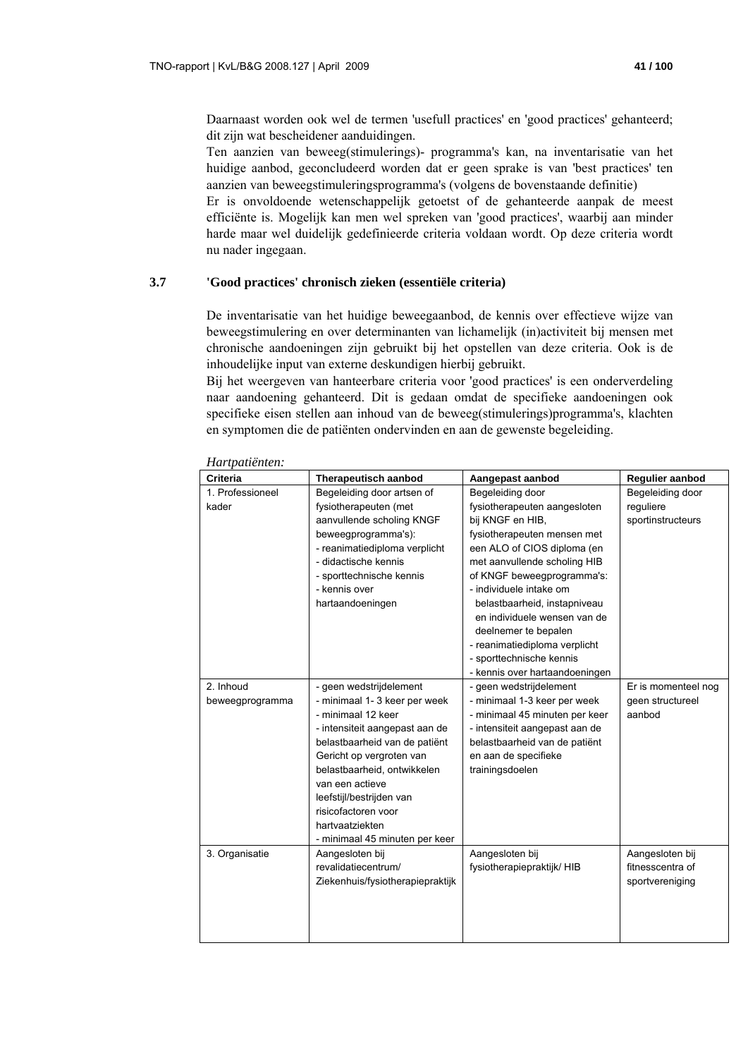Daarnaast worden ook wel de termen 'usefull practices' en 'good practices' gehanteerd; dit zijn wat bescheidener aanduidingen.

Ten aanzien van beweeg(stimulerings)- programma's kan, na inventarisatie van het huidige aanbod, geconcludeerd worden dat er geen sprake is van 'best practices' ten aanzien van beweegstimuleringsprogramma's (volgens de bovenstaande definitie)

Er is onvoldoende wetenschappelijk getoetst of de gehanteerde aanpak de meest efficiënte is. Mogelijk kan men wel spreken van 'good practices', waarbij aan minder harde maar wel duidelijk gedefinieerde criteria voldaan wordt. Op deze criteria wordt nu nader ingegaan.

# **3.7 'Good practices' chronisch zieken (essentiële criteria)**

De inventarisatie van het huidige beweegaanbod, de kennis over effectieve wijze van beweegstimulering en over determinanten van lichamelijk (in)activiteit bij mensen met chronische aandoeningen zijn gebruikt bij het opstellen van deze criteria. Ook is de inhoudelijke input van externe deskundigen hierbij gebruikt.

Bij het weergeven van hanteerbare criteria voor 'good practices' is een onderverdeling naar aandoening gehanteerd. Dit is gedaan omdat de specifieke aandoeningen ook specifieke eisen stellen aan inhoud van de beweeg(stimulerings)programma's, klachten en symptomen die de patiënten ondervinden en aan de gewenste begeleiding.

| Begeleiding door artsen of<br>Begeleiding door<br>1. Professioneel<br>Begeleiding door<br>fysiotherapeuten (met<br>fysiotherapeuten aangesloten<br>reguliere<br>kader<br>aanvullende scholing KNGF<br>bij KNGF en HIB,<br>sportinstructeurs<br>beweeqprogramma's):<br>fysiotherapeuten mensen met<br>- reanimatiediploma verplicht<br>een ALO of CIOS diploma (en<br>- didactische kennis<br>met aanvullende scholing HIB<br>of KNGF beweegprogramma's:<br>- sporttechnische kennis<br>- kennis over<br>- individuele intake om | <b>Criteria</b> | <b>Therapeutisch aanbod</b> | Aangepast aanbod             | Regulier aanbod |
|---------------------------------------------------------------------------------------------------------------------------------------------------------------------------------------------------------------------------------------------------------------------------------------------------------------------------------------------------------------------------------------------------------------------------------------------------------------------------------------------------------------------------------|-----------------|-----------------------------|------------------------------|-----------------|
|                                                                                                                                                                                                                                                                                                                                                                                                                                                                                                                                 |                 |                             |                              |                 |
|                                                                                                                                                                                                                                                                                                                                                                                                                                                                                                                                 |                 |                             |                              |                 |
|                                                                                                                                                                                                                                                                                                                                                                                                                                                                                                                                 |                 |                             |                              |                 |
|                                                                                                                                                                                                                                                                                                                                                                                                                                                                                                                                 |                 |                             |                              |                 |
|                                                                                                                                                                                                                                                                                                                                                                                                                                                                                                                                 |                 |                             |                              |                 |
|                                                                                                                                                                                                                                                                                                                                                                                                                                                                                                                                 |                 |                             |                              |                 |
|                                                                                                                                                                                                                                                                                                                                                                                                                                                                                                                                 |                 |                             |                              |                 |
|                                                                                                                                                                                                                                                                                                                                                                                                                                                                                                                                 |                 |                             |                              |                 |
| hartaandoeningen                                                                                                                                                                                                                                                                                                                                                                                                                                                                                                                |                 |                             | belastbaarheid, instapniveau |                 |
| en individuele wensen van de                                                                                                                                                                                                                                                                                                                                                                                                                                                                                                    |                 |                             |                              |                 |
| deelnemer te bepalen                                                                                                                                                                                                                                                                                                                                                                                                                                                                                                            |                 |                             |                              |                 |
| - reanimatiediploma verplicht                                                                                                                                                                                                                                                                                                                                                                                                                                                                                                   |                 |                             |                              |                 |
| - sporttechnische kennis                                                                                                                                                                                                                                                                                                                                                                                                                                                                                                        |                 |                             |                              |                 |
| - kennis over hartaandoeningen                                                                                                                                                                                                                                                                                                                                                                                                                                                                                                  |                 |                             |                              |                 |
| 2. Inhoud<br>- geen wedstrijdelement<br>- geen wedstrijdelement<br>Er is momenteel nog                                                                                                                                                                                                                                                                                                                                                                                                                                          |                 |                             |                              |                 |
| - minimaal 1- 3 keer per week<br>- minimaal 1-3 keer per week<br>geen structureel<br>beweegprogramma                                                                                                                                                                                                                                                                                                                                                                                                                            |                 |                             |                              |                 |
| - minimaal 12 keer<br>- minimaal 45 minuten per keer<br>aanbod                                                                                                                                                                                                                                                                                                                                                                                                                                                                  |                 |                             |                              |                 |
| - intensiteit aangepast aan de<br>- intensiteit aangepast aan de                                                                                                                                                                                                                                                                                                                                                                                                                                                                |                 |                             |                              |                 |
| belastbaarheid van de patiënt<br>belastbaarheid van de patiënt                                                                                                                                                                                                                                                                                                                                                                                                                                                                  |                 |                             |                              |                 |
| Gericht op vergroten van<br>en aan de specifieke                                                                                                                                                                                                                                                                                                                                                                                                                                                                                |                 |                             |                              |                 |
| belastbaarheid, ontwikkelen<br>trainingsdoelen                                                                                                                                                                                                                                                                                                                                                                                                                                                                                  |                 |                             |                              |                 |
| van een actieve                                                                                                                                                                                                                                                                                                                                                                                                                                                                                                                 |                 |                             |                              |                 |
| leefstijl/bestrijden van                                                                                                                                                                                                                                                                                                                                                                                                                                                                                                        |                 |                             |                              |                 |
| risicofactoren voor                                                                                                                                                                                                                                                                                                                                                                                                                                                                                                             |                 |                             |                              |                 |
| hartvaatziekten                                                                                                                                                                                                                                                                                                                                                                                                                                                                                                                 |                 |                             |                              |                 |
| - minimaal 45 minuten per keer                                                                                                                                                                                                                                                                                                                                                                                                                                                                                                  |                 |                             |                              |                 |
| 3. Organisatie<br>Aangesloten bij<br>Aangesloten bij<br>Aangesloten bij                                                                                                                                                                                                                                                                                                                                                                                                                                                         |                 |                             |                              |                 |
| revalidatiecentrum/<br>fysiotherapiepraktijk/HIB<br>fitnesscentra of                                                                                                                                                                                                                                                                                                                                                                                                                                                            |                 |                             |                              |                 |
| Ziekenhuis/fysiotherapiepraktijk<br>sportvereniging                                                                                                                                                                                                                                                                                                                                                                                                                                                                             |                 |                             |                              |                 |
|                                                                                                                                                                                                                                                                                                                                                                                                                                                                                                                                 |                 |                             |                              |                 |
|                                                                                                                                                                                                                                                                                                                                                                                                                                                                                                                                 |                 |                             |                              |                 |
|                                                                                                                                                                                                                                                                                                                                                                                                                                                                                                                                 |                 |                             |                              |                 |

*Hartpatiënten:*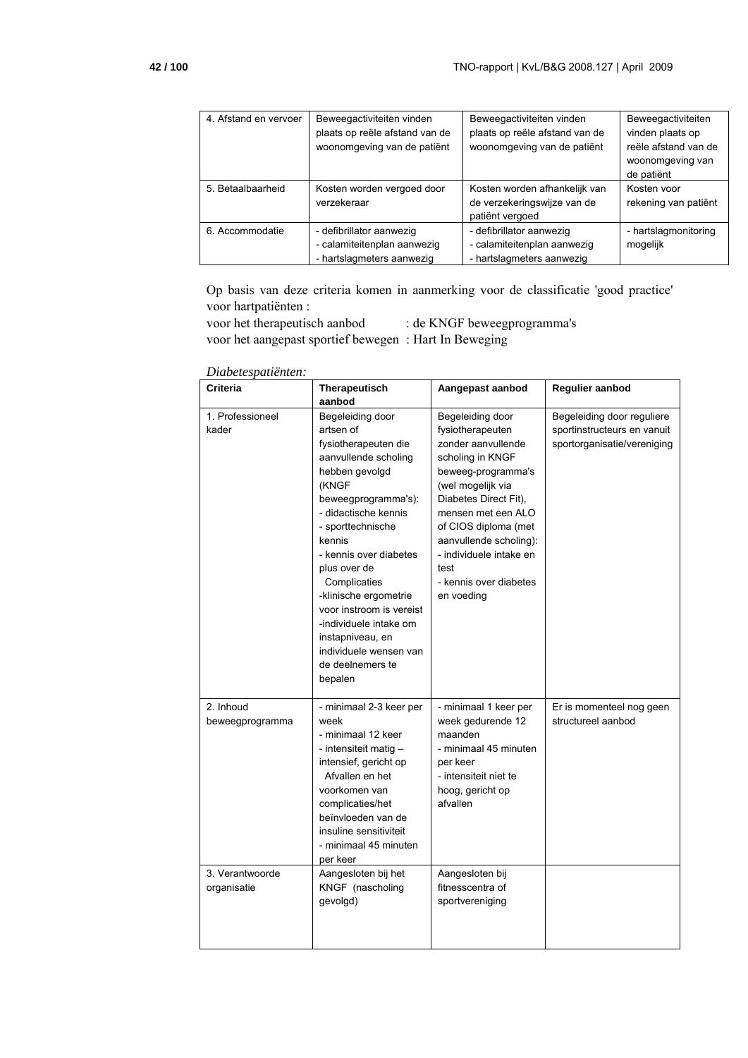| 4. Afstand en vervoer | Beweegactiviteiten vinden                                     | Beweegactiviteiten vinden                                     | Beweegactiviteiten                       |
|-----------------------|---------------------------------------------------------------|---------------------------------------------------------------|------------------------------------------|
|                       | plaats op reële afstand van de<br>woonomgeving van de patiënt | plaats op reële afstand van de<br>woonomgeving van de patiënt | vinden plaats op<br>reële afstand van de |
|                       |                                                               |                                                               | woonomgeving van<br>de patiënt           |
| 5. Betaalbaarheid     | Kosten worden vergoed door                                    | Kosten worden afhankelijk van                                 | Kosten voor                              |
|                       | verzekeraar                                                   | de verzekeringswijze van de                                   | rekening van patiënt                     |
|                       |                                                               | patiënt vergoed                                               |                                          |
| 6. Accommodatie       | - defibrillator aanwezig                                      | - defibrillator aanwezig                                      | - hartslagmonitoring                     |
|                       | - calamiteitenplan aanwezig                                   | - calamiteitenplan aanwezig                                   | mogelijk                                 |
|                       | - hartslagmeters aanwezig                                     | - hartslagmeters aanwezig                                     |                                          |

Op basis van deze criteria komen in aanmerking voor de classificatie 'good practice' voor hartpatiënten :

voor het therapeutisch aanbod : de KNGF beweegprogramma's voor het aangepast sportief bewegen : Hart In Beweging

| Criteria                                                       | Therapeutisch                                                                                                                                                                                                                                                                                                                                                                                                | Aangepast aanbod                                                                                                                                                                                                                                                                                      | Regulier aanbod                                                                          |
|----------------------------------------------------------------|--------------------------------------------------------------------------------------------------------------------------------------------------------------------------------------------------------------------------------------------------------------------------------------------------------------------------------------------------------------------------------------------------------------|-------------------------------------------------------------------------------------------------------------------------------------------------------------------------------------------------------------------------------------------------------------------------------------------------------|------------------------------------------------------------------------------------------|
|                                                                | aanbod                                                                                                                                                                                                                                                                                                                                                                                                       |                                                                                                                                                                                                                                                                                                       |                                                                                          |
| 1. Professioneel<br>kader                                      | Begeleiding door<br>artsen of<br>fysiotherapeuten die<br>aanvullende scholing<br>hebben gevolgd<br>(KNGF<br>beweegprogramma's):<br>- didactische kennis<br>- sporttechnische<br>kennis<br>- kennis over diabetes<br>plus over de<br>Complicaties<br>-klinische ergometrie<br>voor instroom is vereist<br>-individuele intake om<br>instapniveau, en<br>individuele wensen van<br>de deelnemers te<br>bepalen | Begeleiding door<br>fysiotherapeuten<br>zonder aanvullende<br>scholing in KNGF<br>beweeg-programma's<br>(wel mogelijk via<br>Diabetes Direct Fit),<br>mensen met een ALO<br>of CIOS diploma (met<br>aanvullende scholing):<br>- individuele intake en<br>test<br>- kennis over diabetes<br>en voeding | Begeleiding door reguliere<br>sportinstructeurs en vanuit<br>sportorganisatie/vereniging |
| 2. Inhoud<br>beweegprogramma<br>3. Verantwoorde<br>organisatie | - minimaal 2-3 keer per<br>week<br>- minimaal 12 keer<br>- intensiteit matig -<br>intensief, gericht op<br>Afvallen en het<br>voorkomen van<br>complicaties/het<br>beïnvloeden van de<br>insuline sensitiviteit<br>- minimaal 45 minuten<br>per keer<br>Aangesloten bij het<br>KNGF (nascholing<br>gevolgd)                                                                                                  | - minimaal 1 keer per<br>week gedurende 12<br>maanden<br>- minimaal 45 minuten<br>per keer<br>- intensiteit niet te<br>hoog, gericht op<br>afvallen<br>Aangesloten bij<br>fitnesscentra of<br>sportvereniging                                                                                         | Er is momenteel nog geen<br>structureel aanbod                                           |
|                                                                |                                                                                                                                                                                                                                                                                                                                                                                                              |                                                                                                                                                                                                                                                                                                       |                                                                                          |

*Diabetespatiënten:*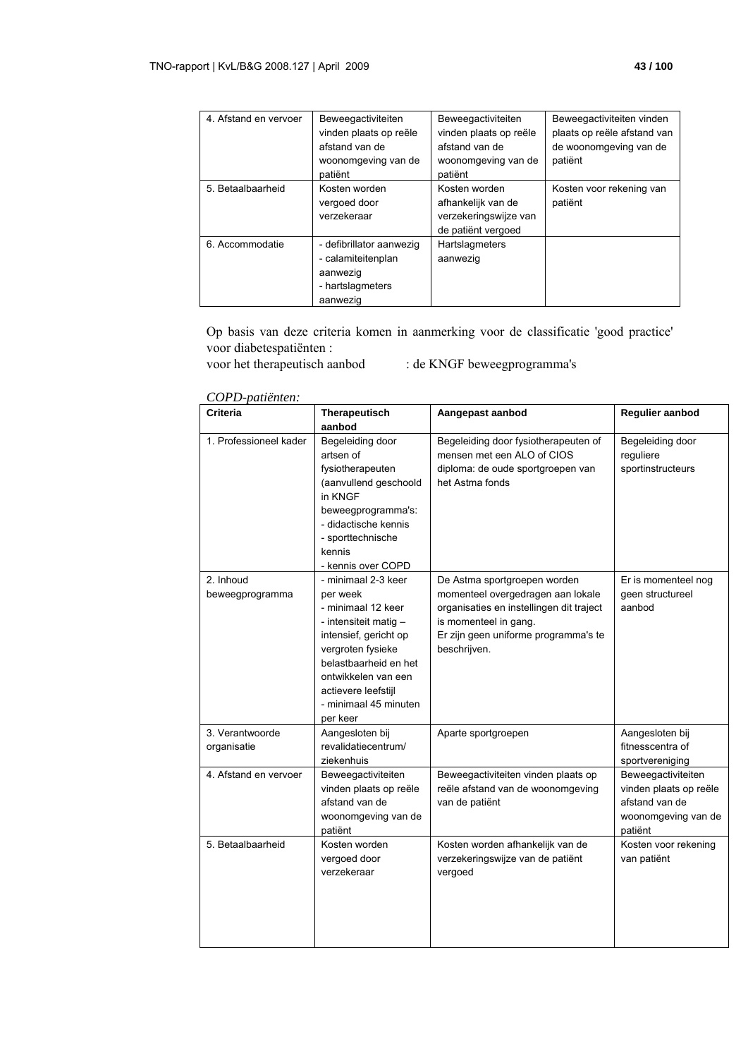| 4. Afstand en vervoer | Beweegactiviteiten<br>vinden plaats op reële<br>afstand van de<br>woonomgeving van de<br>patiënt | Beweegactiviteiten<br>vinden plaats op reële<br>afstand van de<br>woonomgeving van de<br>patiënt | Beweegactiviteiten vinden<br>plaats op reële afstand van<br>de woonomgeving van de<br>patiënt |
|-----------------------|--------------------------------------------------------------------------------------------------|--------------------------------------------------------------------------------------------------|-----------------------------------------------------------------------------------------------|
| 5. Betaalbaarheid     | Kosten worden<br>vergoed door<br>verzekeraar                                                     | Kosten worden<br>afhankelijk van de<br>verzekeringswijze van<br>de patiënt vergoed               | Kosten voor rekening van<br>patiënt                                                           |
| 6. Accommodatie       | - defibrillator aanwezig<br>- calamiteitenplan<br>aanwezig<br>- hartslagmeters<br>aanwezig       | Hartslagmeters<br>aanwezig                                                                       |                                                                                               |

Op basis van deze criteria komen in aanmerking voor de classificatie 'good practice' voor diabetespatiënten :

voor het therapeutisch aanbod : de KNGF beweegprogramma's

*COPD-patiënten:* 

| Criteria                       | Therapeutisch<br>aanbod                                                                                                                                                                                                                  | Aangepast aanbod                                                                                                                                                                               | Regulier aanbod                                                                                  |
|--------------------------------|------------------------------------------------------------------------------------------------------------------------------------------------------------------------------------------------------------------------------------------|------------------------------------------------------------------------------------------------------------------------------------------------------------------------------------------------|--------------------------------------------------------------------------------------------------|
| 1. Professioneel kader         | Begeleiding door<br>artsen of<br>fysiotherapeuten<br>(aanvullend geschoold<br>in KNGF<br>beweegprogramma's:<br>- didactische kennis<br>- sporttechnische<br>kennis<br>- kennis over COPD                                                 | Begeleiding door fysiotherapeuten of<br>mensen met een ALO of CIOS<br>diploma: de oude sportgroepen van<br>het Astma fonds                                                                     | Begeleiding door<br>reguliere<br>sportinstructeurs                                               |
| 2. Inhoud<br>beweegprogramma   | - minimaal 2-3 keer<br>per week<br>- minimaal 12 keer<br>- intensiteit matig -<br>intensief, gericht op<br>vergroten fysieke<br>belastbaarheid en het<br>ontwikkelen van een<br>actievere leefstijl<br>- minimaal 45 minuten<br>per keer | De Astma sportgroepen worden<br>momenteel overgedragen aan lokale<br>organisaties en instellingen dit traject<br>is momenteel in gang.<br>Er zijn geen uniforme programma's te<br>beschrijven. | Er is momenteel nog<br>geen structureel<br>aanbod                                                |
| 3. Verantwoorde<br>organisatie | Aangesloten bij<br>revalidatiecentrum/<br>ziekenhuis                                                                                                                                                                                     | Aparte sportgroepen                                                                                                                                                                            | Aangesloten bij<br>fitnesscentra of<br>sportvereniging                                           |
| 4. Afstand en vervoer          | Beweegactiviteiten<br>vinden plaats op reële<br>afstand van de<br>woonomgeving van de<br>patiënt                                                                                                                                         | Beweegactiviteiten vinden plaats op<br>reële afstand van de woonomgeving<br>van de patiënt                                                                                                     | Beweegactiviteiten<br>vinden plaats op reële<br>afstand van de<br>woonomgeving van de<br>patiënt |
| 5. Betaalbaarheid              | Kosten worden<br>vergoed door<br>verzekeraar                                                                                                                                                                                             | Kosten worden afhankelijk van de<br>verzekeringswijze van de patiënt<br>vergoed                                                                                                                | Kosten voor rekening<br>van patiënt                                                              |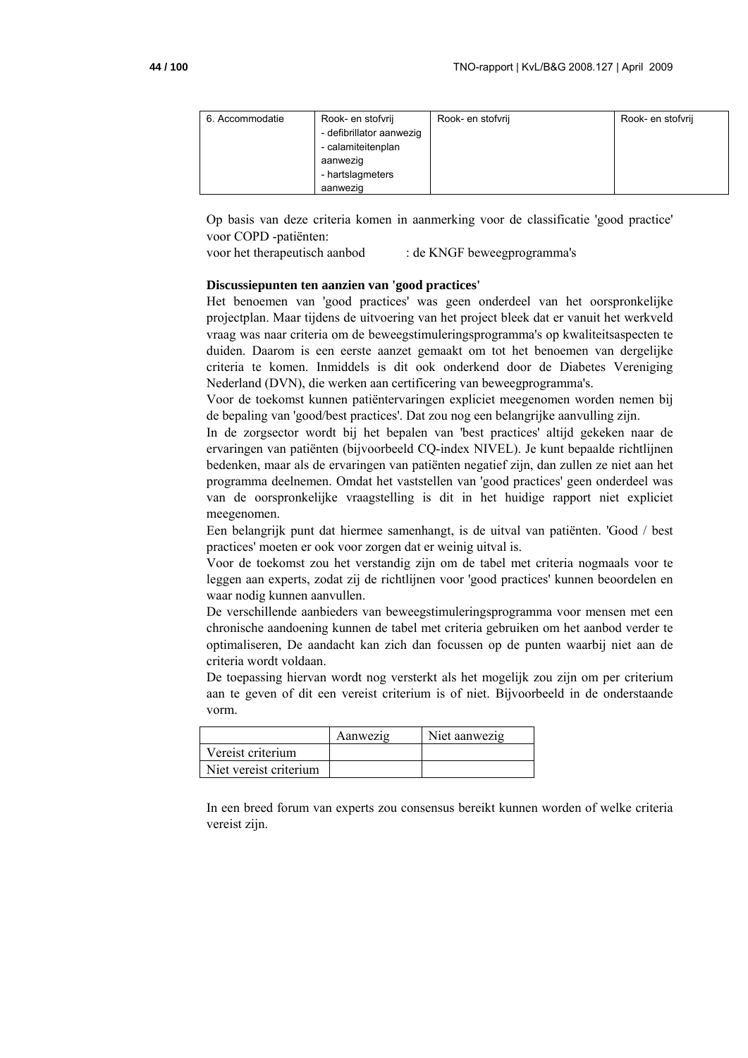| 6. Accommodatie | Rook- en stofvrij        | Rook- en stofvrij | Rook- en stofvrij |
|-----------------|--------------------------|-------------------|-------------------|
|                 | - defibrillator aanwezig |                   |                   |
|                 | - calamiteitenplan       |                   |                   |
|                 | aanwezig                 |                   |                   |
|                 | - hartslagmeters         |                   |                   |
|                 | aanwezig                 |                   |                   |

Op basis van deze criteria komen in aanmerking voor de classificatie 'good practice' voor COPD -patiënten:

voor het therapeutisch aanbod : de KNGF beweegprogramma's

## **Discussiepunten ten aanzien van 'good practices'**

Het benoemen van 'good practices' was geen onderdeel van het oorspronkelijke projectplan. Maar tijdens de uitvoering van het project bleek dat er vanuit het werkveld vraag was naar criteria om de beweegstimuleringsprogramma's op kwaliteitsaspecten te duiden. Daarom is een eerste aanzet gemaakt om tot het benoemen van dergelijke criteria te komen. Inmiddels is dit ook onderkend door de Diabetes Vereniging Nederland (DVN), die werken aan certificering van beweegprogramma's.

Voor de toekomst kunnen patiëntervaringen expliciet meegenomen worden nemen bij de bepaling van 'good/best practices'. Dat zou nog een belangrijke aanvulling zijn.

In de zorgsector wordt bij het bepalen van 'best practices' altijd gekeken naar de ervaringen van patiënten (bijvoorbeeld CQ-index NIVEL). Je kunt bepaalde richtlijnen bedenken, maar als de ervaringen van patiënten negatief zijn, dan zullen ze niet aan het programma deelnemen. Omdat het vaststellen van 'good practices' geen onderdeel was van de oorspronkelijke vraagstelling is dit in het huidige rapport niet expliciet meegenomen.

Een belangrijk punt dat hiermee samenhangt, is de uitval van patiënten. 'Good / best practices' moeten er ook voor zorgen dat er weinig uitval is.

Voor de toekomst zou het verstandig zijn om de tabel met criteria nogmaals voor te leggen aan experts, zodat zij de richtlijnen voor 'good practices' kunnen beoordelen en waar nodig kunnen aanvullen.

De verschillende aanbieders van beweegstimuleringsprogramma voor mensen met een chronische aandoening kunnen de tabel met criteria gebruiken om het aanbod verder te optimaliseren, De aandacht kan zich dan focussen op de punten waarbij niet aan de criteria wordt voldaan.

De toepassing hiervan wordt nog versterkt als het mogelijk zou zijn om per criterium aan te geven of dit een vereist criterium is of niet. Bijvoorbeeld in de onderstaande vorm.

|                        | Aanwezig | Niet aanwezig |
|------------------------|----------|---------------|
| Vereist criterium      |          |               |
| Niet vereist criterium |          |               |

In een breed forum van experts zou consensus bereikt kunnen worden of welke criteria vereist zijn.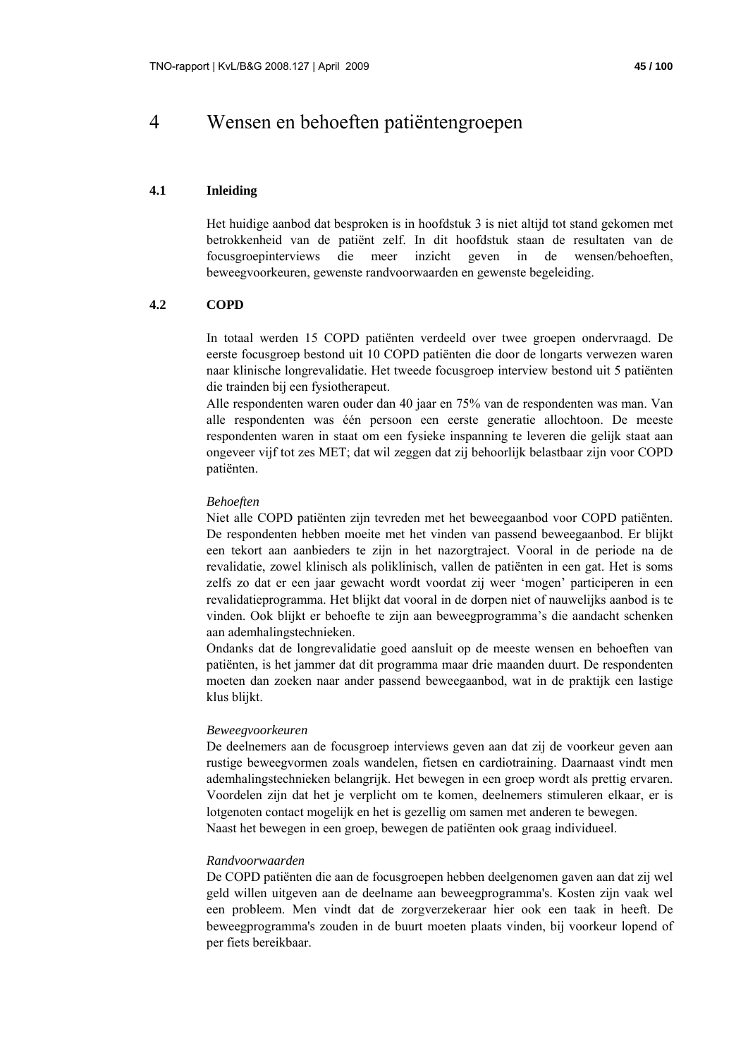# 4 Wensen en behoeften patiëntengroepen

## **4.1 Inleiding**

Het huidige aanbod dat besproken is in hoofdstuk 3 is niet altijd tot stand gekomen met betrokkenheid van de patiënt zelf. In dit hoofdstuk staan de resultaten van de focusgroepinterviews die meer inzicht geven in de wensen/behoeften, beweegvoorkeuren, gewenste randvoorwaarden en gewenste begeleiding.

## **4.2 COPD**

In totaal werden 15 COPD patiënten verdeeld over twee groepen ondervraagd. De eerste focusgroep bestond uit 10 COPD patiënten die door de longarts verwezen waren naar klinische longrevalidatie. Het tweede focusgroep interview bestond uit 5 patiënten die trainden bij een fysiotherapeut.

Alle respondenten waren ouder dan 40 jaar en 75% van de respondenten was man. Van alle respondenten was één persoon een eerste generatie allochtoon. De meeste respondenten waren in staat om een fysieke inspanning te leveren die gelijk staat aan ongeveer vijf tot zes MET; dat wil zeggen dat zij behoorlijk belastbaar zijn voor COPD patiënten.

### *Behoeften*

Niet alle COPD patiënten zijn tevreden met het beweegaanbod voor COPD patiënten. De respondenten hebben moeite met het vinden van passend beweegaanbod. Er blijkt een tekort aan aanbieders te zijn in het nazorgtraject. Vooral in de periode na de revalidatie, zowel klinisch als poliklinisch, vallen de patiënten in een gat. Het is soms zelfs zo dat er een jaar gewacht wordt voordat zij weer 'mogen' participeren in een revalidatieprogramma. Het blijkt dat vooral in de dorpen niet of nauwelijks aanbod is te vinden. Ook blijkt er behoefte te zijn aan beweegprogramma's die aandacht schenken aan ademhalingstechnieken.

Ondanks dat de longrevalidatie goed aansluit op de meeste wensen en behoeften van patiënten, is het jammer dat dit programma maar drie maanden duurt. De respondenten moeten dan zoeken naar ander passend beweegaanbod, wat in de praktijk een lastige klus blijkt.

#### *Beweegvoorkeuren*

De deelnemers aan de focusgroep interviews geven aan dat zij de voorkeur geven aan rustige beweegvormen zoals wandelen, fietsen en cardiotraining. Daarnaast vindt men ademhalingstechnieken belangrijk. Het bewegen in een groep wordt als prettig ervaren. Voordelen zijn dat het je verplicht om te komen, deelnemers stimuleren elkaar, er is lotgenoten contact mogelijk en het is gezellig om samen met anderen te bewegen. Naast het bewegen in een groep, bewegen de patiënten ook graag individueel.

## *Randvoorwaarden*

De COPD patiënten die aan de focusgroepen hebben deelgenomen gaven aan dat zij wel geld willen uitgeven aan de deelname aan beweegprogramma's. Kosten zijn vaak wel een probleem. Men vindt dat de zorgverzekeraar hier ook een taak in heeft. De beweegprogramma's zouden in de buurt moeten plaats vinden, bij voorkeur lopend of per fiets bereikbaar.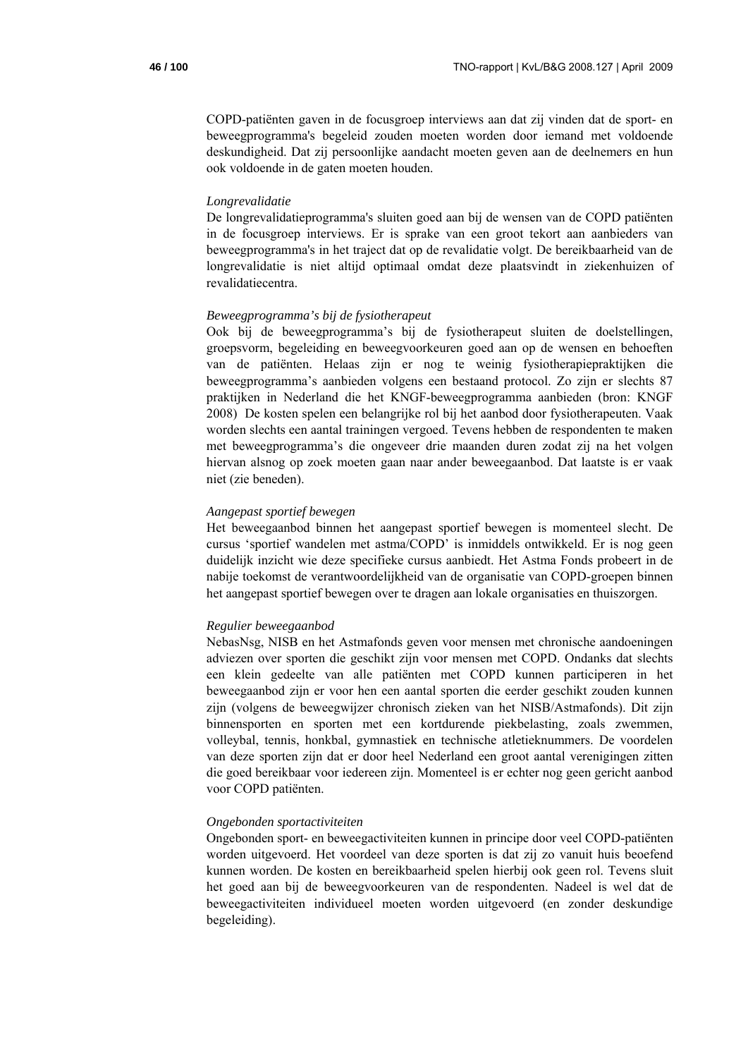COPD-patiënten gaven in de focusgroep interviews aan dat zij vinden dat de sport- en beweegprogramma's begeleid zouden moeten worden door iemand met voldoende deskundigheid. Dat zij persoonlijke aandacht moeten geven aan de deelnemers en hun ook voldoende in de gaten moeten houden.

#### *Longrevalidatie*

De longrevalidatieprogramma's sluiten goed aan bij de wensen van de COPD patiënten in de focusgroep interviews. Er is sprake van een groot tekort aan aanbieders van beweegprogramma's in het traject dat op de revalidatie volgt. De bereikbaarheid van de longrevalidatie is niet altijd optimaal omdat deze plaatsvindt in ziekenhuizen of revalidatiecentra.

#### *Beweegprogramma's bij de fysiotherapeut*

Ook bij de beweegprogramma's bij de fysiotherapeut sluiten de doelstellingen, groepsvorm, begeleiding en beweegvoorkeuren goed aan op de wensen en behoeften van de patiënten. Helaas zijn er nog te weinig fysiotherapiepraktijken die beweegprogramma's aanbieden volgens een bestaand protocol. Zo zijn er slechts 87 praktijken in Nederland die het KNGF-beweegprogramma aanbieden (bron: KNGF 2008) De kosten spelen een belangrijke rol bij het aanbod door fysiotherapeuten. Vaak worden slechts een aantal trainingen vergoed. Tevens hebben de respondenten te maken met beweegprogramma's die ongeveer drie maanden duren zodat zij na het volgen hiervan alsnog op zoek moeten gaan naar ander beweegaanbod. Dat laatste is er vaak niet (zie beneden).

#### *Aangepast sportief bewegen*

Het beweegaanbod binnen het aangepast sportief bewegen is momenteel slecht. De cursus 'sportief wandelen met astma/COPD' is inmiddels ontwikkeld. Er is nog geen duidelijk inzicht wie deze specifieke cursus aanbiedt. Het Astma Fonds probeert in de nabije toekomst de verantwoordelijkheid van de organisatie van COPD-groepen binnen het aangepast sportief bewegen over te dragen aan lokale organisaties en thuiszorgen.

#### *Regulier beweegaanbod*

NebasNsg, NISB en het Astmafonds geven voor mensen met chronische aandoeningen adviezen over sporten die geschikt zijn voor mensen met COPD. Ondanks dat slechts een klein gedeelte van alle patiënten met COPD kunnen participeren in het beweegaanbod zijn er voor hen een aantal sporten die eerder geschikt zouden kunnen zijn (volgens de beweegwijzer chronisch zieken van het NISB/Astmafonds). Dit zijn binnensporten en sporten met een kortdurende piekbelasting, zoals zwemmen, volleybal, tennis, honkbal, gymnastiek en technische atletieknummers. De voordelen van deze sporten zijn dat er door heel Nederland een groot aantal verenigingen zitten die goed bereikbaar voor iedereen zijn. Momenteel is er echter nog geen gericht aanbod voor COPD patiënten.

#### *Ongebonden sportactiviteiten*

Ongebonden sport- en beweegactiviteiten kunnen in principe door veel COPD-patiënten worden uitgevoerd. Het voordeel van deze sporten is dat zij zo vanuit huis beoefend kunnen worden. De kosten en bereikbaarheid spelen hierbij ook geen rol. Tevens sluit het goed aan bij de beweegvoorkeuren van de respondenten. Nadeel is wel dat de beweegactiviteiten individueel moeten worden uitgevoerd (en zonder deskundige begeleiding).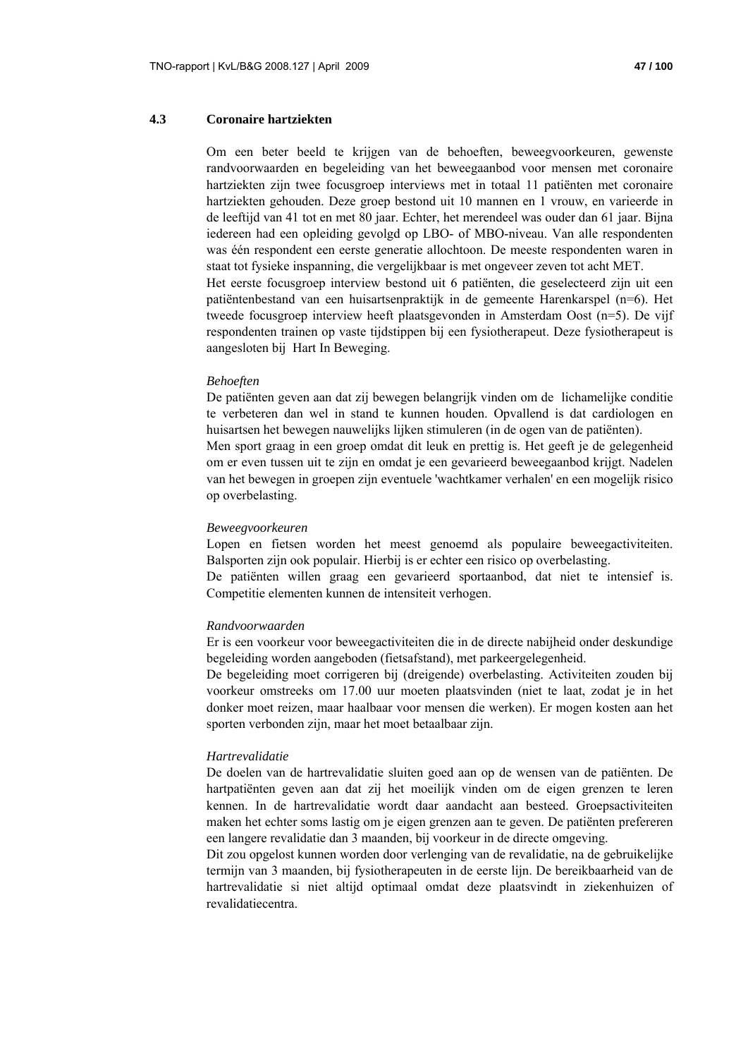# **4.3 Coronaire hartziekten**

Om een beter beeld te krijgen van de behoeften, beweegvoorkeuren, gewenste randvoorwaarden en begeleiding van het beweegaanbod voor mensen met coronaire hartziekten zijn twee focusgroep interviews met in totaal 11 patiënten met coronaire hartziekten gehouden. Deze groep bestond uit 10 mannen en 1 vrouw, en varieerde in de leeftijd van 41 tot en met 80 jaar. Echter, het merendeel was ouder dan 61 jaar. Bijna iedereen had een opleiding gevolgd op LBO- of MBO-niveau. Van alle respondenten was één respondent een eerste generatie allochtoon. De meeste respondenten waren in staat tot fysieke inspanning, die vergelijkbaar is met ongeveer zeven tot acht MET. Het eerste focusgroep interview bestond uit 6 patiënten, die geselecteerd zijn uit een patiëntenbestand van een huisartsenpraktijk in de gemeente Harenkarspel (n=6). Het tweede focusgroep interview heeft plaatsgevonden in Amsterdam Oost (n=5). De vijf respondenten trainen op vaste tijdstippen bij een fysiotherapeut. Deze fysiotherapeut is aangesloten bij Hart In Beweging.

#### *Behoeften*

De patiënten geven aan dat zij bewegen belangrijk vinden om de lichamelijke conditie te verbeteren dan wel in stand te kunnen houden. Opvallend is dat cardiologen en huisartsen het bewegen nauwelijks lijken stimuleren (in de ogen van de patiënten). Men sport graag in een groep omdat dit leuk en prettig is. Het geeft je de gelegenheid om er even tussen uit te zijn en omdat je een gevarieerd beweegaanbod krijgt. Nadelen van het bewegen in groepen zijn eventuele 'wachtkamer verhalen' en een mogelijk risico op overbelasting.

#### *Beweegvoorkeuren*

Lopen en fietsen worden het meest genoemd als populaire beweegactiviteiten. Balsporten zijn ook populair. Hierbij is er echter een risico op overbelasting.

De patiënten willen graag een gevarieerd sportaanbod, dat niet te intensief is. Competitie elementen kunnen de intensiteit verhogen.

## *Randvoorwaarden*

Er is een voorkeur voor beweegactiviteiten die in de directe nabijheid onder deskundige begeleiding worden aangeboden (fietsafstand), met parkeergelegenheid.

De begeleiding moet corrigeren bij (dreigende) overbelasting. Activiteiten zouden bij voorkeur omstreeks om 17.00 uur moeten plaatsvinden (niet te laat, zodat je in het donker moet reizen, maar haalbaar voor mensen die werken). Er mogen kosten aan het sporten verbonden zijn, maar het moet betaalbaar zijn.

#### *Hartrevalidatie*

De doelen van de hartrevalidatie sluiten goed aan op de wensen van de patiënten. De hartpatiënten geven aan dat zij het moeilijk vinden om de eigen grenzen te leren kennen. In de hartrevalidatie wordt daar aandacht aan besteed. Groepsactiviteiten maken het echter soms lastig om je eigen grenzen aan te geven. De patiënten prefereren een langere revalidatie dan 3 maanden, bij voorkeur in de directe omgeving.

Dit zou opgelost kunnen worden door verlenging van de revalidatie, na de gebruikelijke termijn van 3 maanden, bij fysiotherapeuten in de eerste lijn. De bereikbaarheid van de hartrevalidatie si niet altijd optimaal omdat deze plaatsvindt in ziekenhuizen of revalidatiecentra.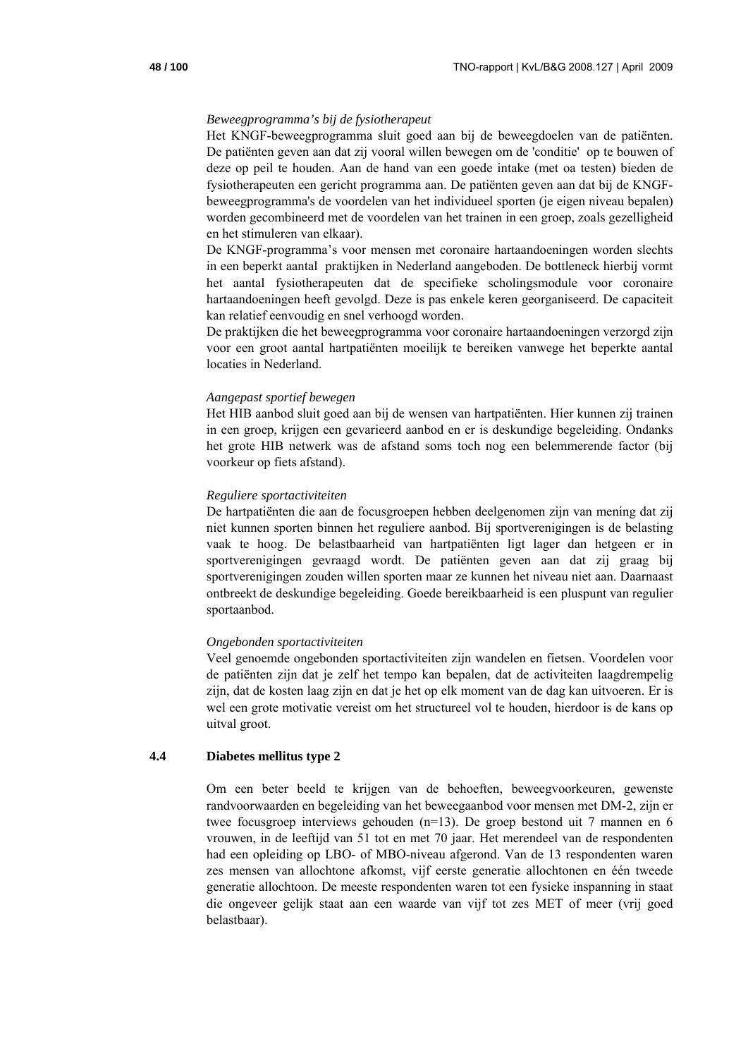### *Beweegprogramma's bij de fysiotherapeut*

Het KNGF-beweegprogramma sluit goed aan bij de beweegdoelen van de patiënten. De patiënten geven aan dat zij vooral willen bewegen om de 'conditie' op te bouwen of deze op peil te houden. Aan de hand van een goede intake (met oa testen) bieden de fysiotherapeuten een gericht programma aan. De patiënten geven aan dat bij de KNGFbeweegprogramma's de voordelen van het individueel sporten (je eigen niveau bepalen) worden gecombineerd met de voordelen van het trainen in een groep, zoals gezelligheid en het stimuleren van elkaar).

De KNGF-programma's voor mensen met coronaire hartaandoeningen worden slechts in een beperkt aantal praktijken in Nederland aangeboden. De bottleneck hierbij vormt het aantal fysiotherapeuten dat de specifieke scholingsmodule voor coronaire hartaandoeningen heeft gevolgd. Deze is pas enkele keren georganiseerd. De capaciteit kan relatief eenvoudig en snel verhoogd worden.

De praktijken die het beweegprogramma voor coronaire hartaandoeningen verzorgd zijn voor een groot aantal hartpatiënten moeilijk te bereiken vanwege het beperkte aantal locaties in Nederland.

#### *Aangepast sportief bewegen*

Het HIB aanbod sluit goed aan bij de wensen van hartpatiënten. Hier kunnen zij trainen in een groep, krijgen een gevarieerd aanbod en er is deskundige begeleiding. Ondanks het grote HIB netwerk was de afstand soms toch nog een belemmerende factor (bij voorkeur op fiets afstand).

#### *Reguliere sportactiviteiten*

De hartpatiënten die aan de focusgroepen hebben deelgenomen zijn van mening dat zij niet kunnen sporten binnen het reguliere aanbod. Bij sportverenigingen is de belasting vaak te hoog. De belastbaarheid van hartpatiënten ligt lager dan hetgeen er in sportverenigingen gevraagd wordt. De patiënten geven aan dat zij graag bij sportverenigingen zouden willen sporten maar ze kunnen het niveau niet aan. Daarnaast ontbreekt de deskundige begeleiding. Goede bereikbaarheid is een pluspunt van regulier sportaanbod.

### *Ongebonden sportactiviteiten*

Veel genoemde ongebonden sportactiviteiten zijn wandelen en fietsen. Voordelen voor de patiënten zijn dat je zelf het tempo kan bepalen, dat de activiteiten laagdrempelig zijn, dat de kosten laag zijn en dat je het op elk moment van de dag kan uitvoeren. Er is wel een grote motivatie vereist om het structureel vol te houden, hierdoor is de kans op uitval groot.

## **4.4 Diabetes mellitus type 2**

Om een beter beeld te krijgen van de behoeften, beweegvoorkeuren, gewenste randvoorwaarden en begeleiding van het beweegaanbod voor mensen met DM-2, zijn er twee focusgroep interviews gehouden (n=13). De groep bestond uit 7 mannen en 6 vrouwen, in de leeftijd van 51 tot en met 70 jaar. Het merendeel van de respondenten had een opleiding op LBO- of MBO-niveau afgerond. Van de 13 respondenten waren zes mensen van allochtone afkomst, vijf eerste generatie allochtonen en één tweede generatie allochtoon. De meeste respondenten waren tot een fysieke inspanning in staat die ongeveer gelijk staat aan een waarde van vijf tot zes MET of meer (vrij goed belastbaar).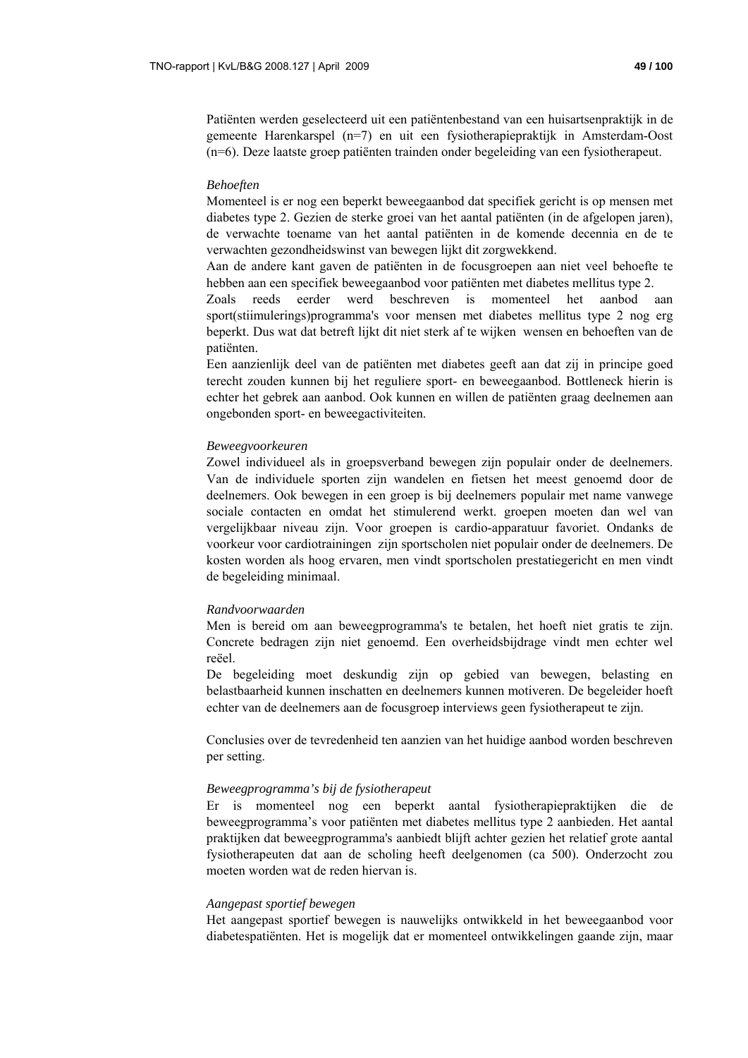Patiënten werden geselecteerd uit een patiëntenbestand van een huisartsenpraktijk in de gemeente Harenkarspel (n=7) en uit een fysiotherapiepraktijk in Amsterdam-Oost (n=6). Deze laatste groep patiënten trainden onder begeleiding van een fysiotherapeut.

#### *Behoeften*

Momenteel is er nog een beperkt beweegaanbod dat specifiek gericht is op mensen met diabetes type 2. Gezien de sterke groei van het aantal patiënten (in de afgelopen jaren), de verwachte toename van het aantal patiënten in de komende decennia en de te verwachten gezondheidswinst van bewegen lijkt dit zorgwekkend.

Aan de andere kant gaven de patiënten in de focusgroepen aan niet veel behoefte te hebben aan een specifiek beweegaanbod voor patiënten met diabetes mellitus type 2.

Zoals reeds eerder werd beschreven is momenteel het aanbod aan sport(stiimulerings)programma's voor mensen met diabetes mellitus type 2 nog erg beperkt. Dus wat dat betreft lijkt dit niet sterk af te wijken wensen en behoeften van de patiënten.

Een aanzienlijk deel van de patiënten met diabetes geeft aan dat zij in principe goed terecht zouden kunnen bij het reguliere sport- en beweegaanbod. Bottleneck hierin is echter het gebrek aan aanbod. Ook kunnen en willen de patiënten graag deelnemen aan ongebonden sport- en beweegactiviteiten.

#### *Beweegvoorkeuren*

Zowel individueel als in groepsverband bewegen zijn populair onder de deelnemers. Van de individuele sporten zijn wandelen en fietsen het meest genoemd door de deelnemers. Ook bewegen in een groep is bij deelnemers populair met name vanwege sociale contacten en omdat het stimulerend werkt. groepen moeten dan wel van vergelijkbaar niveau zijn. Voor groepen is cardio-apparatuur favoriet. Ondanks de voorkeur voor cardiotrainingen zijn sportscholen niet populair onder de deelnemers. De kosten worden als hoog ervaren, men vindt sportscholen prestatiegericht en men vindt de begeleiding minimaal.

## *Randvoorwaarden*

Men is bereid om aan beweegprogramma's te betalen, het hoeft niet gratis te zijn. Concrete bedragen zijn niet genoemd. Een overheidsbijdrage vindt men echter wel reëel.

De begeleiding moet deskundig zijn op gebied van bewegen, belasting en belastbaarheid kunnen inschatten en deelnemers kunnen motiveren. De begeleider hoeft echter van de deelnemers aan de focusgroep interviews geen fysiotherapeut te zijn.

Conclusies over de tevredenheid ten aanzien van het huidige aanbod worden beschreven per setting.

## *Beweegprogramma's bij de fysiotherapeut*

Er is momenteel nog een beperkt aantal fysiotherapiepraktijken die de beweegprogramma's voor patiënten met diabetes mellitus type 2 aanbieden. Het aantal praktijken dat beweegprogramma's aanbiedt blijft achter gezien het relatief grote aantal fysiotherapeuten dat aan de scholing heeft deelgenomen (ca 500). Onderzocht zou moeten worden wat de reden hiervan is.

#### *Aangepast sportief bewegen*

Het aangepast sportief bewegen is nauwelijks ontwikkeld in het beweegaanbod voor diabetespatiënten. Het is mogelijk dat er momenteel ontwikkelingen gaande zijn, maar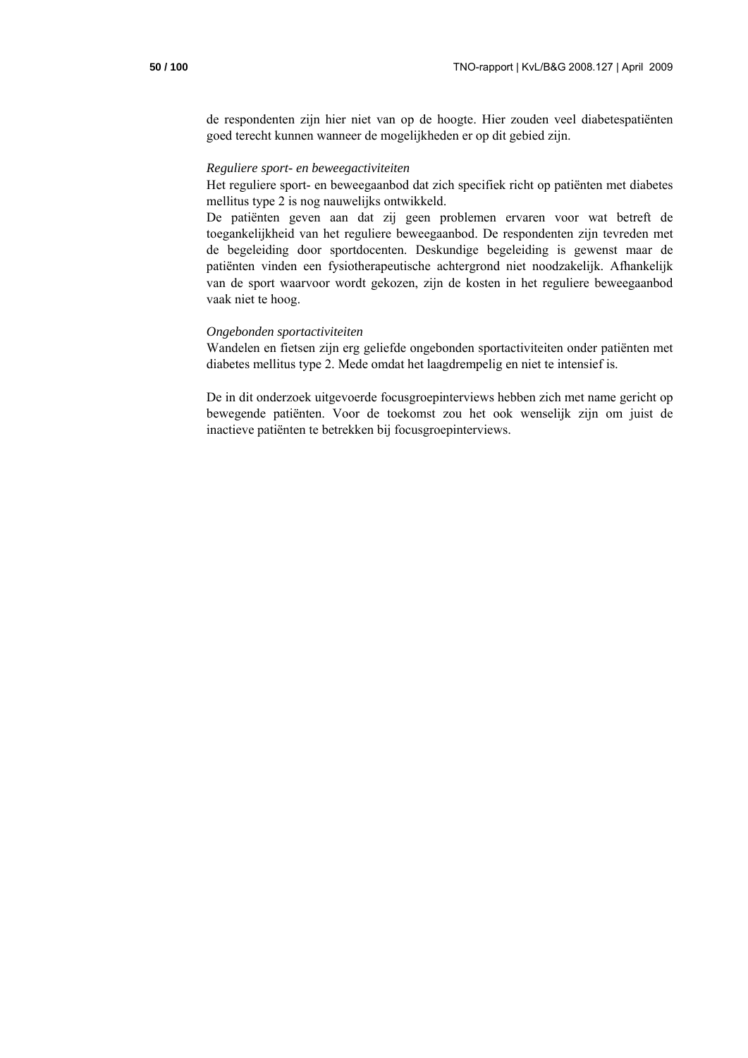de respondenten zijn hier niet van op de hoogte. Hier zouden veel diabetespatiënten goed terecht kunnen wanneer de mogelijkheden er op dit gebied zijn.

### *Reguliere sport- en beweegactiviteiten*

Het reguliere sport- en beweegaanbod dat zich specifiek richt op patiënten met diabetes mellitus type 2 is nog nauwelijks ontwikkeld.

De patiënten geven aan dat zij geen problemen ervaren voor wat betreft de toegankelijkheid van het reguliere beweegaanbod. De respondenten zijn tevreden met de begeleiding door sportdocenten. Deskundige begeleiding is gewenst maar de patiënten vinden een fysiotherapeutische achtergrond niet noodzakelijk. Afhankelijk van de sport waarvoor wordt gekozen, zijn de kosten in het reguliere beweegaanbod vaak niet te hoog.

## *Ongebonden sportactiviteiten*

Wandelen en fietsen zijn erg geliefde ongebonden sportactiviteiten onder patiënten met diabetes mellitus type 2. Mede omdat het laagdrempelig en niet te intensief is.

De in dit onderzoek uitgevoerde focusgroepinterviews hebben zich met name gericht op bewegende patiënten. Voor de toekomst zou het ook wenselijk zijn om juist de inactieve patiënten te betrekken bij focusgroepinterviews.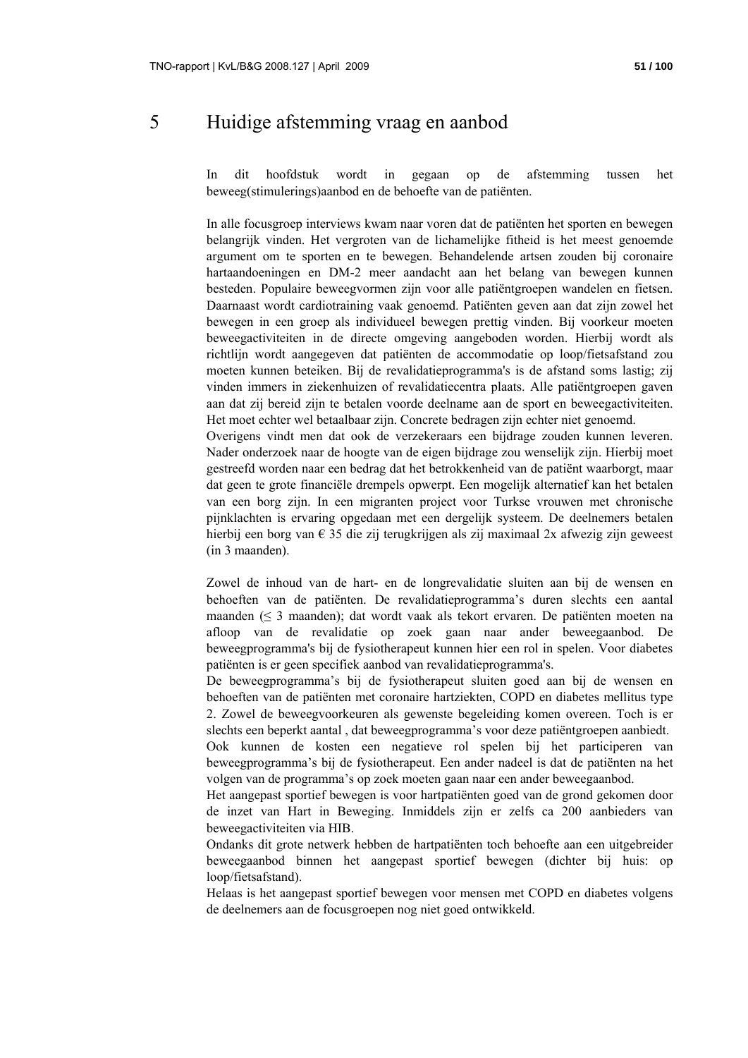# 5 Huidige afstemming vraag en aanbod

In dit hoofdstuk wordt in gegaan op de afstemming tussen het beweeg(stimulerings)aanbod en de behoefte van de patiënten.

In alle focusgroep interviews kwam naar voren dat de patiënten het sporten en bewegen belangrijk vinden. Het vergroten van de lichamelijke fitheid is het meest genoemde argument om te sporten en te bewegen. Behandelende artsen zouden bij coronaire hartaandoeningen en DM-2 meer aandacht aan het belang van bewegen kunnen besteden. Populaire beweegvormen zijn voor alle patiëntgroepen wandelen en fietsen. Daarnaast wordt cardiotraining vaak genoemd. Patiënten geven aan dat zijn zowel het bewegen in een groep als individueel bewegen prettig vinden. Bij voorkeur moeten beweegactiviteiten in de directe omgeving aangeboden worden. Hierbij wordt als richtlijn wordt aangegeven dat patiënten de accommodatie op loop/fietsafstand zou moeten kunnen beteiken. Bij de revalidatieprogramma's is de afstand soms lastig; zij vinden immers in ziekenhuizen of revalidatiecentra plaats. Alle patiëntgroepen gaven aan dat zij bereid zijn te betalen voorde deelname aan de sport en beweegactiviteiten. Het moet echter wel betaalbaar zijn. Concrete bedragen zijn echter niet genoemd. Overigens vindt men dat ook de verzekeraars een bijdrage zouden kunnen leveren. Nader onderzoek naar de hoogte van de eigen bijdrage zou wenselijk zijn. Hierbij moet gestreefd worden naar een bedrag dat het betrokkenheid van de patiënt waarborgt, maar dat geen te grote financiële drempels opwerpt. Een mogelijk alternatief kan het betalen

van een borg zijn. In een migranten project voor Turkse vrouwen met chronische pijnklachten is ervaring opgedaan met een dergelijk systeem. De deelnemers betalen hierbij een borg van  $\epsilon$  35 die zij terugkrijgen als zij maximaal 2x afwezig zijn geweest (in 3 maanden).

Zowel de inhoud van de hart- en de longrevalidatie sluiten aan bij de wensen en behoeften van de patiënten. De revalidatieprogramma's duren slechts een aantal maanden (≤ 3 maanden); dat wordt vaak als tekort ervaren. De patiënten moeten na afloop van de revalidatie op zoek gaan naar ander beweegaanbod. De beweegprogramma's bij de fysiotherapeut kunnen hier een rol in spelen. Voor diabetes patiënten is er geen specifiek aanbod van revalidatieprogramma's.

De beweegprogramma's bij de fysiotherapeut sluiten goed aan bij de wensen en behoeften van de patiënten met coronaire hartziekten, COPD en diabetes mellitus type 2. Zowel de beweegvoorkeuren als gewenste begeleiding komen overeen. Toch is er slechts een beperkt aantal , dat beweegprogramma's voor deze patiëntgroepen aanbiedt.

Ook kunnen de kosten een negatieve rol spelen bij het participeren van beweegprogramma's bij de fysiotherapeut. Een ander nadeel is dat de patiënten na het volgen van de programma's op zoek moeten gaan naar een ander beweegaanbod.

Het aangepast sportief bewegen is voor hartpatiënten goed van de grond gekomen door de inzet van Hart in Beweging. Inmiddels zijn er zelfs ca 200 aanbieders van beweegactiviteiten via HIB.

Ondanks dit grote netwerk hebben de hartpatiënten toch behoefte aan een uitgebreider beweegaanbod binnen het aangepast sportief bewegen (dichter bij huis: op loop/fietsafstand).

Helaas is het aangepast sportief bewegen voor mensen met COPD en diabetes volgens de deelnemers aan de focusgroepen nog niet goed ontwikkeld.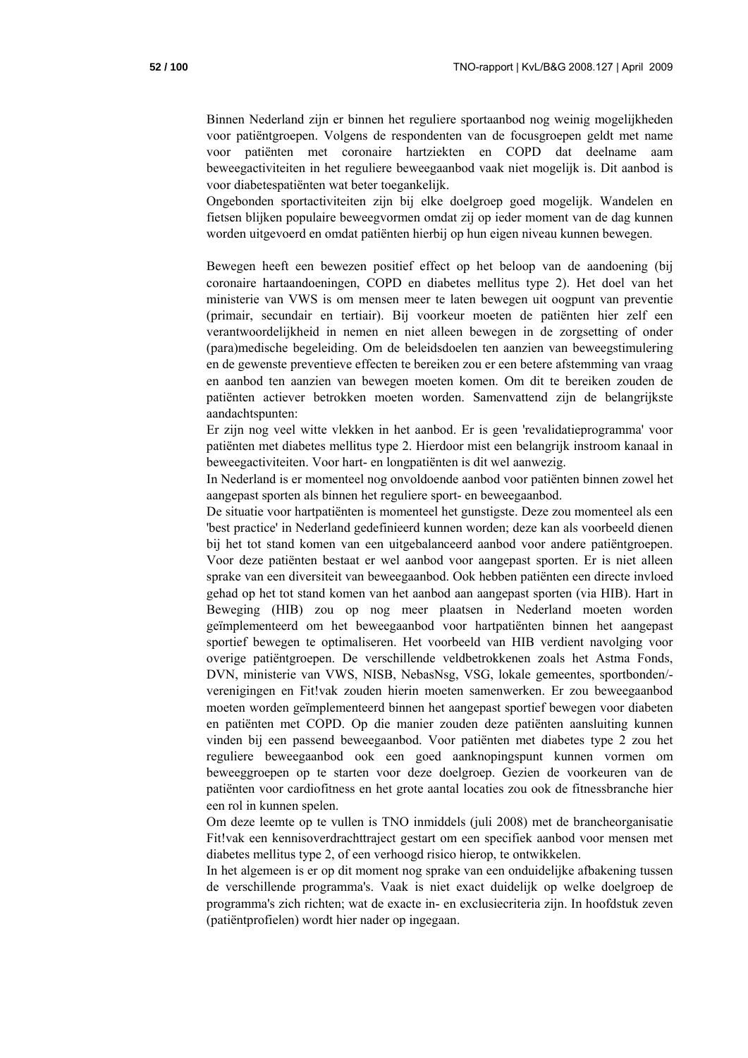Binnen Nederland zijn er binnen het reguliere sportaanbod nog weinig mogelijkheden voor patiëntgroepen. Volgens de respondenten van de focusgroepen geldt met name voor patiënten met coronaire hartziekten en COPD dat deelname aam beweegactiviteiten in het reguliere beweegaanbod vaak niet mogelijk is. Dit aanbod is voor diabetespatiënten wat beter toegankelijk.

Ongebonden sportactiviteiten zijn bij elke doelgroep goed mogelijk. Wandelen en fietsen blijken populaire beweegvormen omdat zij op ieder moment van de dag kunnen worden uitgevoerd en omdat patiënten hierbij op hun eigen niveau kunnen bewegen.

Bewegen heeft een bewezen positief effect op het beloop van de aandoening (bij coronaire hartaandoeningen, COPD en diabetes mellitus type 2). Het doel van het ministerie van VWS is om mensen meer te laten bewegen uit oogpunt van preventie (primair, secundair en tertiair). Bij voorkeur moeten de patiënten hier zelf een verantwoordelijkheid in nemen en niet alleen bewegen in de zorgsetting of onder (para)medische begeleiding. Om de beleidsdoelen ten aanzien van beweegstimulering en de gewenste preventieve effecten te bereiken zou er een betere afstemming van vraag en aanbod ten aanzien van bewegen moeten komen. Om dit te bereiken zouden de patiënten actiever betrokken moeten worden. Samenvattend zijn de belangrijkste aandachtspunten:

Er zijn nog veel witte vlekken in het aanbod. Er is geen 'revalidatieprogramma' voor patiënten met diabetes mellitus type 2. Hierdoor mist een belangrijk instroom kanaal in beweegactiviteiten. Voor hart- en longpatiënten is dit wel aanwezig.

In Nederland is er momenteel nog onvoldoende aanbod voor patiënten binnen zowel het aangepast sporten als binnen het reguliere sport- en beweegaanbod.

De situatie voor hartpatiënten is momenteel het gunstigste. Deze zou momenteel als een 'best practice' in Nederland gedefinieerd kunnen worden; deze kan als voorbeeld dienen bij het tot stand komen van een uitgebalanceerd aanbod voor andere patiëntgroepen. Voor deze patiënten bestaat er wel aanbod voor aangepast sporten. Er is niet alleen sprake van een diversiteit van beweegaanbod. Ook hebben patiënten een directe invloed gehad op het tot stand komen van het aanbod aan aangepast sporten (via HIB). Hart in Beweging (HIB) zou op nog meer plaatsen in Nederland moeten worden geïmplementeerd om het beweegaanbod voor hartpatiënten binnen het aangepast sportief bewegen te optimaliseren. Het voorbeeld van HIB verdient navolging voor overige patiëntgroepen. De verschillende veldbetrokkenen zoals het Astma Fonds, DVN, ministerie van VWS, NISB, NebasNsg, VSG, lokale gemeentes, sportbonden/ verenigingen en Fit!vak zouden hierin moeten samenwerken. Er zou beweegaanbod moeten worden geïmplementeerd binnen het aangepast sportief bewegen voor diabeten en patiënten met COPD. Op die manier zouden deze patiënten aansluiting kunnen vinden bij een passend beweegaanbod. Voor patiënten met diabetes type 2 zou het reguliere beweegaanbod ook een goed aanknopingspunt kunnen vormen om beweeggroepen op te starten voor deze doelgroep. Gezien de voorkeuren van de patiënten voor cardiofitness en het grote aantal locaties zou ook de fitnessbranche hier een rol in kunnen spelen.

Om deze leemte op te vullen is TNO inmiddels (juli 2008) met de brancheorganisatie Fit!vak een kennisoverdrachttraject gestart om een specifiek aanbod voor mensen met diabetes mellitus type 2, of een verhoogd risico hierop, te ontwikkelen.

In het algemeen is er op dit moment nog sprake van een onduidelijke afbakening tussen de verschillende programma's. Vaak is niet exact duidelijk op welke doelgroep de programma's zich richten; wat de exacte in- en exclusiecriteria zijn. In hoofdstuk zeven (patiëntprofielen) wordt hier nader op ingegaan.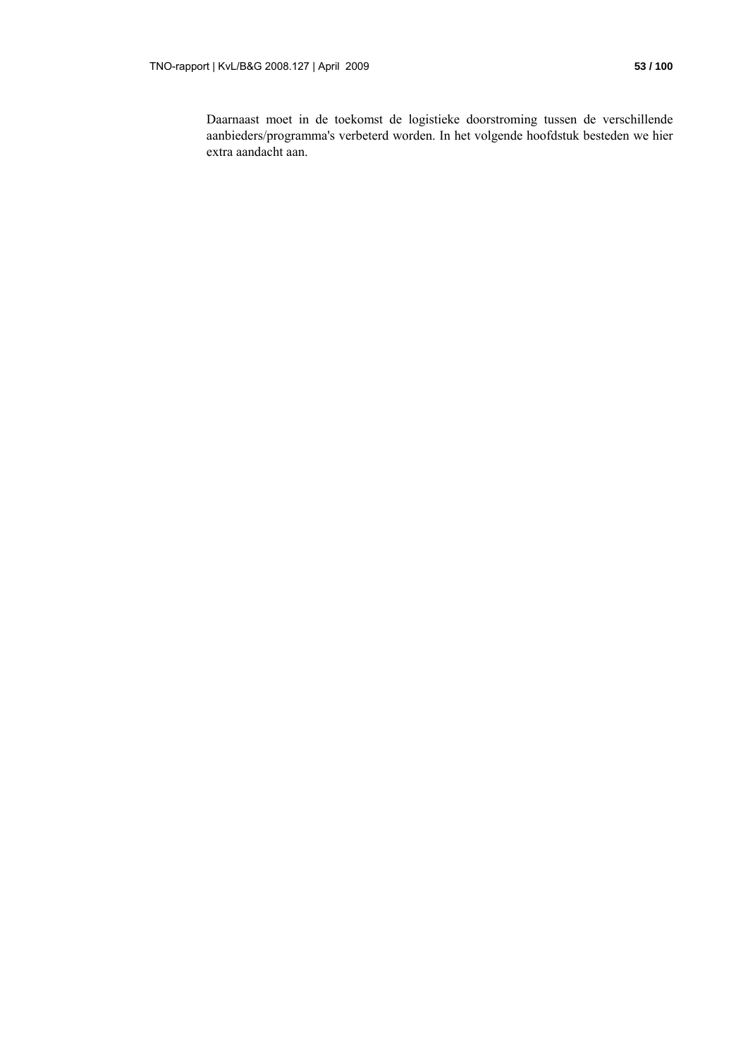Daarnaast moet in de toekomst de logistieke doorstroming tussen de verschillende aanbieders/programma's verbeterd worden. In het volgende hoofdstuk besteden we hier extra aandacht aan.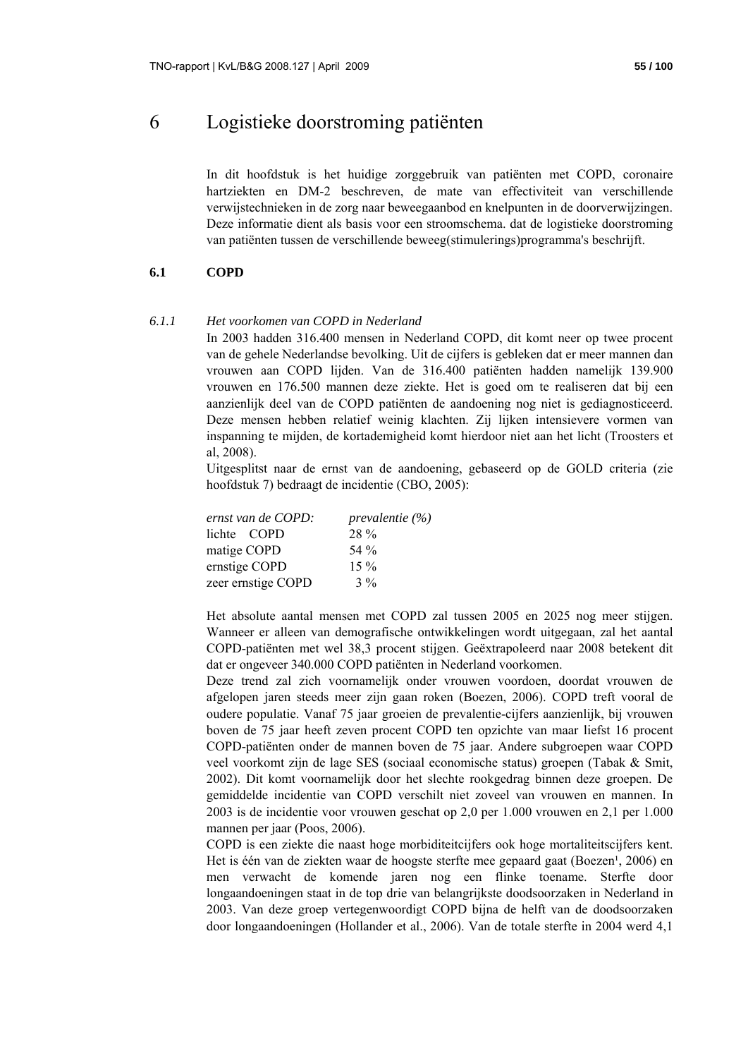# 6 Logistieke doorstroming patiënten

In dit hoofdstuk is het huidige zorggebruik van patiënten met COPD, coronaire hartziekten en DM-2 beschreven, de mate van effectiviteit van verschillende verwijstechnieken in de zorg naar beweegaanbod en knelpunten in de doorverwijzingen. Deze informatie dient als basis voor een stroomschema. dat de logistieke doorstroming van patiënten tussen de verschillende beweeg(stimulerings)programma's beschrijft.

## **6.1 COPD**

### *6.1.1 Het voorkomen van COPD in Nederland*

In 2003 hadden 316.400 mensen in Nederland COPD, dit komt neer op twee procent van de gehele Nederlandse bevolking. Uit de cijfers is gebleken dat er meer mannen dan vrouwen aan COPD lijden. Van de 316.400 patiënten hadden namelijk 139.900 vrouwen en 176.500 mannen deze ziekte. Het is goed om te realiseren dat bij een aanzienlijk deel van de COPD patiënten de aandoening nog niet is gediagnosticeerd. Deze mensen hebben relatief weinig klachten. Zij lijken intensievere vormen van inspanning te mijden, de kortademigheid komt hierdoor niet aan het licht (Troosters et al, 2008).

Uitgesplitst naar de ernst van de aandoening, gebaseerd op de GOLD criteria (zie hoofdstuk 7) bedraagt de incidentie (CBO, 2005):

| ernst van de COPD: | prevalentie $(\%)$ |
|--------------------|--------------------|
| lichte COPD        | 28 %               |
| matige COPD        | 54 $\%$            |
| ernstige COPD      | $15\%$             |
| zeer ernstige COPD | $3\%$              |

Het absolute aantal mensen met COPD zal tussen 2005 en 2025 nog meer stijgen. Wanneer er alleen van demografische ontwikkelingen wordt uitgegaan, zal het aantal COPD-patiënten met wel 38,3 procent stijgen. Geëxtrapoleerd naar 2008 betekent dit dat er ongeveer 340.000 COPD patiënten in Nederland voorkomen.

Deze trend zal zich voornamelijk onder vrouwen voordoen, doordat vrouwen de afgelopen jaren steeds meer zijn gaan roken (Boezen, 2006). COPD treft vooral de oudere populatie. Vanaf 75 jaar groeien de prevalentie-cijfers aanzienlijk, bij vrouwen boven de 75 jaar heeft zeven procent COPD ten opzichte van maar liefst 16 procent COPD-patiënten onder de mannen boven de 75 jaar. Andere subgroepen waar COPD veel voorkomt zijn de lage SES (sociaal economische status) groepen (Tabak & Smit, 2002). Dit komt voornamelijk door het slechte rookgedrag binnen deze groepen. De gemiddelde incidentie van COPD verschilt niet zoveel van vrouwen en mannen. In 2003 is de incidentie voor vrouwen geschat op 2,0 per 1.000 vrouwen en 2,1 per 1.000 mannen per jaar (Poos, 2006).

COPD is een ziekte die naast hoge morbiditeitcijfers ook hoge mortaliteitscijfers kent. Het is één van de ziekten waar de hoogste sterfte mee gepaard gaat (Boezen<sup>1</sup>, 2006) en men verwacht de komende jaren nog een flinke toename. Sterfte door longaandoeningen staat in de top drie van belangrijkste doodsoorzaken in Nederland in 2003. Van deze groep vertegenwoordigt COPD bijna de helft van de doodsoorzaken door longaandoeningen (Hollander et al., 2006). Van de totale sterfte in 2004 werd 4,1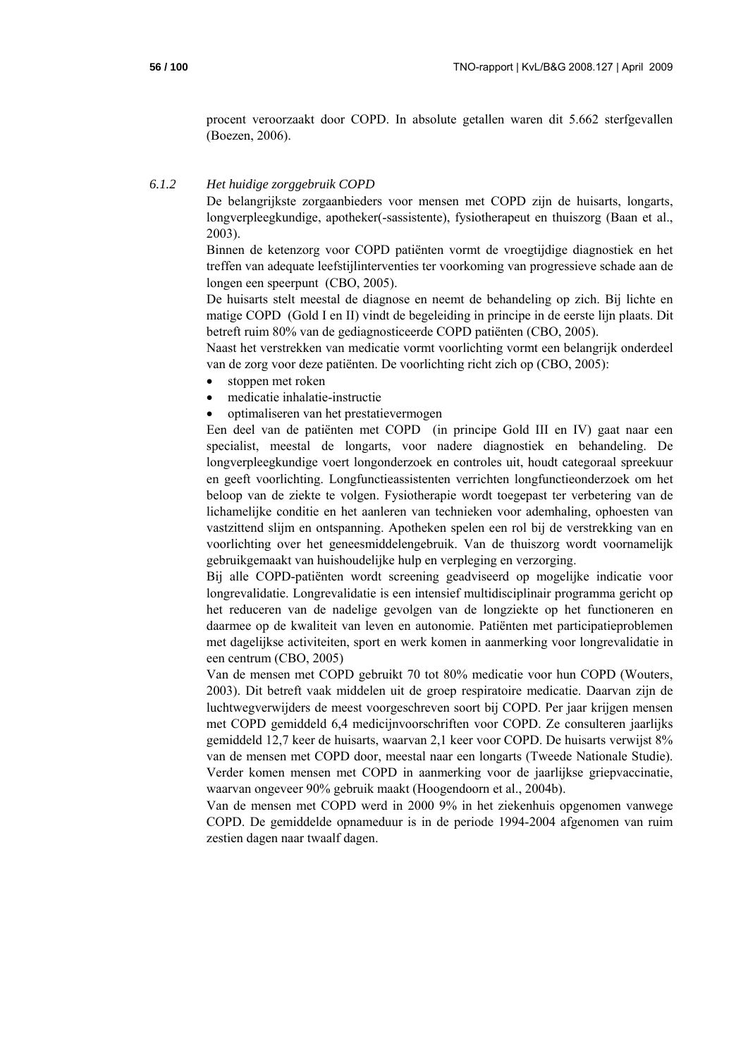procent veroorzaakt door COPD. In absolute getallen waren dit 5.662 sterfgevallen (Boezen, 2006).

## *6.1.2 Het huidige zorggebruik COPD*

De belangrijkste zorgaanbieders voor mensen met COPD zijn de huisarts, longarts, longverpleegkundige, apotheker(-sassistente), fysiotherapeut en thuiszorg (Baan et al., 2003).

Binnen de ketenzorg voor COPD patiënten vormt de vroegtijdige diagnostiek en het treffen van adequate leefstijlinterventies ter voorkoming van progressieve schade aan de longen een speerpunt (CBO, 2005).

De huisarts stelt meestal de diagnose en neemt de behandeling op zich. Bij lichte en matige COPD (Gold I en II) vindt de begeleiding in principe in de eerste lijn plaats. Dit betreft ruim 80% van de gediagnosticeerde COPD patiënten (CBO, 2005).

Naast het verstrekken van medicatie vormt voorlichting vormt een belangrijk onderdeel van de zorg voor deze patiënten. De voorlichting richt zich op (CBO, 2005):

- stoppen met roken
- medicatie inhalatie-instructie
- optimaliseren van het prestatievermogen

Een deel van de patiënten met COPD (in principe Gold III en IV) gaat naar een specialist, meestal de longarts, voor nadere diagnostiek en behandeling. De longverpleegkundige voert longonderzoek en controles uit, houdt categoraal spreekuur en geeft voorlichting. Longfunctieassistenten verrichten longfunctieonderzoek om het beloop van de ziekte te volgen. Fysiotherapie wordt toegepast ter verbetering van de lichamelijke conditie en het aanleren van technieken voor ademhaling, ophoesten van vastzittend slijm en ontspanning. Apotheken spelen een rol bij de verstrekking van en voorlichting over het geneesmiddelengebruik. Van de thuiszorg wordt voornamelijk gebruikgemaakt van huishoudelijke hulp en verpleging en verzorging.

Bij alle COPD-patiënten wordt screening geadviseerd op mogelijke indicatie voor longrevalidatie. Longrevalidatie is een intensief multidisciplinair programma gericht op het reduceren van de nadelige gevolgen van de longziekte op het functioneren en daarmee op de kwaliteit van leven en autonomie. Patiënten met participatieproblemen met dagelijkse activiteiten, sport en werk komen in aanmerking voor longrevalidatie in een centrum (CBO, 2005)

Van de mensen met COPD gebruikt 70 tot 80% medicatie voor hun COPD (Wouters, 2003). Dit betreft vaak middelen uit de groep respiratoire medicatie. Daarvan zijn de luchtwegverwijders de meest voorgeschreven soort bij COPD. Per jaar krijgen mensen met COPD gemiddeld 6,4 medicijnvoorschriften voor COPD. Ze consulteren jaarlijks gemiddeld 12,7 keer de huisarts, waarvan 2,1 keer voor COPD. De huisarts verwijst 8% van de mensen met COPD door, meestal naar een longarts (Tweede Nationale Studie). Verder komen mensen met COPD in aanmerking voor de jaarlijkse griepvaccinatie, waarvan ongeveer 90% gebruik maakt (Hoogendoorn et al., 2004b).

Van de mensen met COPD werd in 2000 9% in het ziekenhuis opgenomen vanwege COPD. De gemiddelde opnameduur is in de periode 1994-2004 afgenomen van ruim zestien dagen naar twaalf dagen.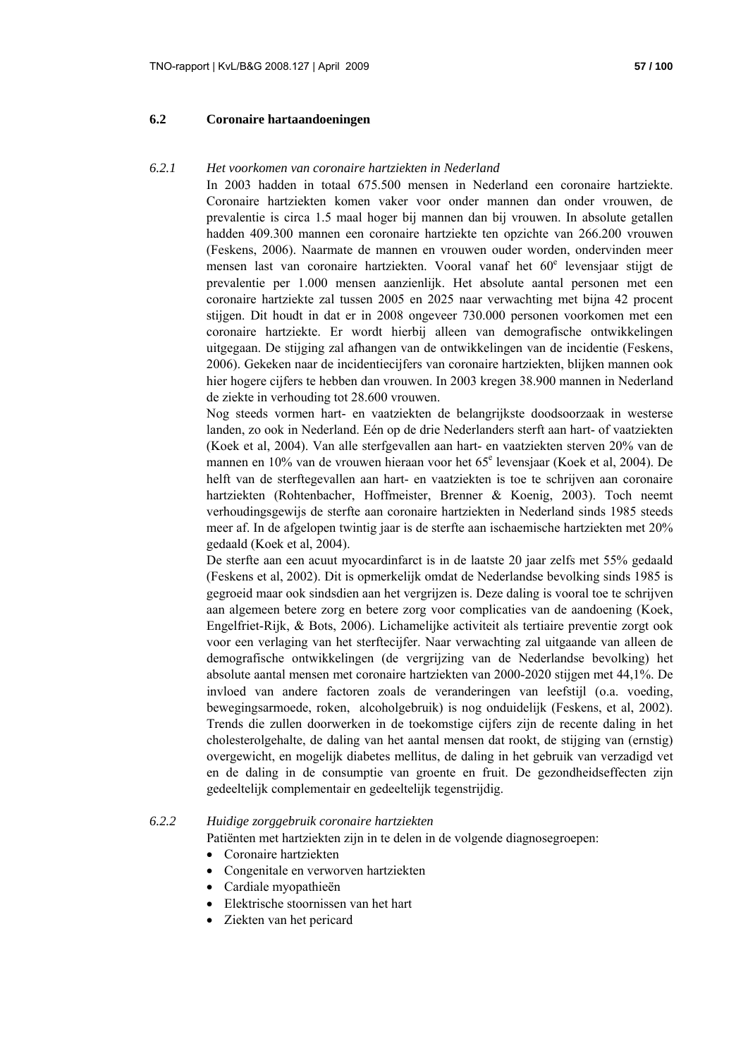# **6.2 Coronaire hartaandoeningen**

## *6.2.1 Het voorkomen van coronaire hartziekten in Nederland*

In 2003 hadden in totaal 675.500 mensen in Nederland een coronaire hartziekte. Coronaire hartziekten komen vaker voor onder mannen dan onder vrouwen, de prevalentie is circa 1.5 maal hoger bij mannen dan bij vrouwen. In absolute getallen hadden 409.300 mannen een coronaire hartziekte ten opzichte van 266.200 vrouwen (Feskens, 2006). Naarmate de mannen en vrouwen ouder worden, ondervinden meer mensen last van coronaire hartziekten. Vooral vanaf het 60<sup>e</sup> levensjaar stijgt de prevalentie per 1.000 mensen aanzienlijk. Het absolute aantal personen met een coronaire hartziekte zal tussen 2005 en 2025 naar verwachting met bijna 42 procent stijgen. Dit houdt in dat er in 2008 ongeveer 730.000 personen voorkomen met een coronaire hartziekte. Er wordt hierbij alleen van demografische ontwikkelingen uitgegaan. De stijging zal afhangen van de ontwikkelingen van de incidentie (Feskens, 2006). Gekeken naar de incidentiecijfers van coronaire hartziekten, blijken mannen ook hier hogere cijfers te hebben dan vrouwen. In 2003 kregen 38.900 mannen in Nederland de ziekte in verhouding tot 28.600 vrouwen.

Nog steeds vormen hart- en vaatziekten de belangrijkste doodsoorzaak in westerse landen, zo ook in Nederland. Eén op de drie Nederlanders sterft aan hart- of vaatziekten (Koek et al, 2004). Van alle sterfgevallen aan hart- en vaatziekten sterven 20% van de mannen en 10% van de vrouwen hieraan voor het 65<sup>e</sup> levensjaar (Koek et al, 2004). De helft van de sterftegevallen aan hart- en vaatziekten is toe te schrijven aan coronaire hartziekten (Rohtenbacher, Hoffmeister, Brenner & Koenig, 2003). Toch neemt verhoudingsgewijs de sterfte aan coronaire hartziekten in Nederland sinds 1985 steeds meer af. In de afgelopen twintig jaar is de sterfte aan ischaemische hartziekten met 20% gedaald (Koek et al, 2004).

De sterfte aan een acuut myocardinfarct is in de laatste 20 jaar zelfs met 55% gedaald (Feskens et al, 2002). Dit is opmerkelijk omdat de Nederlandse bevolking sinds 1985 is gegroeid maar ook sindsdien aan het vergrijzen is. Deze daling is vooral toe te schrijven aan algemeen betere zorg en betere zorg voor complicaties van de aandoening (Koek, Engelfriet-Rijk, & Bots, 2006). Lichamelijke activiteit als tertiaire preventie zorgt ook voor een verlaging van het sterftecijfer. Naar verwachting zal uitgaande van alleen de demografische ontwikkelingen (de vergrijzing van de Nederlandse bevolking) het absolute aantal mensen met coronaire hartziekten van 2000-2020 stijgen met 44,1%. De invloed van andere factoren zoals de veranderingen van leefstijl (o.a. voeding, bewegingsarmoede, roken, alcoholgebruik) is nog onduidelijk (Feskens, et al, 2002). Trends die zullen doorwerken in de toekomstige cijfers zijn de recente daling in het cholesterolgehalte, de daling van het aantal mensen dat rookt, de stijging van (ernstig) overgewicht, en mogelijk diabetes mellitus, de daling in het gebruik van verzadigd vet en de daling in de consumptie van groente en fruit. De gezondheidseffecten zijn gedeeltelijk complementair en gedeeltelijk tegenstrijdig.

# *6.2.2 Huidige zorggebruik coronaire hartziekten*

Patiënten met hartziekten zijn in te delen in de volgende diagnosegroepen:

- Coronaire hartziekten
- Congenitale en verworven hartziekten
- Cardiale myopathieën
- Elektrische stoornissen van het hart
- Ziekten van het pericard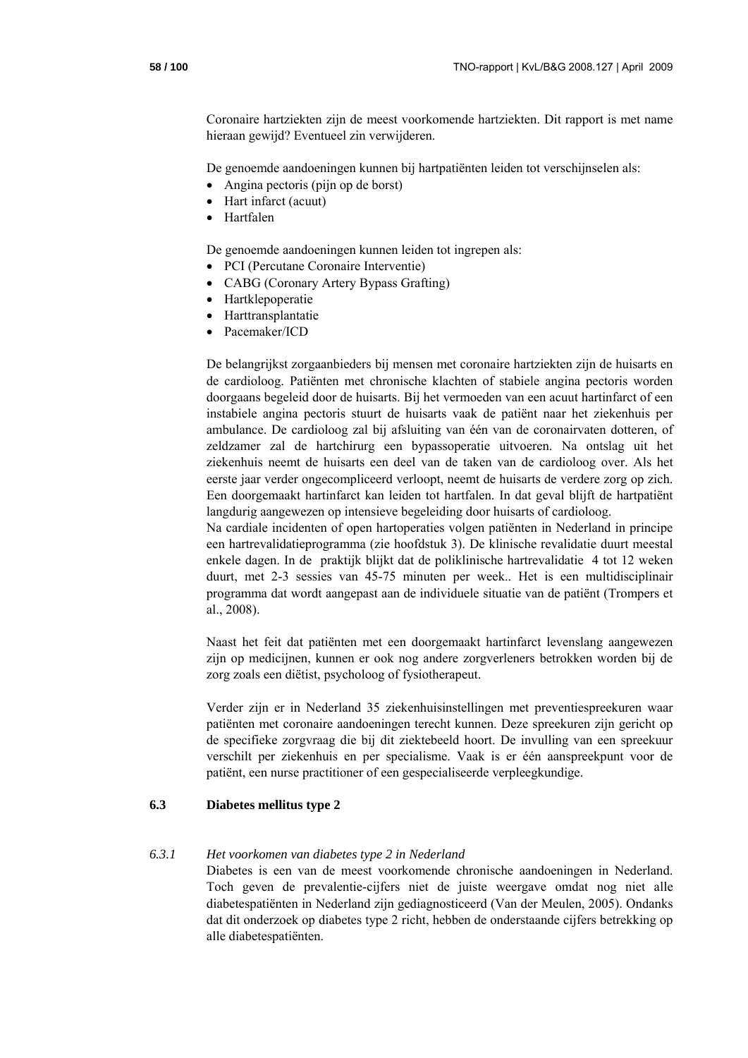Coronaire hartziekten zijn de meest voorkomende hartziekten. Dit rapport is met name hieraan gewijd? Eventueel zin verwijderen.

De genoemde aandoeningen kunnen bij hartpatiënten leiden tot verschijnselen als:

- Angina pectoris (pijn op de borst)
- Hart infarct (acuut)
- Hartfalen

De genoemde aandoeningen kunnen leiden tot ingrepen als:

- PCI (Percutane Coronaire Interventie)
- CABG (Coronary Artery Bypass Grafting)
- Hartklepoperatie
- Harttransplantatie
- Pacemaker/ICD

De belangrijkst zorgaanbieders bij mensen met coronaire hartziekten zijn de huisarts en de cardioloog. Patiënten met chronische klachten of stabiele angina pectoris worden doorgaans begeleid door de huisarts. Bij het vermoeden van een acuut hartinfarct of een instabiele angina pectoris stuurt de huisarts vaak de patiënt naar het ziekenhuis per ambulance. De cardioloog zal bij afsluiting van één van de coronairvaten dotteren, of zeldzamer zal de hartchirurg een bypassoperatie uitvoeren. Na ontslag uit het ziekenhuis neemt de huisarts een deel van de taken van de cardioloog over. Als het eerste jaar verder ongecompliceerd verloopt, neemt de huisarts de verdere zorg op zich. Een doorgemaakt hartinfarct kan leiden tot hartfalen. In dat geval blijft de hartpatiënt langdurig aangewezen op intensieve begeleiding door huisarts of cardioloog.

Na cardiale incidenten of open hartoperaties volgen patiënten in Nederland in principe een hartrevalidatieprogramma (zie hoofdstuk 3). De klinische revalidatie duurt meestal enkele dagen. In de praktijk blijkt dat de poliklinische hartrevalidatie 4 tot 12 weken duurt, met 2-3 sessies van 45-75 minuten per week.. Het is een multidisciplinair programma dat wordt aangepast aan de individuele situatie van de patiënt (Trompers et al., 2008).

Naast het feit dat patiënten met een doorgemaakt hartinfarct levenslang aangewezen zijn op medicijnen, kunnen er ook nog andere zorgverleners betrokken worden bij de zorg zoals een diëtist, psycholoog of fysiotherapeut.

Verder zijn er in Nederland 35 ziekenhuisinstellingen met preventiespreekuren waar patiënten met coronaire aandoeningen terecht kunnen. Deze spreekuren zijn gericht op de specifieke zorgvraag die bij dit ziektebeeld hoort. De invulling van een spreekuur verschilt per ziekenhuis en per specialisme. Vaak is er één aanspreekpunt voor de patiënt, een nurse practitioner of een gespecialiseerde verpleegkundige.

# **6.3 Diabetes mellitus type 2**

# *6.3.1 Het voorkomen van diabetes type 2 in Nederland*

Diabetes is een van de meest voorkomende chronische aandoeningen in Nederland. Toch geven de prevalentie-cijfers niet de juiste weergave omdat nog niet alle diabetespatiënten in Nederland zijn gediagnosticeerd (Van der Meulen, 2005). Ondanks dat dit onderzoek op diabetes type 2 richt, hebben de onderstaande cijfers betrekking op alle diabetespatiënten.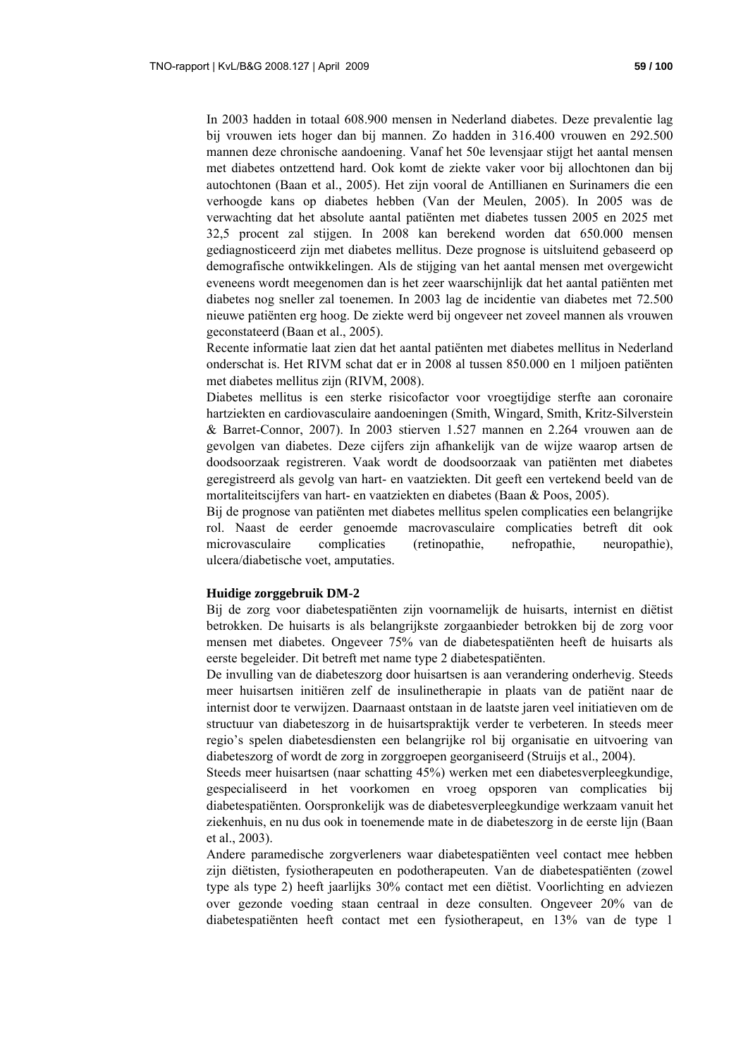In 2003 hadden in totaal 608.900 mensen in Nederland diabetes. Deze prevalentie lag bij vrouwen iets hoger dan bij mannen. Zo hadden in 316.400 vrouwen en 292.500 mannen deze chronische aandoening. Vanaf het 50e levensjaar stijgt het aantal mensen met diabetes ontzettend hard. Ook komt de ziekte vaker voor bij allochtonen dan bij autochtonen (Baan et al., 2005). Het zijn vooral de Antillianen en Surinamers die een verhoogde kans op diabetes hebben (Van der Meulen, 2005). In 2005 was de verwachting dat het absolute aantal patiënten met diabetes tussen 2005 en 2025 met 32,5 procent zal stijgen. In 2008 kan berekend worden dat 650.000 mensen gediagnosticeerd zijn met diabetes mellitus. Deze prognose is uitsluitend gebaseerd op demografische ontwikkelingen. Als de stijging van het aantal mensen met overgewicht eveneens wordt meegenomen dan is het zeer waarschijnlijk dat het aantal patiënten met diabetes nog sneller zal toenemen. In 2003 lag de incidentie van diabetes met 72.500 nieuwe patiënten erg hoog. De ziekte werd bij ongeveer net zoveel mannen als vrouwen geconstateerd (Baan et al., 2005).

Recente informatie laat zien dat het aantal patiënten met diabetes mellitus in Nederland onderschat is. Het RIVM schat dat er in 2008 al tussen 850.000 en 1 miljoen patiënten met diabetes mellitus zijn (RIVM, 2008).

Diabetes mellitus is een sterke risicofactor voor vroegtijdige sterfte aan coronaire hartziekten en cardiovasculaire aandoeningen (Smith, Wingard, Smith, Kritz-Silverstein & Barret-Connor, 2007). In 2003 stierven 1.527 mannen en 2.264 vrouwen aan de gevolgen van diabetes. Deze cijfers zijn afhankelijk van de wijze waarop artsen de doodsoorzaak registreren. Vaak wordt de doodsoorzaak van patiënten met diabetes geregistreerd als gevolg van hart- en vaatziekten. Dit geeft een vertekend beeld van de mortaliteitscijfers van hart- en vaatziekten en diabetes (Baan & Poos, 2005).

Bij de prognose van patiënten met diabetes mellitus spelen complicaties een belangrijke rol. Naast de eerder genoemde macrovasculaire complicaties betreft dit ook microvasculaire complicaties (retinopathie, nefropathie, neuropathie), ulcera/diabetische voet, amputaties.

#### **Huidige zorggebruik DM-2**

Bij de zorg voor diabetespatiënten zijn voornamelijk de huisarts, internist en diëtist betrokken. De huisarts is als belangrijkste zorgaanbieder betrokken bij de zorg voor mensen met diabetes. Ongeveer 75% van de diabetespatiënten heeft de huisarts als eerste begeleider. Dit betreft met name type 2 diabetespatiënten.

De invulling van de diabeteszorg door huisartsen is aan verandering onderhevig. Steeds meer huisartsen initiëren zelf de insulinetherapie in plaats van de patiënt naar de internist door te verwijzen. Daarnaast ontstaan in de laatste jaren veel initiatieven om de structuur van diabeteszorg in de huisartspraktijk verder te verbeteren. In steeds meer regio's spelen diabetesdiensten een belangrijke rol bij organisatie en uitvoering van diabeteszorg of wordt de zorg in zorggroepen georganiseerd (Struijs et al., 2004).

Steeds meer huisartsen (naar schatting 45%) werken met een diabetesverpleegkundige, gespecialiseerd in het voorkomen en vroeg opsporen van complicaties bij diabetespatiënten. Oorspronkelijk was de diabetesverpleegkundige werkzaam vanuit het ziekenhuis, en nu dus ook in toenemende mate in de diabeteszorg in de eerste lijn (Baan et al., 2003).

Andere paramedische zorgverleners waar diabetespatiënten veel contact mee hebben zijn diëtisten, fysiotherapeuten en podotherapeuten. Van de diabetespatiënten (zowel type als type 2) heeft jaarlijks 30% contact met een diëtist. Voorlichting en adviezen over gezonde voeding staan centraal in deze consulten. Ongeveer 20% van de diabetespatiënten heeft contact met een fysiotherapeut, en 13% van de type 1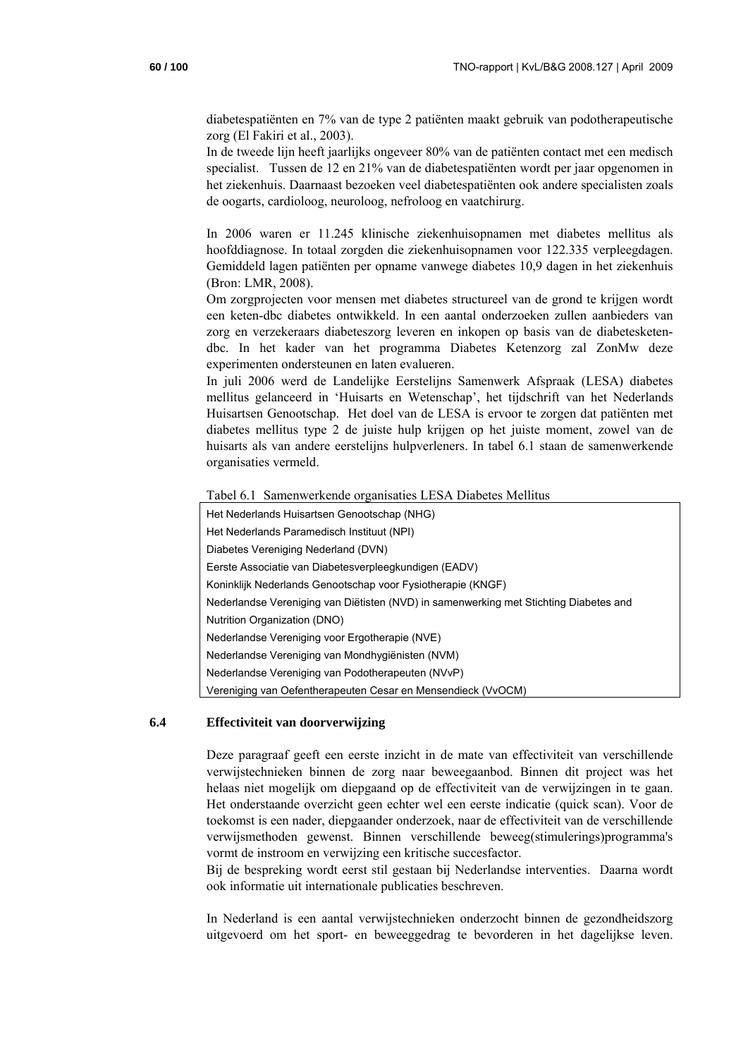diabetespatiënten en 7% van de type 2 patiënten maakt gebruik van podotherapeutische zorg (El Fakiri et al., 2003).

In de tweede lijn heeft jaarlijks ongeveer 80% van de patiënten contact met een medisch specialist. Tussen de 12 en 21% van de diabetespatiënten wordt per jaar opgenomen in het ziekenhuis. Daarnaast bezoeken veel diabetespatiënten ook andere specialisten zoals de oogarts, cardioloog, neuroloog, nefroloog en vaatchirurg.

In 2006 waren er 11.245 klinische ziekenhuisopnamen met diabetes mellitus als hoofddiagnose. In totaal zorgden die ziekenhuisopnamen voor 122.335 verpleegdagen. Gemiddeld lagen patiënten per opname vanwege diabetes 10,9 dagen in het ziekenhuis (Bron: LMR, 2008).

Om zorgprojecten voor mensen met diabetes structureel van de grond te krijgen wordt een keten-dbc diabetes ontwikkeld. In een aantal onderzoeken zullen aanbieders van zorg en verzekeraars diabeteszorg leveren en inkopen op basis van de diabetesketendbc. In het kader van het programma Diabetes Ketenzorg zal ZonMw deze experimenten ondersteunen en laten evalueren.

In juli 2006 werd de Landelijke Eerstelijns Samenwerk Afspraak (LESA) diabetes mellitus gelanceerd in 'Huisarts en Wetenschap', het tijdschrift van het Nederlands Huisartsen Genootschap. Het doel van de LESA is ervoor te zorgen dat patiënten met diabetes mellitus type 2 de juiste hulp krijgen op het juiste moment, zowel van de huisarts als van andere eerstelijns hulpverleners. In tabel 6.1 staan de samenwerkende organisaties vermeld.

Tabel 6.1 Samenwerkende organisaties LESA Diabetes Mellitus

| Het Nederlands Huisartsen Genootschap (NHG)                                           |
|---------------------------------------------------------------------------------------|
| Het Nederlands Paramedisch Instituut (NPI)                                            |
| Diabetes Vereniging Nederland (DVN)                                                   |
| Eerste Associatie van Diabetesverpleegkundigen (EADV)                                 |
| Koninklijk Nederlands Genootschap voor Fysiotherapie (KNGF)                           |
| Nederlandse Vereniging van Diëtisten (NVD) in samenwerking met Stichting Diabetes and |
| <b>Nutrition Organization (DNO)</b>                                                   |
| Nederlandse Vereniging voor Ergotherapie (NVE)                                        |
| Nederlandse Vereniging van Mondhygiënisten (NVM)                                      |
| Nederlandse Vereniging van Podotherapeuten (NVvP)                                     |
| Vereniging van Oefentherapeuten Cesar en Mensendieck (VvOCM)                          |

## **6.4 Effectiviteit van doorverwijzing**

Deze paragraaf geeft een eerste inzicht in de mate van effectiviteit van verschillende verwijstechnieken binnen de zorg naar beweegaanbod. Binnen dit project was het helaas niet mogelijk om diepgaand op de effectiviteit van de verwijzingen in te gaan. Het onderstaande overzicht geen echter wel een eerste indicatie (quick scan). Voor de toekomst is een nader, diepgaander onderzoek, naar de effectiviteit van de verschillende verwijsmethoden gewenst. Binnen verschillende beweeg(stimulerings)programma's vormt de instroom en verwijzing een kritische succesfactor.

Bij de bespreking wordt eerst stil gestaan bij Nederlandse interventies. Daarna wordt ook informatie uit internationale publicaties beschreven.

In Nederland is een aantal verwijstechnieken onderzocht binnen de gezondheidszorg uitgevoerd om het sport- en beweeggedrag te bevorderen in het dagelijkse leven.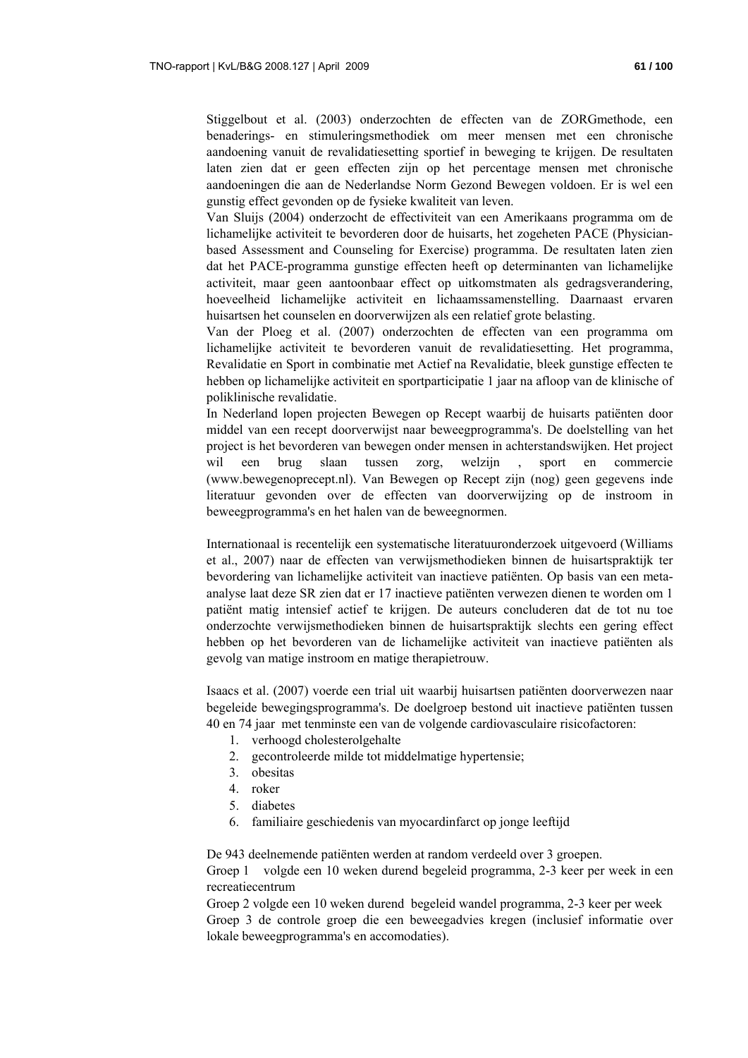Stiggelbout et al. (2003) onderzochten de effecten van de ZORGmethode, een benaderings- en stimuleringsmethodiek om meer mensen met een chronische aandoening vanuit de revalidatiesetting sportief in beweging te krijgen. De resultaten laten zien dat er geen effecten zijn op het percentage mensen met chronische aandoeningen die aan de Nederlandse Norm Gezond Bewegen voldoen. Er is wel een gunstig effect gevonden op de fysieke kwaliteit van leven.

Van Sluijs (2004) onderzocht de effectiviteit van een Amerikaans programma om de lichamelijke activiteit te bevorderen door de huisarts, het zogeheten PACE (Physicianbased Assessment and Counseling for Exercise) programma. De resultaten laten zien dat het PACE-programma gunstige effecten heeft op determinanten van lichamelijke activiteit, maar geen aantoonbaar effect op uitkomstmaten als gedragsverandering, hoeveelheid lichamelijke activiteit en lichaamssamenstelling. Daarnaast ervaren huisartsen het counselen en doorverwijzen als een relatief grote belasting.

Van der Ploeg et al. (2007) onderzochten de effecten van een programma om lichamelijke activiteit te bevorderen vanuit de revalidatiesetting. Het programma, Revalidatie en Sport in combinatie met Actief na Revalidatie, bleek gunstige effecten te hebben op lichamelijke activiteit en sportparticipatie 1 jaar na afloop van de klinische of poliklinische revalidatie.

In Nederland lopen projecten Bewegen op Recept waarbij de huisarts patiënten door middel van een recept doorverwijst naar beweegprogramma's. De doelstelling van het project is het bevorderen van bewegen onder mensen in achterstandswijken. Het project wil een brug slaan tussen zorg, welzijn , sport en commercie (www.bewegenoprecept.nl). Van Bewegen op Recept zijn (nog) geen gegevens inde literatuur gevonden over de effecten van doorverwijzing op de instroom in beweegprogramma's en het halen van de beweegnormen.

Internationaal is recentelijk een systematische literatuuronderzoek uitgevoerd (Williams et al., 2007) naar de effecten van verwijsmethodieken binnen de huisartspraktijk ter bevordering van lichamelijke activiteit van inactieve patiënten. Op basis van een metaanalyse laat deze SR zien dat er 17 inactieve patiënten verwezen dienen te worden om 1 patiënt matig intensief actief te krijgen. De auteurs concluderen dat de tot nu toe onderzochte verwijsmethodieken binnen de huisartspraktijk slechts een gering effect hebben op het bevorderen van de lichamelijke activiteit van inactieve patiënten als gevolg van matige instroom en matige therapietrouw.

Isaacs et al. (2007) voerde een trial uit waarbij huisartsen patiënten doorverwezen naar begeleide bewegingsprogramma's. De doelgroep bestond uit inactieve patiënten tussen 40 en 74 jaar met tenminste een van de volgende cardiovasculaire risicofactoren:

- 1. verhoogd cholesterolgehalte
- 2. gecontroleerde milde tot middelmatige hypertensie;
- 3. obesitas
- 4. roker
- 5. diabetes
- 6. familiaire geschiedenis van myocardinfarct op jonge leeftijd

De 943 deelnemende patiënten werden at random verdeeld over 3 groepen.

Groep 1 volgde een 10 weken durend begeleid programma, 2-3 keer per week in een recreatiecentrum

Groep 2 volgde een 10 weken durend begeleid wandel programma, 2-3 keer per week Groep 3 de controle groep die een beweegadvies kregen (inclusief informatie over lokale beweegprogramma's en accomodaties).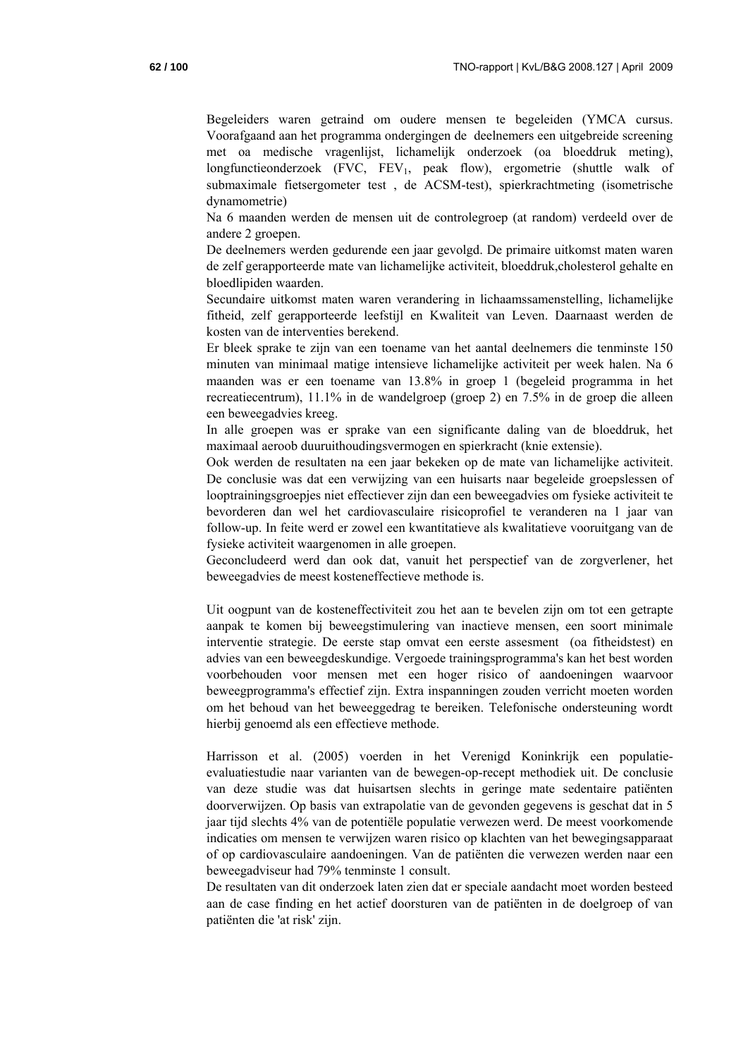Begeleiders waren getraind om oudere mensen te begeleiden (YMCA cursus. Voorafgaand aan het programma ondergingen de deelnemers een uitgebreide screening met oa medische vragenlijst, lichamelijk onderzoek (oa bloeddruk meting), longfunctieonderzoek (FVC,  $FEV_1$ , peak flow), ergometrie (shuttle walk of submaximale fietsergometer test , de ACSM-test), spierkrachtmeting (isometrische dynamometrie)

Na 6 maanden werden de mensen uit de controlegroep (at random) verdeeld over de andere 2 groepen.

De deelnemers werden gedurende een jaar gevolgd. De primaire uitkomst maten waren de zelf gerapporteerde mate van lichamelijke activiteit, bloeddruk,cholesterol gehalte en bloedlipiden waarden.

Secundaire uitkomst maten waren verandering in lichaamssamenstelling, lichamelijke fitheid, zelf gerapporteerde leefstijl en Kwaliteit van Leven. Daarnaast werden de kosten van de interventies berekend.

Er bleek sprake te zijn van een toename van het aantal deelnemers die tenminste 150 minuten van minimaal matige intensieve lichamelijke activiteit per week halen. Na 6 maanden was er een toename van 13.8% in groep 1 (begeleid programma in het recreatiecentrum), 11.1% in de wandelgroep (groep 2) en 7.5% in de groep die alleen een beweegadvies kreeg.

In alle groepen was er sprake van een significante daling van de bloeddruk, het maximaal aeroob duuruithoudingsvermogen en spierkracht (knie extensie).

Ook werden de resultaten na een jaar bekeken op de mate van lichamelijke activiteit. De conclusie was dat een verwijzing van een huisarts naar begeleide groepslessen of looptrainingsgroepjes niet effectiever zijn dan een beweegadvies om fysieke activiteit te bevorderen dan wel het cardiovasculaire risicoprofiel te veranderen na 1 jaar van follow-up. In feite werd er zowel een kwantitatieve als kwalitatieve vooruitgang van de fysieke activiteit waargenomen in alle groepen.

Geconcludeerd werd dan ook dat, vanuit het perspectief van de zorgverlener, het beweegadvies de meest kosteneffectieve methode is.

Uit oogpunt van de kosteneffectiviteit zou het aan te bevelen zijn om tot een getrapte aanpak te komen bij beweegstimulering van inactieve mensen, een soort minimale interventie strategie. De eerste stap omvat een eerste assesment (oa fitheidstest) en advies van een beweegdeskundige. Vergoede trainingsprogramma's kan het best worden voorbehouden voor mensen met een hoger risico of aandoeningen waarvoor beweegprogramma's effectief zijn. Extra inspanningen zouden verricht moeten worden om het behoud van het beweeggedrag te bereiken. Telefonische ondersteuning wordt hierbij genoemd als een effectieve methode.

Harrisson et al. (2005) voerden in het Verenigd Koninkrijk een populatieevaluatiestudie naar varianten van de bewegen-op-recept methodiek uit. De conclusie van deze studie was dat huisartsen slechts in geringe mate sedentaire patiënten doorverwijzen. Op basis van extrapolatie van de gevonden gegevens is geschat dat in 5 jaar tijd slechts 4% van de potentiële populatie verwezen werd. De meest voorkomende indicaties om mensen te verwijzen waren risico op klachten van het bewegingsapparaat of op cardiovasculaire aandoeningen. Van de patiënten die verwezen werden naar een beweegadviseur had 79% tenminste 1 consult.

De resultaten van dit onderzoek laten zien dat er speciale aandacht moet worden besteed aan de case finding en het actief doorsturen van de patiënten in de doelgroep of van patiënten die 'at risk' zijn.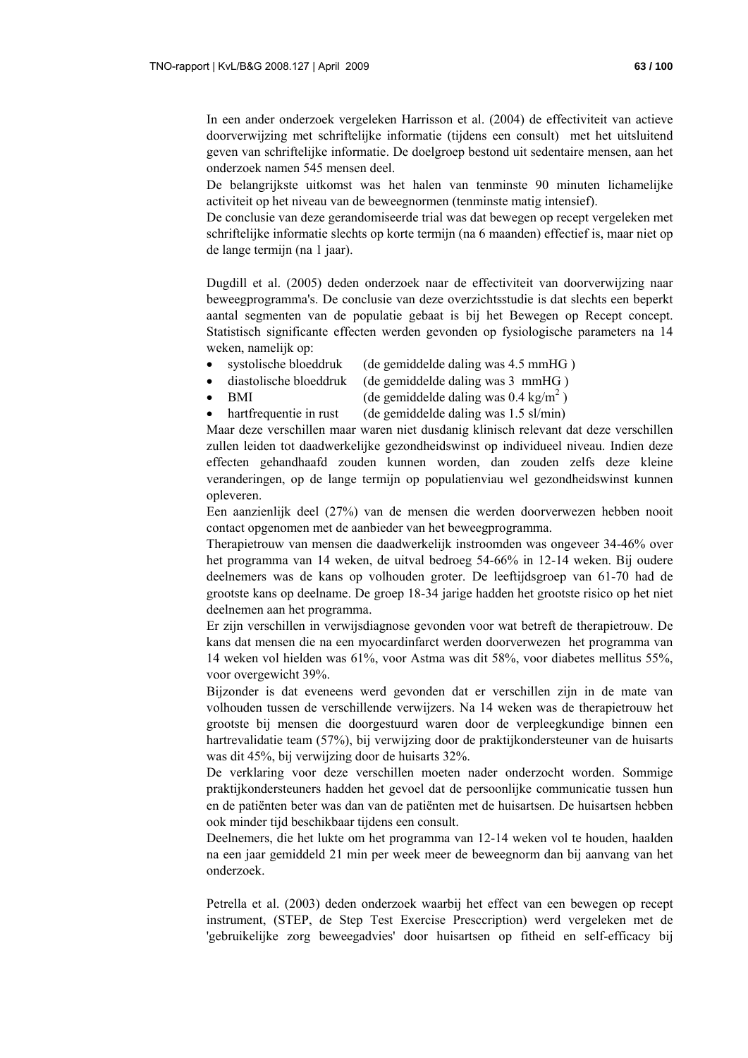In een ander onderzoek vergeleken Harrisson et al. (2004) de effectiviteit van actieve doorverwijzing met schriftelijke informatie (tijdens een consult) met het uitsluitend geven van schriftelijke informatie. De doelgroep bestond uit sedentaire mensen, aan het onderzoek namen 545 mensen deel.

De belangrijkste uitkomst was het halen van tenminste 90 minuten lichamelijke activiteit op het niveau van de beweegnormen (tenminste matig intensief).

De conclusie van deze gerandomiseerde trial was dat bewegen op recept vergeleken met schriftelijke informatie slechts op korte termijn (na 6 maanden) effectief is, maar niet op de lange termijn (na 1 jaar).

Dugdill et al. (2005) deden onderzoek naar de effectiviteit van doorverwijzing naar beweegprogramma's. De conclusie van deze overzichtsstudie is dat slechts een beperkt aantal segmenten van de populatie gebaat is bij het Bewegen op Recept concept. Statistisch significante effecten werden gevonden op fysiologische parameters na 14 weken, namelijk op:

- systolische bloeddruk (de gemiddelde daling was 4.5 mmHG )
	- diastolische bloeddruk (de gemiddelde daling was 3 mmHG )
- BMI (de gemiddelde daling was  $0.4 \text{ kg/m}^2$ )
	- hartfrequentie in rust (de gemiddelde daling was 1.5 sl/min)

Maar deze verschillen maar waren niet dusdanig klinisch relevant dat deze verschillen zullen leiden tot daadwerkelijke gezondheidswinst op individueel niveau. Indien deze effecten gehandhaafd zouden kunnen worden, dan zouden zelfs deze kleine veranderingen, op de lange termijn op populatienviau wel gezondheidswinst kunnen opleveren.

Een aanzienlijk deel (27%) van de mensen die werden doorverwezen hebben nooit contact opgenomen met de aanbieder van het beweegprogramma.

Therapietrouw van mensen die daadwerkelijk instroomden was ongeveer 34-46% over het programma van 14 weken, de uitval bedroeg 54-66% in 12-14 weken. Bij oudere deelnemers was de kans op volhouden groter. De leeftijdsgroep van 61-70 had de grootste kans op deelname. De groep 18-34 jarige hadden het grootste risico op het niet deelnemen aan het programma.

Er zijn verschillen in verwijsdiagnose gevonden voor wat betreft de therapietrouw. De kans dat mensen die na een myocardinfarct werden doorverwezen het programma van 14 weken vol hielden was 61%, voor Astma was dit 58%, voor diabetes mellitus 55%, voor overgewicht 39%.

Bijzonder is dat eveneens werd gevonden dat er verschillen zijn in de mate van volhouden tussen de verschillende verwijzers. Na 14 weken was de therapietrouw het grootste bij mensen die doorgestuurd waren door de verpleegkundige binnen een hartrevalidatie team (57%), bij verwijzing door de praktijkondersteuner van de huisarts was dit 45%, bij verwijzing door de huisarts 32%.

De verklaring voor deze verschillen moeten nader onderzocht worden. Sommige praktijkondersteuners hadden het gevoel dat de persoonlijke communicatie tussen hun en de patiënten beter was dan van de patiënten met de huisartsen. De huisartsen hebben ook minder tijd beschikbaar tijdens een consult.

Deelnemers, die het lukte om het programma van 12-14 weken vol te houden, haalden na een jaar gemiddeld 21 min per week meer de beweegnorm dan bij aanvang van het onderzoek.

Petrella et al. (2003) deden onderzoek waarbij het effect van een bewegen op recept instrument, (STEP, de Step Test Exercise Presccription) werd vergeleken met de 'gebruikelijke zorg beweegadvies' door huisartsen op fitheid en self-efficacy bij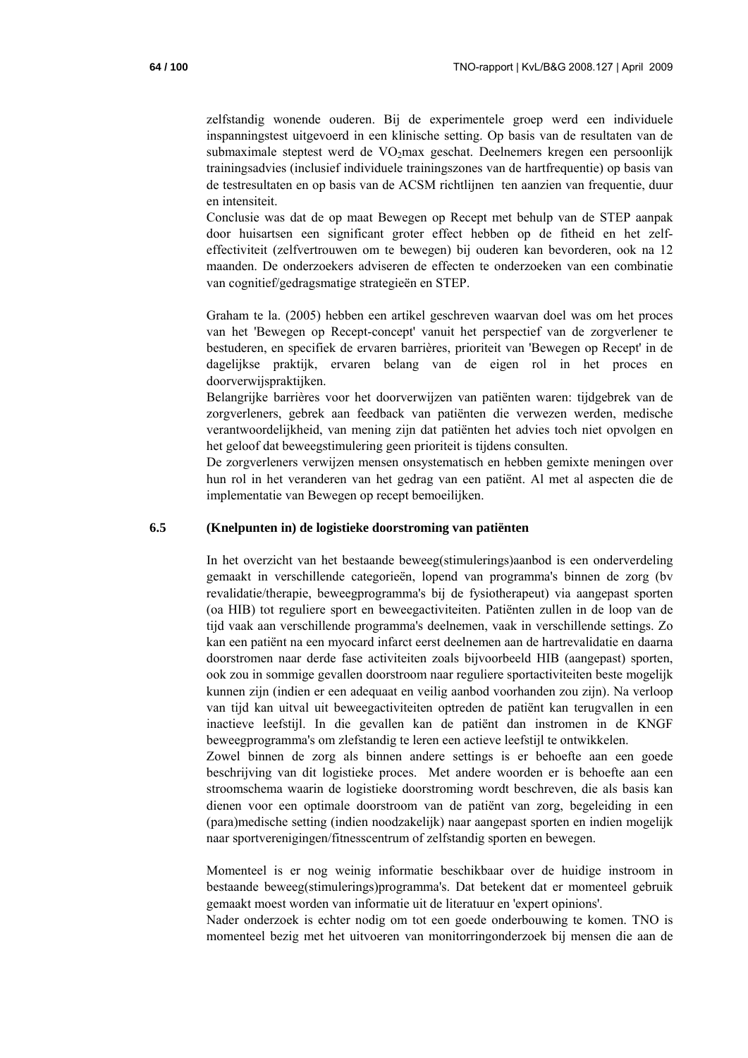zelfstandig wonende ouderen. Bij de experimentele groep werd een individuele inspanningstest uitgevoerd in een klinische setting. Op basis van de resultaten van de submaximale steptest werd de VO<sub>2</sub>max geschat. Deelnemers kregen een persoonlijk trainingsadvies (inclusief individuele trainingszones van de hartfrequentie) op basis van de testresultaten en op basis van de ACSM richtlijnen ten aanzien van frequentie, duur en intensiteit.

Conclusie was dat de op maat Bewegen op Recept met behulp van de STEP aanpak door huisartsen een significant groter effect hebben op de fitheid en het zelfeffectiviteit (zelfvertrouwen om te bewegen) bij ouderen kan bevorderen, ook na 12 maanden. De onderzoekers adviseren de effecten te onderzoeken van een combinatie van cognitief/gedragsmatige strategieën en STEP.

Graham te la. (2005) hebben een artikel geschreven waarvan doel was om het proces van het 'Bewegen op Recept-concept' vanuit het perspectief van de zorgverlener te bestuderen, en specifiek de ervaren barrières, prioriteit van 'Bewegen op Recept' in de dagelijkse praktijk, ervaren belang van de eigen rol in het proces en doorverwijspraktijken.

Belangrijke barrières voor het doorverwijzen van patiënten waren: tijdgebrek van de zorgverleners, gebrek aan feedback van patiënten die verwezen werden, medische verantwoordelijkheid, van mening zijn dat patiënten het advies toch niet opvolgen en het geloof dat beweegstimulering geen prioriteit is tijdens consulten.

De zorgverleners verwijzen mensen onsystematisch en hebben gemixte meningen over hun rol in het veranderen van het gedrag van een patiënt. Al met al aspecten die de implementatie van Bewegen op recept bemoeilijken.

## **6.5 (Knelpunten in) de logistieke doorstroming van patiënten**

In het overzicht van het bestaande beweeg(stimulerings)aanbod is een onderverdeling gemaakt in verschillende categorieën, lopend van programma's binnen de zorg (bv revalidatie/therapie, beweegprogramma's bij de fysiotherapeut) via aangepast sporten (oa HIB) tot reguliere sport en beweegactiviteiten. Patiënten zullen in de loop van de tijd vaak aan verschillende programma's deelnemen, vaak in verschillende settings. Zo kan een patiënt na een myocard infarct eerst deelnemen aan de hartrevalidatie en daarna doorstromen naar derde fase activiteiten zoals bijvoorbeeld HIB (aangepast) sporten, ook zou in sommige gevallen doorstroom naar reguliere sportactiviteiten beste mogelijk kunnen zijn (indien er een adequaat en veilig aanbod voorhanden zou zijn). Na verloop van tijd kan uitval uit beweegactiviteiten optreden de patiënt kan terugvallen in een inactieve leefstijl. In die gevallen kan de patiënt dan instromen in de KNGF beweegprogramma's om zlefstandig te leren een actieve leefstijl te ontwikkelen.

Zowel binnen de zorg als binnen andere settings is er behoefte aan een goede beschrijving van dit logistieke proces. Met andere woorden er is behoefte aan een stroomschema waarin de logistieke doorstroming wordt beschreven, die als basis kan dienen voor een optimale doorstroom van de patiënt van zorg, begeleiding in een (para)medische setting (indien noodzakelijk) naar aangepast sporten en indien mogelijk naar sportverenigingen/fitnesscentrum of zelfstandig sporten en bewegen.

Momenteel is er nog weinig informatie beschikbaar over de huidige instroom in bestaande beweeg(stimulerings)programma's. Dat betekent dat er momenteel gebruik gemaakt moest worden van informatie uit de literatuur en 'expert opinions'.

Nader onderzoek is echter nodig om tot een goede onderbouwing te komen. TNO is momenteel bezig met het uitvoeren van monitorringonderzoek bij mensen die aan de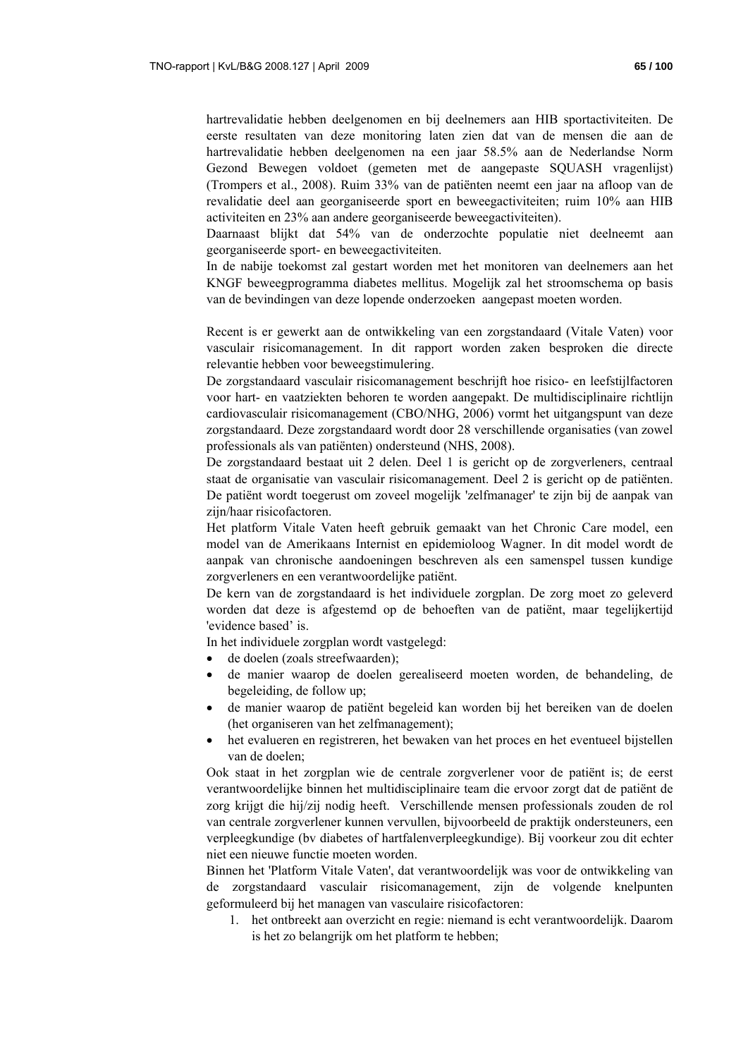hartrevalidatie hebben deelgenomen en bij deelnemers aan HIB sportactiviteiten. De eerste resultaten van deze monitoring laten zien dat van de mensen die aan de hartrevalidatie hebben deelgenomen na een jaar 58.5% aan de Nederlandse Norm Gezond Bewegen voldoet (gemeten met de aangepaste SQUASH vragenlijst) (Trompers et al., 2008). Ruim 33% van de patiënten neemt een jaar na afloop van de revalidatie deel aan georganiseerde sport en beweegactiviteiten; ruim 10% aan HIB activiteiten en 23% aan andere georganiseerde beweegactiviteiten).

Daarnaast blijkt dat 54% van de onderzochte populatie niet deelneemt aan georganiseerde sport- en beweegactiviteiten.

In de nabije toekomst zal gestart worden met het monitoren van deelnemers aan het KNGF beweegprogramma diabetes mellitus. Mogelijk zal het stroomschema op basis van de bevindingen van deze lopende onderzoeken aangepast moeten worden.

Recent is er gewerkt aan de ontwikkeling van een zorgstandaard (Vitale Vaten) voor vasculair risicomanagement. In dit rapport worden zaken besproken die directe relevantie hebben voor beweegstimulering.

De zorgstandaard vasculair risicomanagement beschrijft hoe risico- en leefstijlfactoren voor hart- en vaatziekten behoren te worden aangepakt. De multidisciplinaire richtlijn cardiovasculair risicomanagement (CBO/NHG, 2006) vormt het uitgangspunt van deze zorgstandaard. Deze zorgstandaard wordt door 28 verschillende organisaties (van zowel professionals als van patiënten) ondersteund (NHS, 2008).

De zorgstandaard bestaat uit 2 delen. Deel 1 is gericht op de zorgverleners, centraal staat de organisatie van vasculair risicomanagement. Deel 2 is gericht op de patiënten. De patiënt wordt toegerust om zoveel mogelijk 'zelfmanager' te zijn bij de aanpak van zijn/haar risicofactoren.

Het platform Vitale Vaten heeft gebruik gemaakt van het Chronic Care model, een model van de Amerikaans Internist en epidemioloog Wagner. In dit model wordt de aanpak van chronische aandoeningen beschreven als een samenspel tussen kundige zorgverleners en een verantwoordelijke patiënt.

De kern van de zorgstandaard is het individuele zorgplan. De zorg moet zo geleverd worden dat deze is afgestemd op de behoeften van de patiënt, maar tegelijkertijd 'evidence based' is.

In het individuele zorgplan wordt vastgelegd:

- de doelen (zoals streefwaarden);
- de manier waarop de doelen gerealiseerd moeten worden, de behandeling, de begeleiding, de follow up;
- de manier waarop de patiënt begeleid kan worden bij het bereiken van de doelen (het organiseren van het zelfmanagement);
- het evalueren en registreren, het bewaken van het proces en het eventueel bijstellen van de doelen;

Ook staat in het zorgplan wie de centrale zorgverlener voor de patiënt is; de eerst verantwoordelijke binnen het multidisciplinaire team die ervoor zorgt dat de patiënt de zorg krijgt die hij/zij nodig heeft. Verschillende mensen professionals zouden de rol van centrale zorgverlener kunnen vervullen, bijvoorbeeld de praktijk ondersteuners, een verpleegkundige (bv diabetes of hartfalenverpleegkundige). Bij voorkeur zou dit echter niet een nieuwe functie moeten worden.

Binnen het 'Platform Vitale Vaten', dat verantwoordelijk was voor de ontwikkeling van de zorgstandaard vasculair risicomanagement, zijn de volgende knelpunten geformuleerd bij het managen van vasculaire risicofactoren:

1. het ontbreekt aan overzicht en regie: niemand is echt verantwoordelijk. Daarom is het zo belangrijk om het platform te hebben;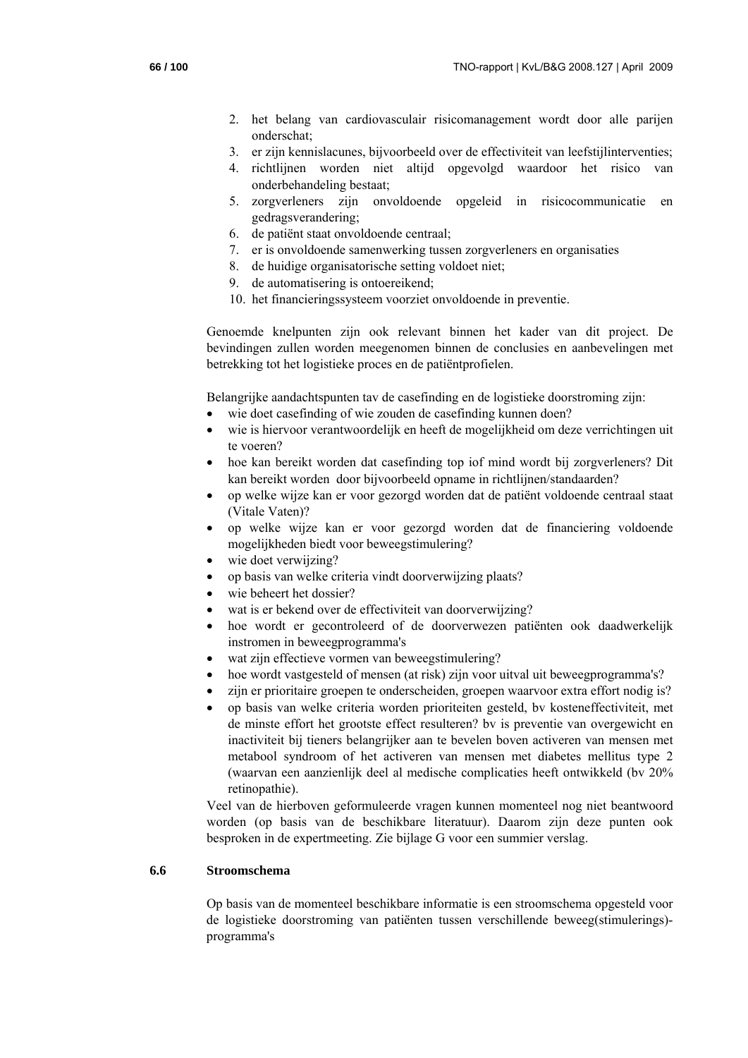- 2. het belang van cardiovasculair risicomanagement wordt door alle parijen onderschat;
- 3. er zijn kennislacunes, bijvoorbeeld over de effectiviteit van leefstijlinterventies;
- 4. richtlijnen worden niet altijd opgevolgd waardoor het risico van onderbehandeling bestaat;
- 5. zorgverleners zijn onvoldoende opgeleid in risicocommunicatie en gedragsverandering;
- 6. de patiënt staat onvoldoende centraal;
- 7. er is onvoldoende samenwerking tussen zorgverleners en organisaties
- 8. de huidige organisatorische setting voldoet niet;
- 9. de automatisering is ontoereikend;
- 10. het financieringssysteem voorziet onvoldoende in preventie.

Genoemde knelpunten zijn ook relevant binnen het kader van dit project. De bevindingen zullen worden meegenomen binnen de conclusies en aanbevelingen met betrekking tot het logistieke proces en de patiëntprofielen.

Belangrijke aandachtspunten tav de casefinding en de logistieke doorstroming zijn:

- wie doet casefinding of wie zouden de casefinding kunnen doen?
- wie is hiervoor verantwoordelijk en heeft de mogelijkheid om deze verrichtingen uit te voeren?
- hoe kan bereikt worden dat casefinding top iof mind wordt bij zorgverleners? Dit kan bereikt worden door bijvoorbeeld opname in richtlijnen/standaarden?
- op welke wijze kan er voor gezorgd worden dat de patiënt voldoende centraal staat (Vitale Vaten)?
- op welke wijze kan er voor gezorgd worden dat de financiering voldoende mogelijkheden biedt voor beweegstimulering?
- wie doet verwijzing?
- op basis van welke criteria vindt doorverwijzing plaats?
- wie beheert het dossier?
- wat is er bekend over de effectiviteit van doorverwijzing?
- hoe wordt er gecontroleerd of de doorverwezen patiënten ook daadwerkelijk instromen in beweegprogramma's
- wat zijn effectieve vormen van beweegstimulering?
- hoe wordt vastgesteld of mensen (at risk) zijn voor uitval uit beweegprogramma's?
- zijn er prioritaire groepen te onderscheiden, groepen waarvoor extra effort nodig is?
- op basis van welke criteria worden prioriteiten gesteld, bv kosteneffectiviteit, met de minste effort het grootste effect resulteren? bv is preventie van overgewicht en inactiviteit bij tieners belangrijker aan te bevelen boven activeren van mensen met metabool syndroom of het activeren van mensen met diabetes mellitus type 2 (waarvan een aanzienlijk deel al medische complicaties heeft ontwikkeld (bv 20% retinopathie).

Veel van de hierboven geformuleerde vragen kunnen momenteel nog niet beantwoord worden (op basis van de beschikbare literatuur). Daarom zijn deze punten ook besproken in de expertmeeting. Zie bijlage G voor een summier verslag.

## **6.6 Stroomschema**

Op basis van de momenteel beschikbare informatie is een stroomschema opgesteld voor de logistieke doorstroming van patiënten tussen verschillende beweeg(stimulerings) programma's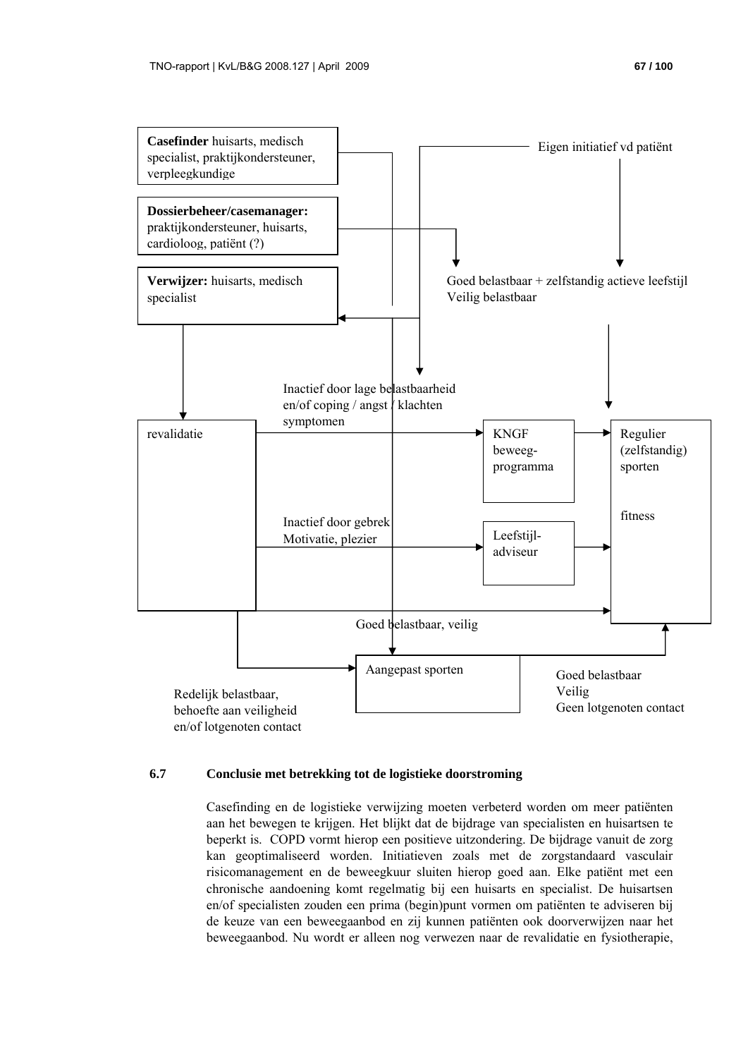**Casefinder** huisarts, medisch specialist, praktijkondersteuner,

**Dossierbeheer/casemanager:**  praktijkondersteuner, huisarts,

verpleegkundige

cardioloog, patiënt (?)





## **6.7 Conclusie met betrekking tot de logistieke doorstroming**

Casefinding en de logistieke verwijzing moeten verbeterd worden om meer patiënten aan het bewegen te krijgen. Het blijkt dat de bijdrage van specialisten en huisartsen te beperkt is. COPD vormt hierop een positieve uitzondering. De bijdrage vanuit de zorg kan geoptimaliseerd worden. Initiatieven zoals met de zorgstandaard vasculair risicomanagement en de beweegkuur sluiten hierop goed aan. Elke patiënt met een chronische aandoening komt regelmatig bij een huisarts en specialist. De huisartsen en/of specialisten zouden een prima (begin)punt vormen om patiënten te adviseren bij de keuze van een beweegaanbod en zij kunnen patiënten ook doorverwijzen naar het beweegaanbod. Nu wordt er alleen nog verwezen naar de revalidatie en fysiotherapie,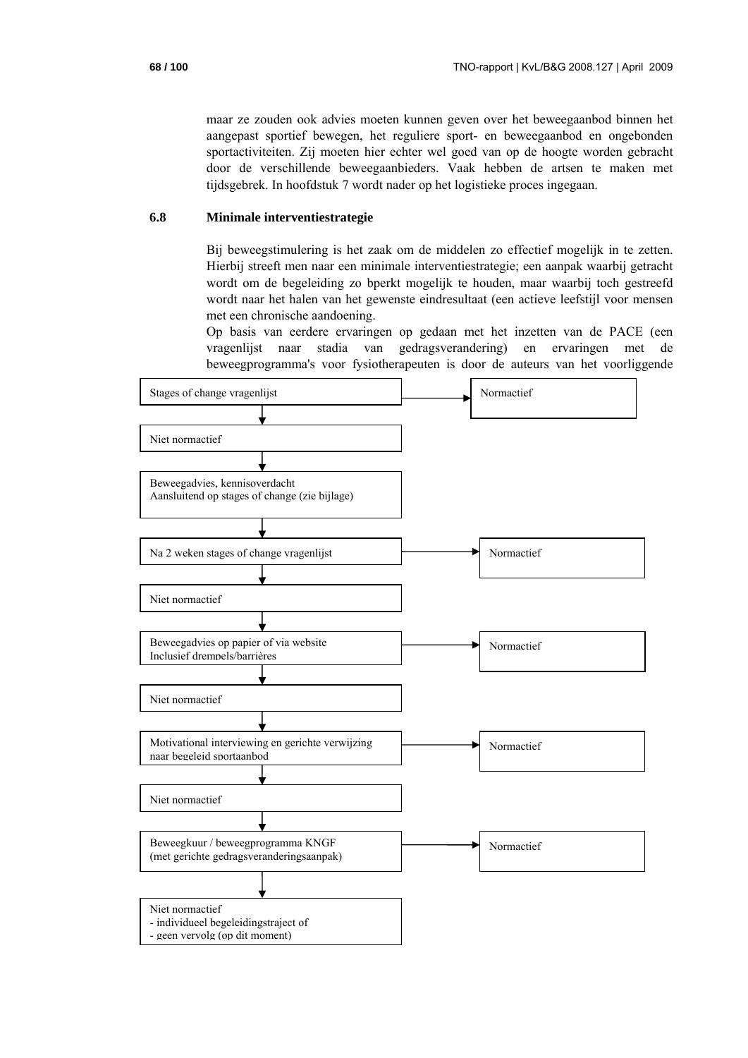maar ze zouden ook advies moeten kunnen geven over het beweegaanbod binnen het aangepast sportief bewegen, het reguliere sport- en beweegaanbod en ongebonden sportactiviteiten. Zij moeten hier echter wel goed van op de hoogte worden gebracht door de verschillende beweegaanbieders. Vaak hebben de artsen te maken met tijdsgebrek. In hoofdstuk 7 wordt nader op het logistieke proces ingegaan.

## **6.8 Minimale interventiestrategie**

Bij beweegstimulering is het zaak om de middelen zo effectief mogelijk in te zetten. Hierbij streeft men naar een minimale interventiestrategie; een aanpak waarbij getracht wordt om de begeleiding zo bperkt mogelijk te houden, maar waarbij toch gestreefd wordt naar het halen van het gewenste eindresultaat (een actieve leefstijl voor mensen met een chronische aandoening.

Op basis van eerdere ervaringen op gedaan met het inzetten van de PACE (een vragenlijst naar stadia van gedragsverandering) en ervaringen met de beweegprogramma's voor fysiotherapeuten is door de auteurs van het voorliggende

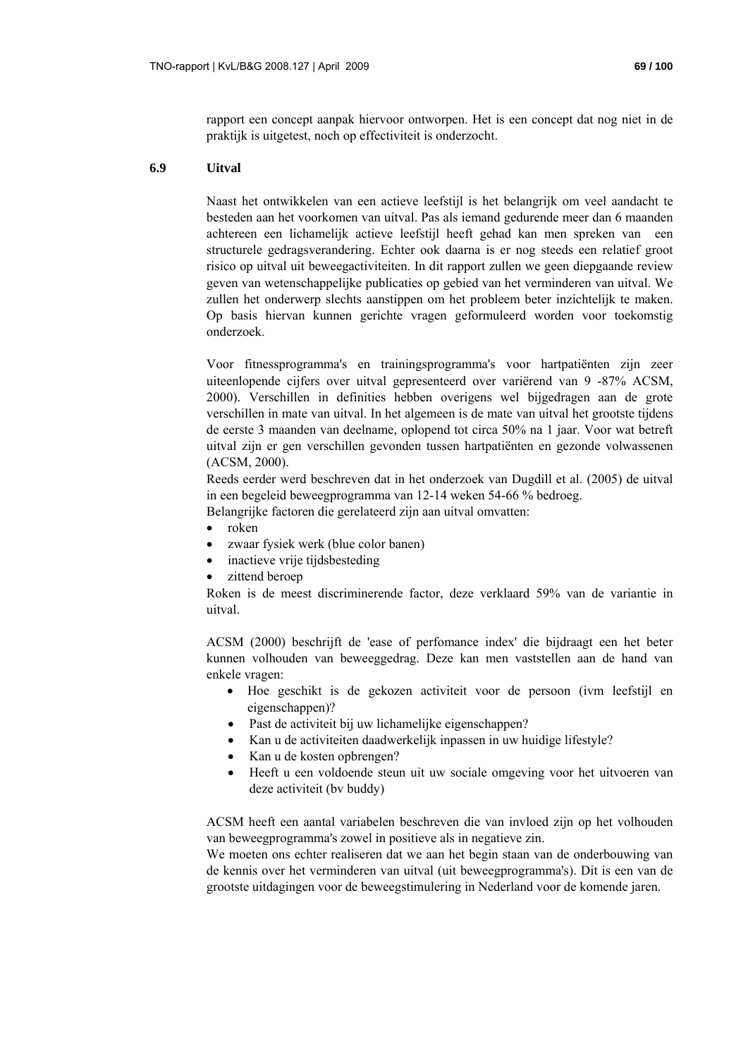rapport een concept aanpak hiervoor ontworpen. Het is een concept dat nog niet in de praktijk is uitgetest, noch op effectiviteit is onderzocht.

## **6.9 Uitval**

Naast het ontwikkelen van een actieve leefstijl is het belangrijk om veel aandacht te besteden aan het voorkomen van uitval. Pas als iemand gedurende meer dan 6 maanden achtereen een lichamelijk actieve leefstijl heeft gehad kan men spreken van een structurele gedragsverandering. Echter ook daarna is er nog steeds een relatief groot risico op uitval uit beweegactiviteiten. In dit rapport zullen we geen diepgaande review geven van wetenschappelijke publicaties op gebied van het verminderen van uitval. We zullen het onderwerp slechts aanstippen om het probleem beter inzichtelijk te maken. Op basis hiervan kunnen gerichte vragen geformuleerd worden voor toekomstig onderzoek.

Voor fitnessprogramma's en trainingsprogramma's voor hartpatiënten zijn zeer uiteenlopende cijfers over uitval gepresenteerd over variërend van 9 -87% ACSM, 2000). Verschillen in definities hebben overigens wel bijgedragen aan de grote verschillen in mate van uitval. In het algemeen is de mate van uitval het grootste tijdens de eerste 3 maanden van deelname, oplopend tot circa 50% na 1 jaar. Voor wat betreft uitval zijn er gen verschillen gevonden tussen hartpatiënten en gezonde volwassenen (ACSM, 2000).

Reeds eerder werd beschreven dat in het onderzoek van Dugdill et al. (2005) de uitval in een begeleid beweegprogramma van 12-14 weken 54-66 % bedroeg.

Belangrijke factoren die gerelateerd zijn aan uitval omvatten:

- roken
- zwaar fysiek werk (blue color banen)
- inactieve vrije tijdsbesteding
- zittend beroep

Roken is de meest discriminerende factor, deze verklaard 59% van de variantie in uitval.

ACSM (2000) beschrijft de 'ease of perfomance index' die bijdraagt een het beter kunnen volhouden van beweeggedrag. Deze kan men vaststellen aan de hand van enkele vragen:

- Hoe geschikt is de gekozen activiteit voor de persoon (ivm leefstijl en eigenschappen)?
- Past de activiteit bij uw lichamelijke eigenschappen?
- Kan u de activiteiten daadwerkelijk inpassen in uw huidige lifestyle?
- Kan u de kosten opbrengen?
- Heeft u een voldoende steun uit uw sociale omgeving voor het uitvoeren van deze activiteit (bv buddy)

ACSM heeft een aantal variabelen beschreven die van invloed zijn op het volhouden van beweegprogramma's zowel in positieve als in negatieve zin.

We moeten ons echter realiseren dat we aan het begin staan van de onderbouwing van de kennis over het verminderen van uitval (uit beweegprogramma's). Dit is een van de grootste uitdagingen voor de beweegstimulering in Nederland voor de komende jaren.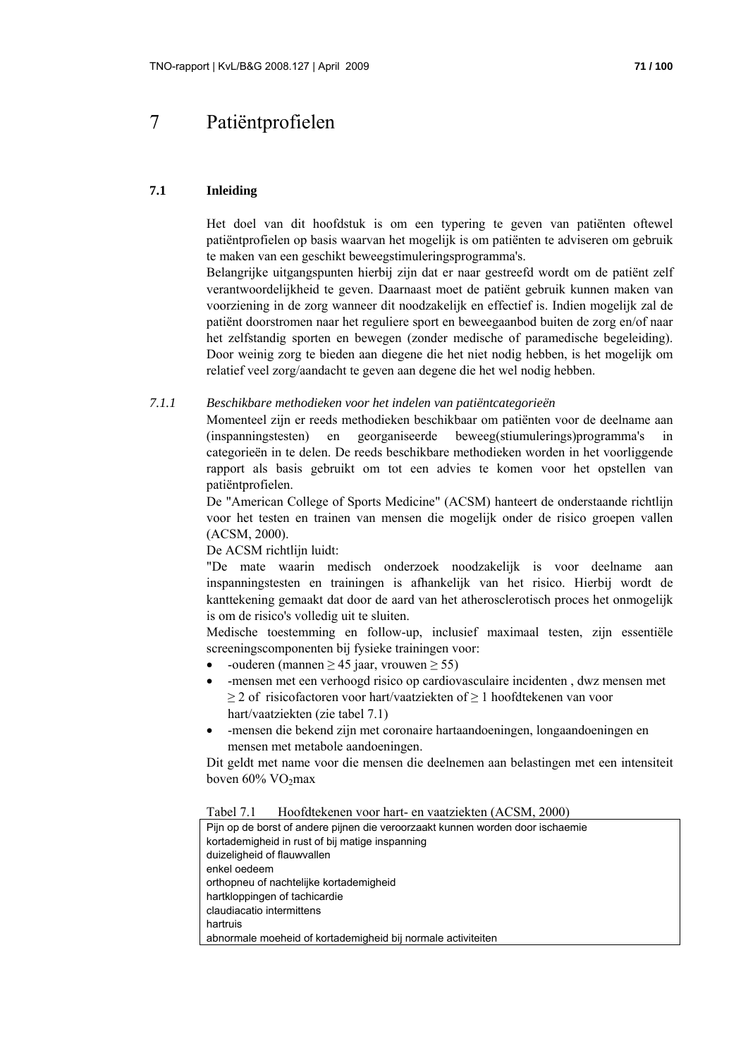# 7 Patiëntprofielen

# **7.1 Inleiding**

Het doel van dit hoofdstuk is om een typering te geven van patiënten oftewel patiëntprofielen op basis waarvan het mogelijk is om patiënten te adviseren om gebruik te maken van een geschikt beweegstimuleringsprogramma's.

Belangrijke uitgangspunten hierbij zijn dat er naar gestreefd wordt om de patiënt zelf verantwoordelijkheid te geven. Daarnaast moet de patiënt gebruik kunnen maken van voorziening in de zorg wanneer dit noodzakelijk en effectief is. Indien mogelijk zal de patiënt doorstromen naar het reguliere sport en beweegaanbod buiten de zorg en/of naar het zelfstandig sporten en bewegen (zonder medische of paramedische begeleiding). Door weinig zorg te bieden aan diegene die het niet nodig hebben, is het mogelijk om relatief veel zorg/aandacht te geven aan degene die het wel nodig hebben.

## *7.1.1 Beschikbare methodieken voor het indelen van patiëntcategorieën*

Momenteel zijn er reeds methodieken beschikbaar om patiënten voor de deelname aan (inspanningstesten) en georganiseerde beweeg(stiumulerings)programma's in categorieën in te delen. De reeds beschikbare methodieken worden in het voorliggende rapport als basis gebruikt om tot een advies te komen voor het opstellen van patiëntprofielen.

De "American College of Sports Medicine" (ACSM) hanteert de onderstaande richtlijn voor het testen en trainen van mensen die mogelijk onder de risico groepen vallen (ACSM, 2000).

De ACSM richtlijn luidt:

"De mate waarin medisch onderzoek noodzakelijk is voor deelname aan inspanningstesten en trainingen is afhankelijk van het risico. Hierbij wordt de kanttekening gemaakt dat door de aard van het atherosclerotisch proces het onmogelijk is om de risico's volledig uit te sluiten.

Medische toestemming en follow-up, inclusief maximaal testen, zijn essentiële screeningscomponenten bij fysieke trainingen voor:

- -ouderen (mannen ≥ 45 jaar, vrouwen ≥ 55)
- -mensen met een verhoogd risico op cardiovasculaire incidenten , dwz mensen met ≥ 2 of risicofactoren voor hart/vaatziekten of ≥ 1 hoofdtekenen van voor hart/vaatziekten (zie tabel 7.1)
- -mensen die bekend zijn met coronaire hartaandoeningen, longaandoeningen en mensen met metabole aandoeningen.

Dit geldt met name voor die mensen die deelnemen aan belastingen met een intensiteit boven  $60\%$  VO<sub>2</sub>max

Tabel 7.1 Hoofdtekenen voor hart- en vaatziekten (ACSM, 2000)

| Pijn op de borst of andere pijnen die veroorzaakt kunnen worden door ischaemie |
|--------------------------------------------------------------------------------|
| kortademigheid in rust of bij matige inspanning                                |
| duizeligheid of flauwvallen                                                    |
| enkel oedeem                                                                   |
| orthopneu of nachtelijke kortademigheid                                        |
| hartkloppingen of tachicardie                                                  |
| claudiacatio intermittens                                                      |
| hartruis                                                                       |
| abnormale moeheid of kortademigheid bij normale activiteiten                   |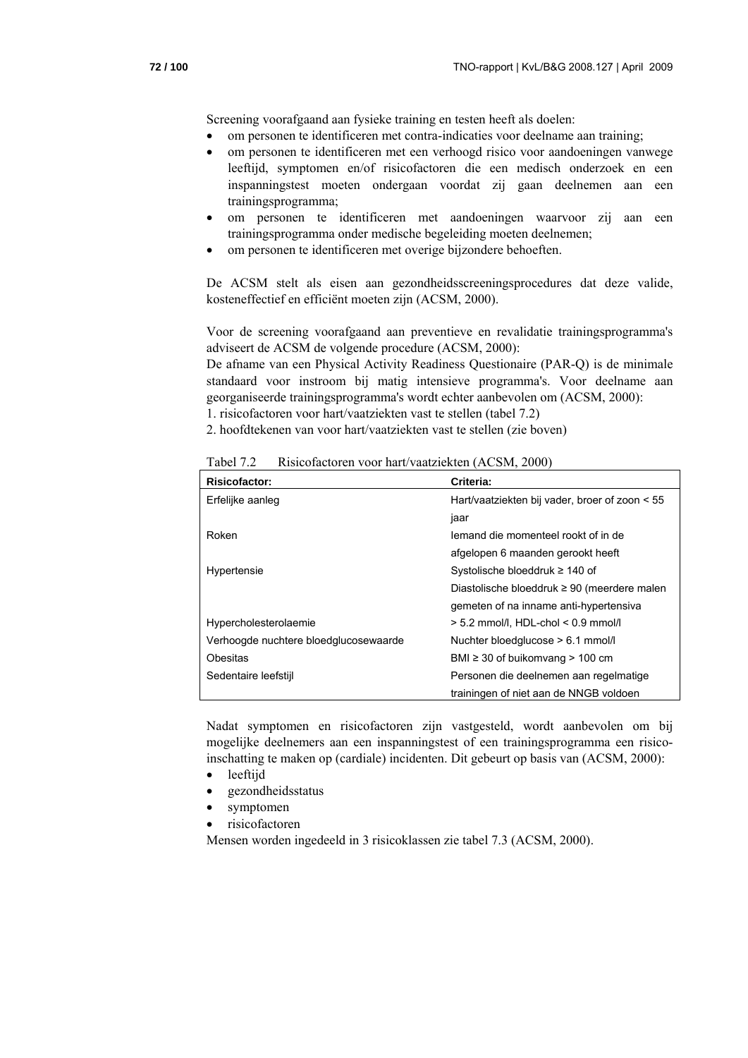Screening voorafgaand aan fysieke training en testen heeft als doelen:

- om personen te identificeren met contra-indicaties voor deelname aan training;
- om personen te identificeren met een verhoogd risico voor aandoeningen vanwege leeftijd, symptomen en/of risicofactoren die een medisch onderzoek en een inspanningstest moeten ondergaan voordat zij gaan deelnemen aan een trainingsprogramma;
- om personen te identificeren met aandoeningen waarvoor zij aan een trainingsprogramma onder medische begeleiding moeten deelnemen;
- om personen te identificeren met overige bijzondere behoeften.

De ACSM stelt als eisen aan gezondheidsscreeningsprocedures dat deze valide, kosteneffectief en efficiënt moeten zijn (ACSM, 2000).

Voor de screening voorafgaand aan preventieve en revalidatie trainingsprogramma's adviseert de ACSM de volgende procedure (ACSM, 2000):

De afname van een Physical Activity Readiness Questionaire (PAR-Q) is de minimale standaard voor instroom bij matig intensieve programma's. Voor deelname aan georganiseerde trainingsprogramma's wordt echter aanbevolen om (ACSM, 2000):

1. risicofactoren voor hart/vaatziekten vast te stellen (tabel 7.2)

2. hoofdtekenen van voor hart/vaatziekten vast te stellen (zie boven)

| Risicofactor:                         | Criteria:                                        |
|---------------------------------------|--------------------------------------------------|
| Erfelijke aanleg                      | Hart/vaatziekten bij vader, broer of zoon < 55   |
|                                       | jaar                                             |
| Roken                                 | lemand die momenteel rookt of in de              |
|                                       | afgelopen 6 maanden gerookt heeft                |
| Hypertensie                           | Systolische bloeddruk $\geq 140$ of              |
|                                       | Diastolische bloeddruk $\geq 90$ (meerdere malen |
|                                       | gemeten of na inname anti-hypertensiva           |
| Hypercholesterolaemie                 | $> 5.2$ mmol/l, HDL-chol $< 0.9$ mmol/l          |
| Verhoogde nuchtere bloedglucosewaarde | Nuchter bloedglucose $> 6.1$ mmol/l              |
| Obesitas                              | BMI $\geq$ 30 of buikomvang $>$ 100 cm           |
| Sedentaire leefstijl                  | Personen die deelnemen aan regelmatige           |
|                                       | trainingen of niet aan de NNGB voldoen           |

Tabel 7.2 Risicofactoren voor hart/vaatziekten (ACSM, 2000)

Nadat symptomen en risicofactoren zijn vastgesteld, wordt aanbevolen om bij mogelijke deelnemers aan een inspanningstest of een trainingsprogramma een risicoinschatting te maken op (cardiale) incidenten. Dit gebeurt op basis van (ACSM, 2000):

- leeftijd
- gezondheidsstatus
- symptomen
- risicofactoren

Mensen worden ingedeeld in 3 risicoklassen zie tabel 7.3 (ACSM, 2000).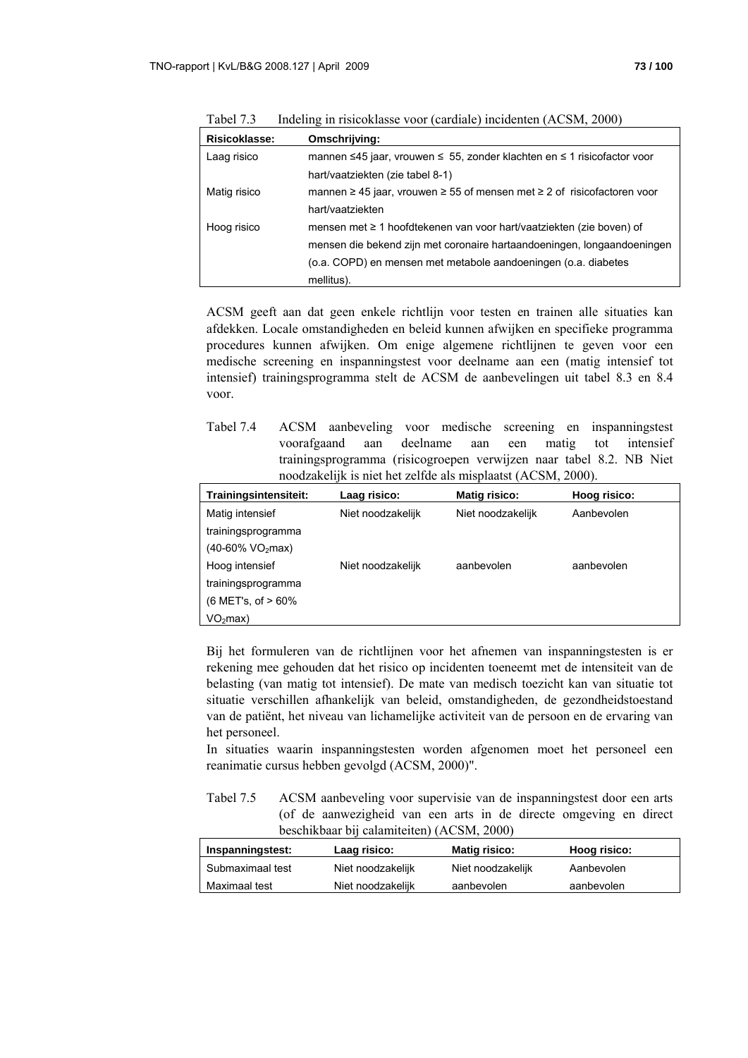| Risicoklasse: | Omschrijving:                                                                          |
|---------------|----------------------------------------------------------------------------------------|
| Laag risico   | mannen ≤45 jaar, vrouwen ≤ 55, zonder klachten en ≤ 1 risicofactor voor                |
|               | hart/vaatziekten (zie tabel 8-1)                                                       |
| Matig risico  | mannen $\geq$ 45 jaar, vrouwen $\geq$ 55 of mensen met $\geq$ 2 of risicofactoren voor |
|               | hart/vaatziekten                                                                       |
| Hoog risico   | mensen met ≥ 1 hoofdtekenen van voor hart/vaatziekten (zie boven) of                   |
|               | mensen die bekend zijn met coronaire hartaandoeningen, longaandoeningen                |
|               | (o.a. COPD) en mensen met metabole aandoeningen (o.a. diabetes                         |
|               | mellitus).                                                                             |

Tabel 7.3 Indeling in risicoklasse voor (cardiale) incidenten (ACSM, 2000)

ACSM geeft aan dat geen enkele richtlijn voor testen en trainen alle situaties kan afdekken. Locale omstandigheden en beleid kunnen afwijken en specifieke programma procedures kunnen afwijken. Om enige algemene richtlijnen te geven voor een medische screening en inspanningstest voor deelname aan een (matig intensief tot intensief) trainingsprogramma stelt de ACSM de aanbevelingen uit tabel 8.3 en 8.4 voor.

Tabel 7.4 ACSM aanbeveling voor medische screening en inspanningstest voorafgaand aan deelname aan een matig tot intensief trainingsprogramma (risicogroepen verwijzen naar tabel 8.2. NB Niet noodzakelijk is niet het zelfde als misplaatst (ACSM, 2000).

| Trainingsintensiteit:                   | Laag risico:      | <b>Matig risico:</b> | Hoog risico: |
|-----------------------------------------|-------------------|----------------------|--------------|
| Matig intensief                         | Niet noodzakelijk | Niet noodzakelijk    | Aanbevolen   |
| trainingsprogramma                      |                   |                      |              |
| $(40-60\% \text{ VO}_{2} \text{max})$   |                   |                      |              |
| Hoog intensief                          | Niet noodzakelijk | aanbevolen           | aanbevolen   |
| trainingsprogramma                      |                   |                      |              |
| $(6 \text{ MET's}, \text{ of } > 60\%)$ |                   |                      |              |
| VO <sub>2</sub> max)                    |                   |                      |              |

Bij het formuleren van de richtlijnen voor het afnemen van inspanningstesten is er rekening mee gehouden dat het risico op incidenten toeneemt met de intensiteit van de belasting (van matig tot intensief). De mate van medisch toezicht kan van situatie tot situatie verschillen afhankelijk van beleid, omstandigheden, de gezondheidstoestand van de patiënt, het niveau van lichamelijke activiteit van de persoon en de ervaring van het personeel.

In situaties waarin inspanningstesten worden afgenomen moet het personeel een reanimatie cursus hebben gevolgd (ACSM, 2000)".

Tabel 7.5 ACSM aanbeveling voor supervisie van de inspanningstest door een arts (of de aanwezigheid van een arts in de directe omgeving en direct beschikbaar bij calamiteiten) (ACSM, 2000)

| Inspanningstest: | Laag risico:      | <b>Matig risico:</b> | Hoog risico: |
|------------------|-------------------|----------------------|--------------|
| Submaximaal test | Niet noodzakelijk | Niet noodzakelijk    | Aanbevolen   |
| Maximaal test    | Niet noodzakelijk | aanbevolen           | aanbevolen   |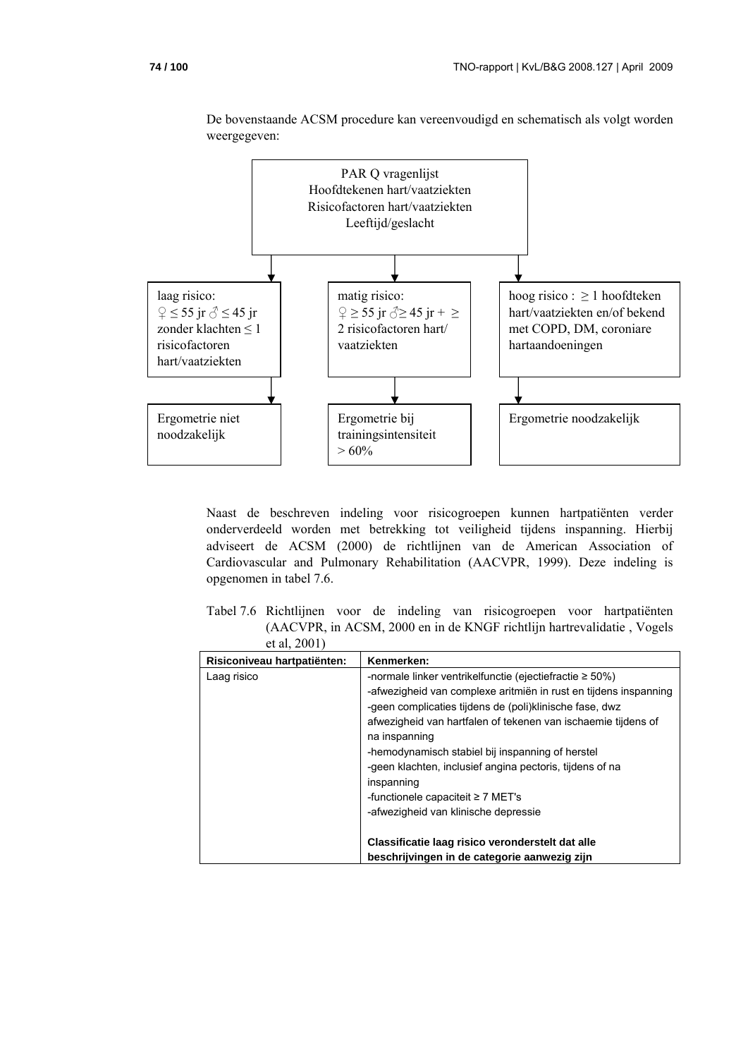

De bovenstaande ACSM procedure kan vereenvoudigd en schematisch als volgt worden weergegeven:

Naast de beschreven indeling voor risicogroepen kunnen hartpatiënten verder onderverdeeld worden met betrekking tot veiligheid tijdens inspanning. Hierbij adviseert de ACSM (2000) de richtlijnen van de American Association of Cardiovascular and Pulmonary Rehabilitation (AACVPR, 1999). Deze indeling is opgenomen in tabel 7.6.

Tabel 7.6 Richtlijnen voor de indeling van risicogroepen voor hartpatiënten (AACVPR, in ACSM, 2000 en in de KNGF richtlijn hartrevalidatie , Vogels et al, 2001)

| Risiconiveau hartpatiënten: | Kenmerken:                                                       |
|-----------------------------|------------------------------------------------------------------|
| Laag risico                 | -normale linker ventrikelfunctie (ejectiefractie $\geq 50\%$ )   |
|                             | -afwezigheid van complexe aritmiën in rust en tijdens inspanning |
|                             | -geen complicaties tijdens de (poli) klinische fase, dwz         |
|                             | afwezigheid van hartfalen of tekenen van ischaemie tijdens of    |
|                             | na inspanning                                                    |
|                             | -hemodynamisch stabiel bij inspanning of herstel                 |
|                             | -geen klachten, inclusief angina pectoris, tijdens of na         |
|                             | inspanning                                                       |
|                             | -functionele capaciteit $\geq 7$ MET's                           |
|                             | -afwezigheid van klinische depressie                             |
|                             |                                                                  |
|                             | Classificatie laag risico veronderstelt dat alle                 |
|                             | beschrijvingen in de categorie aanwezig zijn                     |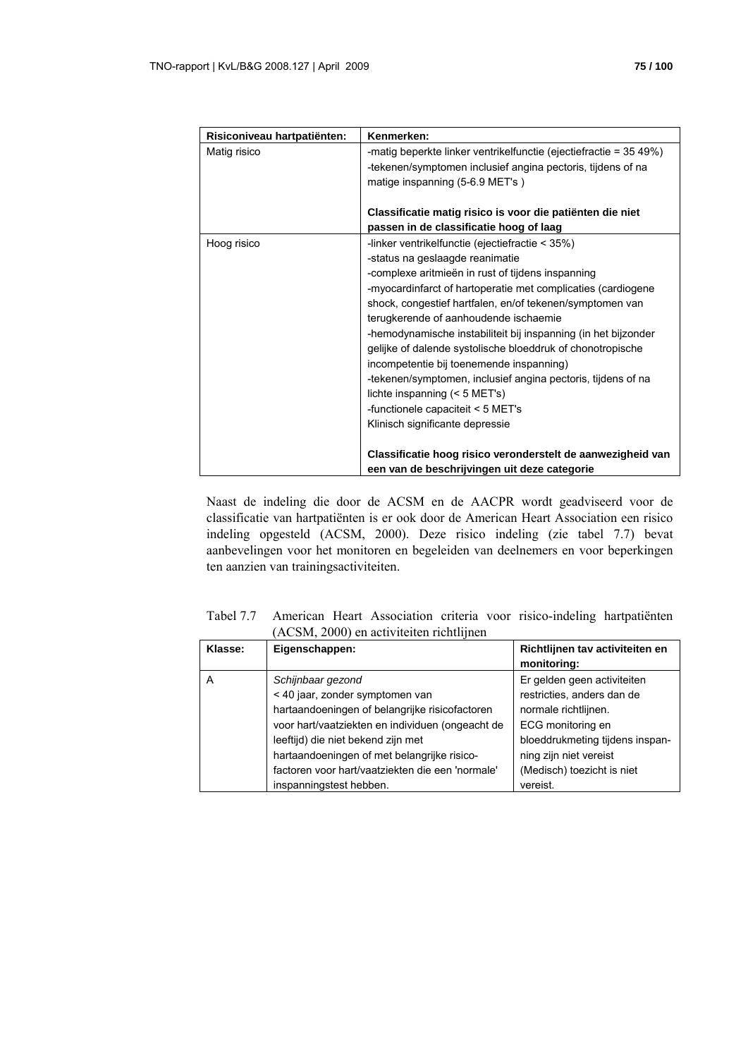| Risiconiveau hartpatiënten: | Kenmerken:                                                        |
|-----------------------------|-------------------------------------------------------------------|
| Matig risico                | -matig beperkte linker ventrikelfunctie (ejectiefractie = 35 49%) |
|                             | -tekenen/symptomen inclusief angina pectoris, tijdens of na       |
|                             | matige inspanning (5-6.9 MET's)                                   |
|                             |                                                                   |
|                             | Classificatie matig risico is voor die patiënten die niet         |
|                             | passen in de classificatie hoog of laag                           |
| Hoog risico                 | -linker ventrikelfunctie (ejectiefractie < 35%)                   |
|                             | -status na geslaagde reanimatie                                   |
|                             | -complexe aritmieën in rust of tijdens inspanning                 |
|                             | -myocardinfarct of hartoperatie met complicaties (cardiogene      |
|                             | shock, congestief hartfalen, en/of tekenen/symptomen van          |
|                             | terugkerende of aanhoudende ischaemie                             |
|                             | -hemodynamische instabiliteit bij inspanning (in het bijzonder    |
|                             | gelijke of dalende systolische bloeddruk of chonotropische        |
|                             | incompetentie bij toenemende inspanning)                          |
|                             | -tekenen/symptomen, inclusief angina pectoris, tijdens of na      |
|                             | lichte inspanning $(< 5$ MET's)                                   |
|                             | -functionele capaciteit < 5 MET's                                 |
|                             | Klinisch significante depressie                                   |
|                             |                                                                   |
|                             | Classificatie hoog risico veronderstelt de aanwezigheid van       |
|                             | een van de beschrijvingen uit deze categorie                      |

Naast de indeling die door de ACSM en de AACPR wordt geadviseerd voor de classificatie van hartpatiënten is er ook door de American Heart Association een risico indeling opgesteld (ACSM, 2000). Deze risico indeling (zie tabel 7.7) bevat aanbevelingen voor het monitoren en begeleiden van deelnemers en voor beperkingen ten aanzien van trainingsactiviteiten.

|  |                                          |  | Tabel 7.7 American Heart Association criteria voor risico-indeling hartpatiënten |  |
|--|------------------------------------------|--|----------------------------------------------------------------------------------|--|
|  | (ACSM, 2000) en activiteiten richtlijnen |  |                                                                                  |  |

| Klasse: | Eigenschappen:                                   | Richtlijnen tav activiteiten en<br>monitoring: |
|---------|--------------------------------------------------|------------------------------------------------|
| A       | Schijnbaar gezond                                | Er gelden geen activiteiten                    |
|         | < 40 jaar, zonder symptomen van                  | restricties, anders dan de                     |
|         | hartaandoeningen of belangrijke risicofactoren   | normale richtlijnen.                           |
|         | voor hart/vaatziekten en individuen (ongeacht de | ECG monitoring en                              |
|         | leeftijd) die niet bekend zijn met               | bloeddrukmeting tijdens inspan-                |
|         | hartaandoeningen of met belangrijke risico-      | ning zijn niet vereist                         |
|         | factoren voor hart/vaatziekten die een 'normale' | (Medisch) toezicht is niet                     |
|         | inspanningstest hebben.                          | vereist.                                       |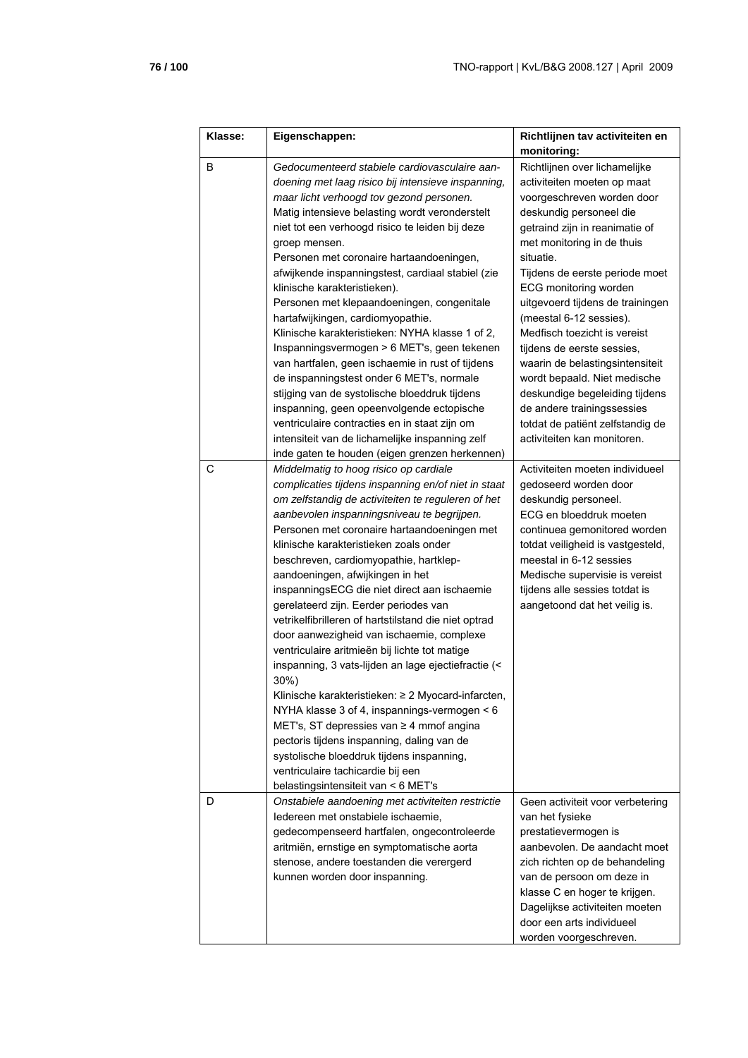|  |  | г<br>ı |
|--|--|--------|
|--|--|--------|

| Klasse: | Eigenschappen:                                                                                                                                                                                                                                                                                                                                                                                                                                                                                                                                                                                                                                                                                                                                                                                                                                                                                                                                                                                                             | Richtlijnen tav activiteiten en<br>monitoring:                                                                                                                                                                                                                                                                                                                                                                                                                                                                                                                                                   |
|---------|----------------------------------------------------------------------------------------------------------------------------------------------------------------------------------------------------------------------------------------------------------------------------------------------------------------------------------------------------------------------------------------------------------------------------------------------------------------------------------------------------------------------------------------------------------------------------------------------------------------------------------------------------------------------------------------------------------------------------------------------------------------------------------------------------------------------------------------------------------------------------------------------------------------------------------------------------------------------------------------------------------------------------|--------------------------------------------------------------------------------------------------------------------------------------------------------------------------------------------------------------------------------------------------------------------------------------------------------------------------------------------------------------------------------------------------------------------------------------------------------------------------------------------------------------------------------------------------------------------------------------------------|
| B       | Gedocumenteerd stabiele cardiovasculaire aan-<br>doening met laag risico bij intensieve inspanning,<br>maar licht verhoogd tov gezond personen.<br>Matig intensieve belasting wordt veronderstelt<br>niet tot een verhoogd risico te leiden bij deze<br>groep mensen.<br>Personen met coronaire hartaandoeningen,<br>afwijkende inspanningstest, cardiaal stabiel (zie<br>klinische karakteristieken).<br>Personen met klepaandoeningen, congenitale<br>hartafwijkingen, cardiomyopathie.<br>Klinische karakteristieken: NYHA klasse 1 of 2,<br>Inspanningsvermogen > 6 MET's, geen tekenen<br>van hartfalen, geen ischaemie in rust of tijdens<br>de inspanningstest onder 6 MET's, normale<br>stijging van de systolische bloeddruk tijdens<br>inspanning, geen opeenvolgende ectopische<br>ventriculaire contracties en in staat zijn om<br>intensiteit van de lichamelijke inspanning zelf                                                                                                                             | Richtlijnen over lichamelijke<br>activiteiten moeten op maat<br>voorgeschreven worden door<br>deskundig personeel die<br>getraind zijn in reanimatie of<br>met monitoring in de thuis<br>situatie.<br>Tijdens de eerste periode moet<br>ECG monitoring worden<br>uitgevoerd tijdens de trainingen<br>(meestal 6-12 sessies).<br>Medfisch toezicht is vereist<br>tijdens de eerste sessies,<br>waarin de belastingsintensiteit<br>wordt bepaald. Niet medische<br>deskundige begeleiding tijdens<br>de andere trainingssessies<br>totdat de patiënt zelfstandig de<br>activiteiten kan monitoren. |
| C       | inde gaten te houden (eigen grenzen herkennen)<br>Middelmatig to hoog risico op cardiale<br>complicaties tijdens inspanning en/of niet in staat<br>om zelfstandig de activiteiten te reguleren of het<br>aanbevolen inspanningsniveau te begrijpen.<br>Personen met coronaire hartaandoeningen met<br>klinische karakteristieken zoals onder<br>beschreven, cardiomyopathie, hartklep-<br>aandoeningen, afwijkingen in het<br>inspanningsECG die niet direct aan ischaemie<br>gerelateerd zijn. Eerder periodes van<br>vetrikelfibrilleren of hartstilstand die niet optrad<br>door aanwezigheid van ischaemie, complexe<br>ventriculaire aritmieën bij lichte tot matige<br>inspanning, 3 vats-lijden an lage ejectiefractie (<<br>30%)<br>Klinische karakteristieken: ≥ 2 Myocard-infarcten,<br>NYHA klasse 3 of 4, inspannings-vermogen < 6<br>MET's, ST depressies van ≥ 4 mmof angina<br>pectoris tijdens inspanning, daling van de<br>systolische bloeddruk tijdens inspanning,<br>ventriculaire tachicardie bij een | Activiteiten moeten individueel<br>gedoseerd worden door<br>deskundig personeel.<br>ECG en bloeddruk moeten<br>continuea gemonitored worden<br>totdat veiligheid is vastgesteld,<br>meestal in 6-12 sessies<br>Medische supervisie is vereist<br>tijdens alle sessies totdat is<br>aangetoond dat het veilig is.                                                                                                                                                                                                                                                                                 |
| D       | belastingsintensiteit van < 6 MET's<br>Onstabiele aandoening met activiteiten restrictie<br>ledereen met onstabiele ischaemie,<br>gedecompenseerd hartfalen, ongecontroleerde<br>aritmiën, ernstige en symptomatische aorta<br>stenose, andere toestanden die verergerd<br>kunnen worden door inspanning.                                                                                                                                                                                                                                                                                                                                                                                                                                                                                                                                                                                                                                                                                                                  | Geen activiteit voor verbetering<br>van het fysieke<br>prestatievermogen is<br>aanbevolen. De aandacht moet<br>zich richten op de behandeling<br>van de persoon om deze in<br>klasse C en hoger te krijgen.<br>Dagelijkse activiteiten moeten<br>door een arts individueel<br>worden voorgeschreven.                                                                                                                                                                                                                                                                                             |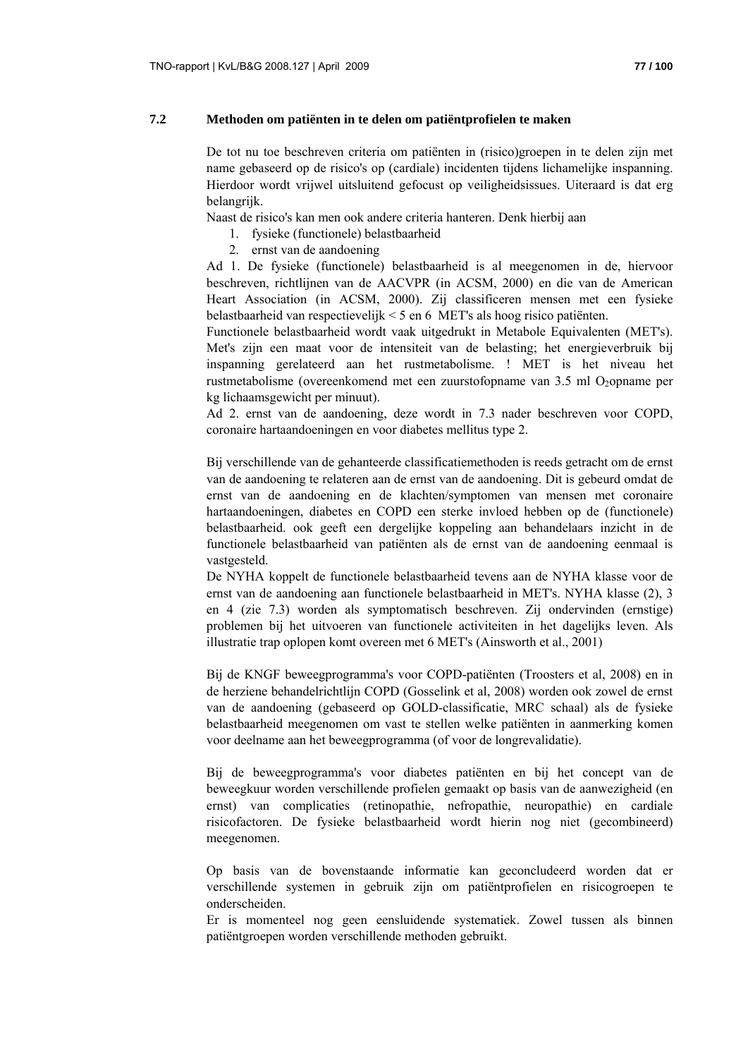### **7.2 Methoden om patiënten in te delen om patiëntprofielen te maken**

De tot nu toe beschreven criteria om patiënten in (risico)groepen in te delen zijn met name gebaseerd op de risico's op (cardiale) incidenten tijdens lichamelijke inspanning. Hierdoor wordt vrijwel uitsluitend gefocust op veiligheidsissues. Uiteraard is dat erg belangrijk.

Naast de risico's kan men ook andere criteria hanteren. Denk hierbij aan

- 1. fysieke (functionele) belastbaarheid
- 2. ernst van de aandoening

Ad 1. De fysieke (functionele) belastbaarheid is al meegenomen in de, hiervoor beschreven, richtlijnen van de AACVPR (in ACSM, 2000) en die van de American Heart Association (in ACSM, 2000). Zij classificeren mensen met een fysieke belastbaarheid van respectievelijk < 5 en 6 MET's als hoog risico patiënten.

Functionele belastbaarheid wordt vaak uitgedrukt in Metabole Equivalenten (MET's). Met's zijn een maat voor de intensiteit van de belasting; het energieverbruik bij inspanning gerelateerd aan het rustmetabolisme. ! MET is het niveau het rustmetabolisme (overeenkomend met een zuurstofopname van 3.5 ml O<sub>2</sub>opname per kg lichaamsgewicht per minuut).

Ad 2. ernst van de aandoening, deze wordt in 7.3 nader beschreven voor COPD, coronaire hartaandoeningen en voor diabetes mellitus type 2.

Bij verschillende van de gehanteerde classificatiemethoden is reeds getracht om de ernst van de aandoening te relateren aan de ernst van de aandoening. Dit is gebeurd omdat de ernst van de aandoening en de klachten/symptomen van mensen met coronaire hartaandoeningen, diabetes en COPD een sterke invloed hebben op de (functionele) belastbaarheid. ook geeft een dergelijke koppeling aan behandelaars inzicht in de functionele belastbaarheid van patiënten als de ernst van de aandoening eenmaal is vastgesteld.

De NYHA koppelt de functionele belastbaarheid tevens aan de NYHA klasse voor de ernst van de aandoening aan functionele belastbaarheid in MET's. NYHA klasse (2), 3 en 4 (zie 7.3) worden als symptomatisch beschreven. Zij ondervinden (ernstige) problemen bij het uitvoeren van functionele activiteiten in het dagelijks leven. Als illustratie trap oplopen komt overeen met 6 MET's (Ainsworth et al., 2001)

Bij de KNGF beweegprogramma's voor COPD-patiënten (Troosters et al, 2008) en in de herziene behandelrichtlijn COPD (Gosselink et al, 2008) worden ook zowel de ernst van de aandoening (gebaseerd op GOLD-classificatie, MRC schaal) als de fysieke belastbaarheid meegenomen om vast te stellen welke patiënten in aanmerking komen voor deelname aan het beweegprogramma (of voor de longrevalidatie).

Bij de beweegprogramma's voor diabetes patiënten en bij het concept van de beweegkuur worden verschillende profielen gemaakt op basis van de aanwezigheid (en ernst) van complicaties (retinopathie, nefropathie, neuropathie) en cardiale risicofactoren. De fysieke belastbaarheid wordt hierin nog niet (gecombineerd) meegenomen.

Op basis van de bovenstaande informatie kan geconcludeerd worden dat er verschillende systemen in gebruik zijn om patiëntprofielen en risicogroepen te onderscheiden.

Er is momenteel nog geen eensluidende systematiek. Zowel tussen als binnen patiëntgroepen worden verschillende methoden gebruikt.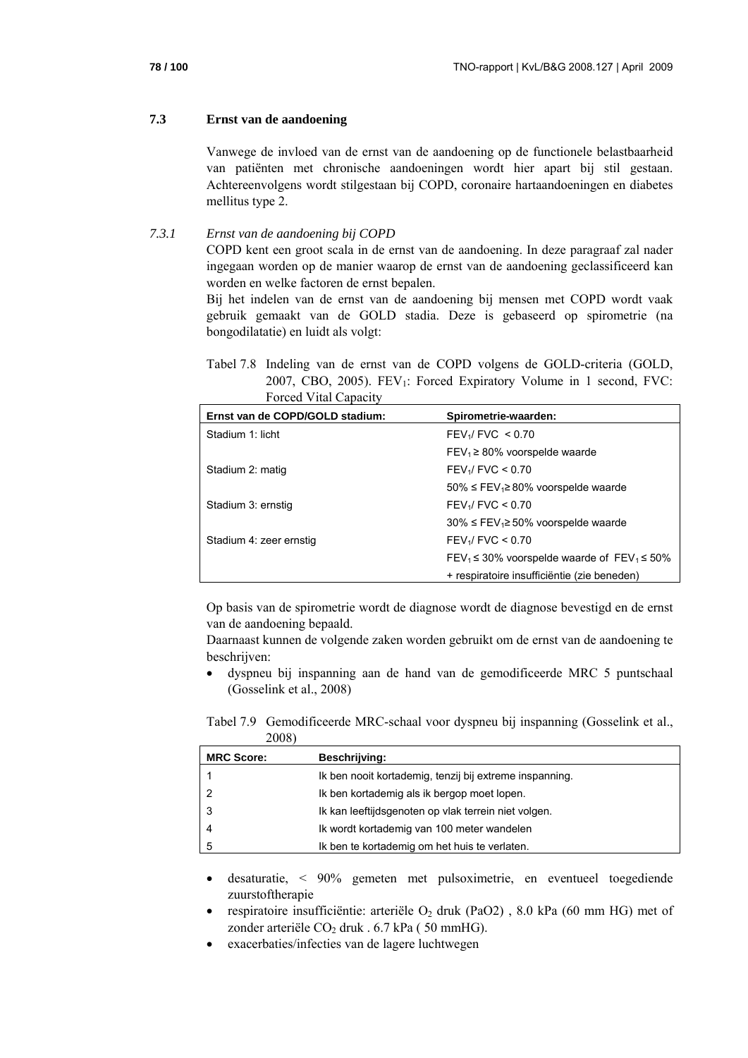#### **7.3 Ernst van de aandoening**

Vanwege de invloed van de ernst van de aandoening op de functionele belastbaarheid van patiënten met chronische aandoeningen wordt hier apart bij stil gestaan. Achtereenvolgens wordt stilgestaan bij COPD, coronaire hartaandoeningen en diabetes mellitus type 2.

#### *7.3.1 Ernst van de aandoening bij COPD*

COPD kent een groot scala in de ernst van de aandoening. In deze paragraaf zal nader ingegaan worden op de manier waarop de ernst van de aandoening geclassificeerd kan worden en welke factoren de ernst bepalen.

Bij het indelen van de ernst van de aandoening bij mensen met COPD wordt vaak gebruik gemaakt van de GOLD stadia. Deze is gebaseerd op spirometrie (na bongodilatatie) en luidt als volgt:

Tabel 7.8 Indeling van de ernst van de COPD volgens de GOLD-criteria (GOLD, 2007, CBO, 2005). FEV<sub>1</sub>: Forced Expiratory Volume in 1 second, FVC: Forced Vital Capacity

| Ernst van de COPD/GOLD stadium: | Spirometrie-waarden:                                                         |
|---------------------------------|------------------------------------------------------------------------------|
| Stadium 1: licht                | FEV <sub>1</sub> /FVC < 0.70                                                 |
|                                 | $FEV_1 \geq 80\%$ voorspelde waarde                                          |
| Stadium 2: matig                | FEV <sub>1</sub> /FVC < 0.70                                                 |
|                                 | $50\% \leq FEV_1 \geq 80\%$ voorspelde waarde                                |
| Stadium 3: ernstig              | FEV <sub>1</sub> /FVC < 0.70                                                 |
|                                 | $30\% \leq FEV_1 \geq 50\%$ voorspelde waarde                                |
| Stadium 4: zeer ernstig         | FEV <sub>1</sub> /FVC < 0.70                                                 |
|                                 | FEV <sub>1</sub> $\leq$ 30% voorspelde waarde of FEV <sub>1</sub> $\leq$ 50% |
|                                 | + respiratoire insufficientie (zie beneden)                                  |

Op basis van de spirometrie wordt de diagnose wordt de diagnose bevestigd en de ernst van de aandoening bepaald.

Daarnaast kunnen de volgende zaken worden gebruikt om de ernst van de aandoening te beschrijven:

• dyspneu bij inspanning aan de hand van de gemodificeerde MRC 5 puntschaal (Gosselink et al., 2008)

Tabel 7.9 Gemodificeerde MRC-schaal voor dyspneu bij inspanning (Gosselink et al., 2008)

| <b>MRC Score:</b> | <b>Beschrijving:</b>                                    |
|-------------------|---------------------------------------------------------|
|                   | Ik ben nooit kortademig, tenzij bij extreme inspanning. |
| 2                 | Ik ben kortademig als ik bergop moet lopen.             |
| 3                 | Ik kan leeftijdsgenoten op vlak terrein niet volgen.    |
| 4                 | Ik wordt kortademig van 100 meter wandelen              |
| 5                 | Ik ben te kortademig om het huis te verlaten.           |

- desaturatie, < 90% gemeten met pulsoximetrie, en eventueel toegediende zuurstoftherapie
- respiratoire insufficiëntie: arteriële O<sub>2</sub> druk (PaO2), 8.0 kPa (60 mm HG) met of zonder arteriële CO<sub>2</sub> druk . 6.7 kPa (50 mmHG).
- exacerbaties/infecties van de lagere luchtwegen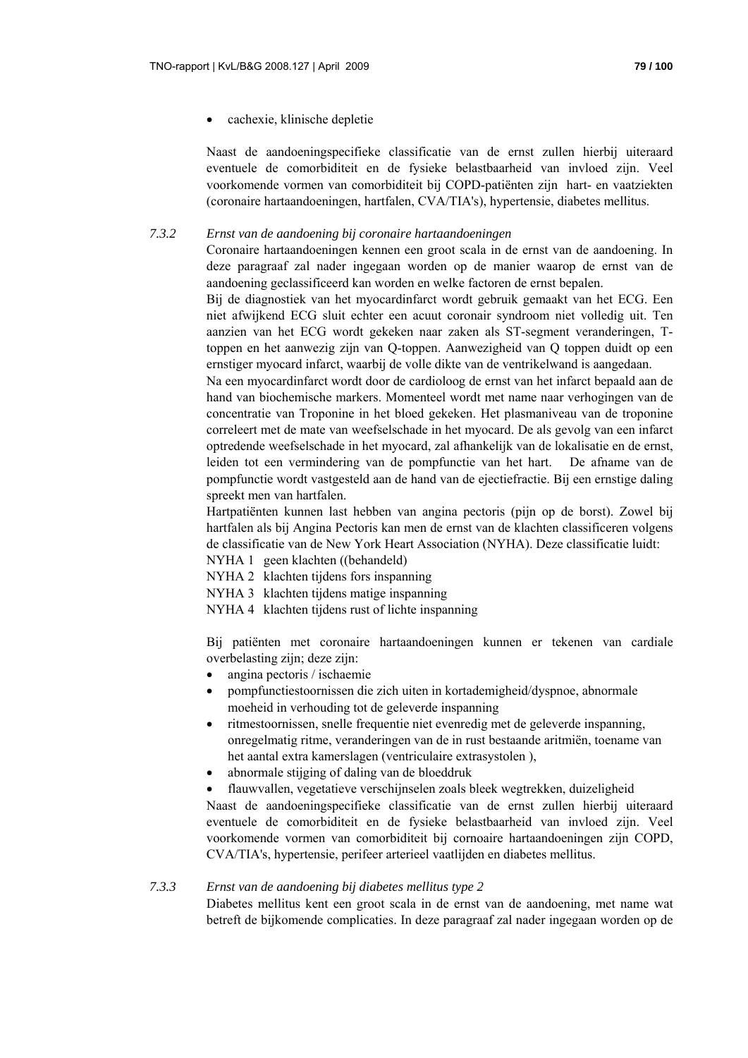• cachexie, klinische depletie

Naast de aandoeningspecifieke classificatie van de ernst zullen hierbij uiteraard eventuele de comorbiditeit en de fysieke belastbaarheid van invloed zijn. Veel voorkomende vormen van comorbiditeit bij COPD-patiënten zijn hart- en vaatziekten (coronaire hartaandoeningen, hartfalen, CVA/TIA's), hypertensie, diabetes mellitus.

#### *7.3.2 Ernst van de aandoening bij coronaire hartaandoeningen*

Coronaire hartaandoeningen kennen een groot scala in de ernst van de aandoening. In deze paragraaf zal nader ingegaan worden op de manier waarop de ernst van de aandoening geclassificeerd kan worden en welke factoren de ernst bepalen.

Bij de diagnostiek van het myocardinfarct wordt gebruik gemaakt van het ECG. Een niet afwijkend ECG sluit echter een acuut coronair syndroom niet volledig uit. Ten aanzien van het ECG wordt gekeken naar zaken als ST-segment veranderingen, Ttoppen en het aanwezig zijn van Q-toppen. Aanwezigheid van Q toppen duidt op een ernstiger myocard infarct, waarbij de volle dikte van de ventrikelwand is aangedaan.

Na een myocardinfarct wordt door de cardioloog de ernst van het infarct bepaald aan de hand van biochemische markers. Momenteel wordt met name naar verhogingen van de concentratie van Troponine in het bloed gekeken. Het plasmaniveau van de troponine correleert met de mate van weefselschade in het myocard. De als gevolg van een infarct optredende weefselschade in het myocard, zal afhankelijk van de lokalisatie en de ernst, leiden tot een vermindering van de pompfunctie van het hart. De afname van de pompfunctie wordt vastgesteld aan de hand van de ejectiefractie. Bij een ernstige daling spreekt men van hartfalen.

Hartpatiënten kunnen last hebben van angina pectoris (pijn op de borst). Zowel bij hartfalen als bij Angina Pectoris kan men de ernst van de klachten classificeren volgens de classificatie van de New York Heart Association (NYHA). Deze classificatie luidt:

- NYHA 1 geen klachten ((behandeld)
- NYHA 2 klachten tijdens fors inspanning
- NYHA 3 klachten tijdens matige inspanning
- NYHA 4 klachten tijdens rust of lichte inspanning

Bij patiënten met coronaire hartaandoeningen kunnen er tekenen van cardiale overbelasting zijn; deze zijn:

- angina pectoris / ischaemie
- pompfunctiestoornissen die zich uiten in kortademigheid/dyspnoe, abnormale moeheid in verhouding tot de geleverde inspanning
- ritmestoornissen, snelle frequentie niet evenredig met de geleverde inspanning, onregelmatig ritme, veranderingen van de in rust bestaande aritmiën, toename van het aantal extra kamerslagen (ventriculaire extrasystolen ),
- abnormale stijging of daling van de bloeddruk

• flauwvallen, vegetatieve verschijnselen zoals bleek wegtrekken, duizeligheid Naast de aandoeningspecifieke classificatie van de ernst zullen hierbij uiteraard eventuele de comorbiditeit en de fysieke belastbaarheid van invloed zijn. Veel voorkomende vormen van comorbiditeit bij cornoaire hartaandoeningen zijn COPD, CVA/TIA's, hypertensie, perifeer arterieel vaatlijden en diabetes mellitus.

#### *7.3.3 Ernst van de aandoening bij diabetes mellitus type 2*

Diabetes mellitus kent een groot scala in de ernst van de aandoening, met name wat betreft de bijkomende complicaties. In deze paragraaf zal nader ingegaan worden op de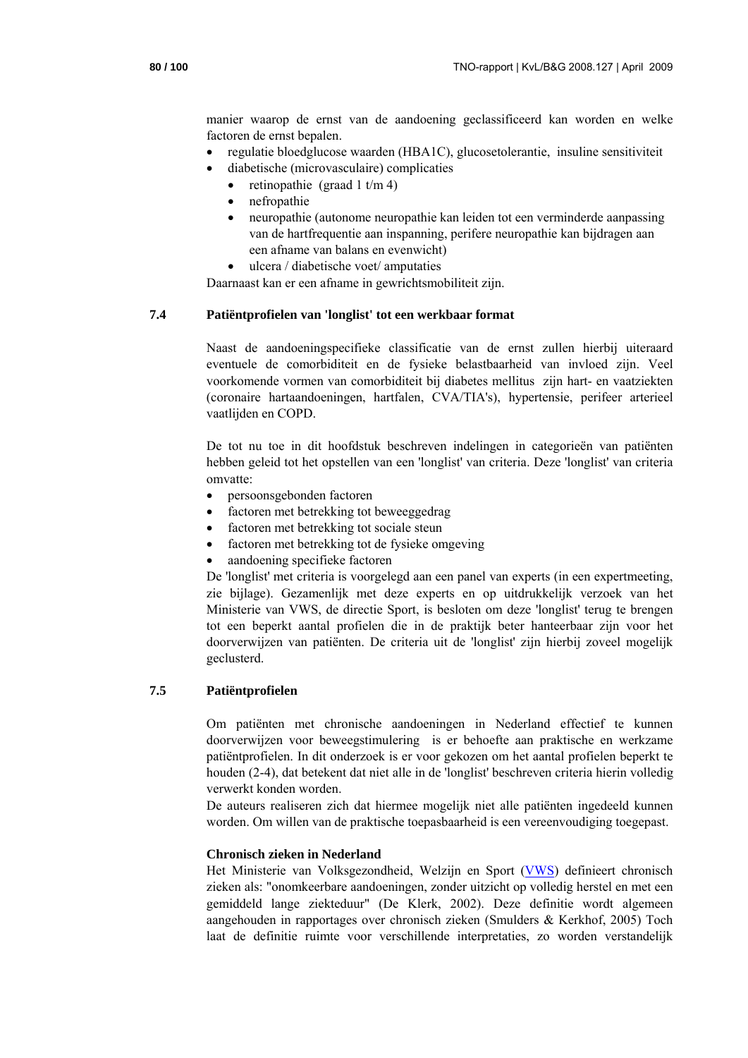manier waarop de ernst van de aandoening geclassificeerd kan worden en welke factoren de ernst bepalen.

- regulatie bloedglucose waarden (HBA1C), glucosetolerantie, insuline sensitiviteit
	- diabetische (microvasculaire) complicaties
		- retinopathie (graad  $1 \text{ t/m } 4$ )
		- nefropathie
		- neuropathie (autonome neuropathie kan leiden tot een verminderde aanpassing van de hartfrequentie aan inspanning, perifere neuropathie kan bijdragen aan een afname van balans en evenwicht)
	- ulcera / diabetische voet/ amputaties

Daarnaast kan er een afname in gewrichtsmobiliteit zijn.

#### **7.4 Patiëntprofielen van 'longlist' tot een werkbaar format**

Naast de aandoeningspecifieke classificatie van de ernst zullen hierbij uiteraard eventuele de comorbiditeit en de fysieke belastbaarheid van invloed zijn. Veel voorkomende vormen van comorbiditeit bij diabetes mellitus zijn hart- en vaatziekten (coronaire hartaandoeningen, hartfalen, CVA/TIA's), hypertensie, perifeer arterieel vaatlijden en COPD.

De tot nu toe in dit hoofdstuk beschreven indelingen in categorieën van patiënten hebben geleid tot het opstellen van een 'longlist' van criteria. Deze 'longlist' van criteria omvatte:

- persoonsgebonden factoren
- factoren met betrekking tot beweeggedrag
- factoren met betrekking tot sociale steun
- factoren met betrekking tot de fysieke omgeving
- aandoening specifieke factoren

De 'longlist' met criteria is voorgelegd aan een panel van experts (in een expertmeeting, zie bijlage). Gezamenlijk met deze experts en op uitdrukkelijk verzoek van het Ministerie van VWS, de directie Sport, is besloten om deze 'longlist' terug te brengen tot een beperkt aantal profielen die in de praktijk beter hanteerbaar zijn voor het doorverwijzen van patiënten. De criteria uit de 'longlist' zijn hierbij zoveel mogelijk geclusterd.

#### **7.5 Patiëntprofielen**

Om patiënten met chronische aandoeningen in Nederland effectief te kunnen doorverwijzen voor beweegstimulering is er behoefte aan praktische en werkzame patiëntprofielen. In dit onderzoek is er voor gekozen om het aantal profielen beperkt te houden (2-4), dat betekent dat niet alle in de 'longlist' beschreven criteria hierin volledig verwerkt konden worden.

De auteurs realiseren zich dat hiermee mogelijk niet alle patiënten ingedeeld kunnen worden. Om willen van de praktische toepasbaarheid is een vereenvoudiging toegepast.

#### **Chronisch zieken in Nederland**

Het Ministerie van Volksgezondheid, Welzijn en Sport [\(VWS](javascript:showHelp()) definieert chronisch zieken als: "onomkeerbare aandoeningen, zonder uitzicht op volledig herstel en met een gemiddeld lange ziekteduur" (De Klerk, 2002). Deze definitie wordt algemeen aangehouden in rapportages over chronisch zieken (Smulders & Kerkhof, 2005) Toch laat de definitie ruimte voor verschillende interpretaties, zo worden verstandelijk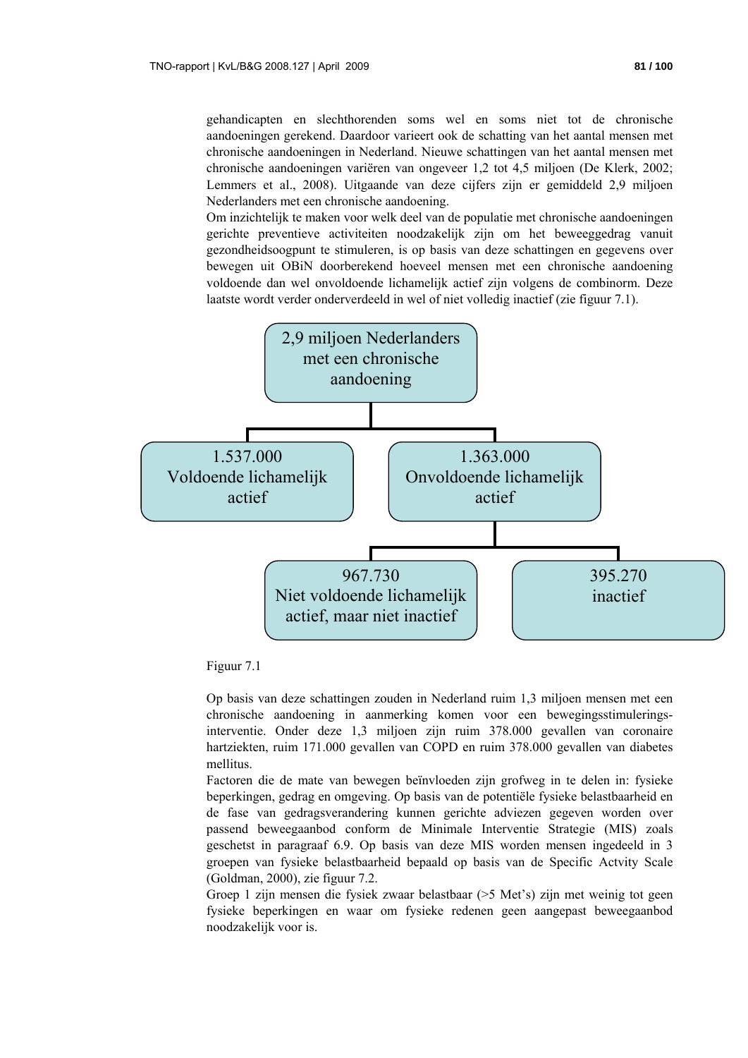gehandicapten en slechthorenden soms wel en soms niet tot de chronische aandoeningen gerekend. Daardoor varieert ook de schatting van het aantal mensen met chronische aandoeningen in Nederland. Nieuwe schattingen van het aantal mensen met chronische aandoeningen variëren van ongeveer 1,2 tot 4,5 miljoen (De Klerk, 2002; Lemmers et al., 2008). Uitgaande van deze cijfers zijn er gemiddeld 2,9 miljoen Nederlanders met een chronische aandoening.

Om inzichtelijk te maken voor welk deel van de populatie met chronische aandoeningen gerichte preventieve activiteiten noodzakelijk zijn om het beweeggedrag vanuit gezondheidsoogpunt te stimuleren, is op basis van deze schattingen en gegevens over bewegen uit OBiN doorberekend hoeveel mensen met een chronische aandoening voldoende dan wel onvoldoende lichamelijk actief zijn volgens de combinorm. Deze laatste wordt verder onderverdeeld in wel of niet volledig inactief (zie figuur 7.1).



Figuur 7.1

Op basis van deze schattingen zouden in Nederland ruim 1,3 miljoen mensen met een chronische aandoening in aanmerking komen voor een bewegingsstimuleringsinterventie. Onder deze 1,3 miljoen zijn ruim 378.000 gevallen van coronaire hartziekten, ruim 171.000 gevallen van COPD en ruim 378.000 gevallen van diabetes mellitus.

Factoren die de mate van bewegen beïnvloeden zijn grofweg in te delen in: fysieke beperkingen, gedrag en omgeving. Op basis van de potentiële fysieke belastbaarheid en de fase van gedragsverandering kunnen gerichte adviezen gegeven worden over passend beweegaanbod conform de Minimale Interventie Strategie (MIS) zoals geschetst in paragraaf 6.9. Op basis van deze MIS worden mensen ingedeeld in 3 groepen van fysieke belastbaarheid bepaald op basis van de Specific Actvity Scale (Goldman, 2000), zie figuur 7.2.

Groep 1 zijn mensen die fysiek zwaar belastbaar (>5 Met's) zijn met weinig tot geen fysieke beperkingen en waar om fysieke redenen geen aangepast beweegaanbod noodzakelijk voor is.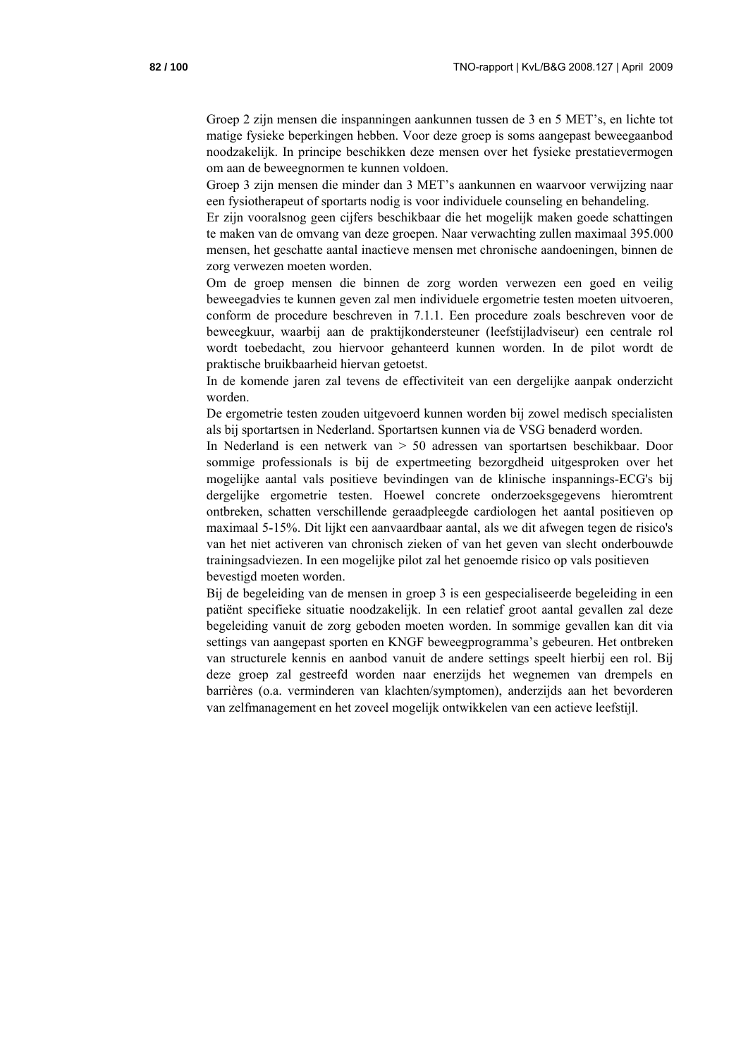Groep 2 zijn mensen die inspanningen aankunnen tussen de 3 en 5 MET's, en lichte tot matige fysieke beperkingen hebben. Voor deze groep is soms aangepast beweegaanbod noodzakelijk. In principe beschikken deze mensen over het fysieke prestatievermogen om aan de beweegnormen te kunnen voldoen.

Groep 3 zijn mensen die minder dan 3 MET's aankunnen en waarvoor verwijzing naar een fysiotherapeut of sportarts nodig is voor individuele counseling en behandeling.

Er zijn vooralsnog geen cijfers beschikbaar die het mogelijk maken goede schattingen te maken van de omvang van deze groepen. Naar verwachting zullen maximaal 395.000 mensen, het geschatte aantal inactieve mensen met chronische aandoeningen, binnen de zorg verwezen moeten worden.

Om de groep mensen die binnen de zorg worden verwezen een goed en veilig beweegadvies te kunnen geven zal men individuele ergometrie testen moeten uitvoeren, conform de procedure beschreven in 7.1.1. Een procedure zoals beschreven voor de beweegkuur, waarbij aan de praktijkondersteuner (leefstijladviseur) een centrale rol wordt toebedacht, zou hiervoor gehanteerd kunnen worden. In de pilot wordt de praktische bruikbaarheid hiervan getoetst.

In de komende jaren zal tevens de effectiviteit van een dergelijke aanpak onderzicht worden.

De ergometrie testen zouden uitgevoerd kunnen worden bij zowel medisch specialisten als bij sportartsen in Nederland. Sportartsen kunnen via de VSG benaderd worden.

In Nederland is een netwerk van > 50 adressen van sportartsen beschikbaar. Door sommige professionals is bij de expertmeeting bezorgdheid uitgesproken over het mogelijke aantal vals positieve bevindingen van de klinische inspannings-ECG's bij dergelijke ergometrie testen. Hoewel concrete onderzoeksgegevens hieromtrent ontbreken, schatten verschillende geraadpleegde cardiologen het aantal positieven op maximaal 5-15%. Dit lijkt een aanvaardbaar aantal, als we dit afwegen tegen de risico's van het niet activeren van chronisch zieken of van het geven van slecht onderbouwde trainingsadviezen. In een mogelijke pilot zal het genoemde risico op vals positieven bevestigd moeten worden.

Bij de begeleiding van de mensen in groep 3 is een gespecialiseerde begeleiding in een patiënt specifieke situatie noodzakelijk. In een relatief groot aantal gevallen zal deze begeleiding vanuit de zorg geboden moeten worden. In sommige gevallen kan dit via settings van aangepast sporten en KNGF beweegprogramma's gebeuren. Het ontbreken van structurele kennis en aanbod vanuit de andere settings speelt hierbij een rol. Bij deze groep zal gestreefd worden naar enerzijds het wegnemen van drempels en barrières (o.a. verminderen van klachten/symptomen), anderzijds aan het bevorderen van zelfmanagement en het zoveel mogelijk ontwikkelen van een actieve leefstijl.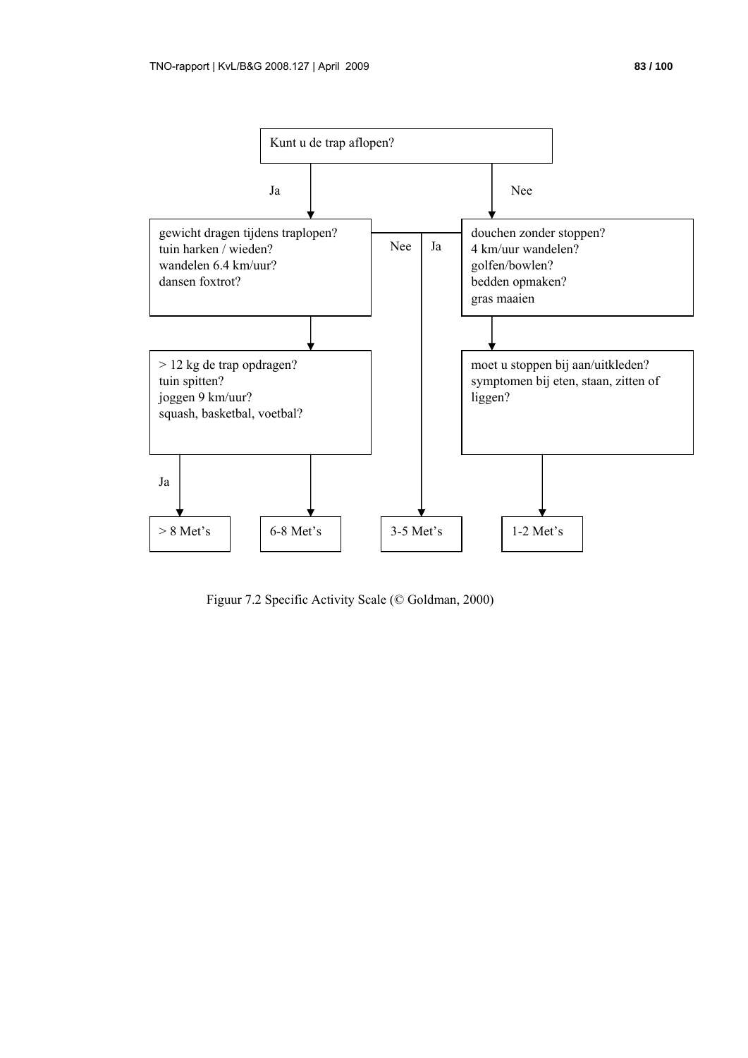

Figuur 7.2 Specific Activity Scale (© Goldman, 2000)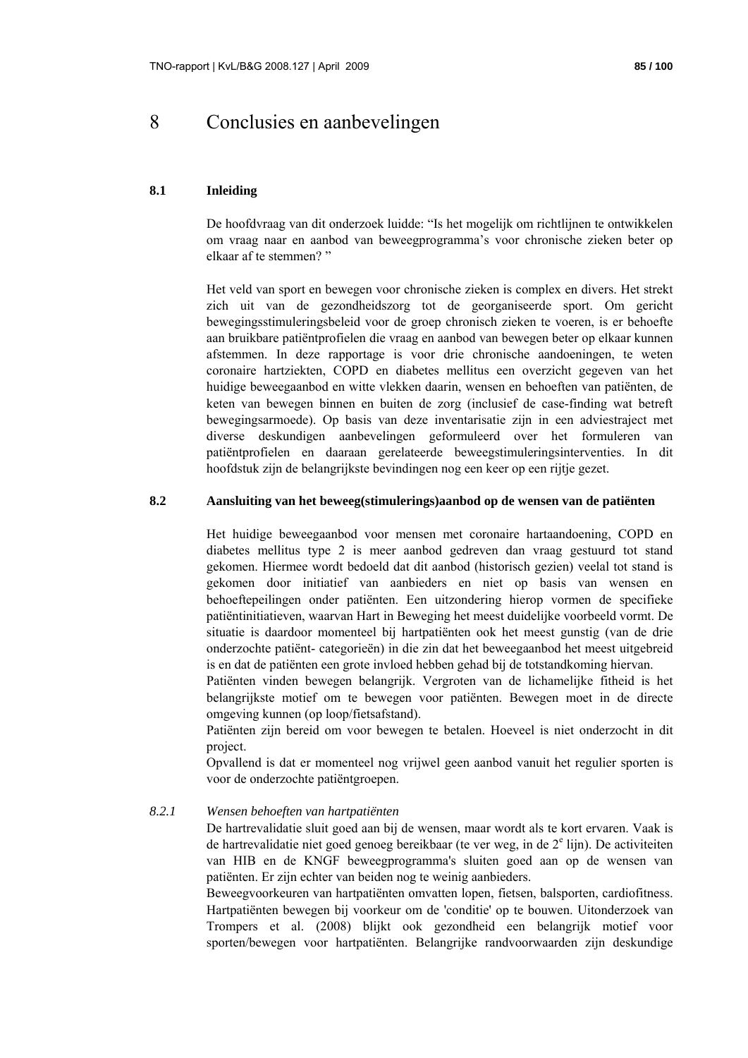# 8 Conclusies en aanbevelingen

#### **8.1 Inleiding**

De hoofdvraag van dit onderzoek luidde: "Is het mogelijk om richtlijnen te ontwikkelen om vraag naar en aanbod van beweegprogramma's voor chronische zieken beter op elkaar af te stemmen? "

Het veld van sport en bewegen voor chronische zieken is complex en divers. Het strekt zich uit van de gezondheidszorg tot de georganiseerde sport. Om gericht bewegingsstimuleringsbeleid voor de groep chronisch zieken te voeren, is er behoefte aan bruikbare patiëntprofielen die vraag en aanbod van bewegen beter op elkaar kunnen afstemmen. In deze rapportage is voor drie chronische aandoeningen, te weten coronaire hartziekten, COPD en diabetes mellitus een overzicht gegeven van het huidige beweegaanbod en witte vlekken daarin, wensen en behoeften van patiënten, de keten van bewegen binnen en buiten de zorg (inclusief de case-finding wat betreft bewegingsarmoede). Op basis van deze inventarisatie zijn in een adviestraject met diverse deskundigen aanbevelingen geformuleerd over het formuleren van patiëntprofielen en daaraan gerelateerde beweegstimuleringsinterventies. In dit hoofdstuk zijn de belangrijkste bevindingen nog een keer op een rijtje gezet.

#### **8.2 Aansluiting van het beweeg(stimulerings)aanbod op de wensen van de patiënten**

Het huidige beweegaanbod voor mensen met coronaire hartaandoening, COPD en diabetes mellitus type 2 is meer aanbod gedreven dan vraag gestuurd tot stand gekomen. Hiermee wordt bedoeld dat dit aanbod (historisch gezien) veelal tot stand is gekomen door initiatief van aanbieders en niet op basis van wensen en behoeftepeilingen onder patiënten. Een uitzondering hierop vormen de specifieke patiëntinitiatieven, waarvan Hart in Beweging het meest duidelijke voorbeeld vormt. De situatie is daardoor momenteel bij hartpatiënten ook het meest gunstig (van de drie onderzochte patiënt- categorieën) in die zin dat het beweegaanbod het meest uitgebreid is en dat de patiënten een grote invloed hebben gehad bij de totstandkoming hiervan.

Patiënten vinden bewegen belangrijk. Vergroten van de lichamelijke fitheid is het belangrijkste motief om te bewegen voor patiënten. Bewegen moet in de directe omgeving kunnen (op loop/fietsafstand).

Patiënten zijn bereid om voor bewegen te betalen. Hoeveel is niet onderzocht in dit project.

Opvallend is dat er momenteel nog vrijwel geen aanbod vanuit het regulier sporten is voor de onderzochte patiëntgroepen.

#### *8.2.1 Wensen behoeften van hartpatiënten*

De hartrevalidatie sluit goed aan bij de wensen, maar wordt als te kort ervaren. Vaak is de hartrevalidatie niet goed genoeg bereikbaar (te ver weg, in de 2<sup>e</sup> lijn). De activiteiten van HIB en de KNGF beweegprogramma's sluiten goed aan op de wensen van patiënten. Er zijn echter van beiden nog te weinig aanbieders.

Beweegvoorkeuren van hartpatiënten omvatten lopen, fietsen, balsporten, cardiofitness. Hartpatiënten bewegen bij voorkeur om de 'conditie' op te bouwen. Uitonderzoek van Trompers et al. (2008) blijkt ook gezondheid een belangrijk motief voor sporten/bewegen voor hartpatiënten. Belangrijke randvoorwaarden zijn deskundige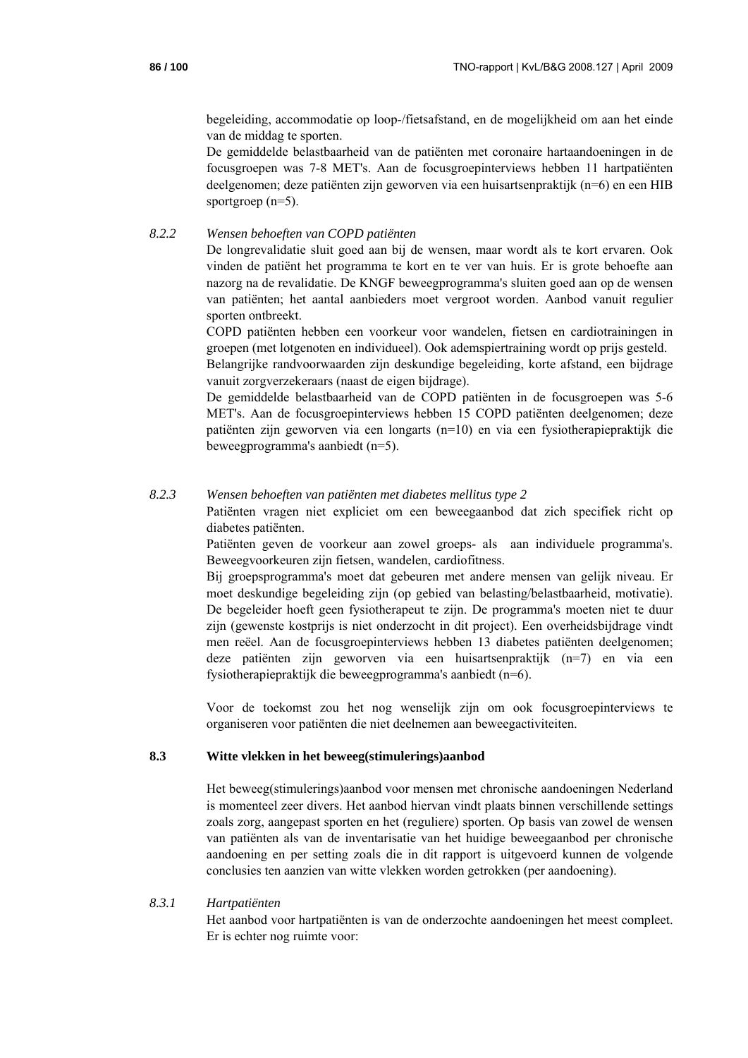begeleiding, accommodatie op loop-/fietsafstand, en de mogelijkheid om aan het einde van de middag te sporten.

De gemiddelde belastbaarheid van de patiënten met coronaire hartaandoeningen in de focusgroepen was 7-8 MET's. Aan de focusgroepinterviews hebben 11 hartpatiënten deelgenomen; deze patiënten zijn geworven via een huisartsenpraktijk (n=6) en een HIB sportgroep (n=5).

#### *8.2.2 Wensen behoeften van COPD patiënten*

De longrevalidatie sluit goed aan bij de wensen, maar wordt als te kort ervaren. Ook vinden de patiënt het programma te kort en te ver van huis. Er is grote behoefte aan nazorg na de revalidatie. De KNGF beweegprogramma's sluiten goed aan op de wensen van patiënten; het aantal aanbieders moet vergroot worden. Aanbod vanuit regulier sporten ontbreekt.

COPD patiënten hebben een voorkeur voor wandelen, fietsen en cardiotrainingen in groepen (met lotgenoten en individueel). Ook ademspiertraining wordt op prijs gesteld. Belangrijke randvoorwaarden zijn deskundige begeleiding, korte afstand, een bijdrage vanuit zorgverzekeraars (naast de eigen bijdrage).

De gemiddelde belastbaarheid van de COPD patiënten in de focusgroepen was 5-6 MET's. Aan de focusgroepinterviews hebben 15 COPD patiënten deelgenomen; deze patiënten zijn geworven via een longarts (n=10) en via een fysiotherapiepraktijk die beweegprogramma's aanbiedt (n=5).

#### *8.2.3 Wensen behoeften van patiënten met diabetes mellitus type 2*

Patiënten vragen niet expliciet om een beweegaanbod dat zich specifiek richt op diabetes patiënten.

Patiënten geven de voorkeur aan zowel groeps- als aan individuele programma's. Beweegvoorkeuren zijn fietsen, wandelen, cardiofitness.

Bij groepsprogramma's moet dat gebeuren met andere mensen van gelijk niveau. Er moet deskundige begeleiding zijn (op gebied van belasting/belastbaarheid, motivatie). De begeleider hoeft geen fysiotherapeut te zijn. De programma's moeten niet te duur zijn (gewenste kostprijs is niet onderzocht in dit project). Een overheidsbijdrage vindt men reëel. Aan de focusgroepinterviews hebben 13 diabetes patiënten deelgenomen; deze patiënten zijn geworven via een huisartsenpraktijk (n=7) en via een fysiotherapiepraktijk die beweegprogramma's aanbiedt (n=6).

Voor de toekomst zou het nog wenselijk zijn om ook focusgroepinterviews te organiseren voor patiënten die niet deelnemen aan beweegactiviteiten.

#### **8.3 Witte vlekken in het beweeg(stimulerings)aanbod**

Het beweeg(stimulerings)aanbod voor mensen met chronische aandoeningen Nederland is momenteel zeer divers. Het aanbod hiervan vindt plaats binnen verschillende settings zoals zorg, aangepast sporten en het (reguliere) sporten. Op basis van zowel de wensen van patiënten als van de inventarisatie van het huidige beweegaanbod per chronische aandoening en per setting zoals die in dit rapport is uitgevoerd kunnen de volgende conclusies ten aanzien van witte vlekken worden getrokken (per aandoening).

#### *8.3.1 Hartpatiënten*

Het aanbod voor hartpatiënten is van de onderzochte aandoeningen het meest compleet. Er is echter nog ruimte voor: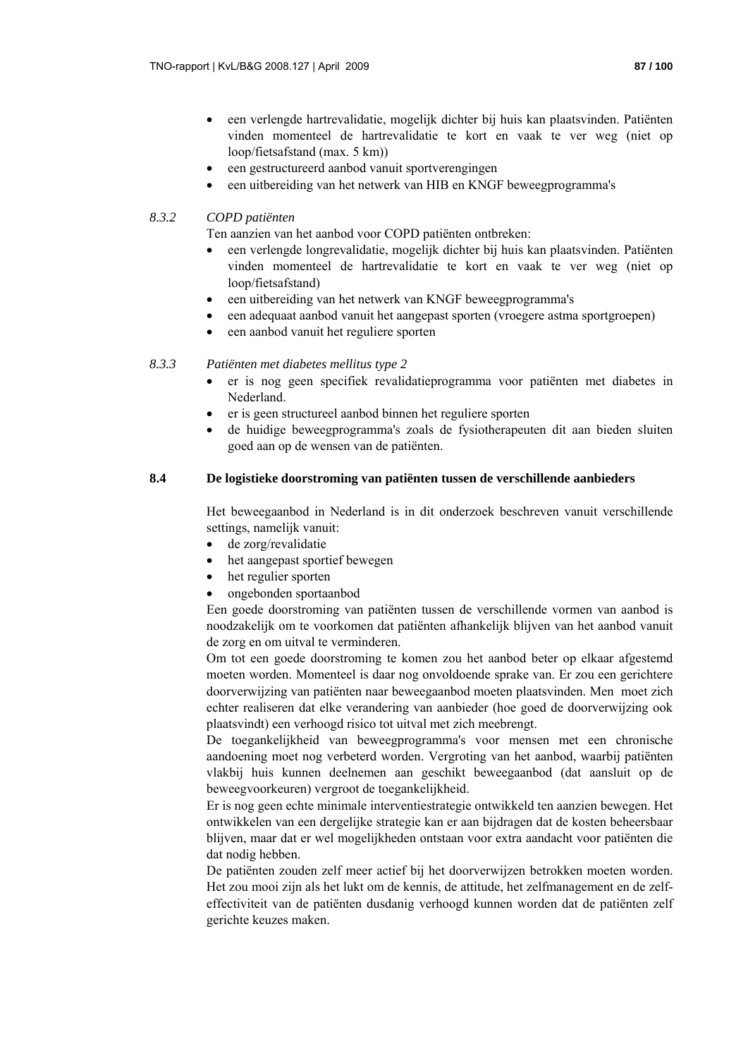- een verlengde hartrevalidatie, mogelijk dichter bij huis kan plaatsvinden. Patiënten vinden momenteel de hartrevalidatie te kort en vaak te ver weg (niet op loop/fietsafstand (max. 5 km))
- een gestructureerd aanbod vanuit sportverengingen
- een uitbereiding van het netwerk van HIB en KNGF beweegprogramma's

#### *8.3.2 COPD patiënten*

Ten aanzien van het aanbod voor COPD patiënten ontbreken:

- een verlengde longrevalidatie, mogelijk dichter bij huis kan plaatsvinden. Patiënten vinden momenteel de hartrevalidatie te kort en vaak te ver weg (niet op loop/fietsafstand)
- een uitbereiding van het netwerk van KNGF beweegprogramma's
- een adequaat aanbod vanuit het aangepast sporten (vroegere astma sportgroepen)
- een aanbod vanuit het reguliere sporten

#### *8.3.3 Patiënten met diabetes mellitus type 2*

- er is nog geen specifiek revalidatieprogramma voor patiënten met diabetes in Nederland.
- er is geen structureel aanbod binnen het reguliere sporten
- de huidige beweegprogramma's zoals de fysiotherapeuten dit aan bieden sluiten goed aan op de wensen van de patiënten.

#### **8.4 De logistieke doorstroming van patiënten tussen de verschillende aanbieders**

Het beweegaanbod in Nederland is in dit onderzoek beschreven vanuit verschillende settings, namelijk vanuit:

- de zorg/revalidatie
- het aangepast sportief bewegen
- het regulier sporten
- ongebonden sportaanbod

Een goede doorstroming van patiënten tussen de verschillende vormen van aanbod is noodzakelijk om te voorkomen dat patiënten afhankelijk blijven van het aanbod vanuit de zorg en om uitval te verminderen.

Om tot een goede doorstroming te komen zou het aanbod beter op elkaar afgestemd moeten worden. Momenteel is daar nog onvoldoende sprake van. Er zou een gerichtere doorverwijzing van patiënten naar beweegaanbod moeten plaatsvinden. Men moet zich echter realiseren dat elke verandering van aanbieder (hoe goed de doorverwijzing ook plaatsvindt) een verhoogd risico tot uitval met zich meebrengt.

De toegankelijkheid van beweegprogramma's voor mensen met een chronische aandoening moet nog verbeterd worden. Vergroting van het aanbod, waarbij patiënten vlakbij huis kunnen deelnemen aan geschikt beweegaanbod (dat aansluit op de beweegvoorkeuren) vergroot de toegankelijkheid.

Er is nog geen echte minimale interventiestrategie ontwikkeld ten aanzien bewegen. Het ontwikkelen van een dergelijke strategie kan er aan bijdragen dat de kosten beheersbaar blijven, maar dat er wel mogelijkheden ontstaan voor extra aandacht voor patiënten die dat nodig hebben.

De patiënten zouden zelf meer actief bij het doorverwijzen betrokken moeten worden. Het zou mooi zijn als het lukt om de kennis, de attitude, het zelfmanagement en de zelfeffectiviteit van de patiënten dusdanig verhoogd kunnen worden dat de patiënten zelf gerichte keuzes maken.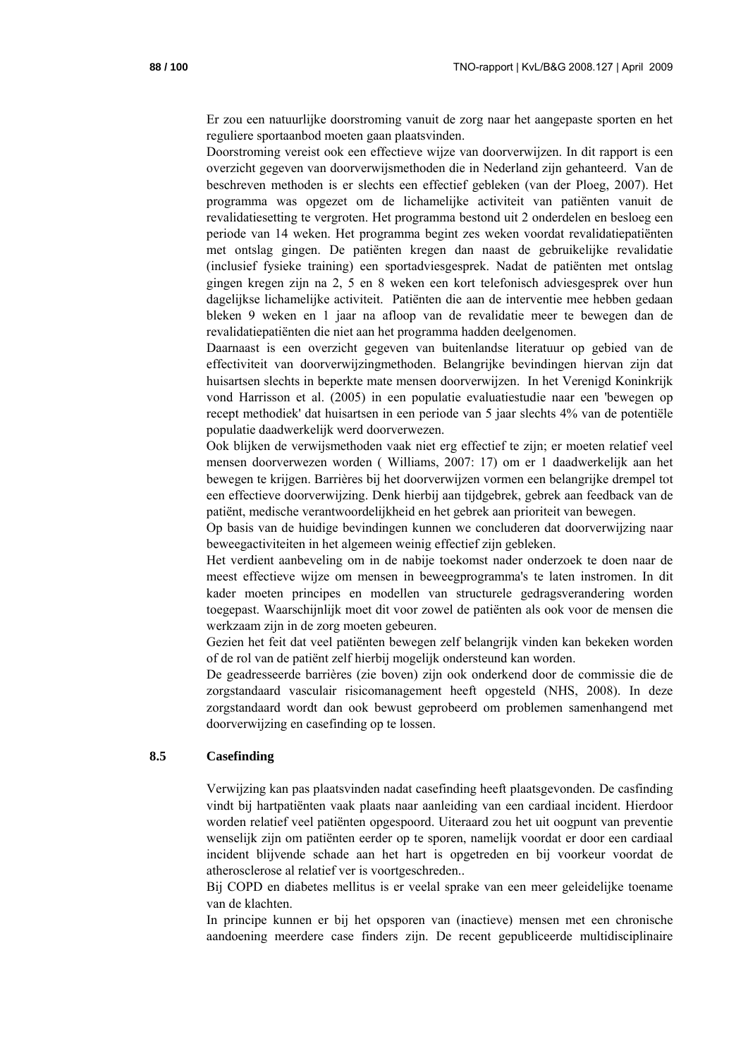Er zou een natuurlijke doorstroming vanuit de zorg naar het aangepaste sporten en het reguliere sportaanbod moeten gaan plaatsvinden.

Doorstroming vereist ook een effectieve wijze van doorverwijzen. In dit rapport is een overzicht gegeven van doorverwijsmethoden die in Nederland zijn gehanteerd. Van de beschreven methoden is er slechts een effectief gebleken (van der Ploeg, 2007). Het programma was opgezet om de lichamelijke activiteit van patiënten vanuit de revalidatiesetting te vergroten. Het programma bestond uit 2 onderdelen en besloeg een periode van 14 weken. Het programma begint zes weken voordat revalidatiepatiënten met ontslag gingen. De patiënten kregen dan naast de gebruikelijke revalidatie (inclusief fysieke training) een sportadviesgesprek. Nadat de patiënten met ontslag gingen kregen zijn na 2, 5 en 8 weken een kort telefonisch adviesgesprek over hun dagelijkse lichamelijke activiteit. Patiënten die aan de interventie mee hebben gedaan bleken 9 weken en 1 jaar na afloop van de revalidatie meer te bewegen dan de revalidatiepatiënten die niet aan het programma hadden deelgenomen.

Daarnaast is een overzicht gegeven van buitenlandse literatuur op gebied van de effectiviteit van doorverwijzingmethoden. Belangrijke bevindingen hiervan zijn dat huisartsen slechts in beperkte mate mensen doorverwijzen. In het Verenigd Koninkrijk vond Harrisson et al. (2005) in een populatie evaluatiestudie naar een 'bewegen op recept methodiek' dat huisartsen in een periode van 5 jaar slechts 4% van de potentiële populatie daadwerkelijk werd doorverwezen.

Ook blijken de verwijsmethoden vaak niet erg effectief te zijn; er moeten relatief veel mensen doorverwezen worden ( Williams, 2007: 17) om er 1 daadwerkelijk aan het bewegen te krijgen. Barrières bij het doorverwijzen vormen een belangrijke drempel tot een effectieve doorverwijzing. Denk hierbij aan tijdgebrek, gebrek aan feedback van de patiënt, medische verantwoordelijkheid en het gebrek aan prioriteit van bewegen.

Op basis van de huidige bevindingen kunnen we concluderen dat doorverwijzing naar beweegactiviteiten in het algemeen weinig effectief zijn gebleken.

Het verdient aanbeveling om in de nabije toekomst nader onderzoek te doen naar de meest effectieve wijze om mensen in beweegprogramma's te laten instromen. In dit kader moeten principes en modellen van structurele gedragsverandering worden toegepast. Waarschijnlijk moet dit voor zowel de patiënten als ook voor de mensen die werkzaam zijn in de zorg moeten gebeuren.

Gezien het feit dat veel patiënten bewegen zelf belangrijk vinden kan bekeken worden of de rol van de patiënt zelf hierbij mogelijk ondersteund kan worden.

De geadresseerde barrières (zie boven) zijn ook onderkend door de commissie die de zorgstandaard vasculair risicomanagement heeft opgesteld (NHS, 2008). In deze zorgstandaard wordt dan ook bewust geprobeerd om problemen samenhangend met doorverwijzing en casefinding op te lossen.

#### **8.5 Casefinding**

Verwijzing kan pas plaatsvinden nadat casefinding heeft plaatsgevonden. De casfinding vindt bij hartpatiënten vaak plaats naar aanleiding van een cardiaal incident. Hierdoor worden relatief veel patiënten opgespoord. Uiteraard zou het uit oogpunt van preventie wenselijk zijn om patiënten eerder op te sporen, namelijk voordat er door een cardiaal incident blijvende schade aan het hart is opgetreden en bij voorkeur voordat de atherosclerose al relatief ver is voortgeschreden..

Bij COPD en diabetes mellitus is er veelal sprake van een meer geleidelijke toename van de klachten.

In principe kunnen er bij het opsporen van (inactieve) mensen met een chronische aandoening meerdere case finders zijn. De recent gepubliceerde multidisciplinaire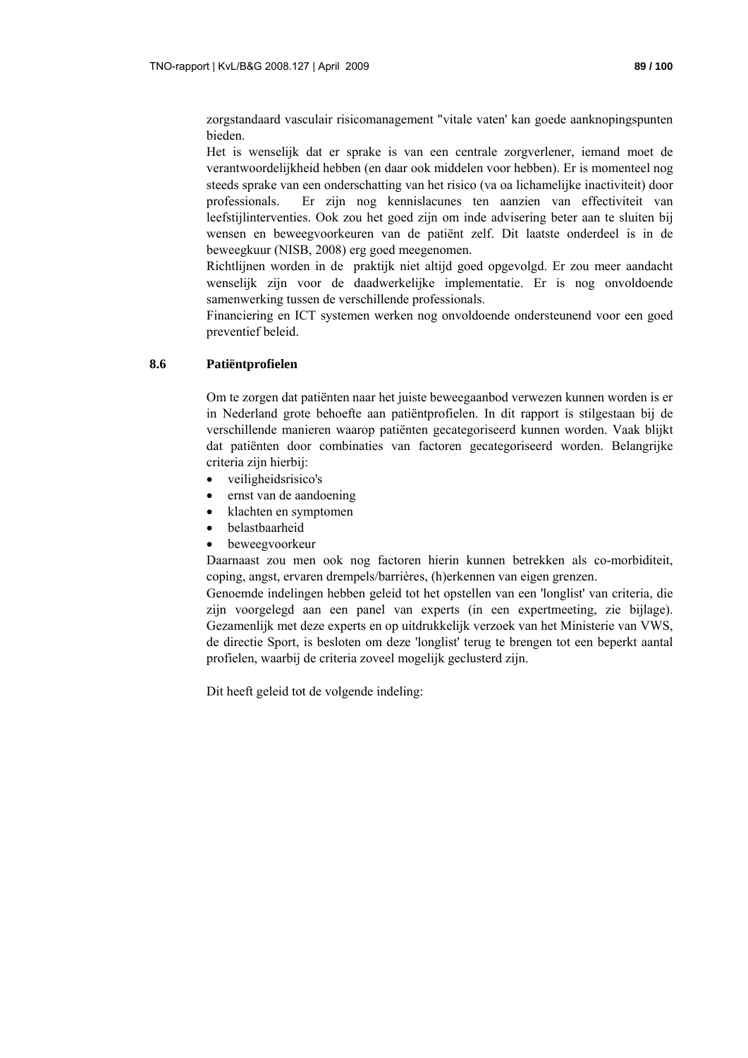zorgstandaard vasculair risicomanagement "vitale vaten' kan goede aanknopingspunten bieden.

Het is wenselijk dat er sprake is van een centrale zorgverlener, iemand moet de verantwoordelijkheid hebben (en daar ook middelen voor hebben). Er is momenteel nog steeds sprake van een onderschatting van het risico (va oa lichamelijke inactiviteit) door professionals. Er zijn nog kennislacunes ten aanzien van effectiviteit van leefstijlinterventies. Ook zou het goed zijn om inde advisering beter aan te sluiten bij wensen en beweegvoorkeuren van de patiënt zelf. Dit laatste onderdeel is in de beweegkuur (NISB, 2008) erg goed meegenomen.

Richtlijnen worden in de praktijk niet altijd goed opgevolgd. Er zou meer aandacht wenselijk zijn voor de daadwerkelijke implementatie. Er is nog onvoldoende samenwerking tussen de verschillende professionals.

Financiering en ICT systemen werken nog onvoldoende ondersteunend voor een goed preventief beleid.

#### **8.6 Patiëntprofielen**

Om te zorgen dat patiënten naar het juiste beweegaanbod verwezen kunnen worden is er in Nederland grote behoefte aan patiëntprofielen. In dit rapport is stilgestaan bij de verschillende manieren waarop patiënten gecategoriseerd kunnen worden. Vaak blijkt dat patiënten door combinaties van factoren gecategoriseerd worden. Belangrijke criteria zijn hierbij:

- veiligheidsrisico's
- ernst van de aandoening
- klachten en symptomen
- belastbaarheid
- beweegvoorkeur

Daarnaast zou men ook nog factoren hierin kunnen betrekken als co-morbiditeit, coping, angst, ervaren drempels/barrières, (h)erkennen van eigen grenzen.

Genoemde indelingen hebben geleid tot het opstellen van een 'longlist' van criteria, die zijn voorgelegd aan een panel van experts (in een expertmeeting, zie bijlage). Gezamenlijk met deze experts en op uitdrukkelijk verzoek van het Ministerie van VWS, de directie Sport, is besloten om deze 'longlist' terug te brengen tot een beperkt aantal profielen, waarbij de criteria zoveel mogelijk geclusterd zijn.

Dit heeft geleid tot de volgende indeling: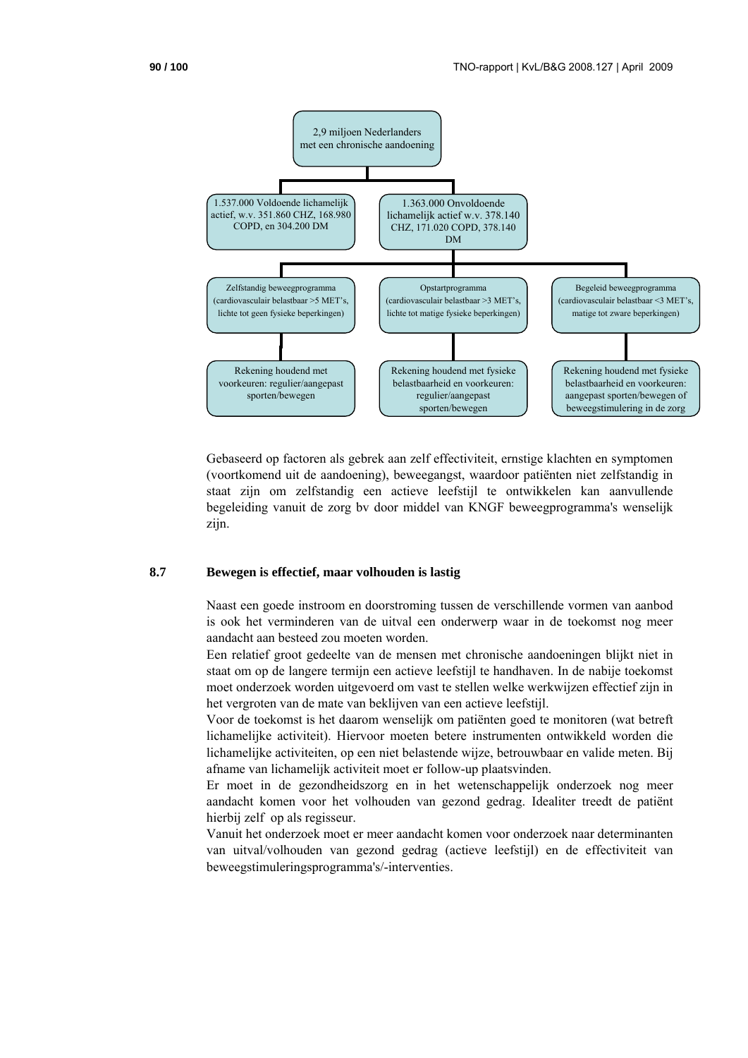

Gebaseerd op factoren als gebrek aan zelf effectiviteit, ernstige klachten en symptomen (voortkomend uit de aandoening), beweegangst, waardoor patiënten niet zelfstandig in staat zijn om zelfstandig een actieve leefstijl te ontwikkelen kan aanvullende begeleiding vanuit de zorg bv door middel van KNGF beweegprogramma's wenselijk zijn.

#### **8.7 Bewegen is effectief, maar volhouden is lastig**

Naast een goede instroom en doorstroming tussen de verschillende vormen van aanbod is ook het verminderen van de uitval een onderwerp waar in de toekomst nog meer aandacht aan besteed zou moeten worden.

Een relatief groot gedeelte van de mensen met chronische aandoeningen blijkt niet in staat om op de langere termijn een actieve leefstijl te handhaven. In de nabije toekomst moet onderzoek worden uitgevoerd om vast te stellen welke werkwijzen effectief zijn in het vergroten van de mate van beklijven van een actieve leefstijl.

Voor de toekomst is het daarom wenselijk om patiënten goed te monitoren (wat betreft lichamelijke activiteit). Hiervoor moeten betere instrumenten ontwikkeld worden die lichamelijke activiteiten, op een niet belastende wijze, betrouwbaar en valide meten. Bij afname van lichamelijk activiteit moet er follow-up plaatsvinden.

Er moet in de gezondheidszorg en in het wetenschappelijk onderzoek nog meer aandacht komen voor het volhouden van gezond gedrag. Idealiter treedt de patiënt hierbij zelf op als regisseur.

Vanuit het onderzoek moet er meer aandacht komen voor onderzoek naar determinanten van uitval/volhouden van gezond gedrag (actieve leefstijl) en de effectiviteit van beweegstimuleringsprogramma's/-interventies.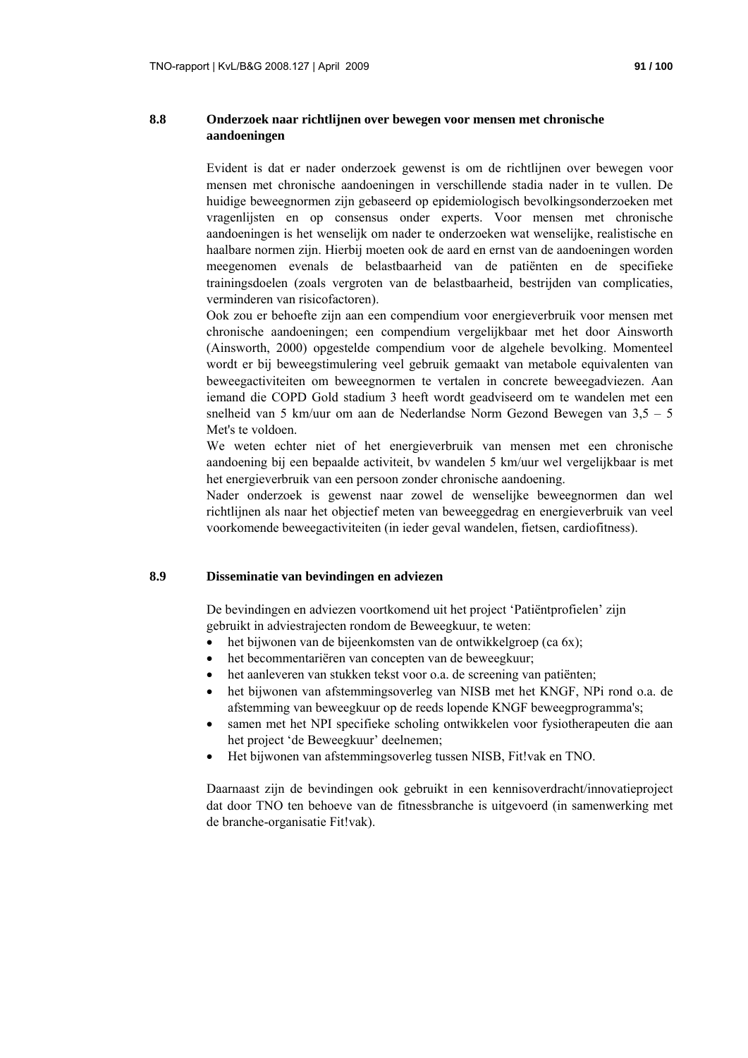#### **8.8 Onderzoek naar richtlijnen over bewegen voor mensen met chronische aandoeningen**

Evident is dat er nader onderzoek gewenst is om de richtlijnen over bewegen voor mensen met chronische aandoeningen in verschillende stadia nader in te vullen. De huidige beweegnormen zijn gebaseerd op epidemiologisch bevolkingsonderzoeken met vragenlijsten en op consensus onder experts. Voor mensen met chronische aandoeningen is het wenselijk om nader te onderzoeken wat wenselijke, realistische en haalbare normen zijn. Hierbij moeten ook de aard en ernst van de aandoeningen worden meegenomen evenals de belastbaarheid van de patiënten en de specifieke trainingsdoelen (zoals vergroten van de belastbaarheid, bestrijden van complicaties, verminderen van risicofactoren).

Ook zou er behoefte zijn aan een compendium voor energieverbruik voor mensen met chronische aandoeningen; een compendium vergelijkbaar met het door Ainsworth (Ainsworth, 2000) opgestelde compendium voor de algehele bevolking. Momenteel wordt er bij beweegstimulering veel gebruik gemaakt van metabole equivalenten van beweegactiviteiten om beweegnormen te vertalen in concrete beweegadviezen. Aan iemand die COPD Gold stadium 3 heeft wordt geadviseerd om te wandelen met een snelheid van 5 km/uur om aan de Nederlandse Norm Gezond Bewegen van 3,5 – 5 Met's te voldoen.

We weten echter niet of het energieverbruik van mensen met een chronische aandoening bij een bepaalde activiteit, bv wandelen 5 km/uur wel vergelijkbaar is met het energieverbruik van een persoon zonder chronische aandoening.

Nader onderzoek is gewenst naar zowel de wenselijke beweegnormen dan wel richtlijnen als naar het objectief meten van beweeggedrag en energieverbruik van veel voorkomende beweegactiviteiten (in ieder geval wandelen, fietsen, cardiofitness).

#### **8.9 Disseminatie van bevindingen en adviezen**

De bevindingen en adviezen voortkomend uit het project 'Patiëntprofielen' zijn gebruikt in adviestrajecten rondom de Beweegkuur, te weten:

- het bijwonen van de bijeenkomsten van de ontwikkelgroep (ca 6x);
- het becommentariëren van concepten van de beweegkuur;
- het aanleveren van stukken tekst voor o.a. de screening van patiënten;
- het bijwonen van afstemmingsoverleg van NISB met het KNGF, NPi rond o.a. de afstemming van beweegkuur op de reeds lopende KNGF beweegprogramma's;
- samen met het NPI specifieke scholing ontwikkelen voor fysiotherapeuten die aan het project 'de Beweegkuur' deelnemen;
- Het bijwonen van afstemmingsoverleg tussen NISB, Fit!vak en TNO.

Daarnaast zijn de bevindingen ook gebruikt in een kennisoverdracht/innovatieproject dat door TNO ten behoeve van de fitnessbranche is uitgevoerd (in samenwerking met de branche-organisatie Fit!vak).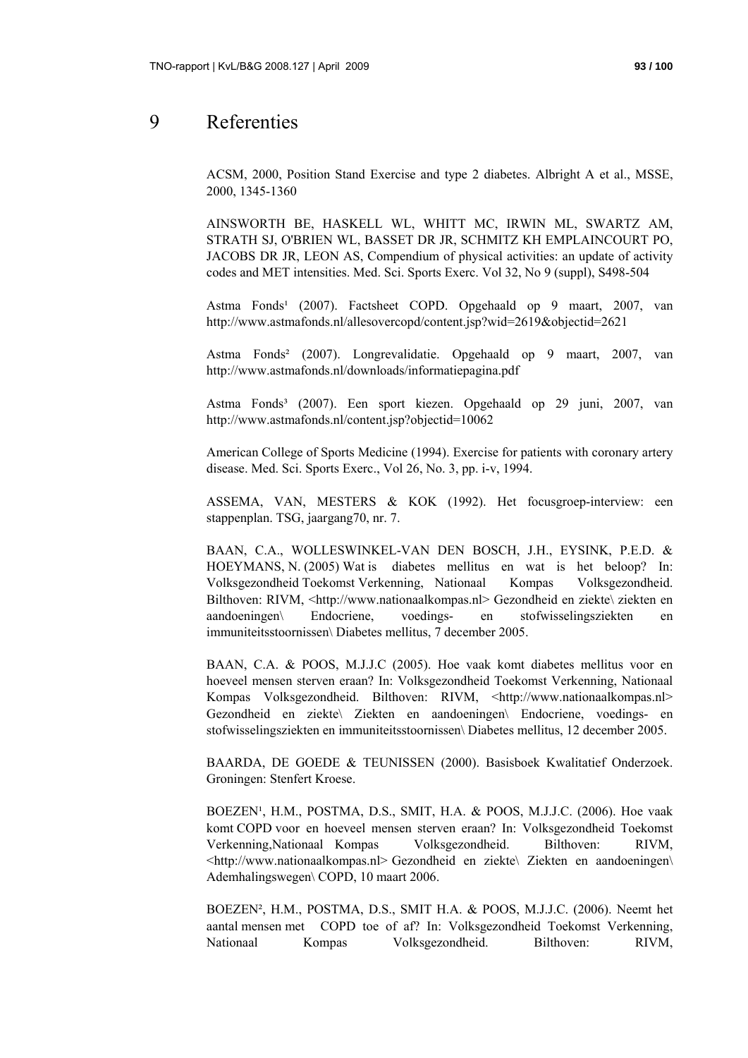## 9 Referenties

ACSM, 2000, Position Stand Exercise and type 2 diabetes. Albright A et al., MSSE, 2000, 1345-1360

AINSWORTH BE, HASKELL WL, WHITT MC, IRWIN ML, SWARTZ AM, STRATH SJ, O'BRIEN WL, BASSET DR JR, SCHMITZ KH EMPLAINCOURT PO, JACOBS DR JR, LEON AS, Compendium of physical activities: an update of activity codes and MET intensities. Med. Sci. Sports Exerc. Vol 32, No 9 (suppl), S498-504

Astma Fonds<sup>1</sup> (2007). Factsheet COPD. Opgehaald op 9 maart, 2007, van http://www.astmafonds.nl/allesovercopd/content.jsp?wid=2619&objectid=2621

Astma Fonds² (2007). Longrevalidatie. Opgehaald op 9 maart, 2007, van http://www.astmafonds.nl/downloads/informatiepagina.pdf

Astma Fonds<sup>3</sup> (2007). Een sport kiezen. Opgehaald op 29 juni, 2007, van http://www.astmafonds.nl/content.jsp?objectid=10062

American College of Sports Medicine (1994). Exercise for patients with coronary artery disease. Med. Sci. Sports Exerc., Vol 26, No. 3, pp. i-v, 1994.

ASSEMA, VAN, MESTERS & KOK (1992). Het focusgroep-interview: een stappenplan. TSG, jaargang70, nr. 7.

BAAN, C.A., WOLLESWINKEL-VAN DEN BOSCH, J.H., EYSINK, P.E.D. & HOEYMANS, N. (2005) Wat is diabetes mellitus en wat is het beloop? In: Volksgezondheid Toekomst Verkenning, Nationaal Kompas Volksgezondheid. Bilthoven: RIVM, <http://www.nationaalkompas.nl> Gezondheid en ziekte\ ziekten en aandoeningen\ Endocriene, voedings- en stofwisselingsziekten en immuniteitsstoornissen\ Diabetes mellitus, 7 december 2005.

BAAN, C.A. & POOS, M.J.J.C (2005). Hoe vaak komt diabetes mellitus voor en hoeveel mensen sterven eraan? In: Volksgezondheid Toekomst Verkenning, Nationaal Kompas Volksgezondheid. Bilthoven: RIVM, <http://www.nationaalkompas.nl> Gezondheid en ziekte\ Ziekten en aandoeningen\ Endocriene, voedings- en stofwisselingsziekten en immuniteitsstoornissen\ Diabetes mellitus, 12 december 2005.

BAARDA, DE GOEDE & TEUNISSEN (2000). Basisboek Kwalitatief Onderzoek. Groningen: Stenfert Kroese.

BOEZEN<sup>1</sup>, H.M., POSTMA, D.S., SMIT, H.A. & POOS, M.J.J.C. (2006). Hoe vaak komt COPD voor en hoeveel mensen sterven eraan? In: Volksgezondheid Toekomst Verkenning,Nationaal Kompas Volksgezondheid. Bilthoven: RIVM,  $\langle \text{http://www.nationalkompas.nl>}$  Gezondheid en ziekte $\langle$  Ziekten en aandoeningen $\langle \rangle$ Ademhalingswegen\ COPD, 10 maart 2006.

BOEZEN², H.M., POSTMA, D.S., SMIT H.A. & POOS, M.J.J.C. (2006). Neemt het aantal mensen met COPD toe of af? In: Volksgezondheid Toekomst Verkenning, Nationaal Kompas Volksgezondheid. Bilthoven: RIVM,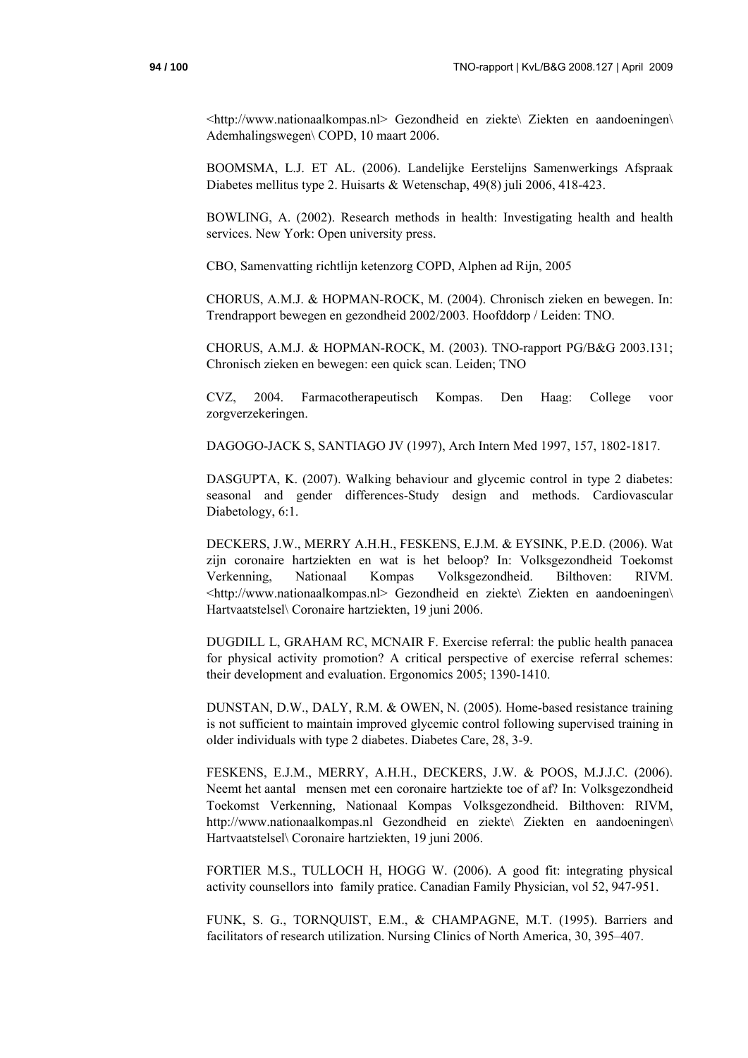<http://www.nationaalkompas.nl> Gezondheid en ziekte\ Ziekten en aandoeningen\ Ademhalingswegen\ COPD, 10 maart 2006.

BOOMSMA, L.J. ET AL. (2006). Landelijke Eerstelijns Samenwerkings Afspraak Diabetes mellitus type 2. Huisarts & Wetenschap, 49(8) juli 2006, 418-423.

BOWLING, A. (2002). Research methods in health: Investigating health and health services. New York: Open university press.

CBO, Samenvatting richtlijn ketenzorg COPD, Alphen ad Rijn, 2005

CHORUS, A.M.J. & HOPMAN-ROCK, M. (2004). Chronisch zieken en bewegen. In: Trendrapport bewegen en gezondheid 2002/2003. Hoofddorp / Leiden: TNO.

CHORUS, A.M.J. & HOPMAN-ROCK, M. (2003). TNO-rapport PG/B&G 2003.131; Chronisch zieken en bewegen: een quick scan. Leiden; TNO

CVZ, 2004. Farmacotherapeutisch Kompas. Den Haag: College voor zorgverzekeringen.

DAGOGO-JACK S, SANTIAGO JV (1997), Arch Intern Med 1997, 157, 1802-1817.

DASGUPTA, K. (2007). Walking behaviour and glycemic control in type 2 diabetes: seasonal and gender differences-Study design and methods. Cardiovascular Diabetology, 6:1.

DECKERS, J.W., MERRY A.H.H., FESKENS, E.J.M. & EYSINK, P.E.D. (2006). Wat zijn coronaire hartziekten en wat is het beloop? In: Volksgezondheid Toekomst Verkenning, Nationaal Kompas Volksgezondheid. Bilthoven: RIVM.  $\langle \text{http://www.nationalkompas.nl>}$  Gezondheid en ziekte\ Ziekten en aandoeningen\ Hartvaatstelsel\ Coronaire hartziekten, 19 juni 2006.

DUGDILL L, GRAHAM RC, MCNAIR F. Exercise referral: the public health panacea for physical activity promotion? A critical perspective of exercise referral schemes: their development and evaluation. Ergonomics 2005; 1390-1410.

DUNSTAN, D.W., DALY, R.M. & OWEN, N. (2005). Home-based resistance training is not sufficient to maintain improved glycemic control following supervised training in older individuals with type 2 diabetes. Diabetes Care, 28, 3-9.

FESKENS, E.J.M., MERRY, A.H.H., DECKERS, J.W. & POOS, M.J.J.C. (2006). Neemt het aantal mensen met een coronaire hartziekte toe of af? In: Volksgezondheid Toekomst Verkenning, Nationaal Kompas Volksgezondheid. Bilthoven: RIVM, http://www.nationaalkompas.nl Gezondheid en ziekte\ Ziekten en aandoeningen\ Hartvaatstelsel\ Coronaire hartziekten, 19 juni 2006.

FORTIER M.S., TULLOCH H, HOGG W. (2006). A good fit: integrating physical activity counsellors into family pratice. Canadian Family Physician, vol 52, 947-951.

FUNK, S. G., TORNQUIST, E.M., & CHAMPAGNE, M.T. (1995). Barriers and facilitators of research utilization. Nursing Clinics of North America, 30, 395–407.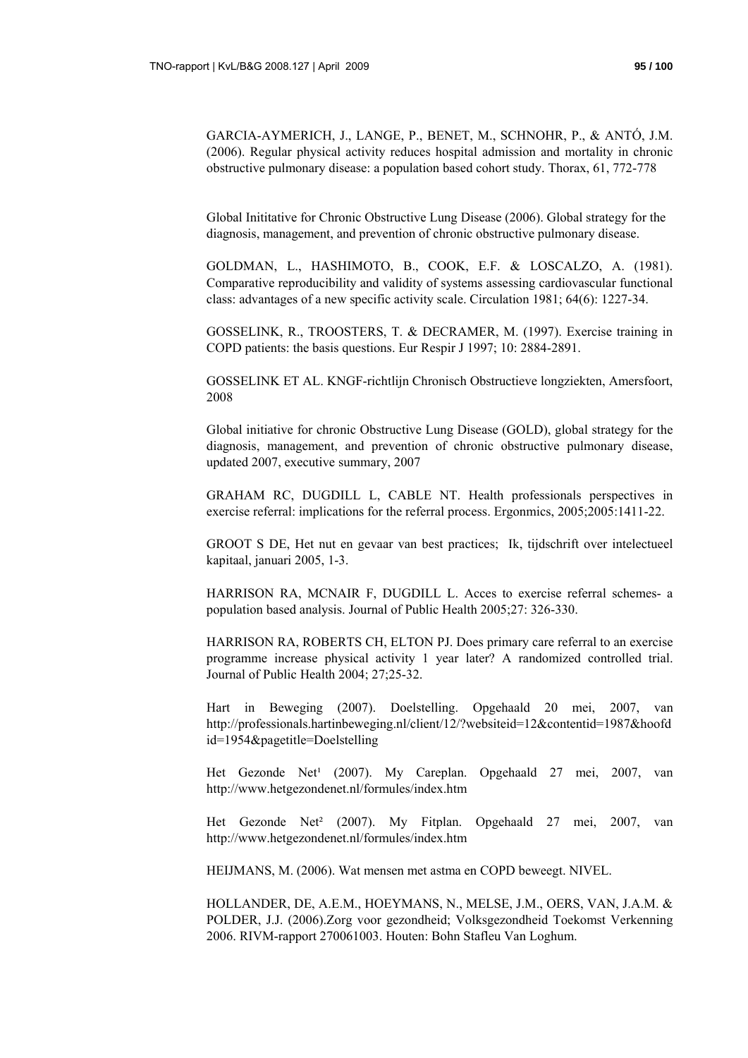GARCIA-AYMERICH, J., LANGE, P., BENET, M., SCHNOHR, P., & ANTÓ, J.M. (2006). Regular physical activity reduces hospital admission and mortality in chronic obstructive pulmonary disease: a population based cohort study. Thorax, 61, 772-778

Global Inititative for Chronic Obstructive Lung Disease (2006). Global strategy for the diagnosis, management, and prevention of chronic obstructive pulmonary disease.

GOLDMAN, L., HASHIMOTO, B., COOK, E.F. & LOSCALZO, A. (1981). Comparative reproducibility and validity of systems assessing cardiovascular functional class: advantages of a new specific activity scale. Circulation 1981; 64(6): 1227-34.

GOSSELINK, R., TROOSTERS, T. & DECRAMER, M. (1997). Exercise training in COPD patients: the basis questions. Eur Respir J 1997; 10: 2884-2891.

GOSSELINK ET AL. KNGF-richtlijn Chronisch Obstructieve longziekten, Amersfoort, 2008

Global initiative for chronic Obstructive Lung Disease (GOLD), global strategy for the diagnosis, management, and prevention of chronic obstructive pulmonary disease, updated 2007, executive summary, 2007

GRAHAM RC, DUGDILL L, CABLE NT. Health professionals perspectives in exercise referral: implications for the referral process. Ergonmics, 2005;2005:1411-22.

GROOT S DE, Het nut en gevaar van best practices; Ik, tijdschrift over intelectueel kapitaal, januari 2005, 1-3.

HARRISON RA, MCNAIR F, DUGDILL L. Acces to exercise referral schemes- a population based analysis. Journal of Public Health 2005;27: 326-330.

HARRISON RA, ROBERTS CH, ELTON PJ. Does primary care referral to an exercise programme increase physical activity 1 year later? A randomized controlled trial. Journal of Public Health 2004; 27;25-32.

Hart in Beweging (2007). Doelstelling. Opgehaald 20 mei, 2007, van http://professionals.hartinbeweging.nl/client/12/?websiteid=12&contentid=1987&hoofd id=1954&pagetitle=Doelstelling

Het Gezonde Net<sup>1</sup> (2007). My Careplan. Opgehaald 27 mei, 2007, van http://www.hetgezondenet.nl/formules/index.htm

Het Gezonde Net² (2007). My Fitplan. Opgehaald 27 mei, 2007, van http://www.hetgezondenet.nl/formules/index.htm

HEIJMANS, M. (2006). Wat mensen met astma en COPD beweegt. NIVEL.

HOLLANDER, DE, A.E.M., HOEYMANS, N., MELSE, J.M., OERS, VAN, J.A.M. & POLDER, J.J. (2006).Zorg voor gezondheid; Volksgezondheid Toekomst Verkenning 2006. RIVM-rapport 270061003. Houten: Bohn Stafleu Van Loghum.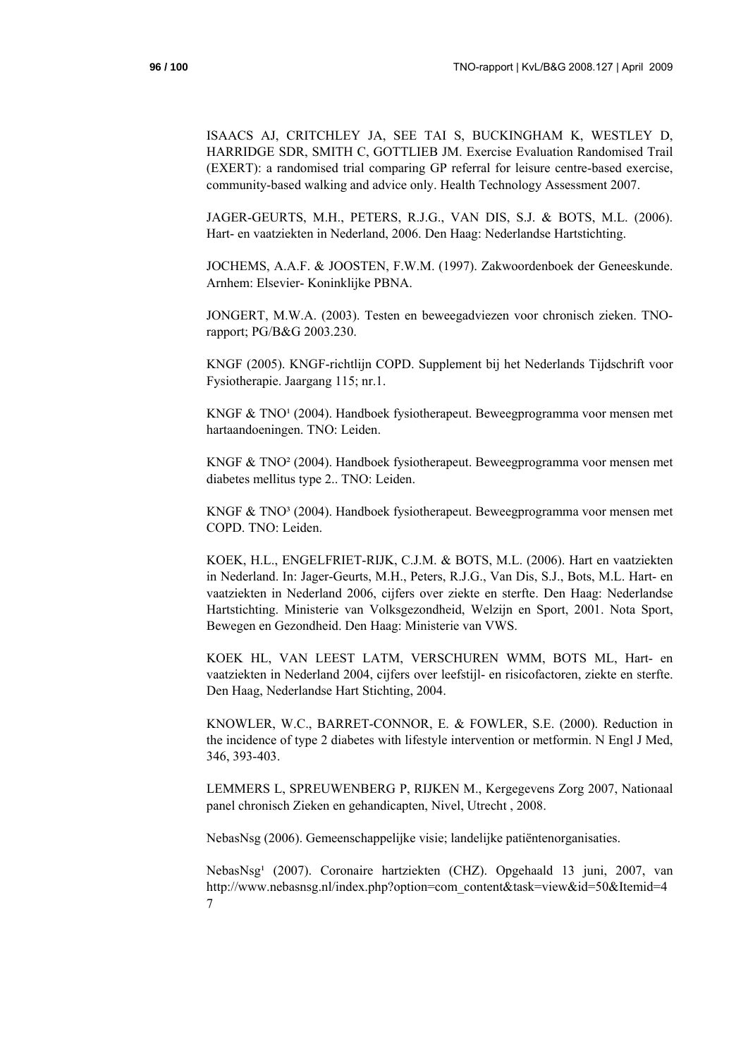ISAACS AJ, CRITCHLEY JA, SEE TAI S, BUCKINGHAM K, WESTLEY D, HARRIDGE SDR, SMITH C, GOTTLIEB JM. Exercise Evaluation Randomised Trail (EXERT): a randomised trial comparing GP referral for leisure centre-based exercise, community-based walking and advice only. Health Technology Assessment 2007.

JAGER-GEURTS, M.H., PETERS, R.J.G., VAN DIS, S.J. & BOTS, M.L. (2006). Hart- en vaatziekten in Nederland, 2006. Den Haag: Nederlandse Hartstichting.

JOCHEMS, A.A.F. & JOOSTEN, F.W.M. (1997). Zakwoordenboek der Geneeskunde. Arnhem: Elsevier- Koninklijke PBNA.

JONGERT, M.W.A. (2003). Testen en beweegadviezen voor chronisch zieken. TNOrapport; PG/B&G 2003.230.

KNGF (2005). KNGF-richtlijn COPD. Supplement bij het Nederlands Tijdschrift voor Fysiotherapie. Jaargang 115; nr.1.

KNGF & TNO<sup>1</sup> (2004). Handboek fysiotherapeut. Beweegprogramma voor mensen met hartaandoeningen. TNO: Leiden.

KNGF & TNO² (2004). Handboek fysiotherapeut. Beweegprogramma voor mensen met diabetes mellitus type 2.. TNO: Leiden.

KNGF & TNO³ (2004). Handboek fysiotherapeut. Beweegprogramma voor mensen met COPD. TNO: Leiden.

KOEK, H.L., ENGELFRIET-RIJK, C.J.M. & BOTS, M.L. (2006). Hart en vaatziekten in Nederland. In: Jager-Geurts, M.H., Peters, R.J.G., Van Dis, S.J., Bots, M.L. Hart- en vaatziekten in Nederland 2006, cijfers over ziekte en sterfte. Den Haag: Nederlandse Hartstichting. Ministerie van Volksgezondheid, Welzijn en Sport, 2001. Nota Sport, Bewegen en Gezondheid. Den Haag: Ministerie van VWS.

KOEK HL, VAN LEEST LATM, VERSCHUREN WMM, BOTS ML, Hart- en vaatziekten in Nederland 2004, cijfers over leefstijl- en risicofactoren, ziekte en sterfte. Den Haag, Nederlandse Hart Stichting, 2004.

KNOWLER, W.C., BARRET-CONNOR, E. & FOWLER, S.E. (2000). Reduction in the incidence of type 2 diabetes with lifestyle intervention or metformin. N Engl J Med, 346, 393-403.

LEMMERS L, SPREUWENBERG P, RIJKEN M., Kergegevens Zorg 2007, Nationaal panel chronisch Zieken en gehandicapten, Nivel, Utrecht , 2008.

NebasNsg (2006). Gemeenschappelijke visie; landelijke patiëntenorganisaties.

NebasNsg<sup>1</sup> (2007). Coronaire hartziekten (CHZ). Opgehaald 13 juni, 2007, van http://www.nebasnsg.nl/index.php?option=com\_content&task=view&id=50&Itemid=4 7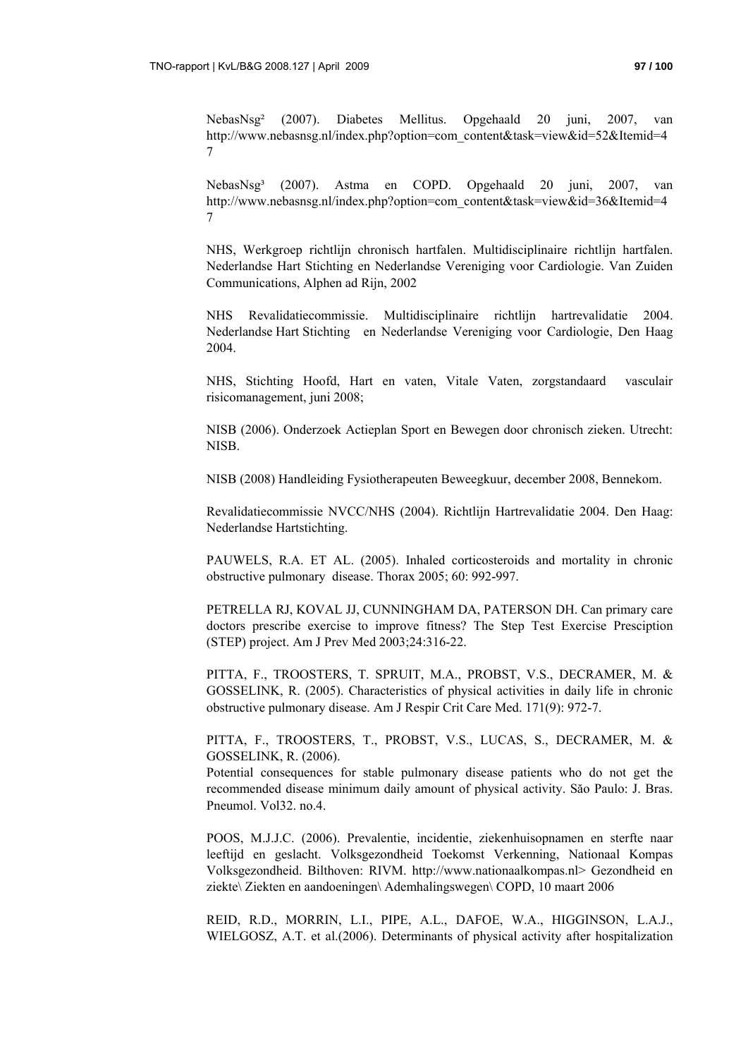NebasNsg² (2007). Diabetes Mellitus. Opgehaald 20 juni, 2007, van http://www.nebasnsg.nl/index.php?option=com\_content&task=view&id=52&Itemid=4 7

NebasNsg³ (2007). Astma en COPD. Opgehaald 20 juni, 2007, van http://www.nebasnsg.nl/index.php?option=com\_content&task=view&id=36&Itemid=4 7

NHS, Werkgroep richtlijn chronisch hartfalen. Multidisciplinaire richtlijn hartfalen. Nederlandse Hart Stichting en Nederlandse Vereniging voor Cardiologie. Van Zuiden Communications, Alphen ad Rijn, 2002

NHS Revalidatiecommissie. Multidisciplinaire richtlijn hartrevalidatie 2004. Nederlandse Hart Stichting en Nederlandse Vereniging voor Cardiologie, Den Haag 2004.

NHS, Stichting Hoofd, Hart en vaten, Vitale Vaten, zorgstandaard vasculair risicomanagement, juni 2008;

NISB (2006). Onderzoek Actieplan Sport en Bewegen door chronisch zieken. Utrecht: NISB.

NISB (2008) Handleiding Fysiotherapeuten Beweegkuur, december 2008, Bennekom.

Revalidatiecommissie NVCC/NHS (2004). Richtlijn Hartrevalidatie 2004. Den Haag: Nederlandse Hartstichting.

PAUWELS, R.A. ET AL. (2005). Inhaled corticosteroids and mortality in chronic obstructive pulmonary disease. Thorax 2005; 60: 992-997.

PETRELLA RJ, KOVAL JJ, CUNNINGHAM DA, PATERSON DH. Can primary care doctors prescribe exercise to improve fitness? The Step Test Exercise Presciption (STEP) project. Am J Prev Med 2003;24:316-22.

PITTA, F., TROOSTERS, T. SPRUIT, M.A., PROBST, V.S., DECRAMER, M. & GOSSELINK, R. (2005). Characteristics of physical activities in daily life in chronic obstructive pulmonary disease. Am J Respir Crit Care Med. 171(9): 972-7.

PITTA, F., TROOSTERS, T., PROBST, V.S., LUCAS, S., DECRAMER, M. & GOSSELINK, R. (2006).

Potential consequences for stable pulmonary disease patients who do not get the recommended disease minimum daily amount of physical activity. Săo Paulo: J. Bras. Pneumol. Vol32. no.4.

POOS, M.J.J.C. (2006). Prevalentie, incidentie, ziekenhuisopnamen en sterfte naar leeftijd en geslacht. Volksgezondheid Toekomst Verkenning, Nationaal Kompas Volksgezondheid. Bilthoven: RIVM. http://www.nationaalkompas.nl> Gezondheid en ziekte\ Ziekten en aandoeningen\ Ademhalingswegen\ COPD, 10 maart 2006

REID, R.D., MORRIN, L.I., PIPE, A.L., DAFOE, W.A., HIGGINSON, L.A.J., WIELGOSZ, A.T. et al.(2006). Determinants of physical activity after hospitalization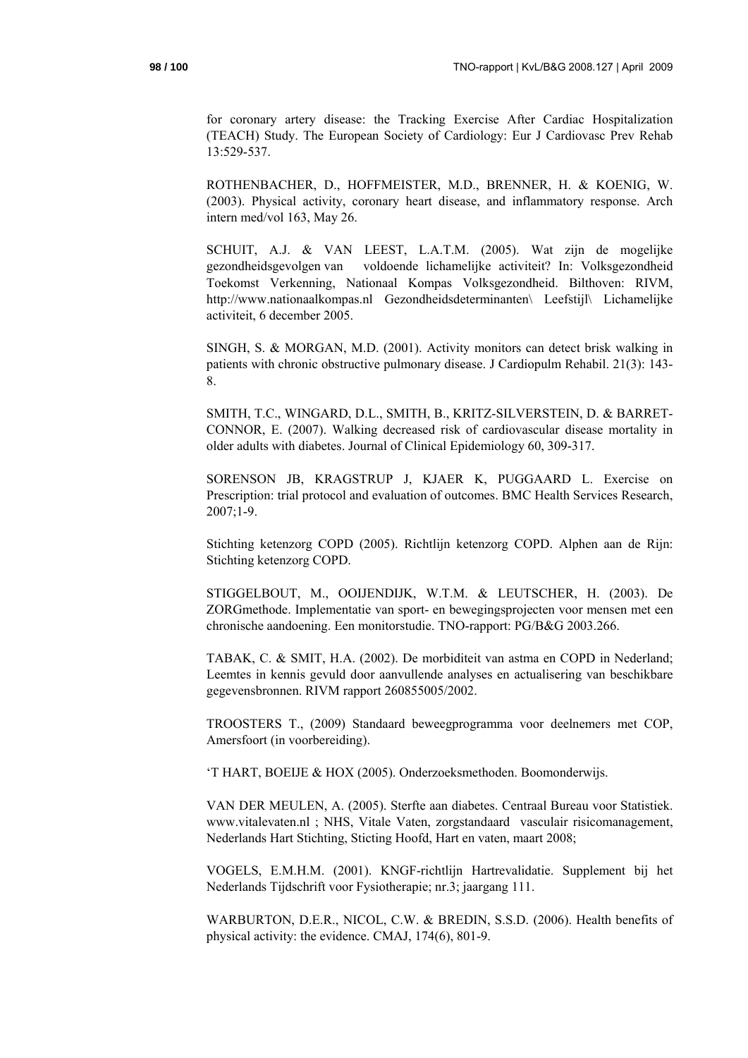for coronary artery disease: the Tracking Exercise After Cardiac Hospitalization (TEACH) Study. The European Society of Cardiology: Eur J Cardiovasc Prev Rehab 13:529-537.

ROTHENBACHER, D., HOFFMEISTER, M.D., BRENNER, H. & KOENIG, W. (2003). Physical activity, coronary heart disease, and inflammatory response. Arch intern med/vol 163, May 26.

SCHUIT, A.J. & VAN LEEST, L.A.T.M. (2005). Wat zijn de mogelijke gezondheidsgevolgen van voldoende lichamelijke activiteit? In: Volksgezondheid Toekomst Verkenning, Nationaal Kompas Volksgezondheid. Bilthoven: RIVM, http://www.nationaalkompas.nl Gezondheidsdeterminanten\ Leefstijl\ Lichamelijke activiteit, 6 december 2005.

SINGH, S. & MORGAN, M.D. (2001). Activity monitors can detect brisk walking in patients with chronic obstructive pulmonary disease. J Cardiopulm Rehabil. 21(3): 143- 8.

SMITH, T.C., WINGARD, D.L., SMITH, B., KRITZ-SILVERSTEIN, D. & BARRET-CONNOR, E. (2007). Walking decreased risk of cardiovascular disease mortality in older adults with diabetes. Journal of Clinical Epidemiology 60, 309-317.

SORENSON JB, KRAGSTRUP J, KJAER K, PUGGAARD L. Exercise on Prescription: trial protocol and evaluation of outcomes. BMC Health Services Research, 2007;1-9.

Stichting ketenzorg COPD (2005). Richtlijn ketenzorg COPD. Alphen aan de Rijn: Stichting ketenzorg COPD.

STIGGELBOUT, M., OOIJENDIJK, W.T.M. & LEUTSCHER, H. (2003). De ZORGmethode. Implementatie van sport- en bewegingsprojecten voor mensen met een chronische aandoening. Een monitorstudie. TNO-rapport: PG/B&G 2003.266.

TABAK, C. & SMIT, H.A. (2002). De morbiditeit van astma en COPD in Nederland; Leemtes in kennis gevuld door aanvullende analyses en actualisering van beschikbare gegevensbronnen. RIVM rapport 260855005/2002.

TROOSTERS T., (2009) Standaard beweegprogramma voor deelnemers met COP, Amersfoort (in voorbereiding).

'T HART, BOEIJE & HOX (2005). Onderzoeksmethoden. Boomonderwijs.

VAN DER MEULEN, A. (2005). Sterfte aan diabetes. Centraal Bureau voor Statistiek. www.vitalevaten.nl ; NHS, Vitale Vaten, zorgstandaard vasculair risicomanagement, Nederlands Hart Stichting, Sticting Hoofd, Hart en vaten, maart 2008;

VOGELS, E.M.H.M. (2001). KNGF-richtlijn Hartrevalidatie. Supplement bij het Nederlands Tijdschrift voor Fysiotherapie; nr.3; jaargang 111.

WARBURTON, D.E.R., NICOL, C.W. & BREDIN, S.S.D. (2006). Health benefits of physical activity: the evidence. CMAJ, 174(6), 801-9.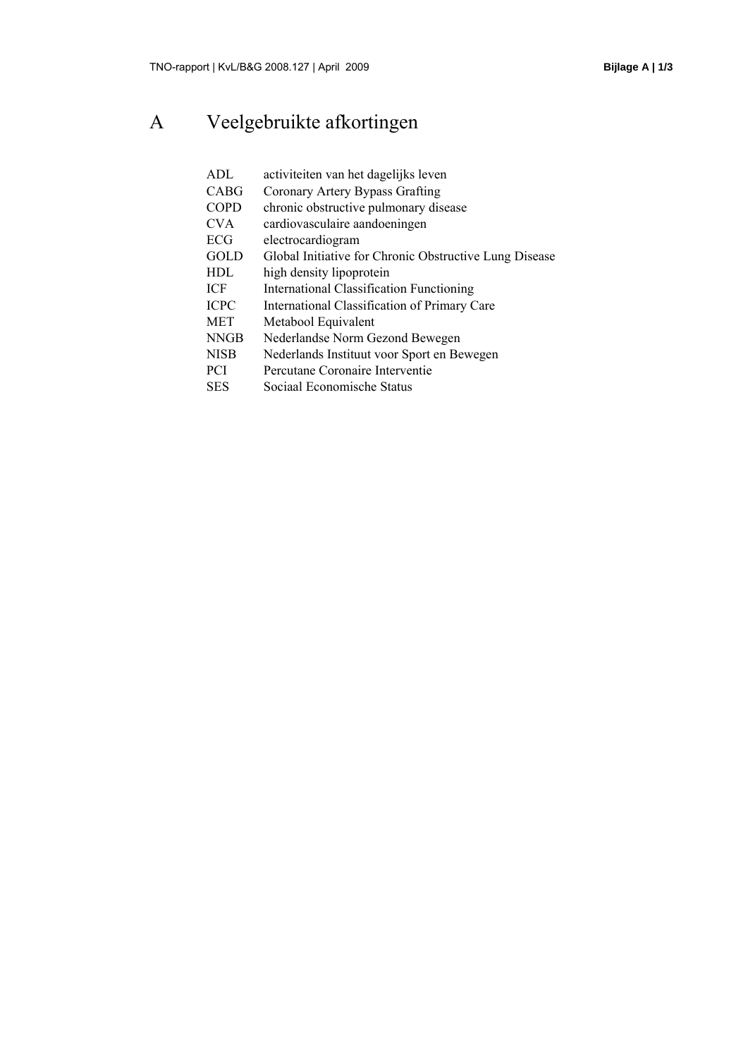# A Veelgebruikte afkortingen

| activiteiten van het dagelijks leven                   |
|--------------------------------------------------------|
| Coronary Artery Bypass Grafting                        |
| chronic obstructive pulmonary disease                  |
| cardiovasculaire aandoeningen                          |
| electrocardiogram                                      |
| Global Initiative for Chronic Obstructive Lung Disease |
| high density lipoprotein                               |
| <b>International Classification Functioning</b>        |
| International Classification of Primary Care           |
| Metabool Equivalent                                    |
| Nederlandse Norm Gezond Bewegen                        |
| Nederlands Instituut voor Sport en Bewegen             |
| Percutane Coronaire Interventie                        |
| Sociaal Economische Status                             |
|                                                        |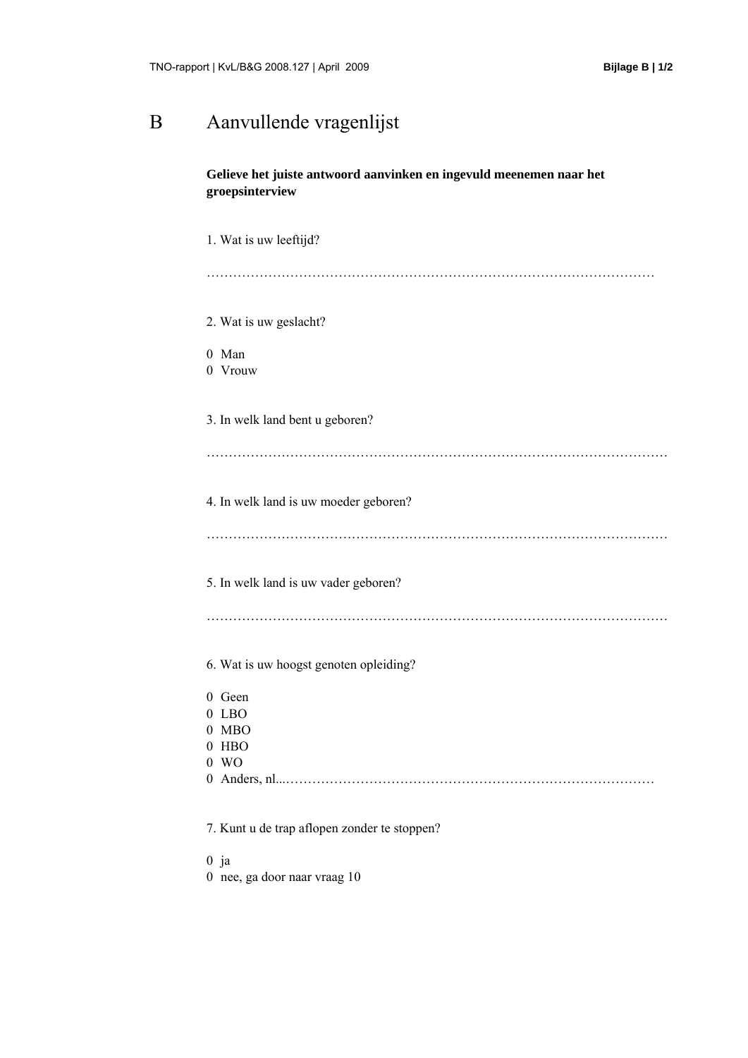# B Aanvullende vragenlijst

**Gelieve het juiste antwoord aanvinken en ingevuld meenemen naar het groepsinterview**  1. Wat is uw leeftijd? ………………………………………………………………………………………… 2. Wat is uw geslacht? 0 Man 0 Vrouw 3. In welk land bent u geboren? …………………………………………………………………………………………… 4. In welk land is uw moeder geboren? …………………………………………………………………………………………… 5. In welk land is uw vader geboren? …………………………………………………………………………………………… 6. Wat is uw hoogst genoten opleiding? 0 Geen 0 LBO 0 MBO 0 HBO 0 WO 0 Anders, nl...………………………………………………………………………… 7. Kunt u de trap aflopen zonder te stoppen? 0 ja

0 nee, ga door naar vraag 10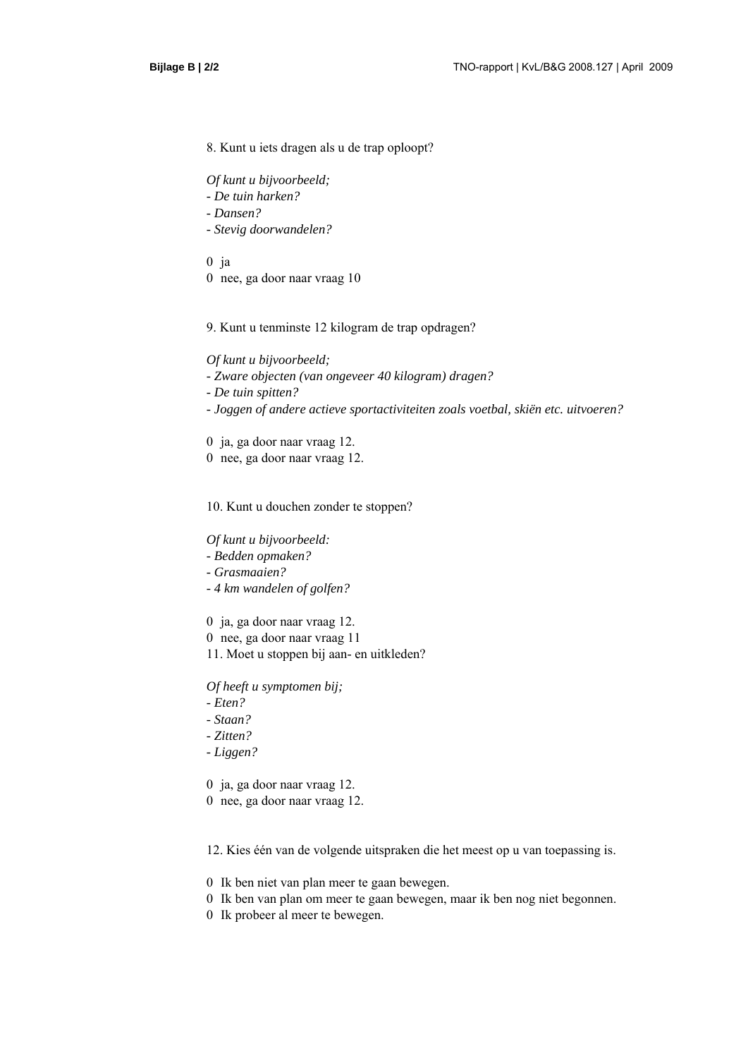8. Kunt u iets dragen als u de trap oploopt?

*Of kunt u bijvoorbeeld;* 

*- De tuin harken?* 

*- Dansen?* 

*- Stevig doorwandelen?* 

0 ja 0 nee, ga door naar vraag 10

9. Kunt u tenminste 12 kilogram de trap opdragen?

*Of kunt u bijvoorbeeld;* 

*- Zware objecten (van ongeveer 40 kilogram) dragen?* 

*- De tuin spitten?* 

*- Joggen of andere actieve sportactiviteiten zoals voetbal, skiën etc. uitvoeren?* 

0 ja, ga door naar vraag 12.

0 nee, ga door naar vraag 12.

10. Kunt u douchen zonder te stoppen?

*Of kunt u bijvoorbeeld:* 

*- Bedden opmaken?* 

*- Grasmaaien?* 

- *4 km wandelen of golfen?*
- 0 ja, ga door naar vraag 12.

0 nee, ga door naar vraag 11

11. Moet u stoppen bij aan- en uitkleden?

*Of heeft u symptomen bij;* 

- *Eten?*
- *Staan?*
- *Zitten?*
- *Liggen?*

0 ja, ga door naar vraag 12.

0 nee, ga door naar vraag 12.

12. Kies één van de volgende uitspraken die het meest op u van toepassing is.

- 0 Ik ben niet van plan meer te gaan bewegen.
- 0 Ik ben van plan om meer te gaan bewegen, maar ik ben nog niet begonnen.
- 0 Ik probeer al meer te bewegen.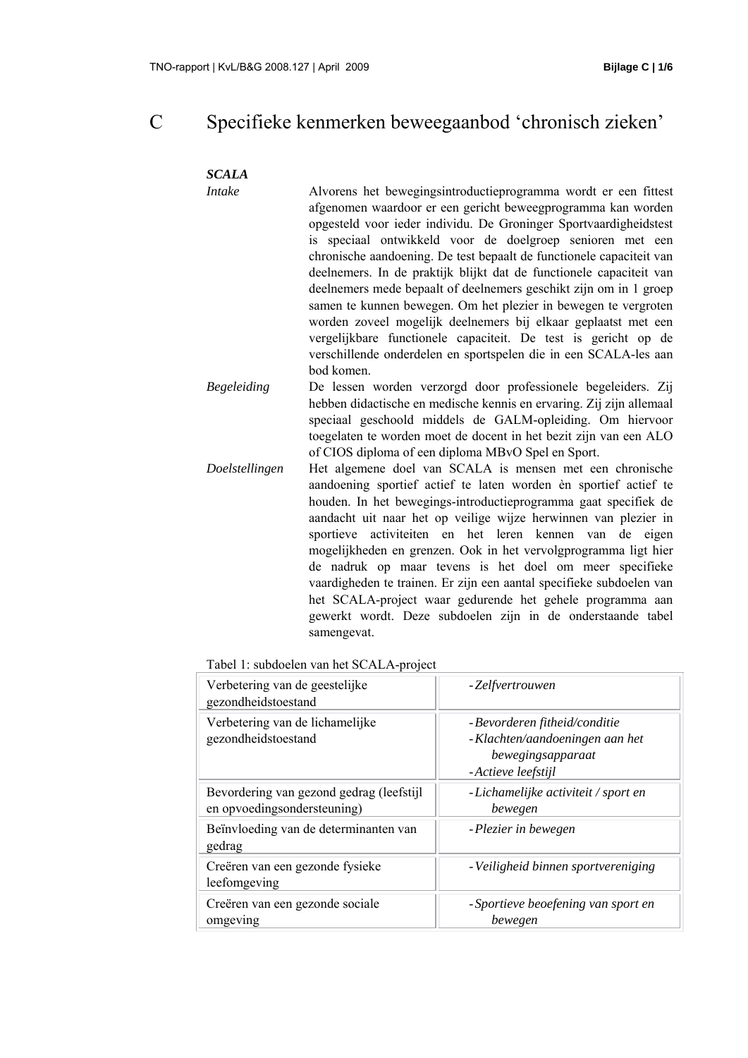# C Specifieke kenmerken beweegaanbod 'chronisch zieken'

#### *SCALA*

| Intake | Alvorens het bewegingsintroductieprogramma wordt er een fittest      |
|--------|----------------------------------------------------------------------|
|        | afgenomen waardoor er een gericht beweegprogramma kan worden         |
|        | opgesteld voor ieder individu. De Groninger Sportvaardigheidstest    |
|        | is speciaal ontwikkeld voor de doelgroep senioren met een            |
|        | chronische aandoening. De test bepaalt de functionele capaciteit van |
|        | deelnemers. In de praktijk blijkt dat de functionele capaciteit van  |
|        | deelnemers mede bepaalt of deelnemers geschikt zijn om in 1 groep    |
|        | samen te kunnen bewegen. Om het plezier in bewegen te vergroten      |
|        | worden zoveel mogelijk deelnemers bij elkaar geplaatst met een       |
|        | vergelijkbare functionele capaciteit. De test is gericht op de       |
|        | verschillende onderdelen en sportspelen die in een SCALA-les aan     |
|        | bod komen.                                                           |
|        |                                                                      |

*Begeleiding* De lessen worden verzorgd door professionele begeleiders. Zij hebben didactische en medische kennis en ervaring. Zij zijn allemaal speciaal geschoold middels de GALM-opleiding. Om hiervoor toegelaten te worden moet de docent in het bezit zijn van een ALO of CIOS diploma of een diploma MBvO Spel en Sport.

*Doelstellingen* Het algemene doel van SCALA is mensen met een chronische aandoening sportief actief te laten worden èn sportief actief te houden. In het bewegings-introductieprogramma gaat specifiek de aandacht uit naar het op veilige wijze herwinnen van plezier in sportieve activiteiten en het leren kennen van de eigen mogelijkheden en grenzen. Ook in het vervolgprogramma ligt hier de nadruk op maar tevens is het doel om meer specifieke vaardigheden te trainen. Er zijn een aantal specifieke subdoelen van het SCALA-project waar gedurende het gehele programma aan gewerkt wordt. Deze subdoelen zijn in de onderstaande tabel samengevat.

Tabel 1: subdoelen van het SCALA-project

| Verbetering van de geestelijke<br>gezondheidstoestand                   | -Zelfvertrouwen                                                                                           |
|-------------------------------------------------------------------------|-----------------------------------------------------------------------------------------------------------|
| Verbetering van de lichamelijke<br>gezondheidstoestand                  | -Bevorderen fitheid/conditie<br>-Klachten/aandoeningen aan het<br>bewegingsapparaat<br>-Actieve leefstijl |
| Bevordering van gezond gedrag (leefstijl<br>en opvoedingsondersteuning) | -Lichamelijke activiteit / sport en<br>bewegen                                                            |
| Beïnvloeding van de determinanten van<br>gedrag                         | -Plezier in bewegen                                                                                       |
| Creëren van een gezonde fysieke<br>leefomgeving                         | -Veiligheid binnen sportvereniging                                                                        |
| Creëren van een gezonde sociale<br>omgeving                             | -Sportieve beoefening van sport en<br>bewegen                                                             |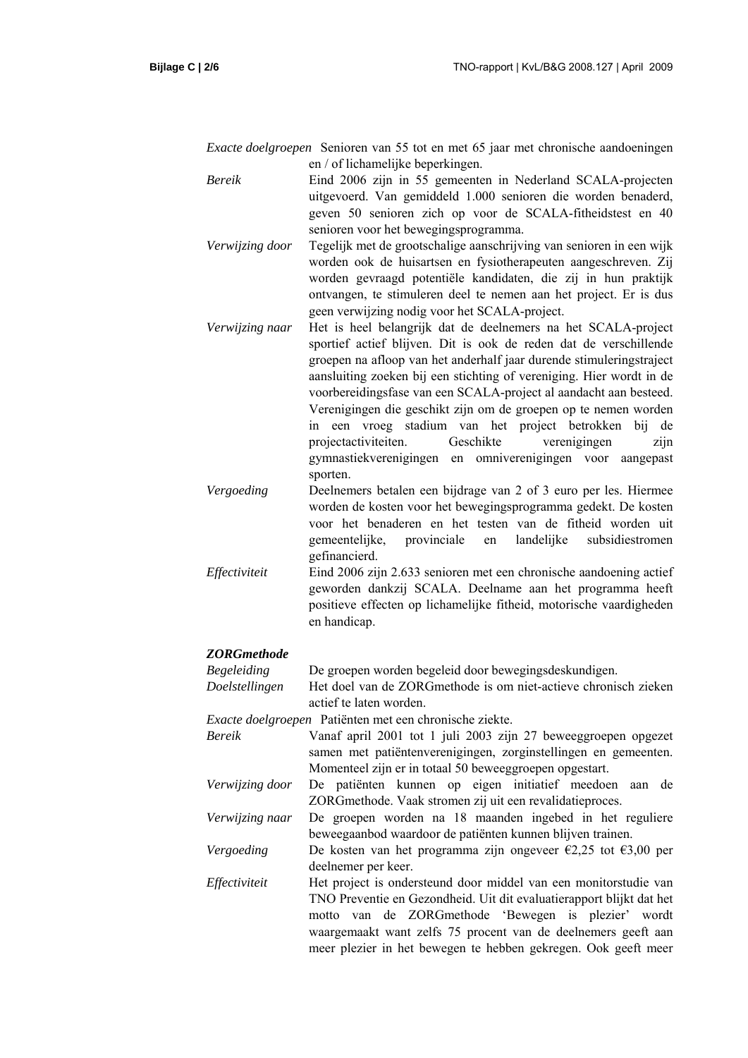- *Exacte doelgroepen* Senioren van 55 tot en met 65 jaar met chronische aandoeningen en / of lichamelijke beperkingen.
- *Bereik* Eind 2006 zijn in 55 gemeenten in Nederland SCALA-projecten uitgevoerd. Van gemiddeld 1.000 senioren die worden benaderd, geven 50 senioren zich op voor de SCALA-fitheidstest en 40 senioren voor het bewegingsprogramma.
- *Verwijzing door* Tegelijk met de grootschalige aanschrijving van senioren in een wijk worden ook de huisartsen en fysiotherapeuten aangeschreven. Zij worden gevraagd potentiële kandidaten, die zij in hun praktijk ontvangen, te stimuleren deel te nemen aan het project. Er is dus geen verwijzing nodig voor het SCALA-project.
- *Verwijzing naar* Het is heel belangrijk dat de deelnemers na het SCALA-project sportief actief blijven. Dit is ook de reden dat de verschillende groepen na afloop van het anderhalf jaar durende stimuleringstraject aansluiting zoeken bij een stichting of vereniging. Hier wordt in de voorbereidingsfase van een SCALA-project al aandacht aan besteed. Verenigingen die geschikt zijn om de groepen op te nemen worden in een vroeg stadium van het project betrokken bij de projectactiviteiten. Geschikte verenigingen zijn gymnastiekverenigingen en omniverenigingen voor aangepast sporten.
- *Vergoeding* Deelnemers betalen een bijdrage van 2 of 3 euro per les. Hiermee worden de kosten voor het bewegingsprogramma gedekt. De kosten voor het benaderen en het testen van de fitheid worden uit gemeentelijke, provinciale en landelijke subsidiestromen gefinancierd.
- *Effectiviteit* Eind 2006 zijn 2.633 senioren met een chronische aandoening actief geworden dankzij SCALA. Deelname aan het programma heeft positieve effecten op lichamelijke fitheid, motorische vaardigheden en handicap.

#### *ZORGmethode*

| <b>Begeleiding</b> | De groepen worden begeleid door bewegingsdeskundigen.                             |
|--------------------|-----------------------------------------------------------------------------------|
| Doelstellingen     | Het doel van de ZORGmethode is om niet-actieve chronisch zieken                   |
|                    | actief te laten worden.                                                           |
|                    | <i>Exacte doelgroepen</i> Patiënten met een chronische ziekte.                    |
| Bereik             | Vanaf april 2001 tot 1 juli 2003 zijn 27 beweeggroepen opgezet                    |
|                    | samen met patiëntenverenigingen, zorginstellingen en gemeenten.                   |
|                    | Momenteel zijn er in totaal 50 beweeggroepen opgestart.                           |
| Verwijzing door    | De patiënten kunnen op eigen initiatief meedoen aan de                            |
|                    | ZORGmethode. Vaak stromen zij uit een revalidatieproces.                          |
| Verwijzing naar    | De groepen worden na 18 maanden ingebed in het reguliere                          |
|                    | beweegaanbod waardoor de patiënten kunnen blijven trainen.                        |
| Vergoeding         | De kosten van het programma zijn ongeveer $\epsilon$ 2,25 tot $\epsilon$ 3,00 per |
|                    | deelnemer per keer.                                                               |
| Effectiviteit      | Het project is ondersteund door middel van een monitorstudie van                  |
|                    | TNO Preventie en Gezondheid. Uit dit evaluatierapport blijkt dat het              |
|                    | motto van de ZORGmethode 'Bewegen is plezier' wordt                               |
|                    | waargemaakt want zelfs 75 procent van de deelnemers geeft aan                     |
|                    | meer plezier in het bewegen te hebben gekregen. Ook geeft meer                    |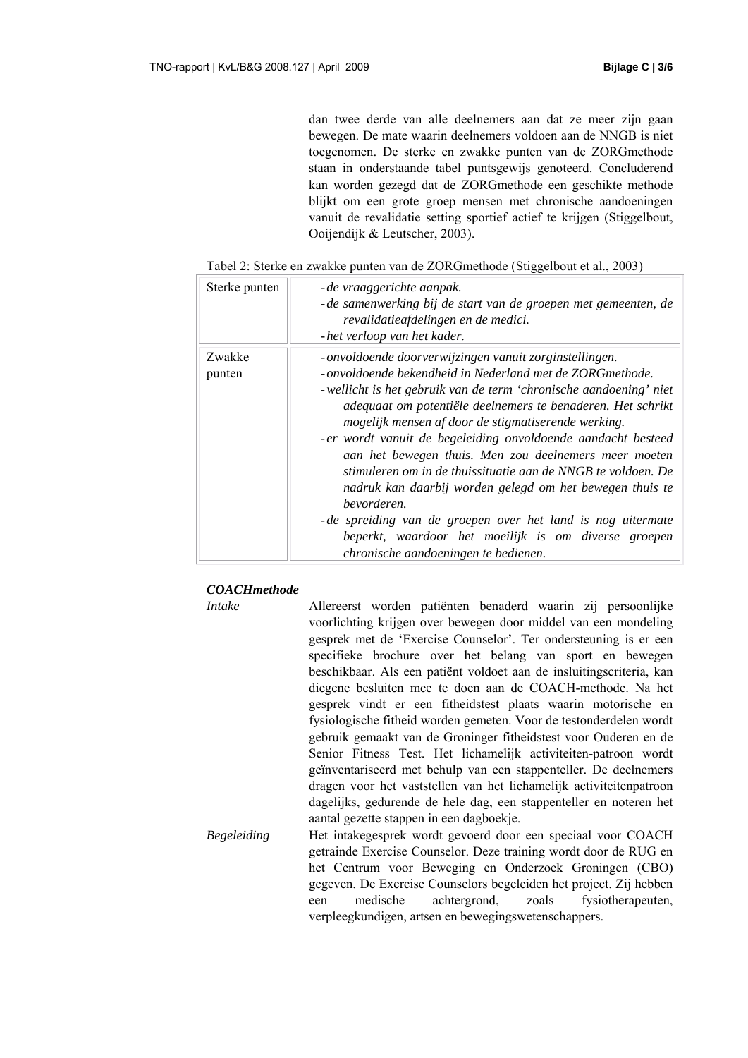dan twee derde van alle deelnemers aan dat ze meer zijn gaan bewegen. De mate waarin deelnemers voldoen aan de NNGB is niet toegenomen. De sterke en zwakke punten van de ZORGmethode staan in onderstaande tabel puntsgewijs genoteerd. Concluderend kan worden gezegd dat de ZORGmethode een geschikte methode blijkt om een grote groep mensen met chronische aandoeningen vanuit de revalidatie setting sportief actief te krijgen (Stiggelbout, Ooijendijk & Leutscher, 2003).

Tabel 2: Sterke en zwakke punten van de ZORGmethode (Stiggelbout et al., 2003)

| Sterke punten    | - de vraaggerichte aanpak.<br>-de samenwerking bij de start van de groepen met gemeenten, de<br>revalidatieafdelingen en de medici.<br>-het verloop van het kader.                                                                                                                                                                                                                                                                                                                                                                                                                                                                                                                                                                               |
|------------------|--------------------------------------------------------------------------------------------------------------------------------------------------------------------------------------------------------------------------------------------------------------------------------------------------------------------------------------------------------------------------------------------------------------------------------------------------------------------------------------------------------------------------------------------------------------------------------------------------------------------------------------------------------------------------------------------------------------------------------------------------|
| Zwakke<br>punten | -onvoldoende doorverwijzingen vanuit zorginstellingen.<br>-onvoldoende bekendheid in Nederland met de ZORGmethode.<br>-wellicht is het gebruik van de term 'chronische aandoening' niet<br>adequaat om potentiële deelnemers te benaderen. Het schrikt<br>mogelijk mensen af door de stigmatiserende werking.<br>-er wordt vanuit de begeleiding onvoldoende aandacht besteed<br>aan het bewegen thuis. Men zou deelnemers meer moeten<br>stimuleren om in de thuissituatie aan de NNGB te voldoen. De<br>nadruk kan daarbij worden gelegd om het bewegen thuis te<br>bevorderen.<br>-de spreiding van de groepen over het land is nog uitermate<br>beperkt, waardoor het moeilijk is om diverse groepen<br>chronische aandoeningen te bedienen. |

#### *COACHmethode*

| Allereerst worden patiënten benaderd waarin zij persoonlijke         |
|----------------------------------------------------------------------|
| voorlichting krijgen over bewegen door middel van een mondeling      |
| gesprek met de 'Exercise Counselor'. Ter ondersteuning is er een     |
| specifieke brochure over het belang van sport en bewegen             |
| beschikbaar. Als een patiënt voldoet aan de insluitingscriteria, kan |
| diegene besluiten mee te doen aan de COACH-methode. Na het           |
| gesprek vindt er een fitheidstest plaats waarin motorische en        |
| fysiologische fitheid worden gemeten. Voor de testonderdelen wordt   |
| gebruik gemaakt van de Groninger fitheidstest voor Ouderen en de     |
| Senior Fitness Test. Het lichamelijk activiteiten-patroon wordt      |
| geïnventariseerd met behulp van een stappenteller. De deelnemers     |
| dragen voor het vaststellen van het lichamelijk activiteitenpatroon  |
| dagelijks, gedurende de hele dag, een stappenteller en noteren het   |
| aantal gezette stappen in een dagboekje.                             |
| Het intakegesprek wordt gevoerd door een speciaal voor COACH         |
| getrainde Exercise Counselor. Deze training wordt door de RUG en     |
|                                                                      |

het Centrum voor Beweging en Onderzoek Groningen (CBO) gegeven. De Exercise Counselors begeleiden het project. Zij hebben een medische achtergrond, zoals fysiotherapeuten, verpleegkundigen, artsen en bewegingswetenschappers.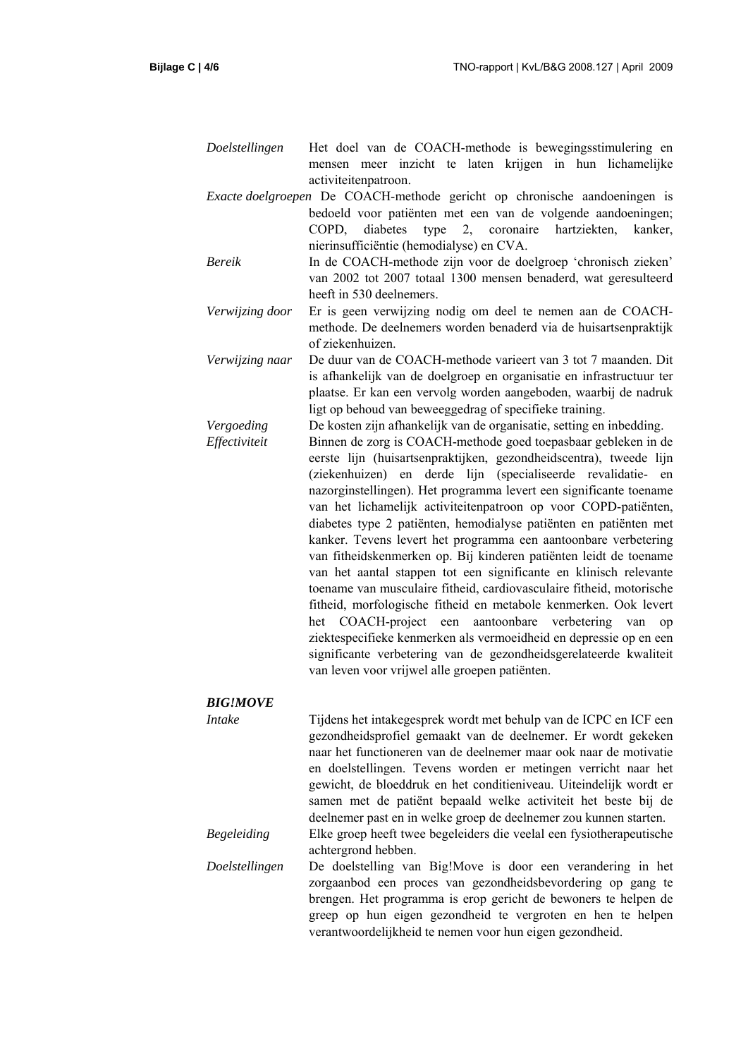| Doelstellingen              | Het doel van de COACH-methode is bewegingsstimulering en<br>mensen meer inzicht te laten krijgen in hun lichamelijke<br>activiteitenpatroon.                                                                                                                                                                                                                                                                                                                                                                                                                                                                                                                                                                                                                                                                                                                                                                                                                                                                                                                                                                      |
|-----------------------------|-------------------------------------------------------------------------------------------------------------------------------------------------------------------------------------------------------------------------------------------------------------------------------------------------------------------------------------------------------------------------------------------------------------------------------------------------------------------------------------------------------------------------------------------------------------------------------------------------------------------------------------------------------------------------------------------------------------------------------------------------------------------------------------------------------------------------------------------------------------------------------------------------------------------------------------------------------------------------------------------------------------------------------------------------------------------------------------------------------------------|
|                             | Exacte doelgroepen De COACH-methode gericht op chronische aandoeningen is<br>bedoeld voor patiënten met een van de volgende aandoeningen;                                                                                                                                                                                                                                                                                                                                                                                                                                                                                                                                                                                                                                                                                                                                                                                                                                                                                                                                                                         |
|                             | hartziekten,<br>diabetes<br>type<br>2,<br>coronaire<br>kanker,<br>COPD,<br>nierinsufficiëntie (hemodialyse) en CVA.                                                                                                                                                                                                                                                                                                                                                                                                                                                                                                                                                                                                                                                                                                                                                                                                                                                                                                                                                                                               |
| <b>Bereik</b>               | In de COACH-methode zijn voor de doelgroep 'chronisch zieken'<br>van 2002 tot 2007 totaal 1300 mensen benaderd, wat geresulteerd<br>heeft in 530 deelnemers.                                                                                                                                                                                                                                                                                                                                                                                                                                                                                                                                                                                                                                                                                                                                                                                                                                                                                                                                                      |
| Verwijzing door             | Er is geen verwijzing nodig om deel te nemen aan de COACH-<br>methode. De deelnemers worden benaderd via de huisartsenpraktijk<br>of ziekenhuizen.                                                                                                                                                                                                                                                                                                                                                                                                                                                                                                                                                                                                                                                                                                                                                                                                                                                                                                                                                                |
| Verwijzing naar             | De duur van de COACH-methode varieert van 3 tot 7 maanden. Dit<br>is afhankelijk van de doelgroep en organisatie en infrastructuur ter<br>plaatse. Er kan een vervolg worden aangeboden, waarbij de nadruk<br>ligt op behoud van beweeggedrag of specifieke training.                                                                                                                                                                                                                                                                                                                                                                                                                                                                                                                                                                                                                                                                                                                                                                                                                                             |
| Vergoeding<br>Effectiviteit | De kosten zijn afhankelijk van de organisatie, setting en inbedding.<br>Binnen de zorg is COACH-methode goed toepasbaar gebleken in de<br>eerste lijn (huisartsenpraktijken, gezondheidscentra), tweede lijn<br>(ziekenhuizen) en derde lijn (specialiseerde revalidatie-<br>en<br>nazorginstellingen). Het programma levert een significante toename<br>van het lichamelijk activiteitenpatroon op voor COPD-patiënten,<br>diabetes type 2 patiënten, hemodialyse patiënten en patiënten met<br>kanker. Tevens levert het programma een aantoonbare verbetering<br>van fitheidskenmerken op. Bij kinderen patiënten leidt de toename<br>van het aantal stappen tot een significante en klinisch relevante<br>toename van musculaire fitheid, cardiovasculaire fitheid, motorische<br>fitheid, morfologische fitheid en metabole kenmerken. Ook levert<br>het COACH-project een aantoonbare verbetering<br>van<br>op<br>ziektespecifieke kenmerken als vermoeidheid en depressie op en een<br>significante verbetering van de gezondheidsgerelateerde kwaliteit<br>van leven voor vrijwel alle groepen patiënten. |
| <b>BIG!MOVE</b>             |                                                                                                                                                                                                                                                                                                                                                                                                                                                                                                                                                                                                                                                                                                                                                                                                                                                                                                                                                                                                                                                                                                                   |
| <b>Intake</b>               | Tijdens het intakegesprek wordt met behulp van de ICPC en ICF een<br>gezondheidsprofiel gemaakt van de deelnemer. Er wordt gekeken<br>naar het functioneren van de deelnemer maar ook naar de motivatie<br>en doelstellingen. Tevens worden er metingen verricht naar het<br>gewicht, de bloeddruk en het conditieniveau. Uiteindelijk wordt er<br>samen met de patiënt bepaald welke activiteit het beste bij de<br>deelnemer past en in welke groep de deelnemer zou kunnen starten.                                                                                                                                                                                                                                                                                                                                                                                                                                                                                                                                                                                                                            |
| <b>Begeleiding</b>          | Elke groep heeft twee begeleiders die veelal een fysiotherapeutische<br>achtergrond hebben.                                                                                                                                                                                                                                                                                                                                                                                                                                                                                                                                                                                                                                                                                                                                                                                                                                                                                                                                                                                                                       |
| Doelstellingen              | De doelstelling van Big!Move is door een verandering in het<br>zorgaanbod een proces van gezondheidsbevordering op gang te                                                                                                                                                                                                                                                                                                                                                                                                                                                                                                                                                                                                                                                                                                                                                                                                                                                                                                                                                                                        |

zorgaanbod een proces van gezondheidsbevordering op gang te brengen. Het programma is erop gericht de bewoners te helpen de greep op hun eigen gezondheid te vergroten en hen te helpen verantwoordelijkheid te nemen voor hun eigen gezondheid.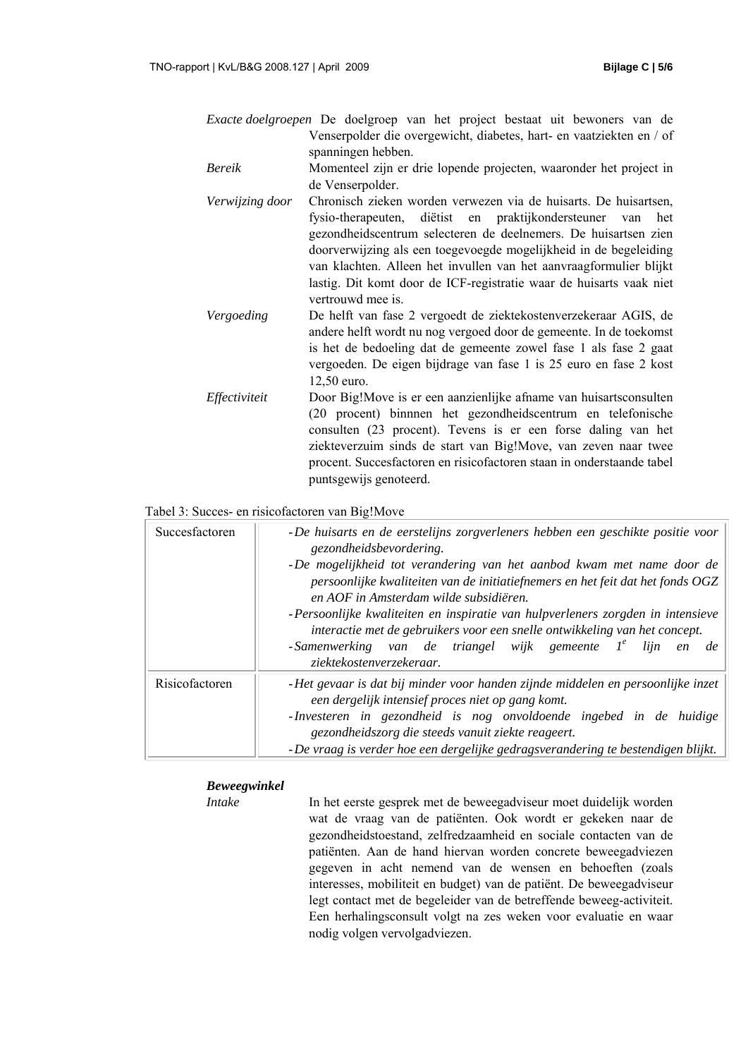|                                                                      |                 | <i>Exacte doelgroepen</i> De doelgroep van het project bestaat uit bewoners van de |  |  |  |  |  |  |
|----------------------------------------------------------------------|-----------------|------------------------------------------------------------------------------------|--|--|--|--|--|--|
| Venserpolder die overgewicht, diabetes, hart- en vaatziekten en / of |                 |                                                                                    |  |  |  |  |  |  |
|                                                                      |                 | spanningen hebben.                                                                 |  |  |  |  |  |  |
|                                                                      | <b>Bereik</b>   | Momenteel zijn er drie lopende projecten, waaronder het project in                 |  |  |  |  |  |  |
|                                                                      |                 | de Venserpolder.                                                                   |  |  |  |  |  |  |
|                                                                      | Verwijzing door | Chronisch zieken worden verwezen via de huisarts. De huisartsen,                   |  |  |  |  |  |  |
|                                                                      |                 | fysio-therapeuten, diëtist en praktijkondersteuner van<br>het                      |  |  |  |  |  |  |
|                                                                      |                 | gezondheidscentrum selecteren de deelnemers. De huisartsen zien                    |  |  |  |  |  |  |
|                                                                      |                 | doorverwijzing als een toegevoegde mogelijkheid in de begeleiding                  |  |  |  |  |  |  |
|                                                                      |                 | van klachten. Alleen het invullen van het aanvraagformulier blijkt                 |  |  |  |  |  |  |
|                                                                      |                 | lastig. Dit komt door de ICF-registratie waar de huisarts vaak niet                |  |  |  |  |  |  |
|                                                                      |                 | vertrouwd mee is.                                                                  |  |  |  |  |  |  |
|                                                                      | Vergoeding      | De helft van fase 2 vergoedt de ziektekostenverzekeraar AGIS, de                   |  |  |  |  |  |  |
|                                                                      |                 | andere helft wordt nu nog vergoed door de gemeente. In de toekomst                 |  |  |  |  |  |  |
|                                                                      |                 | is het de bedoeling dat de gemeente zowel fase 1 als fase 2 gaat                   |  |  |  |  |  |  |
|                                                                      |                 | vergoeden. De eigen bijdrage van fase 1 is 25 euro en fase 2 kost                  |  |  |  |  |  |  |
|                                                                      |                 | 12,50 euro.                                                                        |  |  |  |  |  |  |
|                                                                      | Effectiviteit   | Door Big!Move is er een aanzienlijke afname van huisartsconsulten                  |  |  |  |  |  |  |
|                                                                      |                 | (20 procent) binnnen het gezondheidscentrum en telefonische                        |  |  |  |  |  |  |
|                                                                      |                 | consulten (23 procent). Tevens is er een forse daling van het                      |  |  |  |  |  |  |
|                                                                      |                 | ziekteverzuim sinds de start van Big!Move, van zeven naar twee                     |  |  |  |  |  |  |
|                                                                      |                 | procent. Succesfactoren en risicofactoren staan in onderstaande tabel              |  |  |  |  |  |  |
|                                                                      |                 | puntsgewijs genoteerd.                                                             |  |  |  |  |  |  |
|                                                                      |                 |                                                                                    |  |  |  |  |  |  |

### Tabel 3: Succes- en risicofactoren van Big!Move

| Succesfactoren | -De huisarts en de eerstelijns zorgverleners hebben een geschikte positie voor<br>gezondheidsbevordering.<br>-De mogelijkheid tot verandering van het aanbod kwam met name door de<br>persoonlijke kwaliteiten van de initiatiefnemers en het feit dat het fonds OGZ<br>en AOF in Amsterdam wilde subsidiëren.<br>-Persoonlijke kwaliteiten en inspiratie van hulpverleners zorgden in intensieve<br>interactie met de gebruikers voor een snelle ontwikkeling van het concept.<br>-Samenwerking van de triangel wijk gemeente $I^e$<br>liin<br>de<br>en<br>ziektekostenverzekeraar. |
|----------------|--------------------------------------------------------------------------------------------------------------------------------------------------------------------------------------------------------------------------------------------------------------------------------------------------------------------------------------------------------------------------------------------------------------------------------------------------------------------------------------------------------------------------------------------------------------------------------------|
| Risicofactoren | -Het gevaar is dat bij minder voor handen zijnde middelen en persoonlijke inzet<br>een dergelijk intensief proces niet op gang komt.<br>-Investeren in gezondheid is nog onvoldoende ingebed in de huidige<br>gezondheidszorg die steeds vanuit ziekte reageert.<br>-De vraag is verder hoe een dergelijke gedragsverandering te bestendigen blijkt.                                                                                                                                                                                                                                 |

## *Beweegwinkel*

*Intake* In het eerste gesprek met de beweegadviseur moet duidelijk worden wat de vraag van de patiënten. Ook wordt er gekeken naar de gezondheidstoestand, zelfredzaamheid en sociale contacten van de patiënten. Aan de hand hiervan worden concrete beweegadviezen gegeven in acht nemend van de wensen en behoeften (zoals interesses, mobiliteit en budget) van de patiënt. De beweegadviseur legt contact met de begeleider van de betreffende beweeg-activiteit. Een herhalingsconsult volgt na zes weken voor evaluatie en waar nodig volgen vervolgadviezen.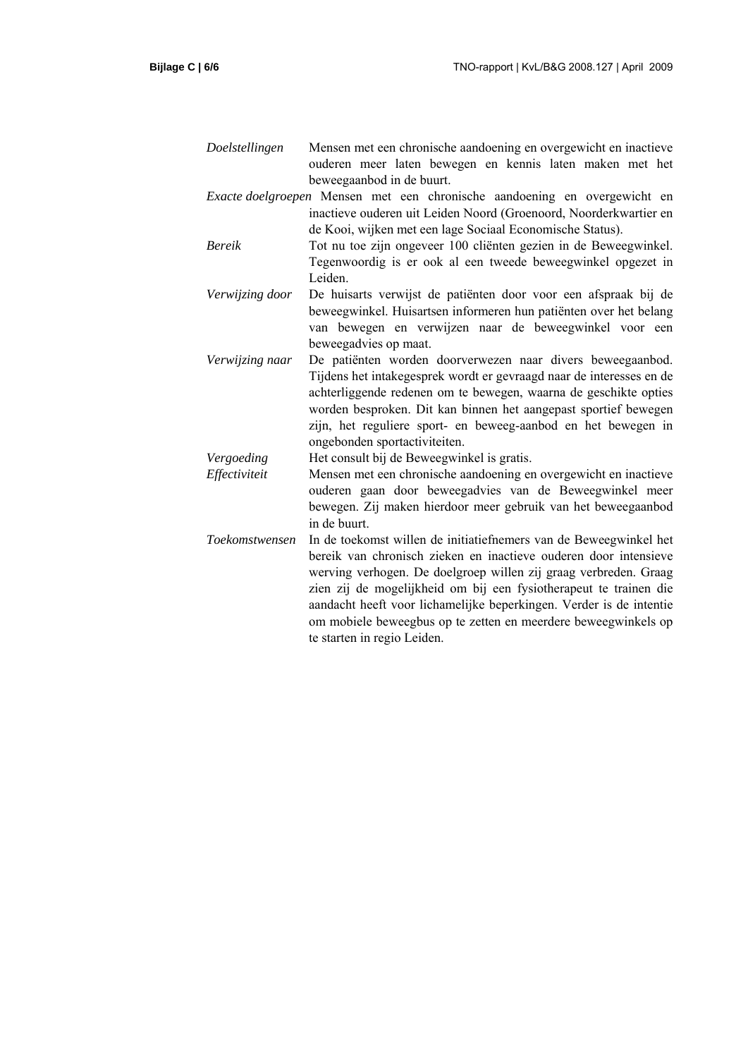| Doelstellingen                                               | Mensen met een chronische aandoening en overgewicht en inactieve<br>ouderen meer laten bewegen en kennis laten maken met het |  |  |  |  |  |  |  |  |
|--------------------------------------------------------------|------------------------------------------------------------------------------------------------------------------------------|--|--|--|--|--|--|--|--|
|                                                              | beweegaanbod in de buurt.                                                                                                    |  |  |  |  |  |  |  |  |
|                                                              | Exacte doelgroepen Mensen met een chronische aandoening en overgewicht en                                                    |  |  |  |  |  |  |  |  |
|                                                              | inactieve ouderen uit Leiden Noord (Groenoord, Noorderkwartier en                                                            |  |  |  |  |  |  |  |  |
|                                                              | de Kooi, wijken met een lage Sociaal Economische Status).                                                                    |  |  |  |  |  |  |  |  |
| <b>Bereik</b>                                                | Tot nu toe zijn ongeveer 100 cliënten gezien in de Beweegwinkel.                                                             |  |  |  |  |  |  |  |  |
| Tegenwoordig is er ook al een tweede beweegwinkel opgezet in |                                                                                                                              |  |  |  |  |  |  |  |  |
|                                                              | Leiden.                                                                                                                      |  |  |  |  |  |  |  |  |
| Verwijzing door                                              | De huisarts verwijst de patiënten door voor een afspraak bij de                                                              |  |  |  |  |  |  |  |  |
|                                                              | beweegwinkel. Huisartsen informeren hun patiënten over het belang                                                            |  |  |  |  |  |  |  |  |
|                                                              | van bewegen en verwijzen naar de beweegwinkel voor een                                                                       |  |  |  |  |  |  |  |  |
|                                                              | beweegadvies op maat.                                                                                                        |  |  |  |  |  |  |  |  |
| Verwijzing naar                                              | De patiënten worden doorverwezen naar divers beweegaanbod.                                                                   |  |  |  |  |  |  |  |  |
|                                                              | Tijdens het intakegesprek wordt er gevraagd naar de interesses en de                                                         |  |  |  |  |  |  |  |  |
|                                                              | achterliggende redenen om te bewegen, waarna de geschikte opties                                                             |  |  |  |  |  |  |  |  |
|                                                              | worden besproken. Dit kan binnen het aangepast sportief bewegen                                                              |  |  |  |  |  |  |  |  |
|                                                              | zijn, het reguliere sport- en beweeg-aanbod en het bewegen in<br>ongebonden sportactiviteiten.                               |  |  |  |  |  |  |  |  |
| Vergoeding                                                   | Het consult bij de Beweegwinkel is gratis.                                                                                   |  |  |  |  |  |  |  |  |
| Effectiviteit                                                | Mensen met een chronische aandoening en overgewicht en inactieve                                                             |  |  |  |  |  |  |  |  |
|                                                              | ouderen gaan door beweegadvies van de Beweegwinkel meer                                                                      |  |  |  |  |  |  |  |  |
|                                                              | bewegen. Zij maken hierdoor meer gebruik van het beweegaanbod                                                                |  |  |  |  |  |  |  |  |
|                                                              | in de buurt.                                                                                                                 |  |  |  |  |  |  |  |  |
| Toekomstwensen                                               | In de toekomst willen de initiatiefnemers van de Beweegwinkel het                                                            |  |  |  |  |  |  |  |  |
|                                                              | bereik van chronisch zieken en inactieve ouderen door intensieve                                                             |  |  |  |  |  |  |  |  |
|                                                              | werving verhogen. De doelgroep willen zij graag verbreden. Graag                                                             |  |  |  |  |  |  |  |  |
|                                                              | zien zij de mogelijkheid om bij een fysiotherapeut te trainen die                                                            |  |  |  |  |  |  |  |  |
|                                                              | aandacht heeft voor lichamelijke beperkingen. Verder is de intentie                                                          |  |  |  |  |  |  |  |  |
|                                                              | om mobiele beweegbus op te zetten en meerdere beweegwinkels op                                                               |  |  |  |  |  |  |  |  |
|                                                              | te starten in regio Leiden.                                                                                                  |  |  |  |  |  |  |  |  |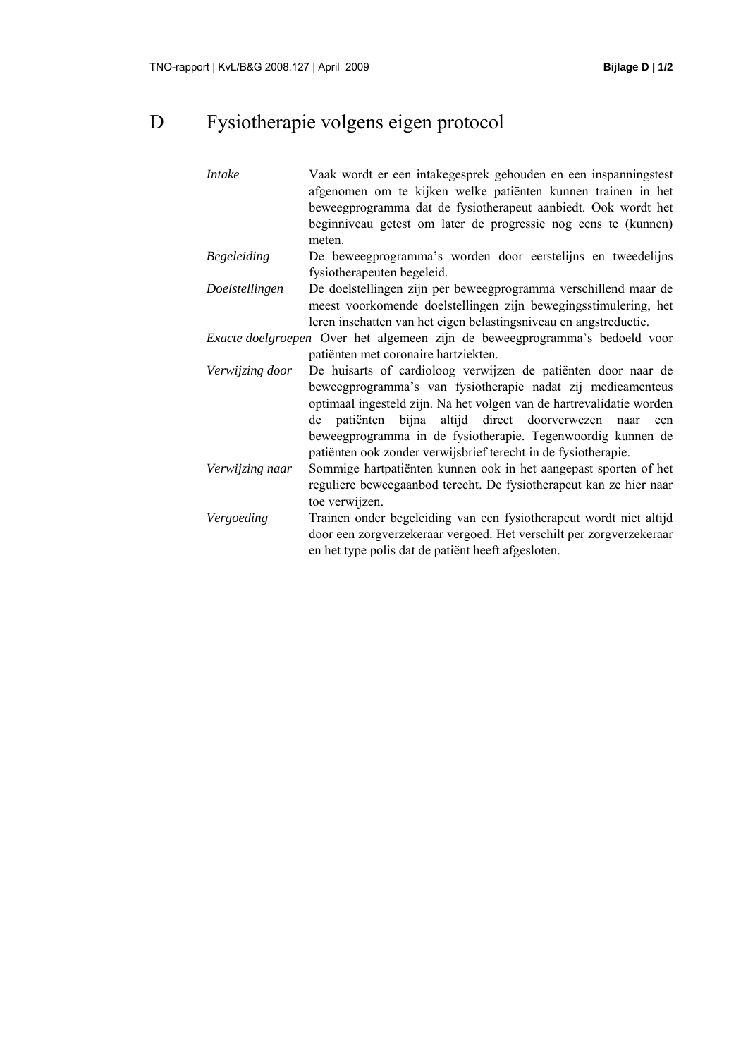# D Fysiotherapie volgens eigen protocol

| <b>Intake</b>      | Vaak wordt er een intakegesprek gehouden en een inspanningstest<br>afgenomen om te kijken welke patiënten kunnen trainen in het<br>beweegprogramma dat de fysiotherapeut aanbiedt. Ook wordt het |
|--------------------|--------------------------------------------------------------------------------------------------------------------------------------------------------------------------------------------------|
|                    | beginniveau getest om later de progressie nog eens te (kunnen)<br>meten.                                                                                                                         |
|                    |                                                                                                                                                                                                  |
| <b>Begeleiding</b> | De beweegprogramma's worden door eerstelijns en tweedelijns<br>fysiotherapeuten begeleid.                                                                                                        |
| Doelstellingen     | De doelstellingen zijn per beweegprogramma verschillend maar de                                                                                                                                  |
|                    | meest voorkomende doelstellingen zijn bewegingsstimulering, het                                                                                                                                  |
|                    | leren inschatten van het eigen belastingsniveau en angstreductie.                                                                                                                                |
|                    | Exacte doelgroepen Over het algemeen zijn de beweegprogramma's bedoeld voor                                                                                                                      |
|                    | patiënten met coronaire hartziekten.                                                                                                                                                             |
| Verwijzing door    | De huisarts of cardioloog verwijzen de patiënten door naar de                                                                                                                                    |
|                    | beweegprogramma's van fysiotherapie nadat zij medicamenteus                                                                                                                                      |
|                    | optimaal ingesteld zijn. Na het volgen van de hartrevalidatie worden                                                                                                                             |
|                    | altijd direct doorverwezen<br>bijna<br>patiënten<br>de<br>naar<br>een                                                                                                                            |
|                    | beweegprogramma in de fysiotherapie. Tegenwoordig kunnen de                                                                                                                                      |
|                    | patiënten ook zonder verwijsbrief terecht in de fysiotherapie.                                                                                                                                   |
| Verwijzing naar    | Sommige hartpatiënten kunnen ook in het aangepast sporten of het                                                                                                                                 |
|                    | reguliere beweegaanbod terecht. De fysiotherapeut kan ze hier naar                                                                                                                               |
|                    | toe verwijzen.                                                                                                                                                                                   |
| Vergoeding         | Trainen onder begeleiding van een fysiotherapeut wordt niet altijd                                                                                                                               |
|                    | door een zorgverzekeraar vergoed. Het verschilt per zorgverzekeraar                                                                                                                              |
|                    | en het type polis dat de patiënt heeft afgesloten.                                                                                                                                               |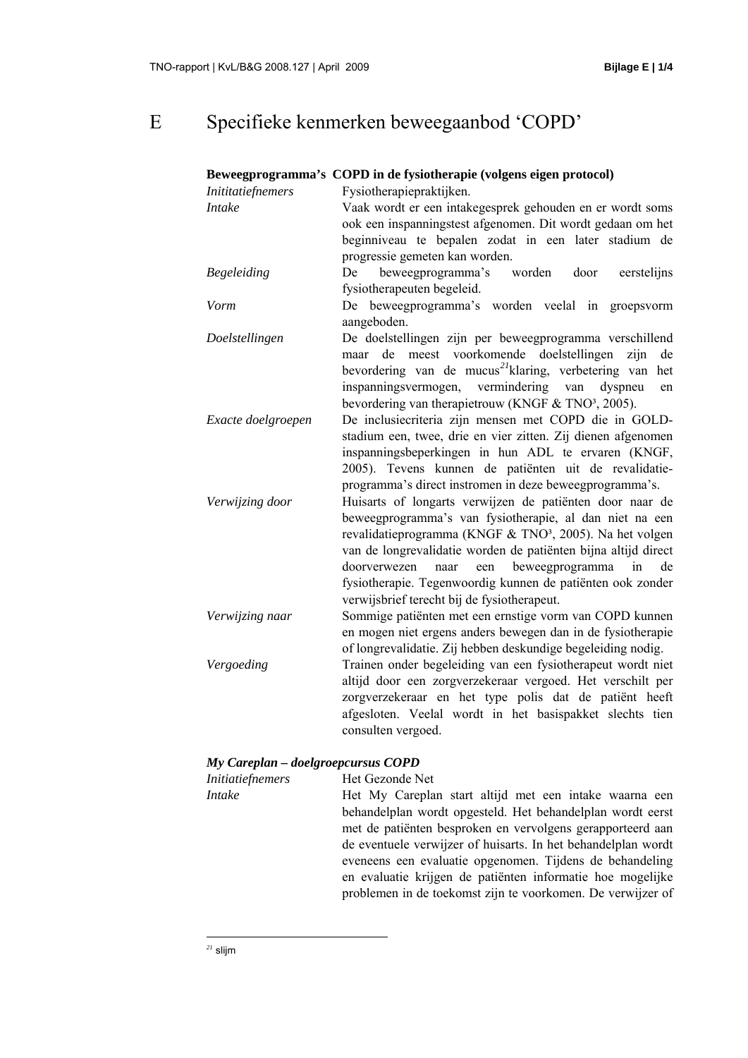# E Specifieke kenmerken beweegaanbod 'COPD'

| Beweegprogramma's COPD in de fysiotherapie (volgens eigen protocol) |                                                                        |  |  |  |  |  |  |
|---------------------------------------------------------------------|------------------------------------------------------------------------|--|--|--|--|--|--|
| <b>Inititatiefnemers</b>                                            | Fysiotherapiepraktijken.                                               |  |  |  |  |  |  |
| <b>Intake</b>                                                       | Vaak wordt er een intakegesprek gehouden en er wordt soms              |  |  |  |  |  |  |
|                                                                     | ook een inspanningstest afgenomen. Dit wordt gedaan om het             |  |  |  |  |  |  |
|                                                                     | beginniveau te bepalen zodat in een later stadium de                   |  |  |  |  |  |  |
|                                                                     | progressie gemeten kan worden.                                         |  |  |  |  |  |  |
| <b>Begeleiding</b>                                                  | beweegprogramma's<br>worden<br>door<br>De<br>eerstelijns               |  |  |  |  |  |  |
|                                                                     | fysiotherapeuten begeleid.                                             |  |  |  |  |  |  |
| Vorm                                                                | beweegprogramma's worden veelal in groepsvorm<br>De                    |  |  |  |  |  |  |
|                                                                     | aangeboden.                                                            |  |  |  |  |  |  |
| Doelstellingen                                                      | De doelstellingen zijn per beweegprogramma verschillend                |  |  |  |  |  |  |
|                                                                     | meest voorkomende doelstellingen<br>zijn<br>de<br>maar<br>de           |  |  |  |  |  |  |
|                                                                     | bevordering van de mucus <sup>21</sup> klaring, verbetering van<br>het |  |  |  |  |  |  |
|                                                                     | inspanningsvermogen, vermindering<br>van<br>dyspneu<br>en              |  |  |  |  |  |  |
|                                                                     | bevordering van therapietrouw (KNGF & TNO <sup>3</sup> , 2005).        |  |  |  |  |  |  |
| Exacte doelgroepen                                                  | De inclusiecriteria zijn mensen met COPD die in GOLD-                  |  |  |  |  |  |  |
|                                                                     | stadium een, twee, drie en vier zitten. Zij dienen afgenomen           |  |  |  |  |  |  |
|                                                                     | inspanningsbeperkingen in hun ADL te ervaren (KNGF,                    |  |  |  |  |  |  |
|                                                                     | 2005). Tevens kunnen de patiënten uit de revalidatie-                  |  |  |  |  |  |  |
|                                                                     | programma's direct instromen in deze beweegprogramma's.                |  |  |  |  |  |  |
| Verwijzing door                                                     | Huisarts of longarts verwijzen de patiënten door naar de               |  |  |  |  |  |  |
|                                                                     | beweegprogramma's van fysiotherapie, al dan niet na een                |  |  |  |  |  |  |
|                                                                     | revalidatieprogramma (KNGF & TNO <sup>3</sup> , 2005). Na het volgen   |  |  |  |  |  |  |
|                                                                     | van de longrevalidatie worden de patiënten bijna altijd direct         |  |  |  |  |  |  |
|                                                                     | beweegprogramma<br>in<br>doorverwezen<br>een<br>naar<br>de             |  |  |  |  |  |  |
|                                                                     | fysiotherapie. Tegenwoordig kunnen de patiënten ook zonder             |  |  |  |  |  |  |
|                                                                     | verwijsbrief terecht bij de fysiotherapeut.                            |  |  |  |  |  |  |
| Verwijzing naar                                                     | Sommige patiënten met een ernstige vorm van COPD kunnen                |  |  |  |  |  |  |
|                                                                     | en mogen niet ergens anders bewegen dan in de fysiotherapie            |  |  |  |  |  |  |
|                                                                     | of longrevalidatie. Zij hebben deskundige begeleiding nodig.           |  |  |  |  |  |  |
| Vergoeding                                                          | Trainen onder begeleiding van een fysiotherapeut wordt niet            |  |  |  |  |  |  |
|                                                                     | altijd door een zorgverzekeraar vergoed. Het verschilt per             |  |  |  |  |  |  |
|                                                                     | zorgverzekeraar en het type polis dat de patiënt heeft                 |  |  |  |  |  |  |
|                                                                     | afgesloten. Veelal wordt in het basispakket slechts tien               |  |  |  |  |  |  |
|                                                                     | consulten vergoed.                                                     |  |  |  |  |  |  |
|                                                                     |                                                                        |  |  |  |  |  |  |

## *My Careplan – doelgroepcursus COPD*

| <i>Initiatiefnemers</i> | Het Gezonde Net                                               |
|-------------------------|---------------------------------------------------------------|
| <i>Intake</i>           | Het My Careplan start altijd met een intake waarna een        |
|                         | behandelplan wordt opgesteld. Het behandelplan wordt eerst    |
|                         | met de patiënten besproken en vervolgens gerapporteerd aan    |
|                         | de eventuele verwijzer of huisarts. In het behandelplan wordt |
|                         | eveneens een evaluatie opgenomen. Tijdens de behandeling      |
|                         | en evaluatie krijgen de patiënten informatie hoe mogelijke    |
|                         | problemen in de toekomst zijn te voorkomen. De verwijzer of   |

<span id="page-112-0"></span>*<sup>21</sup>* slijm

 $\overline{a}$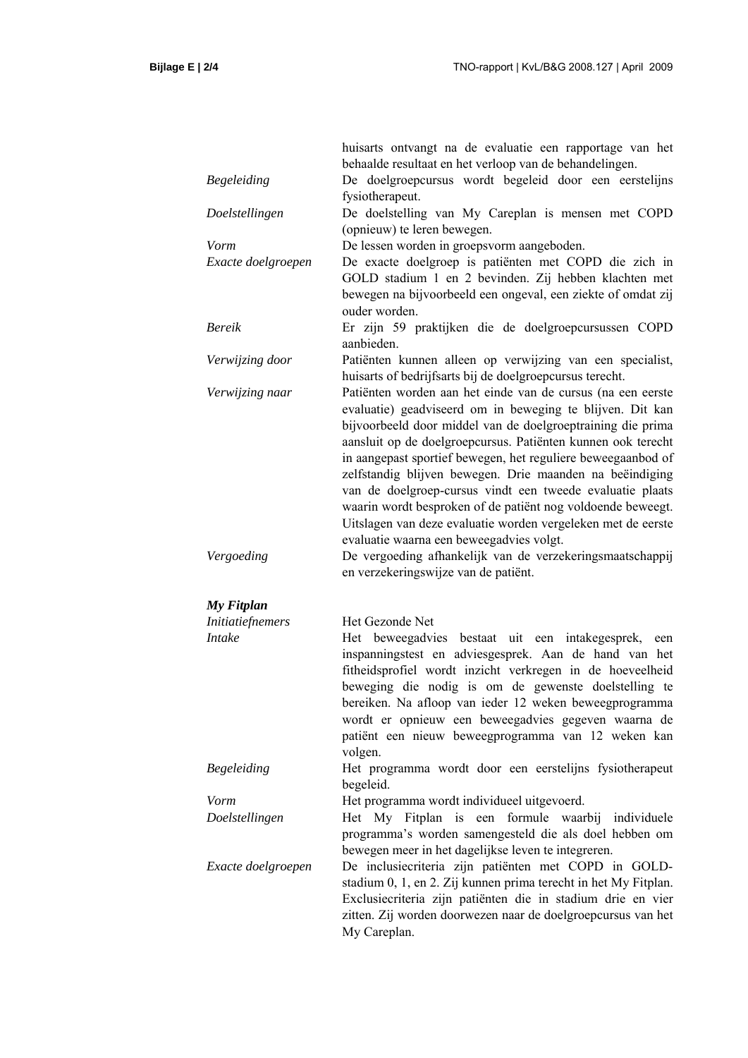|                         | huisarts ontvangt na de evaluatie een rapportage van het<br>behaalde resultaat en het verloop van de behandelingen.                                                                                                                                                                                                                                                                                                                                                                                                                                                                                                         |
|-------------------------|-----------------------------------------------------------------------------------------------------------------------------------------------------------------------------------------------------------------------------------------------------------------------------------------------------------------------------------------------------------------------------------------------------------------------------------------------------------------------------------------------------------------------------------------------------------------------------------------------------------------------------|
| <b>Begeleiding</b>      | De doelgroepcursus wordt begeleid door een eerstelijns<br>fysiotherapeut.                                                                                                                                                                                                                                                                                                                                                                                                                                                                                                                                                   |
| Doelstellingen          | De doelstelling van My Careplan is mensen met COPD<br>(opnieuw) te leren bewegen.                                                                                                                                                                                                                                                                                                                                                                                                                                                                                                                                           |
| Vorm                    | De lessen worden in groepsvorm aangeboden.                                                                                                                                                                                                                                                                                                                                                                                                                                                                                                                                                                                  |
| Exacte doelgroepen      | De exacte doelgroep is patiënten met COPD die zich in                                                                                                                                                                                                                                                                                                                                                                                                                                                                                                                                                                       |
|                         | GOLD stadium 1 en 2 bevinden. Zij hebben klachten met<br>bewegen na bijvoorbeeld een ongeval, een ziekte of omdat zij<br>ouder worden.                                                                                                                                                                                                                                                                                                                                                                                                                                                                                      |
| <b>Bereik</b>           | Er zijn 59 praktijken die de doelgroepcursussen COPD<br>aanbieden.                                                                                                                                                                                                                                                                                                                                                                                                                                                                                                                                                          |
| Verwijzing door         | Patiënten kunnen alleen op verwijzing van een specialist,<br>huisarts of bedrijfsarts bij de doelgroepcursus terecht.                                                                                                                                                                                                                                                                                                                                                                                                                                                                                                       |
| Verwijzing naar         | Patiënten worden aan het einde van de cursus (na een eerste<br>evaluatie) geadviseerd om in beweging te blijven. Dit kan<br>bijvoorbeeld door middel van de doelgroeptraining die prima<br>aansluit op de doelgroepcursus. Patiënten kunnen ook terecht<br>in aangepast sportief bewegen, het reguliere beweegaanbod of<br>zelfstandig blijven bewegen. Drie maanden na beëindiging<br>van de doelgroep-cursus vindt een tweede evaluatie plaats<br>waarin wordt besproken of de patiënt nog voldoende beweegt.<br>Uitslagen van deze evaluatie worden vergeleken met de eerste<br>evaluatie waarna een beweegadvies volgt. |
| Vergoeding              | De vergoeding afhankelijk van de verzekeringsmaatschappij<br>en verzekeringswijze van de patiënt.                                                                                                                                                                                                                                                                                                                                                                                                                                                                                                                           |
| My Fitplan              |                                                                                                                                                                                                                                                                                                                                                                                                                                                                                                                                                                                                                             |
| <i>Initiatiefnemers</i> | Het Gezonde Net                                                                                                                                                                                                                                                                                                                                                                                                                                                                                                                                                                                                             |
| <b>Intake</b>           | Het beweegadvies bestaat uit een intakegesprek,<br>een<br>inspanningstest en adviesgesprek. Aan de hand van het<br>fitheidsprofiel wordt inzicht verkregen in de hoeveelheid<br>beweging die nodig is om de gewenste doelstelling te<br>bereiken. Na afloop van ieder 12 weken beweegprogramma<br>wordt er opnieuw een beweegadvies gegeven waarna de<br>patiënt een nieuw beweegprogramma van 12 weken kan<br>volgen.                                                                                                                                                                                                      |
| <b>Begeleiding</b>      | Het programma wordt door een eerstelijns fysiotherapeut<br>begeleid.                                                                                                                                                                                                                                                                                                                                                                                                                                                                                                                                                        |
| Vorm                    | Het programma wordt individueel uitgevoerd.                                                                                                                                                                                                                                                                                                                                                                                                                                                                                                                                                                                 |
| Doelstellingen          | Het My Fitplan is een formule waarbij individuele<br>programma's worden samengesteld die als doel hebben om<br>bewegen meer in het dagelijkse leven te integreren.                                                                                                                                                                                                                                                                                                                                                                                                                                                          |
| Exacte doelgroepen      | De inclusiecriteria zijn patiënten met COPD in GOLD-<br>stadium 0, 1, en 2. Zij kunnen prima terecht in het My Fitplan.<br>Exclusiecriteria zijn patiënten die in stadium drie en vier<br>zitten. Zij worden doorwezen naar de doelgroepcursus van het<br>My Careplan.                                                                                                                                                                                                                                                                                                                                                      |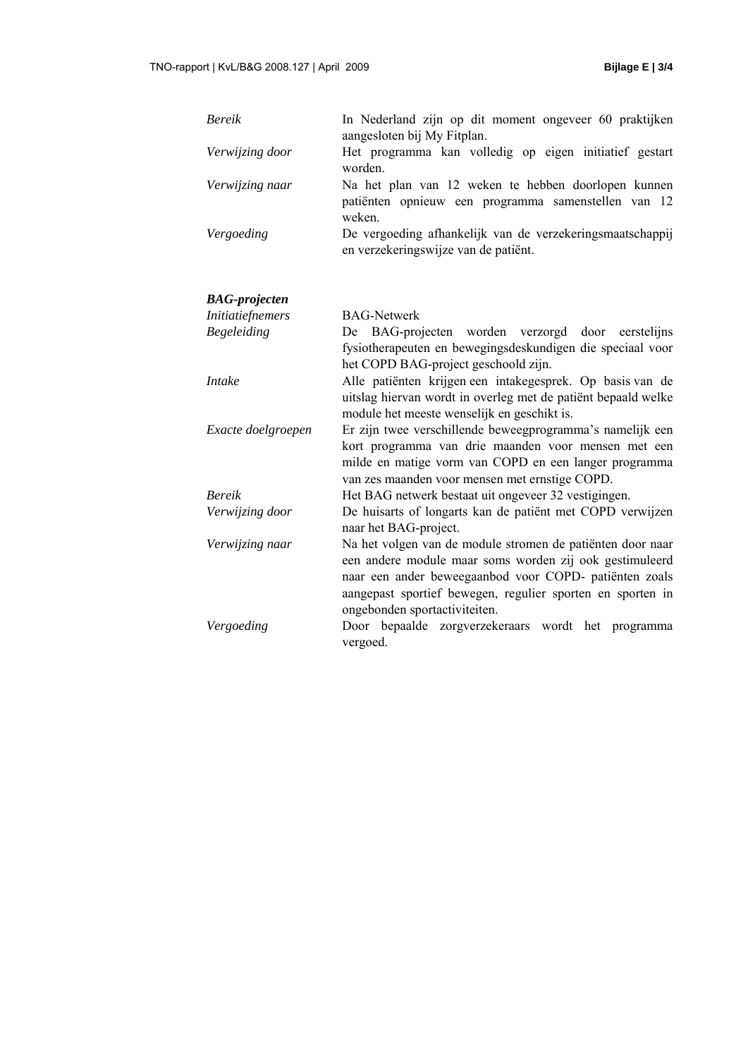| <b>Bereik</b>           | In Nederland zijn op dit moment ongeveer 60 praktijken<br>aangesloten bij My Fitplan.                                                                                                                                                                                          |  |  |  |  |
|-------------------------|--------------------------------------------------------------------------------------------------------------------------------------------------------------------------------------------------------------------------------------------------------------------------------|--|--|--|--|
| Verwijzing door         | Het programma kan volledig op eigen initiatief gestart<br>worden.                                                                                                                                                                                                              |  |  |  |  |
| Verwijzing naar         | Na het plan van 12 weken te hebben doorlopen kunnen<br>patiënten opnieuw een programma samenstellen van 12<br>weken.                                                                                                                                                           |  |  |  |  |
| Vergoeding              | De vergoeding afhankelijk van de verzekeringsmaatschappij<br>en verzekeringswijze van de patiënt.                                                                                                                                                                              |  |  |  |  |
| <b>BAG-projecten</b>    |                                                                                                                                                                                                                                                                                |  |  |  |  |
| <b>Initiatiefnemers</b> | <b>BAG-Netwerk</b>                                                                                                                                                                                                                                                             |  |  |  |  |
| <b>Begeleiding</b>      | BAG-projecten worden verzorgd<br>door<br>eerstelijns<br>De<br>fysiotherapeuten en bewegingsdeskundigen die speciaal voor<br>het COPD BAG-project geschoold zijn.                                                                                                               |  |  |  |  |
| <b>Intake</b>           | Alle patiënten krijgen een intakegesprek. Op basis van de<br>uitslag hiervan wordt in overleg met de patiënt bepaald welke<br>module het meeste wenselijk en geschikt is.                                                                                                      |  |  |  |  |
| Exacte doelgroepen      | Er zijn twee verschillende beweegprogramma's namelijk een<br>kort programma van drie maanden voor mensen met een<br>milde en matige vorm van COPD en een langer programma<br>van zes maanden voor mensen met ernstige COPD.                                                    |  |  |  |  |
| <b>Bereik</b>           | Het BAG netwerk bestaat uit ongeveer 32 vestigingen.                                                                                                                                                                                                                           |  |  |  |  |
| Verwijzing door         | De huisarts of longarts kan de patiënt met COPD verwijzen<br>naar het BAG-project.                                                                                                                                                                                             |  |  |  |  |
| Verwijzing naar         | Na het volgen van de module stromen de patiënten door naar<br>een andere module maar soms worden zij ook gestimuleerd<br>naar een ander beweegaanbod voor COPD- patiënten zoals<br>aangepast sportief bewegen, regulier sporten en sporten in<br>ongebonden sportactiviteiten. |  |  |  |  |
| Vergoeding              | Door bepaalde zorgverzekeraars wordt het programma<br>vergoed.                                                                                                                                                                                                                 |  |  |  |  |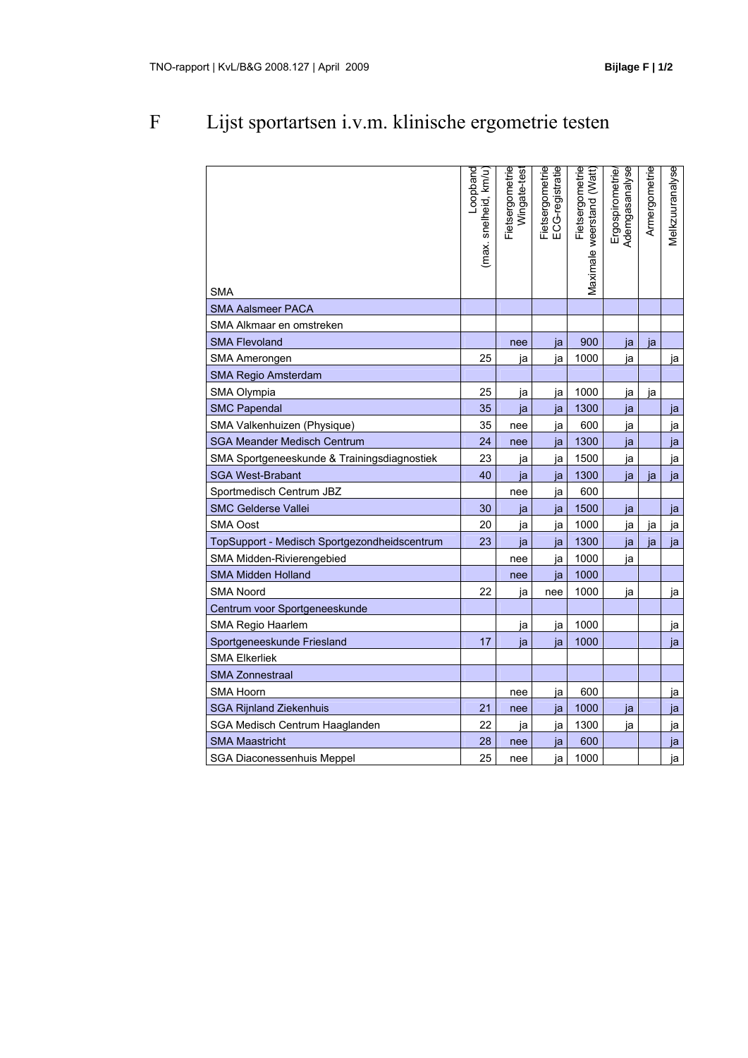# F Lijst sportartsen i.v.m. klinische ergometrie testen

| SMA                                          | Loopband<br>(max. snelheid, km/u) | Fietsergometrie<br>Wingate-test | Fietsergometrie<br>ECG-registratie | Fietsergometrie<br>Maximale weerstand (Watt) | Ergospirometrie/<br>Ademgasanalyse | Armergometrie | Melkzuuranalyse |
|----------------------------------------------|-----------------------------------|---------------------------------|------------------------------------|----------------------------------------------|------------------------------------|---------------|-----------------|
| <b>SMA Aalsmeer PACA</b>                     |                                   |                                 |                                    |                                              |                                    |               |                 |
| SMA Alkmaar en omstreken                     |                                   |                                 |                                    |                                              |                                    |               |                 |
| <b>SMA Flevoland</b>                         |                                   | nee                             | ja                                 | 900                                          | ja                                 | ja            |                 |
| SMA Amerongen                                | 25                                | ја                              | іа                                 | 1000                                         | ia                                 |               | ja              |
| <b>SMA Regio Amsterdam</b>                   |                                   |                                 |                                    |                                              |                                    |               |                 |
| SMA Olympia                                  | 25                                | ja                              | ja                                 | 1000                                         | ја                                 | ja            |                 |
| <b>SMC Papendal</b>                          | 35                                | ja                              | ia                                 | 1300                                         | ja                                 |               | ja              |
| SMA Valkenhuizen (Physique)                  | 35                                | nee                             | ia                                 | 600                                          | іа                                 |               | ja              |
| <b>SGA Meander Medisch Centrum</b>           | 24                                | nee                             | ja                                 | 1300                                         | ja                                 |               | ja              |
| SMA Sportgeneeskunde & Trainingsdiagnostiek  | 23                                | ја                              | ја                                 | 1500                                         | ја                                 |               | <u>ja</u>       |
| <b>SGA West-Brabant</b>                      | 40                                | ja                              | ja                                 | 1300                                         | ja                                 | ja            | ja              |
| Sportmedisch Centrum JBZ                     |                                   | nee                             | ја                                 | 600                                          |                                    |               |                 |
| <b>SMC Gelderse Vallei</b>                   | 30                                | ja                              | ja                                 | 1500                                         | ja                                 |               | ja              |
| <b>SMA Oost</b>                              | 20                                | ја                              | ja                                 | 1000                                         | ja                                 | ја            | ја              |
| TopSupport - Medisch Sportgezondheidscentrum | 23                                | ja                              | ia                                 | 1300                                         | ja                                 | ia            | ja              |
| SMA Midden-Rivierengebied                    |                                   | nee                             | ја                                 | 1000                                         | ја                                 |               |                 |
| <b>SMA Midden Holland</b>                    |                                   | nee                             | ia                                 | 1000                                         |                                    |               |                 |
| <b>SMA Noord</b>                             | 22                                | ја                              | nee                                | 1000                                         | ја                                 |               | ja              |
| Centrum voor Sportgeneeskunde                |                                   |                                 |                                    |                                              |                                    |               |                 |
| SMA Regio Haarlem                            |                                   | ја                              | ia                                 | 1000                                         |                                    |               | ja              |
| Sportgeneeskunde Friesland                   | 17                                | ja                              | ia                                 | 1000                                         |                                    |               | ja              |
| <b>SMA Elkerliek</b>                         |                                   |                                 |                                    |                                              |                                    |               |                 |
| <b>SMA Zonnestraal</b>                       |                                   |                                 |                                    |                                              |                                    |               |                 |
| SMA Hoorn                                    |                                   | nee                             | ја                                 | 600                                          |                                    |               | ја              |
| <b>SGA Rijnland Ziekenhuis</b>               | 21                                | nee                             | ja                                 | 1000                                         | ja                                 |               | ja              |
| SGA Medisch Centrum Haaglanden               | 22                                | ja                              | ja                                 | 1300                                         | ja                                 |               | ja              |
| <b>SMA Maastricht</b>                        | 28                                | nee                             | ja                                 | 600                                          |                                    |               | ja              |
| SGA Diaconessenhuis Meppel                   | 25                                | nee                             | іа                                 | 1000                                         |                                    |               | ja              |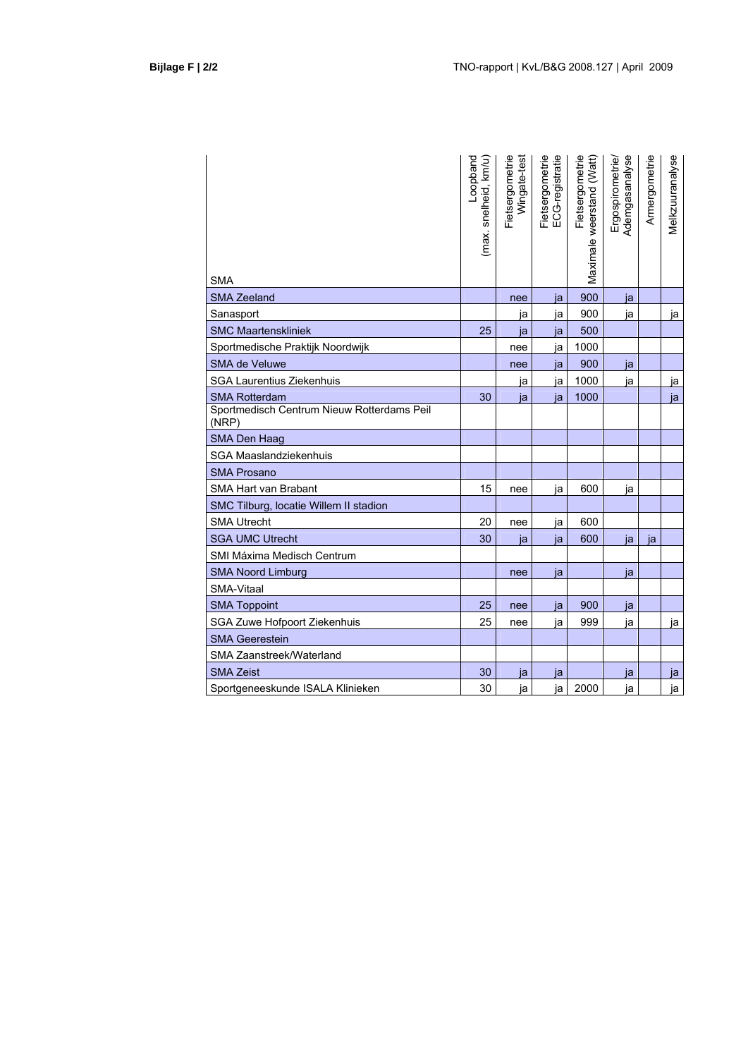| Bijlage F   2/2 |  |  |
|-----------------|--|--|
|-----------------|--|--|

| <b>SMA</b>                                          | Loopband<br>(max. snelheid, km/u) | Fietsergometrie<br>Wingate-test | Fietsergometrie<br>ECG-registratie | Fietsergometrie<br>Maximale weerstand (Watt) | Ergospirometrie/<br>Ademgasanalyse | Armergometrie | Melkzuuranalyse |
|-----------------------------------------------------|-----------------------------------|---------------------------------|------------------------------------|----------------------------------------------|------------------------------------|---------------|-----------------|
| <b>SMA Zeeland</b>                                  |                                   | nee                             | ja                                 | 900                                          | ja                                 |               |                 |
| Sanasport                                           |                                   | ja                              | ја                                 | 900                                          | ја                                 |               | <u>ja</u>       |
| <b>SMC Maartenskliniek</b>                          | 25                                | ja                              | ja                                 | 500                                          |                                    |               |                 |
| Sportmedische Praktijk Noordwijk                    |                                   | nee                             | іа                                 | 1000                                         |                                    |               |                 |
| <b>SMA de Veluwe</b>                                |                                   | nee                             | ja                                 | 900                                          | ja                                 |               |                 |
| <b>SGA Laurentius Ziekenhuis</b>                    |                                   | ја                              | ја                                 | 1000                                         | ја                                 |               | ја              |
| <b>SMA Rotterdam</b>                                | 30                                | ja                              | ia                                 | 1000                                         |                                    |               | ja              |
| Sportmedisch Centrum Nieuw Rotterdams Peil<br>(NRP) |                                   |                                 |                                    |                                              |                                    |               |                 |
| <b>SMA Den Haag</b>                                 |                                   |                                 |                                    |                                              |                                    |               |                 |
| <b>SGA Maaslandziekenhuis</b>                       |                                   |                                 |                                    |                                              |                                    |               |                 |
| <b>SMA Prosano</b>                                  |                                   |                                 |                                    |                                              |                                    |               |                 |
| <b>SMA Hart van Brabant</b>                         | 15                                | nee                             | іа                                 | 600                                          | ја                                 |               |                 |
| SMC Tilburg, locatie Willem II stadion              |                                   |                                 |                                    |                                              |                                    |               |                 |
| <b>SMA Utrecht</b>                                  | 20                                | nee                             | ја                                 | 600                                          |                                    |               |                 |
| <b>SGA UMC Utrecht</b>                              | 30                                | ja                              | ia                                 | 600                                          | ja                                 | ja            |                 |
| SMI Máxima Medisch Centrum                          |                                   |                                 |                                    |                                              |                                    |               |                 |
| <b>SMA Noord Limburg</b>                            |                                   | nee                             | ia                                 |                                              | ia                                 |               |                 |
| SMA-Vitaal                                          |                                   |                                 |                                    |                                              |                                    |               |                 |
| <b>SMA Toppoint</b>                                 | 25                                | nee                             | ia                                 | 900                                          | ja                                 |               |                 |
| SGA Zuwe Hofpoort Ziekenhuis                        | 25                                | nee                             | ia                                 | 999                                          | ١a                                 |               | ja              |
| <b>SMA Geerestein</b>                               |                                   |                                 |                                    |                                              |                                    |               |                 |
| SMA Zaanstreek/Waterland                            |                                   |                                 |                                    |                                              |                                    |               |                 |
| <b>SMA Zeist</b>                                    | 30                                | ja                              | ja                                 |                                              | ja                                 |               | ja              |
| Sportgeneeskunde ISALA Klinieken                    | 30                                | ja                              | ja                                 | 2000                                         | ja                                 |               | ja              |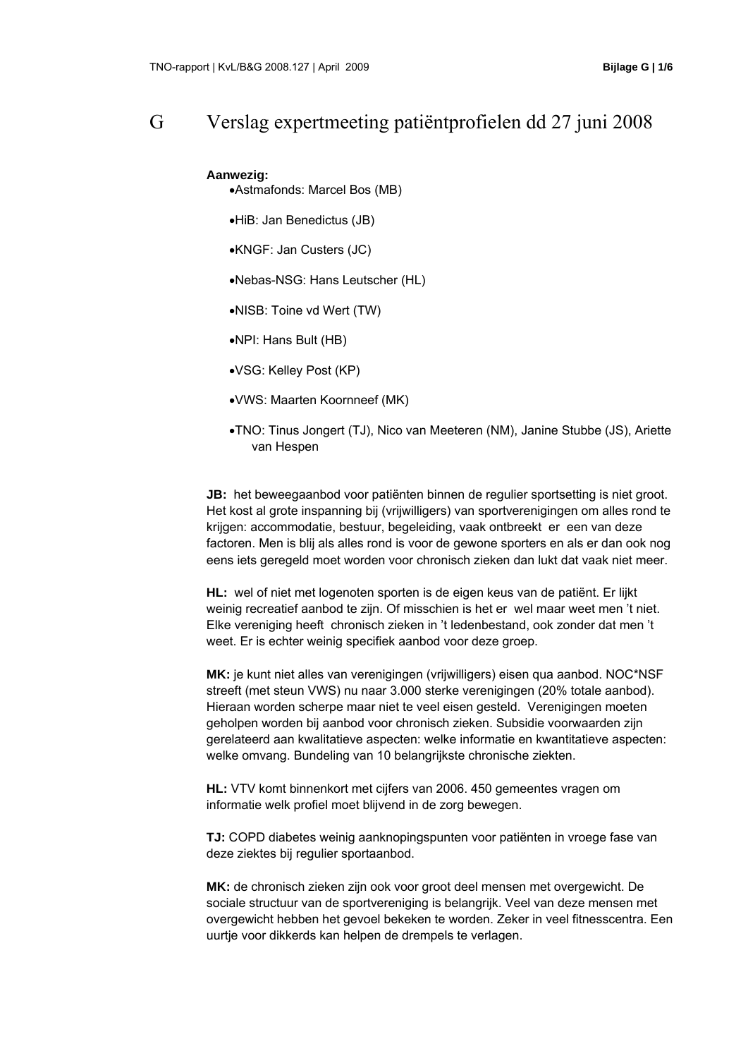## G Verslag expertmeeting patiëntprofielen dd 27 juni 2008

#### **Aanwezig:**

•Astmafonds: Marcel Bos (MB)

•HiB: Jan Benedictus (JB)

•KNGF: Jan Custers (JC)

•Nebas-NSG: Hans Leutscher (HL)

•NISB: Toine vd Wert (TW)

•NPI: Hans Bult (HB)

•VSG: Kelley Post (KP)

- •VWS: Maarten Koornneef (MK)
- •TNO: Tinus Jongert (TJ), Nico van Meeteren (NM), Janine Stubbe (JS), Ariette van Hespen

**JB:** het beweegaanbod voor patiënten binnen de regulier sportsetting is niet groot. Het kost al grote inspanning bij (vrijwilligers) van sportverenigingen om alles rond te krijgen: accommodatie, bestuur, begeleiding, vaak ontbreekt er een van deze factoren. Men is blij als alles rond is voor de gewone sporters en als er dan ook nog eens iets geregeld moet worden voor chronisch zieken dan lukt dat vaak niet meer.

**HL:** wel of niet met logenoten sporten is de eigen keus van de patiënt. Er lijkt weinig recreatief aanbod te zijn. Of misschien is het er wel maar weet men 't niet. Elke vereniging heeft chronisch zieken in 't ledenbestand, ook zonder dat men 't weet. Er is echter weinig specifiek aanbod voor deze groep.

**MK:** je kunt niet alles van verenigingen (vrijwilligers) eisen qua aanbod. NOC\*NSF streeft (met steun VWS) nu naar 3.000 sterke verenigingen (20% totale aanbod). Hieraan worden scherpe maar niet te veel eisen gesteld. Verenigingen moeten geholpen worden bij aanbod voor chronisch zieken. Subsidie voorwaarden zijn gerelateerd aan kwalitatieve aspecten: welke informatie en kwantitatieve aspecten: welke omvang. Bundeling van 10 belangrijkste chronische ziekten.

**HL:** VTV komt binnenkort met cijfers van 2006. 450 gemeentes vragen om informatie welk profiel moet blijvend in de zorg bewegen.

**TJ:** COPD diabetes weinig aanknopingspunten voor patiënten in vroege fase van deze ziektes bij regulier sportaanbod.

**MK:** de chronisch zieken zijn ook voor groot deel mensen met overgewicht. De sociale structuur van de sportvereniging is belangrijk. Veel van deze mensen met overgewicht hebben het gevoel bekeken te worden. Zeker in veel fitnesscentra. Een uurtje voor dikkerds kan helpen de drempels te verlagen.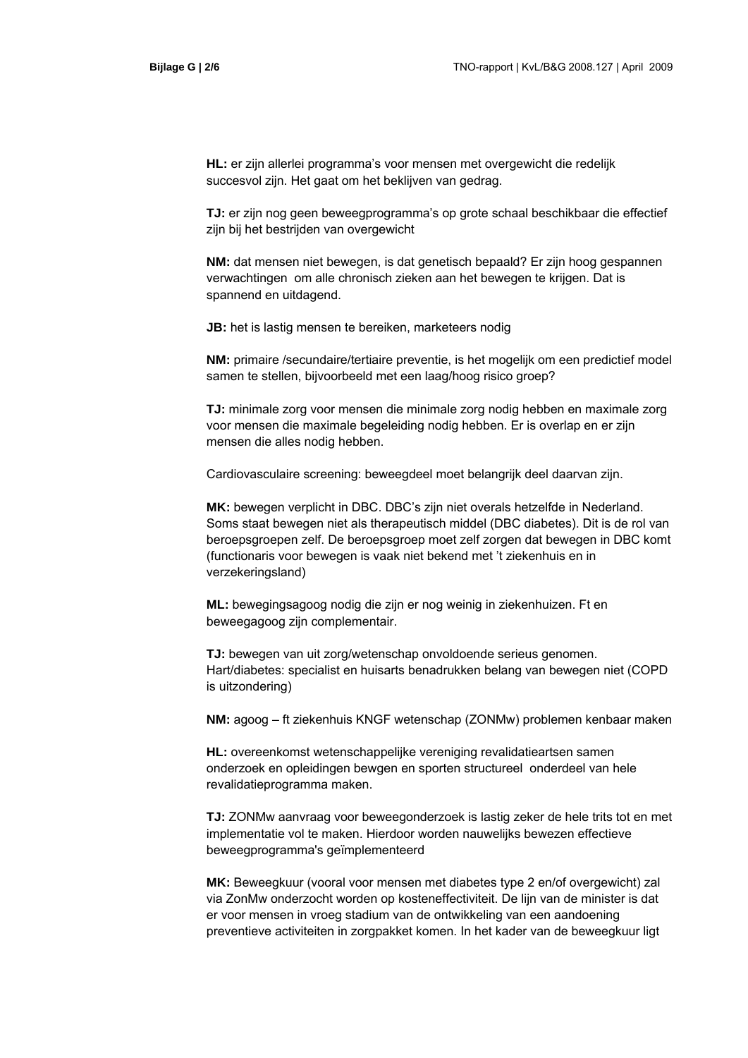**HL:** er zijn allerlei programma's voor mensen met overgewicht die redelijk succesvol zijn. Het gaat om het beklijven van gedrag.

**TJ:** er zijn nog geen beweegprogramma's op grote schaal beschikbaar die effectief zijn bij het bestrijden van overgewicht

**NM:** dat mensen niet bewegen, is dat genetisch bepaald? Er zijn hoog gespannen verwachtingen om alle chronisch zieken aan het bewegen te krijgen. Dat is spannend en uitdagend.

**JB:** het is lastig mensen te bereiken, marketeers nodig

**NM:** primaire /secundaire/tertiaire preventie, is het mogelijk om een predictief model samen te stellen, bijvoorbeeld met een laag/hoog risico groep?

**TJ:** minimale zorg voor mensen die minimale zorg nodig hebben en maximale zorg voor mensen die maximale begeleiding nodig hebben. Er is overlap en er zijn mensen die alles nodig hebben.

Cardiovasculaire screening: beweegdeel moet belangrijk deel daarvan zijn.

**MK:** bewegen verplicht in DBC. DBC's zijn niet overals hetzelfde in Nederland. Soms staat bewegen niet als therapeutisch middel (DBC diabetes). Dit is de rol van beroepsgroepen zelf. De beroepsgroep moet zelf zorgen dat bewegen in DBC komt (functionaris voor bewegen is vaak niet bekend met 't ziekenhuis en in verzekeringsland)

**ML:** bewegingsagoog nodig die zijn er nog weinig in ziekenhuizen. Ft en beweegagoog zijn complementair.

**TJ:** bewegen van uit zorg/wetenschap onvoldoende serieus genomen. Hart/diabetes: specialist en huisarts benadrukken belang van bewegen niet (COPD is uitzondering)

**NM:** agoog – ft ziekenhuis KNGF wetenschap (ZONMw) problemen kenbaar maken

**HL:** overeenkomst wetenschappelijke vereniging revalidatieartsen samen onderzoek en opleidingen bewgen en sporten structureel onderdeel van hele revalidatieprogramma maken.

**TJ:** ZONMw aanvraag voor beweegonderzoek is lastig zeker de hele trits tot en met implementatie vol te maken. Hierdoor worden nauwelijks bewezen effectieve beweegprogramma's geïmplementeerd

**MK:** Beweegkuur (vooral voor mensen met diabetes type 2 en/of overgewicht) zal via ZonMw onderzocht worden op kosteneffectiviteit. De lijn van de minister is dat er voor mensen in vroeg stadium van de ontwikkeling van een aandoening preventieve activiteiten in zorgpakket komen. In het kader van de beweegkuur ligt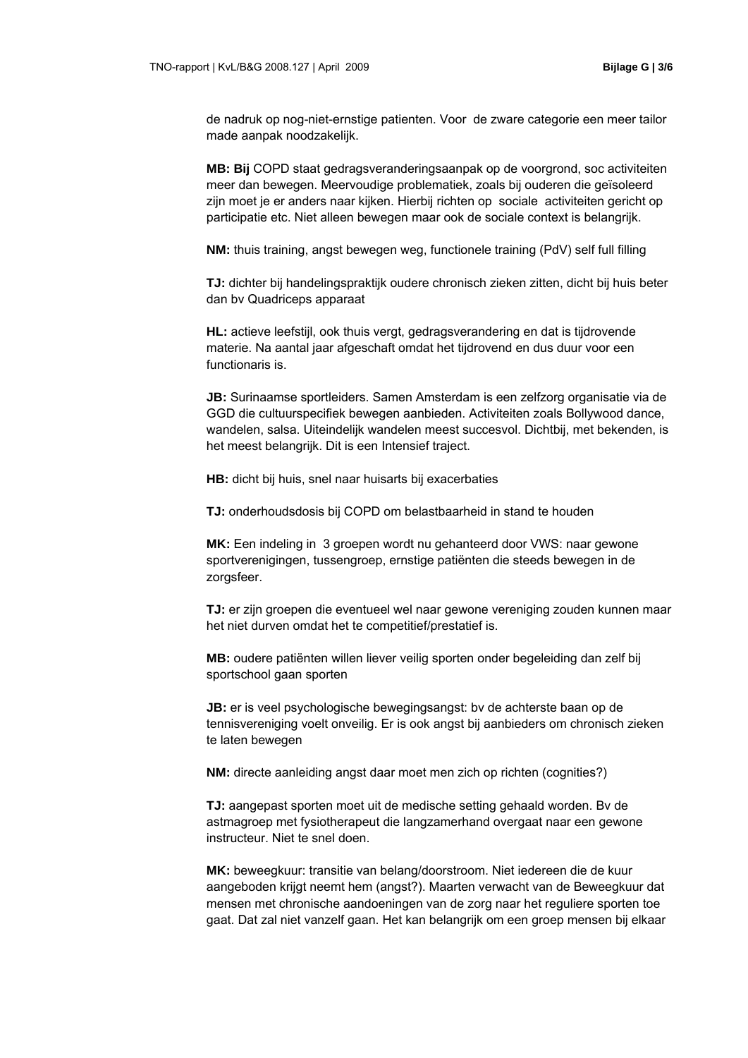de nadruk op nog-niet-ernstige patienten. Voor de zware categorie een meer tailor made aanpak noodzakelijk.

**MB: Bij** COPD staat gedragsveranderingsaanpak op de voorgrond, soc activiteiten meer dan bewegen. Meervoudige problematiek, zoals bij ouderen die geïsoleerd zijn moet je er anders naar kijken. Hierbij richten op sociale activiteiten gericht op participatie etc. Niet alleen bewegen maar ook de sociale context is belangrijk.

**NM:** thuis training, angst bewegen weg, functionele training (PdV) self full filling

**TJ:** dichter bij handelingspraktijk oudere chronisch zieken zitten, dicht bij huis beter dan bv Quadriceps apparaat

**HL:** actieve leefstijl, ook thuis vergt, gedragsverandering en dat is tijdrovende materie. Na aantal jaar afgeschaft omdat het tijdrovend en dus duur voor een functionaris is.

**JB:** Surinaamse sportleiders. Samen Amsterdam is een zelfzorg organisatie via de GGD die cultuurspecifiek bewegen aanbieden. Activiteiten zoals Bollywood dance, wandelen, salsa. Uiteindelijk wandelen meest succesvol. Dichtbij, met bekenden, is het meest belangrijk. Dit is een Intensief traject.

**HB:** dicht bij huis, snel naar huisarts bij exacerbaties

**TJ:** onderhoudsdosis bij COPD om belastbaarheid in stand te houden

**MK:** Een indeling in3 groepen wordt nu gehanteerd door VWS: naar gewone sportverenigingen, tussengroep, ernstige patiënten die steeds bewegen in de zorgsfeer.

**TJ:** er zijn groepen die eventueel wel naar gewone vereniging zouden kunnen maar het niet durven omdat het te competitief/prestatief is.

**MB:** oudere patiënten willen liever veilig sporten onder begeleiding dan zelf bij sportschool gaan sporten

**JB:** er is veel psychologische bewegingsangst: bv de achterste baan op de tennisvereniging voelt onveilig. Er is ook angst bij aanbieders om chronisch zieken te laten bewegen

**NM:** directe aanleiding angst daar moet men zich op richten (cognities?)

**TJ:** aangepast sporten moet uit de medische setting gehaald worden. Bv de astmagroep met fysiotherapeut die langzamerhand overgaat naar een gewone instructeur. Niet te snel doen.

**MK:** beweegkuur: transitie van belang/doorstroom. Niet iedereen die de kuur aangeboden krijgt neemt hem (angst?). Maarten verwacht van de Beweegkuur dat mensen met chronische aandoeningen van de zorg naar het reguliere sporten toe gaat. Dat zal niet vanzelf gaan. Het kan belangrijk om een groep mensen bij elkaar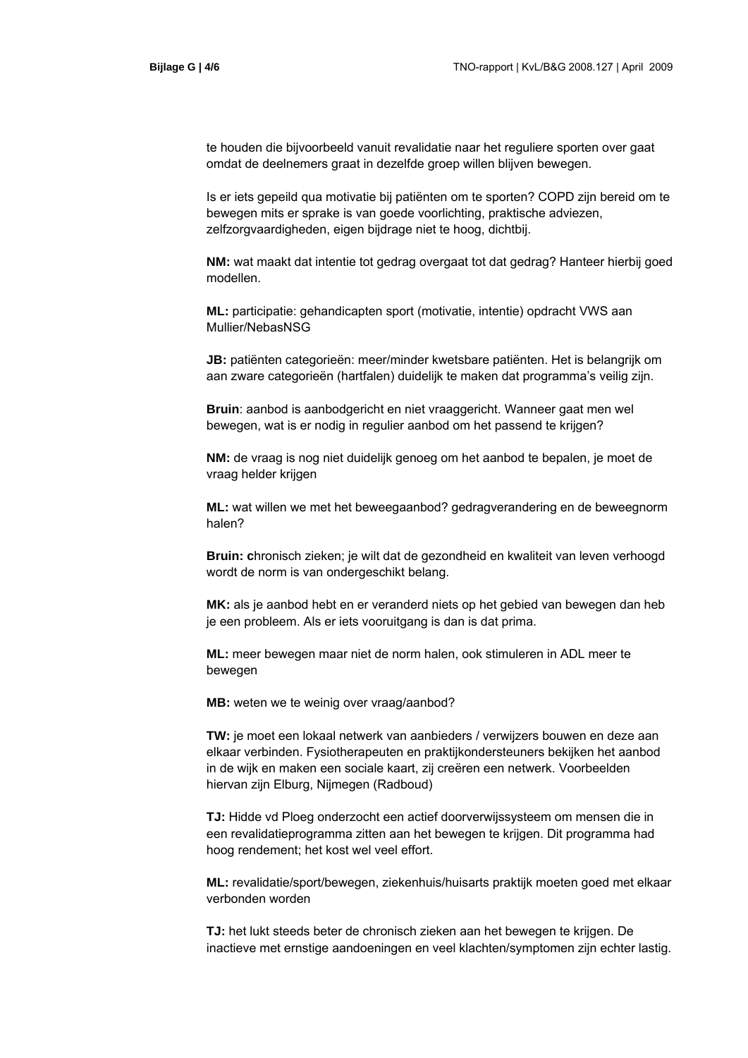te houden die bijvoorbeeld vanuit revalidatie naar het reguliere sporten over gaat omdat de deelnemers graat in dezelfde groep willen blijven bewegen.

Is er iets gepeild qua motivatie bij patiënten om te sporten? COPD zijn bereid om te bewegen mits er sprake is van goede voorlichting, praktische adviezen, zelfzorgvaardigheden, eigen bijdrage niet te hoog, dichtbij.

**NM:** wat maakt dat intentie tot gedrag overgaat tot dat gedrag? Hanteer hierbij goed modellen.

**ML:** participatie: gehandicapten sport (motivatie, intentie) opdracht VWS aan Mullier/NebasNSG

**JB:** patiënten categorieën: meer/minder kwetsbare patiënten. Het is belangrijk om aan zware categorieën (hartfalen) duidelijk te maken dat programma's veilig zijn.

**Bruin**: aanbod is aanbodgericht en niet vraaggericht. Wanneer gaat men wel bewegen, wat is er nodig in regulier aanbod om het passend te krijgen?

**NM:** de vraag is nog niet duidelijk genoeg om het aanbod te bepalen, je moet de vraag helder krijgen

**ML:** wat willen we met het beweegaanbod? gedragverandering en de beweegnorm halen?

**Bruin: c**hronisch zieken; je wilt dat de gezondheid en kwaliteit van leven verhoogd wordt de norm is van ondergeschikt belang.

**MK:** als je aanbod hebt en er veranderd niets op het gebied van bewegen dan heb je een probleem. Als er iets vooruitgang is dan is dat prima.

**ML:** meer bewegen maar niet de norm halen, ook stimuleren in ADL meer te bewegen

**MB:** weten we te weinig over vraag/aanbod?

**TW:** je moet een lokaal netwerk van aanbieders / verwijzers bouwen en deze aan elkaar verbinden. Fysiotherapeuten en praktijkondersteuners bekijken het aanbod in de wijk en maken een sociale kaart, zij creëren een netwerk. Voorbeelden hiervan zijn Elburg, Nijmegen (Radboud)

**TJ:** Hidde vd Ploeg onderzocht een actief doorverwijssysteem om mensen die in een revalidatieprogramma zitten aan het bewegen te krijgen. Dit programma had hoog rendement; het kost wel veel effort.

**ML:** revalidatie/sport/bewegen, ziekenhuis/huisarts praktijk moeten goed met elkaar verbonden worden

**TJ:** het lukt steeds beter de chronisch zieken aan het bewegen te krijgen. De inactieve met ernstige aandoeningen en veel klachten/symptomen zijn echter lastig.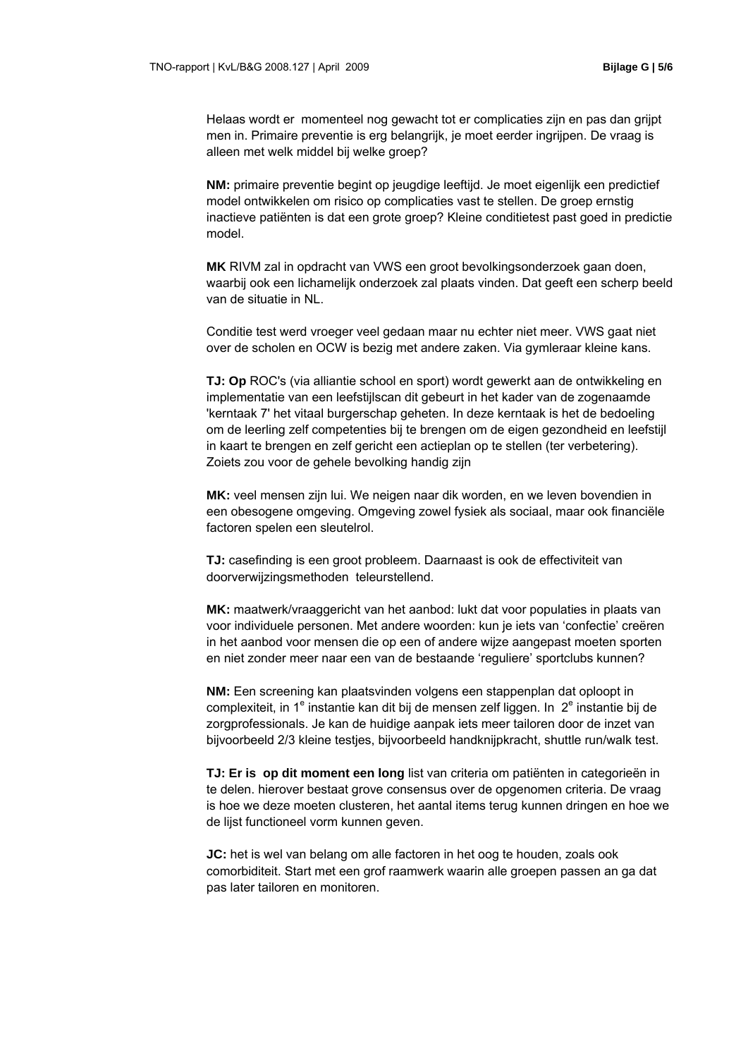Helaas wordt er momenteel nog gewacht tot er complicaties zijn en pas dan grijpt men in. Primaire preventie is erg belangrijk, je moet eerder ingrijpen. De vraag is alleen met welk middel bij welke groep?

**NM:** primaire preventie begint op jeugdige leeftijd. Je moet eigenlijk een predictief model ontwikkelen om risico op complicaties vast te stellen. De groep ernstig inactieve patiënten is dat een grote groep? Kleine conditietest past goed in predictie model.

**MK** RIVM zal in opdracht van VWS een groot bevolkingsonderzoek gaan doen, waarbij ook een lichamelijk onderzoek zal plaats vinden. Dat geeft een scherp beeld van de situatie in NL.

Conditie test werd vroeger veel gedaan maar nu echter niet meer. VWS gaat niet over de scholen en OCW is bezig met andere zaken. Via gymleraar kleine kans.

**TJ: Op** ROC's (via alliantie school en sport) wordt gewerkt aan de ontwikkeling en implementatie van een leefstijlscan dit gebeurt in het kader van de zogenaamde 'kerntaak 7' het vitaal burgerschap geheten. In deze kerntaak is het de bedoeling om de leerling zelf competenties bij te brengen om de eigen gezondheid en leefstijl in kaart te brengen en zelf gericht een actieplan op te stellen (ter verbetering). Zoiets zou voor de gehele bevolking handig zijn

**MK:** veel mensen zijn lui. We neigen naar dik worden, en we leven bovendien in een obesogene omgeving. Omgeving zowel fysiek als sociaal, maar ook financiële factoren spelen een sleutelrol.

**TJ:** casefinding is een groot probleem. Daarnaast is ook de effectiviteit van doorverwijzingsmethoden teleurstellend.

**MK:** maatwerk/vraaggericht van het aanbod: lukt dat voor populaties in plaats van voor individuele personen. Met andere woorden: kun je iets van 'confectie' creëren in het aanbod voor mensen die op een of andere wijze aangepast moeten sporten en niet zonder meer naar een van de bestaande 'reguliere' sportclubs kunnen?

**NM:** Een screening kan plaatsvinden volgens een stappenplan dat oploopt in complexiteit, in 1<sup>e</sup> instantie kan dit bij de mensen zelf liggen. In 2<sup>e</sup> instantie bij de zorgprofessionals. Je kan de huidige aanpak iets meer tailoren door de inzet van bijvoorbeeld 2/3 kleine testjes, bijvoorbeeld handknijpkracht, shuttle run/walk test.

**TJ: Er is op dit moment een long** list van criteria om patiënten in categorieën in te delen. hierover bestaat grove consensus over de opgenomen criteria. De vraag is hoe we deze moeten clusteren, het aantal items terug kunnen dringen en hoe we de lijst functioneel vorm kunnen geven.

**JC:** het is wel van belang om alle factoren in het oog te houden, zoals ook comorbiditeit. Start met een grof raamwerk waarin alle groepen passen an ga dat pas later tailoren en monitoren.